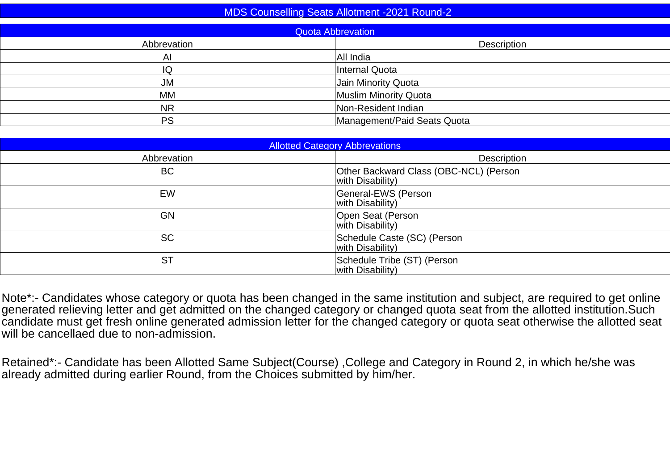| <b>MDS Counselling Seats Allotment -2021 Round-2</b> |                             |  |  |  |  |  |  |  |
|------------------------------------------------------|-----------------------------|--|--|--|--|--|--|--|
|                                                      | <b>Quota Abbrevation</b>    |  |  |  |  |  |  |  |
| Abbrevation                                          | Description                 |  |  |  |  |  |  |  |
| AI                                                   | All India                   |  |  |  |  |  |  |  |
| IQ                                                   | Internal Quota              |  |  |  |  |  |  |  |
| JM                                                   | Jain Minority Quota         |  |  |  |  |  |  |  |
| MM                                                   | Muslim Minority Quota       |  |  |  |  |  |  |  |
| <b>NR</b>                                            | Non-Resident Indian         |  |  |  |  |  |  |  |
| <b>PS</b>                                            | Management/Paid Seats Quota |  |  |  |  |  |  |  |
|                                                      |                             |  |  |  |  |  |  |  |

| <b>Allotted Category Abbrevations</b> |                                                            |  |  |  |  |  |  |  |
|---------------------------------------|------------------------------------------------------------|--|--|--|--|--|--|--|
| Abbrevation                           | Description                                                |  |  |  |  |  |  |  |
| <b>BC</b>                             | Other Backward Class (OBC-NCL) (Person<br>with Disability) |  |  |  |  |  |  |  |
| EW                                    | General-EWS (Person<br>with Disability)                    |  |  |  |  |  |  |  |
| GN                                    | Open Seat (Person<br>with Disability)                      |  |  |  |  |  |  |  |
| <b>SC</b>                             | Schedule Caste (SC) (Person<br>with Disability)            |  |  |  |  |  |  |  |
| <b>ST</b>                             | Schedule Tribe (ST) (Person<br>with Disability)            |  |  |  |  |  |  |  |

Note\*:- Candidates whose category or quota has been changed in the same institution and subject, are required to get online<br>generated relieving letter and get admitted on the changed category or changed quota seat from the will be cancellaed due to non-admission.

Retained\*:- Candidate has been Allotted Same Subject(Course) ,College and Category in Round 2, in which he/she was already admitted during earlier Round, from the Choices submitted by him/her.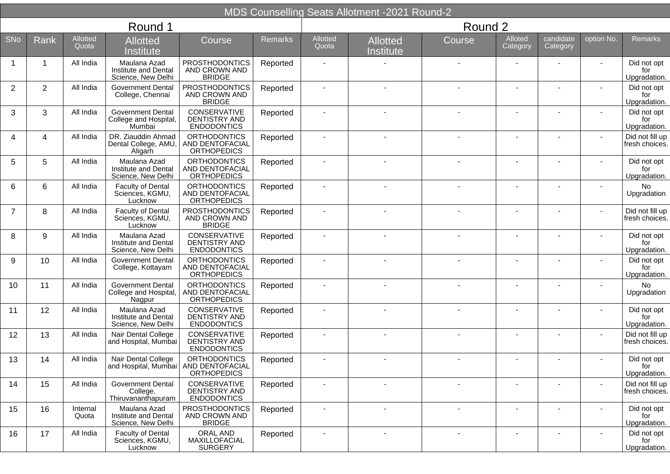|                |                |                          |                                                               |                                                              |          |                          | <b>MDS Counselling Seats Allotment -2021 Round-2</b> |                          |                          |                          |            |                                    |
|----------------|----------------|--------------------------|---------------------------------------------------------------|--------------------------------------------------------------|----------|--------------------------|------------------------------------------------------|--------------------------|--------------------------|--------------------------|------------|------------------------------------|
|                |                |                          | Round 1                                                       |                                                              |          |                          |                                                      | Round 2                  |                          |                          |            |                                    |
| SNo            | Rank           | <b>Allotted</b><br>Quota | <b>Allotted</b><br>Institute                                  | <b>Course</b>                                                | Remarks  | Allotted<br>Quota        | <b>Allotted</b><br>Institute                         | Course                   | Alloted<br>Category      | candidate<br>Category    | option No. | <b>Remarks</b>                     |
|                | 1              | All India                | Maulana Azad<br>Institute and Dental<br>Science, New Delhi    | <b>PROSTHODONTICS</b><br>AND CROWN AND<br><b>BRIDGE</b>      | Reported |                          |                                                      |                          |                          |                          |            | Did not opt<br>for<br>Upgradation. |
| $\overline{2}$ | $\overline{2}$ | All India                | <b>Government Dental</b><br>College, Chennai                  | <b>PROSTHODONTICS</b><br>AND CROWN AND<br><b>BRIDGE</b>      | Reported |                          |                                                      |                          |                          |                          |            | Did not opt<br>for<br>Upgradation. |
| 3              | 3              | All India                | <b>Government Dental</b><br>College and Hospital<br>Mumbai    | CONSERVATIVE<br>DENTISTRY AND<br><b>ENDODONTICS</b>          | Reported | $\blacksquare$           |                                                      |                          |                          |                          |            | Did not opt<br>for<br>Upgradation. |
| 4              | 4              | All India                | DR. Ziauddin Ahmad<br>Dental College, AMU,<br>Aligarh         | <b>ORTHODONTICS</b><br>AND DENTOFACIAL<br><b>ORTHOPEDICS</b> | Reported |                          |                                                      |                          |                          |                          |            | Did not fill up<br>fresh choices.  |
| 5              | 5              | All India                | Maulana Azad<br>Institute and Dental<br>Science, New Delhi    | <b>ORTHODONTICS</b><br>AND DENTOFACIAL<br><b>ORTHOPEDICS</b> | Reported |                          |                                                      |                          |                          |                          |            | Did not opt<br>for<br>Upgradation. |
| 6              | 6              | All India                | Faculty of Dental<br>Sciences, KGMU,<br>Lucknow               | <b>ORTHODONTICS</b><br>AND DENTOFACIAL<br><b>ORTHOPEDICS</b> | Reported |                          |                                                      |                          |                          |                          |            | No<br>Upgradation                  |
| $\overline{7}$ | 8              | All India                | <b>Faculty of Dental</b><br>Sciences, KGMU,<br>Lucknow        | <b>PROSTHODONTICS</b><br>AND CROWN AND<br><b>BRIDGE</b>      | Reported |                          |                                                      |                          |                          |                          |            | Did not fill up<br>fresh choices.  |
| 8              | 9              | All India                | Maulana Azad<br>Institute and Dental<br>Science, New Delhi    | CONSERVATIVE<br><b>DENTISTRY AND</b><br><b>ENDODONTICS</b>   | Reported |                          |                                                      |                          |                          |                          |            | Did not opt<br>for<br>Upgradation. |
| 9              | 10             | All India                | <b>Government Dental</b><br>College, Kottayam                 | <b>ORTHODONTICS</b><br>AND DENTOFACIAL<br><b>ORTHOPEDICS</b> | Reported |                          |                                                      |                          |                          |                          |            | Did not opt<br>for<br>Upgradation. |
| 10             | 11             | All India                | <b>Government Dental</b><br>College and Hospital<br>Nagpur    | <b>ORTHODONTICS</b><br>AND DENTOFACIAL<br>ORTHOPEDICS        | Reported | $\blacksquare$           |                                                      |                          |                          |                          |            | <b>No</b><br>Upgradation           |
| 11             | 12             | All India                | Maulana Azad<br>Institute and Dental<br>Science, New Delhi    | CONSERVATIVE<br><b>DENTISTRY AND</b><br><b>ENDODONTICS</b>   | Reported |                          |                                                      |                          |                          |                          |            | Did not opt<br>for<br>Upgradation. |
| 12             | 13             | All India                | Nair Dental College<br>and Hospital, Mumbai                   | CONSERVATIVE<br><b>DENTISTRY AND</b><br><b>ENDODONTICS</b>   | Reported |                          |                                                      |                          |                          |                          |            | Did not fill up<br>fresh choices.  |
| 13             | 14             | All India                | Nair Dental College<br>and Hospital, Mumbai   AND DENTOFACIAL | <b>ORTHODONTICS</b><br><b>ORTHOPEDICS</b>                    | Reported |                          |                                                      |                          |                          |                          |            | Did not opt<br>for<br>Upgradation. |
| 14             | 15             | All India                | <b>Government Dental</b><br>College,<br>Thiruvananthapuram    | CONSERVATIVE<br>DENTISTRY AND<br><b>ENDODONTICS</b>          | Reported | $\overline{\phantom{a}}$ | $\overline{\phantom{a}}$                             | $\overline{\phantom{a}}$ | $\overline{\phantom{a}}$ | $\overline{\phantom{a}}$ |            | Did not fill up<br>fresh choices.  |
| 15             | 16             | Internal<br>Quota        | Maulana Azad<br>Institute and Dental<br>Science, New Delhi    | <b>PROSTHODONTICS</b><br>AND CROWN AND<br><b>BRIDGE</b>      | Reported | $\overline{\phantom{a}}$ | $\overline{\phantom{a}}$                             | $\overline{\phantom{a}}$ |                          |                          |            | Did not opt<br>for<br>Upgradation. |
| 16             | 17             | All India                | Faculty of Dental<br>Sciences, KGMU,<br>Lucknow               | ORAL AND<br>MAXILLOFACIAL<br><b>SURGERY</b>                  | Reported | $\blacksquare$           | $\blacksquare$                                       | $\blacksquare$           |                          | $\overline{\phantom{a}}$ |            | Did not opt<br>for<br>Upgradation. |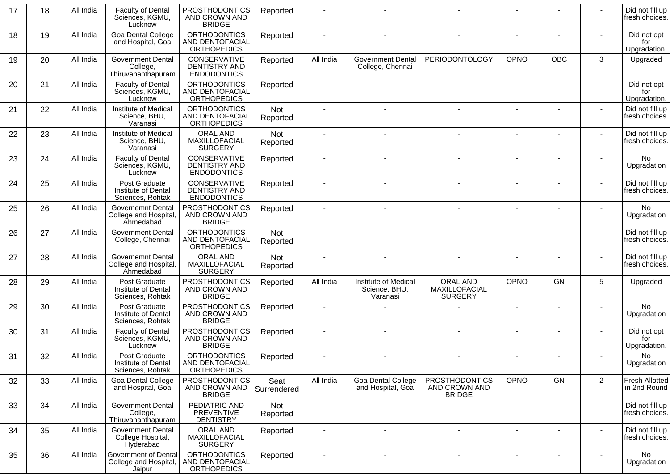| 17 | 18 | All India | <b>Faculty of Dental</b><br>Sciences, KGMU,<br>Lucknow         | <b>PROSTHODONTICS</b><br>AND CROWN AND<br><b>BRIDGE</b>           | Reported            |                          |                                                   |                                                         |                          |                |                | Did not fill up<br>fresh choices.     |
|----|----|-----------|----------------------------------------------------------------|-------------------------------------------------------------------|---------------------|--------------------------|---------------------------------------------------|---------------------------------------------------------|--------------------------|----------------|----------------|---------------------------------------|
| 18 | 19 | All India | Goa Dental College<br>and Hospital, Goa                        | <b>ORTHODONTICS</b><br>AND DENTOFACIAL<br><b>ORTHOPEDICS</b>      | Reported            |                          |                                                   |                                                         |                          |                |                | Did not opt<br>for<br>Upgradation.    |
| 19 | 20 | All India | <b>Government Dental</b><br>College,<br>Thiruvananthapuram     | CONSERVATIVE<br><b>DENTISTRY AND</b><br><b>ENDODONTICS</b>        | Reported            | All India                | <b>Government Dental</b><br>College, Chennai      | PERIODONTOLOGY                                          | <b>OPNO</b>              | <b>OBC</b>     | 3              | Upgraded                              |
| 20 | 21 | All India | <b>Faculty of Dental</b><br>Sciences, KGMU,<br>Lucknow         | <b>ORTHODONTICS</b><br>AND DENTOFACIAL<br><b>ORTHOPEDICS</b>      | Reported            |                          |                                                   |                                                         | $\overline{\phantom{a}}$ |                |                | Did not opt<br>for<br>Upgradation.    |
| 21 | 22 | All India | Institute of Medical<br>Science, BHU,<br>Varanasi              | <b>ORTHODONTICS</b><br>AND DENTOFACIAL<br><b>ORTHOPEDICS</b>      | Not<br>Reported     |                          |                                                   |                                                         | $\blacksquare$           |                |                | Did not fill up<br>fresh choices.     |
| 22 | 23 | All India | Institute of Medical<br>Science, BHU,<br>Varanasi              | ORAL AND<br>MAXILLOFACIAL<br><b>SURGERY</b>                       | Not<br>Reported     |                          |                                                   |                                                         |                          |                |                | Did not fill up<br>fresh choices.     |
| 23 | 24 | All India | <b>Faculty of Dental</b><br>Sciences, KGMU,<br>Lucknow         | <b>CONSERVATIVE</b><br><b>DENTISTRY AND</b><br><b>ENDODONTICS</b> | Reported            |                          |                                                   |                                                         |                          |                |                | No<br>Upgradation                     |
| 24 | 25 | All India | Post Graduate<br>Institute of Dental<br>Sciences, Rohtak       | CONSERVATIVE<br><b>DENTISTRY AND</b><br><b>ENDODONTICS</b>        | Reported            |                          |                                                   |                                                         |                          |                |                | Did not fill up<br>fresh choices.     |
| 25 | 26 | All India | <b>Governemnt Dental</b><br>College and Hospital,<br>Ahmedabad | <b>PROSTHODONTICS</b><br>AND CROWN AND<br><b>BRIDGE</b>           | Reported            |                          |                                                   |                                                         |                          |                |                | No.<br>Upgradation                    |
| 26 | 27 | All India | <b>Government Dental</b><br>College, Chennai                   | <b>ORTHODONTICS</b><br>AND DENTOFACIAL<br><b>ORTHOPEDICS</b>      | Not<br>Reported     |                          |                                                   |                                                         | $\blacksquare$           |                |                | Did not fill up<br>fresh choices.     |
| 27 | 28 | All India | Governemnt Dental<br>College and Hospital,<br>Ahmedabad        | ORAL AND<br>MAXILLOFACIAL<br><b>SURGERY</b>                       | Not<br>Reported     | $\blacksquare$           |                                                   |                                                         | $\blacksquare$           |                |                | Did not fill up<br>fresh choices.     |
| 28 | 29 | All India | Post Graduate<br>Institute of Dental<br>Sciences, Rohtak       | <b>PROSTHODONTICS</b><br>AND CROWN AND<br><b>BRIDGE</b>           | Reported            | All India                | Institute of Medical<br>Science, BHU,<br>Varanasi | ORAL AND<br>MAXILLOFACIAL<br><b>SURGERY</b>             | OPNO                     | <b>GN</b>      | 5              | Upgraded                              |
| 29 | 30 | All India | Post Graduate<br>Institute of Dental<br>Sciences, Rohtak       | <b>PROSTHODONTICS</b><br>AND CROWN AND<br><b>BRIDGE</b>           | Reported            |                          |                                                   |                                                         |                          |                |                | No<br>Upgradation                     |
| 30 | 31 | All India | <b>Faculty of Dental</b><br>Sciences, KGMU,<br>Lucknow         | <b>PROSTHODONTICS</b><br>AND CROWN AND<br><b>BRIDGE</b>           | Reported            |                          |                                                   |                                                         |                          |                |                | Did not opt<br>for<br>Upgradation.    |
| 31 | 32 | All India | Post Graduate<br>Institute of Dental<br>Sciences, Rohtak       | <b>ORTHODONTICS</b><br>AND DENTOFACIAL<br><b>ORTHOPEDICS</b>      | Reported            |                          |                                                   |                                                         |                          |                |                | No<br>Upgradation                     |
| 32 | 33 | All India | Goa Dental College<br>and Hospital, Goa                        | <b>PROSTHODONTICS</b><br>AND CROWN AND<br><b>BRIDGE</b>           | Seat<br>Surrendered | All India                | Goa Dental College<br>and Hospital, Goa           | <b>PROSTHODONTICS</b><br>AND CROWN AND<br><b>BRIDGE</b> | <b>OPNO</b>              | GN             | $\overline{2}$ | <b>Fresh Allotted</b><br>in 2nd Round |
| 33 | 34 | All India | <b>Government Dental</b><br>College,<br>Thiruvananthapuram     | PEDIATRIC AND<br><b>PREVENTIVE</b><br><b>DENTISTRY</b>            | Not<br>Reported     | $\overline{\phantom{a}}$ |                                                   |                                                         | $\overline{\phantom{a}}$ | $\blacksquare$ | $\blacksquare$ | Did not fill up<br>fresh choices.     |
| 34 | 35 | All India | <b>Government Dental</b><br>College Hospital,<br>Hyderabad     | ORAL AND<br>MAXILLOFACIAL<br><b>SURGERY</b>                       | Reported            |                          |                                                   | $\blacksquare$                                          | $\overline{\phantom{a}}$ |                |                | Did not fill up<br>fresh choices.     |
| 35 | 36 | All India | Government of Dental<br>College and Hospital,<br>Jaipur        | <b>ORTHODONTICS</b><br>AND DENTOFACIAL<br><b>ORTHOPEDICS</b>      | Reported            |                          |                                                   |                                                         |                          |                |                | No<br>Upgradation                     |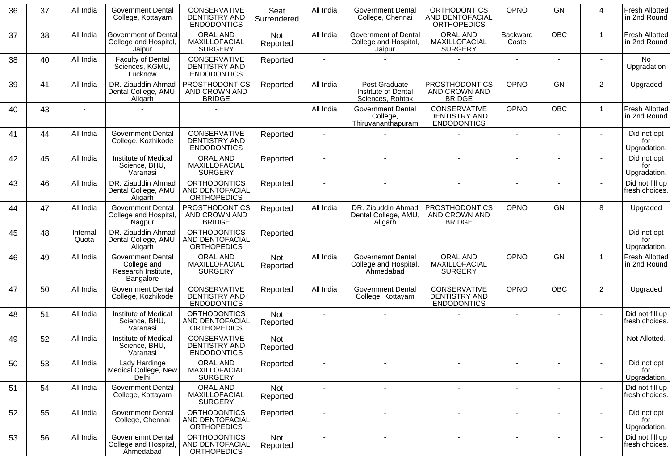| 36 | 37 | All India         | <b>Government Dental</b><br>College, Kottayam                               | <b>CONSERVATIVE</b><br><b>DENTISTRY AND</b><br><b>ENDODONTICS</b> | Seat<br>Surrendered | All India      | <b>Government Dental</b><br>College, Chennai                   | <b>ORTHODONTICS</b><br>AND DENTOFACIAL<br><b>ORTHOPEDICS</b> | OPNO              | <b>GN</b>      | 4              | <b>Fresh Allotted</b><br>in 2nd Round |
|----|----|-------------------|-----------------------------------------------------------------------------|-------------------------------------------------------------------|---------------------|----------------|----------------------------------------------------------------|--------------------------------------------------------------|-------------------|----------------|----------------|---------------------------------------|
| 37 | 38 | All India         | Government of Dental<br>College and Hospital,<br>Jaipur                     | ORAL AND<br>MAXILLOFACIAL<br><b>SURGERY</b>                       | Not<br>Reported     | All India      | Government of Dental<br>College and Hospital,<br>Jaipur        | ORAL AND<br>MAXILLOFACIAL<br><b>SURGERY</b>                  | Backward<br>Caste | <b>OBC</b>     | $\mathbf{1}$   | <b>Fresh Allotted</b><br>in 2nd Round |
| 38 | 40 | All India         | <b>Faculty of Dental</b><br>Sciences, KGMU,<br>Lucknow                      | <b>CONSERVATIVE</b><br><b>DENTISTRY AND</b><br><b>ENDODONTICS</b> | Reported            |                |                                                                |                                                              |                   |                |                | No<br>Upgradation                     |
| 39 | 41 | All India         | DR. Ziauddin Ahmad<br>Dental College, AMU<br>Aligarh                        | <b>PROSTHODONTICS</b><br>AND CROWN AND<br><b>BRIDGE</b>           | Reported            | All India      | Post Graduate<br>Institute of Dental<br>Sciences, Rohtak       | <b>PROSTHODONTICS</b><br>AND CROWN AND<br><b>BRIDGE</b>      | OPNO              | <b>GN</b>      | $\overline{c}$ | Upgraded                              |
| 40 | 43 |                   |                                                                             |                                                                   | $\blacksquare$      | All India      | <b>Government Dental</b><br>College,<br>Thiruvananthapuram     | CONSERVATIVE<br><b>DENTISTRY AND</b><br><b>ENDODONTICS</b>   | <b>OPNO</b>       | <b>OBC</b>     | $\mathbf{1}$   | <b>Fresh Allotted</b><br>in 2nd Round |
| 41 | 44 | All India         | <b>Government Dental</b><br>College, Kozhikode                              | <b>CONSERVATIVE</b><br><b>DENTISTRY AND</b><br><b>ENDODONTICS</b> | Reported            |                |                                                                |                                                              | $\sim$            |                |                | Did not opt<br>for<br>Upgradation.    |
| 42 | 45 | All India         | Institute of Medical<br>Science, BHU,<br>Varanasi                           | <b>ORAL AND</b><br>MAXILLOFACIAL<br><b>SURGERY</b>                | Reported            |                |                                                                |                                                              |                   |                |                | Did not opt<br>for<br>Upgradation.    |
| 43 | 46 | All India         | DR. Ziauddin Ahmad<br>Dental College, AMU,<br>Aligarh                       | <b>ORTHODONTICS</b><br>AND DENTOFACIAL<br><b>ORTHOPEDICS</b>      | Reported            |                |                                                                |                                                              |                   |                |                | Did not fill up<br>fresh choices.     |
| 44 | 47 | All India         | <b>Government Dental</b><br>College and Hospital,<br>Nagpur                 | <b>PROSTHODONTICS</b><br>AND CROWN AND<br><b>BRIDGE</b>           | Reported            | All India      | DR. Ziauddin Ahmad<br>Dental College, AMU,<br>Aligarh          | <b>PROSTHODONTICS</b><br>AND CROWN AND<br><b>BRIDGE</b>      | OPNO              | <b>GN</b>      | 8              | Upgraded                              |
| 45 | 48 | Internal<br>Quota | DR. Ziauddin Ahmad<br>Dental College, AMU,<br>Aligarh                       | <b>ORTHODONTICS</b><br>AND DENTOFACIAL<br><b>ORTHOPEDICS</b>      | Reported            |                |                                                                |                                                              |                   |                |                | Did not opt<br>for<br>Upgradation.    |
| 46 | 49 | All India         | <b>Government Dental</b><br>College and<br>Research Institute,<br>Bangalore | <b>ORAL AND</b><br>MAXILLOFACIAL<br><b>SURGERY</b>                | Not<br>Reported     | All India      | <b>Governemnt Dental</b><br>College and Hospital,<br>Ahmedabad | <b>ORAL AND</b><br>MAXILLOFACIAL<br><b>SURGERY</b>           | <b>OPNO</b>       | GN             | $\mathbf{1}$   | <b>Fresh Allotted</b><br>in 2nd Round |
| 47 | 50 | All India         | <b>Government Dental</b><br>College, Kozhikode                              | CONSERVATIVE<br><b>DENTISTRY AND</b><br><b>ENDODONTICS</b>        | Reported            | All India      | <b>Government Dental</b><br>College, Kottayam                  | CONSERVATIVE<br><b>DENTISTRY AND</b><br><b>ENDODONTICS</b>   | <b>OPNO</b>       | <b>OBC</b>     | $\overline{c}$ | Upgraded                              |
| 48 | 51 | All India         | Institute of Medical<br>Science, BHU,<br>Varanasi                           | <b>ORTHODONTICS</b><br>AND DENTOFACIAL<br><b>ORTHOPEDICS</b>      | Not<br>Reported     |                |                                                                |                                                              |                   |                |                | Did not fill up<br>fresh choices.     |
| 49 | 52 | All India         | Institute of Medical<br>Science, BHU,<br>Varanasi                           | CONSERVATIVE<br><b>DENTISTRY AND</b><br><b>ENDODONTICS</b>        | Not<br>Reported     |                | $\sim$                                                         |                                                              |                   |                |                | Not Allotted.                         |
| 50 | 53 | All India         | Lady Hardinge<br>Medical College, New<br>Delhi                              | ORAL AND<br>MAXILLOFACIAL<br><b>SURGERY</b>                       | Reported            |                |                                                                |                                                              |                   |                |                | Did not opt<br>for<br>Upgradation.    |
| 51 | 54 | All India         | <b>Government Dental</b><br>College, Kottayam                               | ORAL AND<br>MAXILLOFACIAL<br><b>SURGERY</b>                       | Not<br>Reported     | $\blacksquare$ | $\sim$                                                         | $\blacksquare$                                               |                   | $\blacksquare$ | $\sim$         | Did not fill up<br>fresh choices.     |
| 52 | 55 | All India         | <b>Government Dental</b><br>College, Chennai                                | <b>ORTHODONTICS</b><br>AND DENTOFACIAL<br><b>ORTHOPEDICS</b>      | Reported            |                |                                                                |                                                              |                   |                |                | Did not opt<br>for<br>Upgradation.    |
| 53 | 56 | All India         | Governemnt Dental<br>College and Hospital,<br><b>Ahmedabad</b>              | <b>ORTHODONTICS</b><br>AND DENTOFACIAL<br><b>ORTHOPEDICS</b>      | Not<br>Reported     |                | $\overline{\phantom{a}}$                                       |                                                              |                   |                |                | Did not fill up<br>fresh choices.     |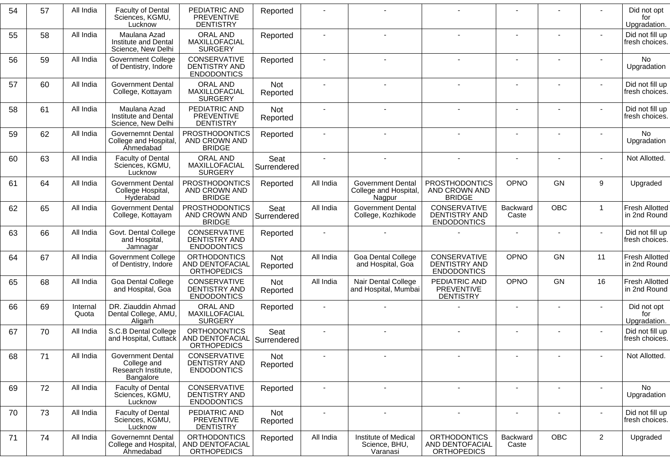| 54 | 57 | All India         | <b>Faculty of Dental</b><br>Sciences, KGMU,<br>Lucknow                      | PEDIATRIC AND<br><b>PREVENTIVE</b><br><b>DENTISTRY</b>            | Reported               |                |                                                             |                                                              |                              |                          |                | Did not opt<br>for<br>Upgradation.    |
|----|----|-------------------|-----------------------------------------------------------------------------|-------------------------------------------------------------------|------------------------|----------------|-------------------------------------------------------------|--------------------------------------------------------------|------------------------------|--------------------------|----------------|---------------------------------------|
| 55 | 58 | All India         | Maulana Azad<br>Institute and Dental<br>Science, New Delhi                  | ORAL AND<br>MAXILLOFACIAL<br><b>SURGERY</b>                       | Reported               |                | $\mathbf{r}$                                                |                                                              |                              | ä,                       | $\blacksquare$ | Did not fill up<br>fresh choices.     |
| 56 | 59 | All India         | <b>Government College</b><br>of Dentistry, Indore                           | CONSERVATIVE<br><b>DENTISTRY AND</b><br><b>ENDODONTICS</b>        | Reported               |                |                                                             |                                                              |                              |                          |                | No<br>Upgradation                     |
| 57 | 60 | All India         | <b>Government Dental</b><br>College, Kottayam                               | ORAL AND<br>MAXILLOFACIAL<br><b>SURGERY</b>                       | Not<br>Reported        |                |                                                             |                                                              |                              |                          |                | Did not fill up<br>fresh choices.     |
| 58 | 61 | All India         | Maulana Azad<br>Institute and Dental<br>Science, New Delhi                  | PEDIATRIC AND<br><b>PREVENTIVE</b><br><b>DENTISTRY</b>            | Not<br>Reported        |                |                                                             |                                                              |                              |                          |                | Did not fill up<br>fresh choices.     |
| 59 | 62 | All India         | <b>Governemnt Dental</b><br>College and Hospital,<br>Ahmedabad              | <b>PROSTHODONTICS</b><br>AND CROWN AND<br><b>BRIDGE</b>           | Reported               |                |                                                             |                                                              | $\qquad \qquad \blacksquare$ | ÷                        |                | No<br>Upgradation                     |
| 60 | 63 | All India         | <b>Faculty of Dental</b><br>Sciences, KGMU,<br>Lucknow                      | ORAL AND<br>MAXILLOFACIAL<br><b>SURGERY</b>                       | Seat<br>Surrendered    | $\sim$         |                                                             | $\blacksquare$                                               | ÷,                           |                          | ٠              | Not Allotted.                         |
| 61 | 64 | All India         | <b>Government Dental</b><br>College Hospital,<br>Hyderabad                  | <b>PROSTHODONTICS</b><br>AND CROWN AND<br><b>BRIDGE</b>           | Reported               | All India      | <b>Government Dental</b><br>College and Hospital,<br>Nagpur | PROSTHODONTICS<br>AND CROWN AND<br><b>BRIDGE</b>             | OPNO                         | <b>GN</b>                | 9              | Upgraded                              |
| 62 | 65 | All India         | <b>Government Dental</b><br>College, Kottayam                               | <b>PROSTHODONTICS</b><br>AND CROWN AND<br><b>BRIDGE</b>           | Seat<br>Surrendered    | All India      | <b>Government Dental</b><br>College, Kozhikode              | <b>CONSERVATIVE</b><br>DENTISTRY AND<br><b>ENDODONTICS</b>   | Backward<br>Caste            | <b>OBC</b>               | $\mathbf{1}$   | <b>Fresh Allotted</b><br>in 2nd Round |
| 63 | 66 | All India         | Govt. Dental College<br>and Hospital,<br>Jamnagar                           | <b>CONSERVATIVE</b><br><b>DENTISTRY AND</b><br><b>ENDODONTICS</b> | Reported               |                |                                                             |                                                              |                              |                          |                | Did not fill up<br>fresh choices.     |
| 64 | 67 | All India         | <b>Government College</b><br>of Dentistry, Indore                           | <b>ORTHODONTICS</b><br>AND DENTOFACIAL<br><b>ORTHOPEDICS</b>      | Not<br>Reported        | All India      | Goa Dental College<br>and Hospital, Goa                     | CONSERVATIVE<br><b>DENTISTRY AND</b><br><b>ENDODONTICS</b>   | OPNO                         | <b>GN</b>                | 11             | <b>Fresh Allotted</b><br>in 2nd Round |
| 65 | 68 | All India         | Goa Dental College<br>and Hospital, Goa                                     | CONSERVATIVE<br>DENTISTRY AND<br><b>ENDODONTICS</b>               | Not<br>Reported        | All India      | Nair Dental College<br>and Hospital, Mumbai                 | PEDIATRIC AND<br><b>PREVENTIVE</b><br><b>DENTISTRY</b>       | OPNO                         | <b>GN</b>                | 16             | <b>Fresh Allotted</b><br>in 2nd Round |
| 66 | 69 | Internal<br>Quota | DR. Ziauddin Ahmad<br>Dental College, AMU,<br>Aligarh                       | <b>ORAL AND</b><br>MAXILLOFACIAL<br><b>SURGERY</b>                | Reported               |                |                                                             |                                                              | $\blacksquare$               |                          | ٠              | Did not opt<br>for<br>Upgradation.    |
| 67 | 70 | All India         | S.C.B Dental College<br>and Hospital, Cuttack                               | <b>ORTHODONTICS</b><br>AND DENTOFACIAL<br><b>ORTHOPEDICS</b>      | Seat<br>Surrendered    |                |                                                             | $\overline{\phantom{a}}$                                     | $\blacksquare$               | ۰                        | $\sim$         | Did not fill up<br>fresh choices.     |
| 68 | 71 | All India         | <b>Government Dental</b><br>College and<br>Research Institute,<br>Bangalore | CONSERVATIVE<br>DENTISTRY AND<br><b>ENDODONTICS</b>               | <b>Not</b><br>Reported |                |                                                             |                                                              |                              |                          | $\sim$         | Not Allotted.                         |
| 69 | 72 | All India         | <b>Faculty of Dental</b><br>Sciences, KGMU,<br>Lucknow                      | CONSERVATIVE<br>DENTISTRY AND<br><b>ENDODONTICS</b>               | Reported               | $\blacksquare$ | $\sim$                                                      | $\blacksquare$                                               | $\overline{\phantom{a}}$     | $\overline{\phantom{a}}$ | $\blacksquare$ | No<br>Upgradation                     |
| 70 | 73 | All India         | <b>Faculty of Dental</b><br>Sciences, KGMU,<br>Lucknow                      | PEDIATRIC AND<br><b>PREVENTIVE</b><br><b>DENTISTRY</b>            | Not<br>Reported        | $\blacksquare$ | $\blacksquare$                                              | $\overline{\phantom{a}}$                                     | $\qquad \qquad \blacksquare$ | $\overline{\phantom{a}}$ | $\blacksquare$ | Did not fill up<br>fresh choices.     |
| 71 | 74 | All India         | <b>Governemnt Dental</b><br>College and Hospital,<br><b>Ahmedabad</b>       | <b>ORTHODONTICS</b><br>AND DENTOFACIAL<br><b>ORTHOPEDICS</b>      | Reported               | All India      | Institute of Medical<br>Science, BHU,<br>Varanasi           | <b>ORTHODONTICS</b><br>AND DENTOFACIAL<br><b>ORTHOPEDICS</b> | Backward<br>Caste            | OBC                      | $\overline{2}$ | Upgraded                              |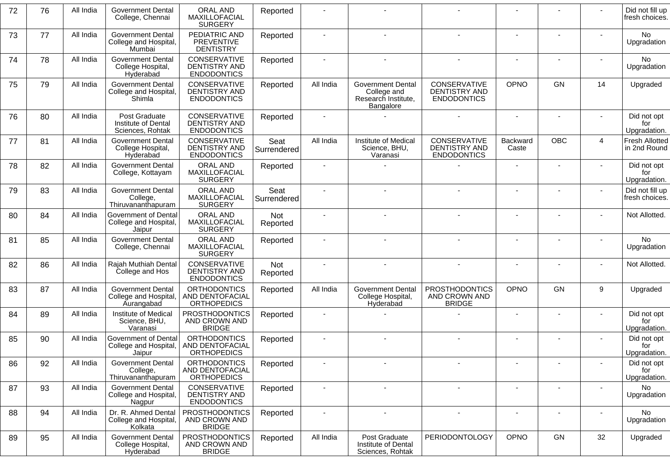| 72 | 76 | All India | <b>Government Dental</b><br>College, Chennai                    | <b>ORAL AND</b><br>MAXILLOFACIAL<br><b>SURGERY</b>           | Reported            |                |                                                                      |                                                            |                          |                          |                          | Did not fill up<br>fresh choices.  |
|----|----|-----------|-----------------------------------------------------------------|--------------------------------------------------------------|---------------------|----------------|----------------------------------------------------------------------|------------------------------------------------------------|--------------------------|--------------------------|--------------------------|------------------------------------|
| 73 | 77 | All India | <b>Government Dental</b><br>College and Hospital,<br>Mumbai     | PEDIATRIC AND<br><b>PREVENTIVE</b><br><b>DENTISTRY</b>       | Reported            |                |                                                                      |                                                            | $\sim$                   |                          |                          | No<br>Upgradation                  |
| 74 | 78 | All India | <b>Government Dental</b><br>College Hospital,<br>Hyderabad      | CONSERVATIVE<br><b>DENTISTRY AND</b><br><b>ENDODONTICS</b>   | Reported            |                |                                                                      |                                                            |                          |                          |                          | No.<br>Upgradation                 |
| 75 | 79 | All India | <b>Government Dental</b><br>College and Hospital,<br>Shimla     | CONSERVATIVE<br><b>DENTISTRY AND</b><br><b>ENDODONTICS</b>   | Reported            | All India      | Government Dental<br>College and<br>Research Institute,<br>Bangalore | CONSERVATIVE<br><b>DENTISTRY AND</b><br><b>ENDODONTICS</b> | OPNO                     | <b>GN</b>                | 14                       | Upgraded                           |
| 76 | 80 | All India | Post Graduate<br>Institute of Dental<br>Sciences, Rohtak        | CONSERVATIVE<br><b>DENTISTRY AND</b><br><b>ENDODONTICS</b>   | Reported            | $\sim$         |                                                                      |                                                            | $\sim$                   | $\overline{\phantom{a}}$ |                          | Did not opt<br>for<br>Upgradation. |
| 77 | 81 | All India | <b>Government Dental</b><br>College Hospital,<br>Hyderabad      | CONSERVATIVE<br><b>DENTISTRY AND</b><br><b>ENDODONTICS</b>   | Seat<br>Surrendered | All India      | Institute of Medical<br>Science, BHU,<br>Varanasi                    | CONSERVATIVE<br><b>DENTISTRY AND</b><br><b>ENDODONTICS</b> | Backward<br>Caste        | <b>OBC</b>               | $\overline{4}$           | Fresh Allotted<br>in 2nd Round     |
| 78 | 82 | All India | <b>Government Dental</b><br>College, Kottayam                   | <b>ORAL AND</b><br>MAXILLOFACIAL<br><b>SURGERY</b>           | Reported            |                |                                                                      |                                                            |                          |                          |                          | Did not opt<br>for<br>Upgradation. |
| 79 | 83 | All India | <b>Government Dental</b><br>College,<br>Thiruvananthapuram      | <b>ORAL AND</b><br>MAXILLOFACIAL<br><b>SURGERY</b>           | Seat<br>Surrendered |                |                                                                      |                                                            |                          |                          |                          | Did not fill up<br>fresh choices.  |
| 80 | 84 | All India | Government of Dental<br>College and Hospital,<br>Jaipur         | <b>ORAL AND</b><br>MAXILLOFACIAL<br><b>SURGERY</b>           | Not<br>Reported     |                |                                                                      |                                                            |                          |                          |                          | Not Allotted.                      |
| 81 | 85 | All India | <b>Government Dental</b><br>College, Chennai                    | <b>ORAL AND</b><br>MAXILLOFACIAL<br><b>SURGERY</b>           | Reported            |                |                                                                      |                                                            |                          |                          |                          | No<br>Upgradation                  |
| 82 | 86 | All India | Rajah Muthiah Dental<br>College and Hos                         | CONSERVATIVE<br><b>DENTISTRY AND</b><br><b>ENDODONTICS</b>   | Not<br>Reported     | $\blacksquare$ |                                                                      |                                                            | $\blacksquare$           |                          |                          | Not Allotted.                      |
| 83 | 87 | All India | <b>Government Dental</b><br>College and Hospital,<br>Aurangabad | <b>ORTHODONTICS</b><br>AND DENTOFACIAL<br><b>ORTHOPEDICS</b> | Reported            | All India      | <b>Government Dental</b><br>College Hospital,<br>Hyderabad           | <b>PROSTHODONTICS</b><br>AND CROWN AND<br><b>BRIDGE</b>    | <b>OPNO</b>              | <b>GN</b>                | 9                        | Upgraded                           |
| 84 | 89 | All India | Institute of Medical<br>Science, BHU,<br>Varanasi               | <b>PROSTHODONTICS</b><br>AND CROWN AND<br><b>BRIDGE</b>      | Reported            |                |                                                                      |                                                            |                          |                          |                          | Did not opt<br>for<br>Upgradation. |
| 85 | 90 | All India | Government of Dental<br>College and Hospital,<br>Jaipur         | <b>ORTHODONTICS</b><br>AND DENTOFACIAL<br><b>ORTHOPEDICS</b> | Reported            |                |                                                                      |                                                            |                          |                          |                          | Did not opt<br>for<br>Upgradation. |
| 86 | 92 | All India | <b>Government Dental</b><br>College,<br>Thiruvananthapuram      | ORTHODONTICS<br>AND DENTOFACIAL<br><b>ORTHOPEDICS</b>        | Reported            |                |                                                                      |                                                            | $\blacksquare$           | $\blacksquare$           |                          | Did not opt<br>for<br>Upgradation. |
| 87 | 93 | All India | <b>Government Dental</b><br>College and Hospital,<br>Nagpur     | CONSERVATIVE<br>DENTISTRY AND<br><b>ENDODONTICS</b>          | Reported            | $\blacksquare$ | $\sim$                                                               | $\blacksquare$                                             | $\overline{\phantom{a}}$ |                          |                          | <b>No</b><br>Upgradation           |
| 88 | 94 | All India | Dr. R. Ahmed Dental<br>College and Hospital,<br>Kolkata         | <b>PROSTHODONTICS</b><br>AND CROWN AND<br><b>BRIDGE</b>      | Reported            | $\blacksquare$ |                                                                      | $\blacksquare$                                             | $\blacksquare$           | $\blacksquare$           | $\overline{\phantom{a}}$ | No<br>Upgradation                  |
| 89 | 95 | All India | <b>Government Dental</b><br>College Hospital,<br>Hyderabad      | <b>PROSTHODONTICS</b><br>AND CROWN AND<br><b>BRIDGE</b>      | Reported            | All India      | Post Graduate<br>Institute of Dental<br>Sciences, Rohtak             | PERIODONTOLOGY                                             | OPNO                     | GN                       | 32                       | Upgraded                           |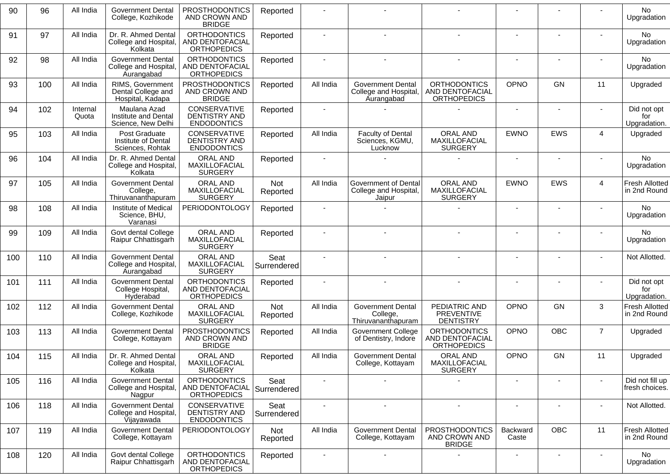| 90  | 96  | All India         | <b>Government Dental</b><br>College, Kozhikode                  | <b>PROSTHODONTICS</b><br>AND CROWN AND<br><b>BRIDGE</b>                  | Reported               |                          |                                                                 |                                                              |                   |            |                          | <b>No</b><br>Upgradation              |
|-----|-----|-------------------|-----------------------------------------------------------------|--------------------------------------------------------------------------|------------------------|--------------------------|-----------------------------------------------------------------|--------------------------------------------------------------|-------------------|------------|--------------------------|---------------------------------------|
| 91  | 97  | All India         | Dr. R. Ahmed Dental<br>College and Hospital,<br>Kolkata         | <b>ORTHODONTICS</b><br>AND DENTOFACIAL<br><b>ORTHOPEDICS</b>             | Reported               |                          |                                                                 |                                                              |                   |            |                          | <b>No</b><br>Upgradation              |
| 92  | 98  | All India         | <b>Government Dental</b><br>College and Hospital,<br>Aurangabad | <b>ORTHODONTICS</b><br>AND DENTOFACIAL<br><b>ORTHOPEDICS</b>             | Reported               |                          |                                                                 |                                                              |                   |            |                          | No.<br>Upgradation                    |
| 93  | 100 | All India         | RIMS, Government<br>Dental College and<br>Hospital, Kadapa      | <b>PROSTHODONTICS</b><br>AND CROWN AND<br><b>BRIDGE</b>                  | Reported               | All India                | <b>Government Dental</b><br>College and Hospital,<br>Aurangabad | <b>ORTHODONTICS</b><br>AND DENTOFACIAL<br><b>ORTHOPEDICS</b> | OPNO              | <b>GN</b>  | 11                       | Upgraded                              |
| 94  | 102 | Internal<br>Quota | Maulana Azad<br>Institute and Dental<br>Science, New Delhi      | <b>CONSERVATIVE</b><br><b>DENTISTRY AND</b><br><b>ENDODONTICS</b>        | Reported               |                          |                                                                 |                                                              |                   |            |                          | Did not opt<br>for<br>Upgradation.    |
| 95  | 103 | All India         | Post Graduate<br>Institute of Dental<br>Sciences, Rohtak        | CONSERVATIVE<br><b>DENTISTRY AND</b><br><b>ENDODONTICS</b>               | Reported               | All India                | <b>Faculty of Dental</b><br>Sciences, KGMU,<br>Lucknow          | <b>ORAL AND</b><br>MAXILLOFACIAL<br><b>SURGERY</b>           | <b>EWNO</b>       | EWS        | 4                        | Upgraded                              |
| 96  | 104 | All India         | Dr. R. Ahmed Dental<br>College and Hospital,<br>Kolkata         | ORAL AND<br>MAXILLOFACIAL<br><b>SURGERY</b>                              | Reported               |                          |                                                                 |                                                              |                   |            |                          | No<br>Upgradation                     |
| 97  | 105 | All India         | <b>Government Dental</b><br>College,<br>Thiruvananthapuram      | <b>ORAL AND</b><br>MAXILLOFACIAL<br><b>SURGERY</b>                       | Not<br>Reported        | All India                | Government of Dental<br>College and Hospital,<br>Jaipur         | <b>ORAL AND</b><br>MAXILLOFACIAL<br><b>SURGERY</b>           | <b>EWNO</b>       | EWS        | 4                        | Fresh Allotted<br>in 2nd Round        |
| 98  | 108 | All India         | Institute of Medical<br>Science, BHU,<br>Varanasi               | PERIODONTOLOGY                                                           | Reported               |                          |                                                                 |                                                              |                   |            |                          | <b>No</b><br>Upgradation              |
| 99  | 109 | All India         | Govt dental College<br>Raipur Chhattisgarh                      | ORAL AND<br>MAXILLOFACIAL<br><b>SURGERY</b>                              | Reported               |                          |                                                                 |                                                              |                   |            |                          | <b>No</b><br>Upgradation              |
| 100 | 110 | All India         | <b>Government Dental</b><br>College and Hospital<br>Aurangabad  | <b>ORAL AND</b><br>MAXILLOFACIAL<br><b>SURGERY</b>                       | Seat<br>Surrendered    |                          |                                                                 |                                                              |                   |            |                          | Not Allotted.                         |
| 101 | 111 | All India         | <b>Government Dental</b><br>College Hospital,<br>Hyderabad      | <b>ORTHODONTICS</b><br>AND DENTOFACIAL<br><b>ORTHOPEDICS</b>             | Reported               |                          |                                                                 |                                                              |                   |            |                          | Did not opt<br>for<br>Upgradation.    |
| 102 | 112 | All India         | <b>Government Dental</b><br>College, Kozhikode                  | <b>ORAL AND</b><br>MAXILLOFACIAL<br><b>SURGERY</b>                       | <b>Not</b><br>Reported | All India                | Government Dental<br>College,<br>Thiruvananthapuram             | PEDIATRIC AND<br><b>PREVENTIVE</b><br><b>DENTISTRY</b>       | OPNO              | GN         | 3                        | Fresh Allotted<br>in 2nd Round        |
| 103 | 113 | All India         | <b>Government Dental</b><br>College, Kottayam                   | <b>PROSTHODONTICS</b><br>AND CROWN AND<br><b>BRIDGE</b>                  | Reported               | All India                | Government College<br>of Dentistry, Indore                      | <b>ORTHODONTICS</b><br>AND DENTOFACIAL<br><b>ORTHOPEDICS</b> | OPNO              | <b>OBC</b> | $\overline{7}$           | Upgraded                              |
| 104 | 115 | All India         | Dr. R. Ahmed Dental<br>College and Hospital,<br>Kolkata         | ORAL AND<br>MAXILLOFACIAL<br><b>SURGERY</b>                              | Reported               | All India                | <b>Government Dental</b><br>College, Kottayam                   | <b>ORAL AND</b><br>MAXILLOFACIAL<br><b>SURGERY</b>           | OPNO              | GN         | 11                       | Upgraded                              |
| 105 | 116 | All India         | <b>Government Dental</b><br>College and Hospital,<br>Nagpur     | <b>ORTHODONTICS</b><br>AND DENTOFACIAL Surrendered<br><b>ORTHOPEDICS</b> | Seat                   | $\overline{\phantom{a}}$ |                                                                 |                                                              |                   |            |                          | Did not fill up<br>fresh choices.     |
| 106 | 118 | All India         | <b>Government Dental</b><br>College and Hospital,<br>Vijayawada | CONSERVATIVE<br><b>DENTISTRY AND</b><br><b>ENDODONTICS</b>               | Seat<br>Surrendered    | $\blacksquare$           | $\sim$                                                          |                                                              |                   |            | $\overline{\phantom{a}}$ | Not Allotted.                         |
| 107 | 119 | All India         | <b>Government Dental</b><br>College, Kottayam                   | <b>PERIODONTOLOGY</b>                                                    | Not<br>Reported        | All India                | <b>Government Dental</b><br>College, Kottayam                   | <b>PROSTHODONTICS</b><br>AND CROWN AND<br><b>BRIDGE</b>      | Backward<br>Caste | OBC        | 11                       | <b>Fresh Allotted</b><br>in 2nd Round |
| 108 | 120 | All India         | Govt dental College<br>Raipur Chhattisgarh                      | <b>ORTHODONTICS</b><br>AND DENTOFACIAL<br><b>ORTHOPEDICS</b>             | Reported               |                          |                                                                 |                                                              |                   |            |                          | No<br>Upgradation                     |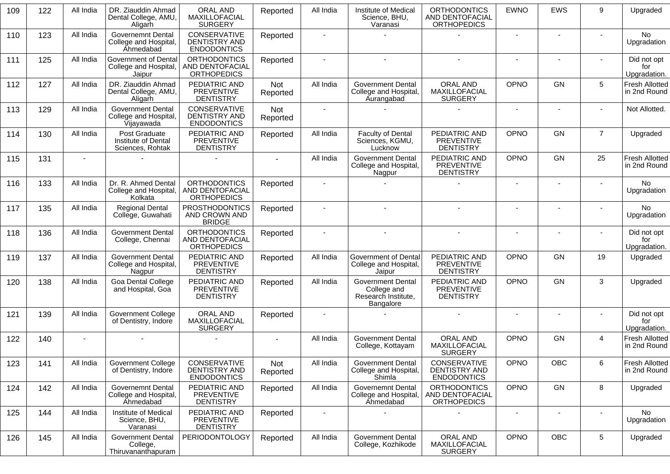| 109 | 122 | All India | DR. Ziauddin Ahmad<br>Dental College, AMU,<br>Aligarh                 | <b>ORAL AND</b><br>MAXILLOFACIAL<br><b>SURGERY</b>           | Reported        | All India                | Institute of Medical<br>Science, BHU,<br>Varanasi                           | <b>ORTHODONTICS</b><br>AND DENTOFACIAL<br><b>ORTHOPEDICS</b>      | <b>EWNO</b>              | <b>EWS</b>               | 9              | Upgraded                              |
|-----|-----|-----------|-----------------------------------------------------------------------|--------------------------------------------------------------|-----------------|--------------------------|-----------------------------------------------------------------------------|-------------------------------------------------------------------|--------------------------|--------------------------|----------------|---------------------------------------|
| 110 | 123 | All India | Governemnt Dental<br>College and Hospital,<br>Ahmedabad               | CONSERVATIVE<br><b>DENTISTRY AND</b><br><b>ENDODONTICS</b>   | Reported        | $\sim$                   |                                                                             |                                                                   | $\sim$                   | $\sim$                   | $\sim$         | No<br>Upgradation                     |
| 111 | 125 | All India | Government of Dental<br>College and Hospital,<br>Jaipur               | <b>ORTHODONTICS</b><br>AND DENTOFACIAL<br><b>ORTHOPEDICS</b> | Reported        |                          |                                                                             | $\overline{a}$                                                    | $\overline{\phantom{a}}$ |                          |                | Did not opt<br>for<br>Upgradation.    |
| 112 | 127 | All India | DR. Ziauddin Ahmad<br>Dental College, AMU,<br>Aligarh                 | PEDIATRIC AND<br><b>PREVENTIVE</b><br><b>DENTISTRY</b>       | Not<br>Reported | All India                | <b>Government Dental</b><br>College and Hospital,<br>Aurangabad             | <b>ORAL AND</b><br>MAXILLOFACIAL<br><b>SURGERY</b>                | OPNO                     | <b>GN</b>                | 5              | Fresh Allotted<br>in 2nd Round        |
| 113 | 129 | All India | <b>Government Dental</b><br>College and Hospital,<br>Vijayawada       | CONSERVATIVE<br><b>DENTISTRY AND</b><br><b>ENDODONTICS</b>   | Not<br>Reported |                          |                                                                             |                                                                   |                          |                          |                | Not Allotted.                         |
| 114 | 130 | All India | Post Graduate<br>Institute of Dental<br>Sciences, Rohtak              | PEDIATRIC AND<br><b>PREVENTIVE</b><br><b>DENTISTRY</b>       | Reported        | All India                | <b>Faculty of Dental</b><br>Sciences, KGMU,<br>Lucknow                      | PEDIATRIC AND<br><b>PREVENTIVE</b><br><b>DENTISTRY</b>            | OPNO                     | <b>GN</b>                | $\overline{7}$ | Upgraded                              |
| 115 | 131 |           |                                                                       |                                                              | $\sim$          | All India                | <b>Government Dental</b><br>College and Hospital,<br>Nagpur                 | PEDIATRIC AND<br><b>PREVENTIVE</b><br><b>DENTISTRY</b>            | <b>OPNO</b>              | <b>GN</b>                | 25             | <b>Fresh Allotted</b><br>in 2nd Round |
| 116 | 133 | All India | Dr. R. Ahmed Dental<br>College and Hospital<br>Kolkata                | <b>ORTHODONTICS</b><br>AND DENTOFACIAL<br><b>ORTHOPEDICS</b> | Reported        | $\blacksquare$           |                                                                             |                                                                   | $\sim$                   |                          |                | No<br>Upgradation                     |
| 117 | 135 | All India | <b>Regional Dental</b><br>College, Guwahati                           | <b>PROSTHODONTICS</b><br>AND CROWN AND<br><b>BRIDGE</b>      | Reported        |                          |                                                                             |                                                                   | $\sim$                   | $\overline{\phantom{a}}$ |                | No<br>Upgradation                     |
| 118 | 136 | All India | <b>Government Dental</b><br>College, Chennai                          | <b>ORTHODONTICS</b><br>AND DENTOFACIAL<br><b>ORTHOPEDICS</b> | Reported        |                          |                                                                             |                                                                   |                          |                          |                | Did not opt<br>for<br>Upgradation.    |
| 119 | 137 | All India | <b>Government Dental</b><br>College and Hospital,<br>Nagpur           | PEDIATRIC AND<br><b>PREVENTIVE</b><br><b>DENTISTRY</b>       | Reported        | All India                | <b>Government of Dental</b><br>College and Hospital,<br>Jaipur              | PEDIATRIC AND<br><b>PREVENTIVE</b><br><b>DENTISTRY</b>            | OPNO                     | <b>GN</b>                | 19             | Upgraded                              |
| 120 | 138 | All India | Goa Dental College<br>and Hospital, Goa                               | PEDIATRIC AND<br><b>PREVENTIVE</b><br><b>DENTISTRY</b>       | Reported        | All India                | <b>Government Dental</b><br>College and<br>Research Institute,<br>Bangalore | PEDIATRIC AND<br><b>PREVENTIVE</b><br><b>DENTISTRY</b>            | <b>OPNO</b>              | <b>GN</b>                | 3              | Upgraded                              |
| 121 | 139 | All India | <b>Government College</b><br>of Dentistry, Indore                     | <b>ORAL AND</b><br>MAXILLOFACIAL<br><b>SURGERY</b>           | Reported        |                          |                                                                             |                                                                   | $\overline{\phantom{a}}$ |                          |                | Did not opt<br>for<br>Upgradation.    |
| 122 | 140 |           |                                                                       |                                                              |                 | All India                | <b>Government Dental</b><br>College, Kottayam                               | ORAL AND<br>MAXILLOFACIAL<br><b>SURGERY</b>                       | OPNO                     | <b>GN</b>                | $\overline{4}$ | <b>Fresh Allotted</b><br>in 2nd Round |
| 123 | 141 | All India | <b>Government College</b><br>of Dentistry, Indore                     | CONSERVATIVE<br>DENTISTRY AND<br><b>ENDODONTICS</b>          | Not<br>Reported | All India                | <b>Government Dental</b><br>College and Hospital,<br>Shimla                 | <b>CONSERVATIVE</b><br><b>DENTISTRY AND</b><br><b>ENDODONTICS</b> | <b>OPNO</b>              | <b>OBC</b>               | 6              | <b>Fresh Allotted</b><br>in 2nd Round |
| 124 | 142 | All India | <b>Governemnt Dental</b><br>College and Hospital,<br><b>Ahmedabad</b> | PEDIATRIC AND<br>PREVENTIVE<br><b>DENTISTRY</b>              | Reported        | All India                | Governemnt Dental<br>College and Hospital,<br>Ahmedabad                     | <b>ORTHODONTICS</b><br>AND DENTOFACIAL<br><b>ORTHOPEDICS</b>      | <b>OPNO</b>              | GN                       | 8              | Upgraded                              |
| 125 | 144 | All India | Institute of Medical<br>Science, BHU,<br>Varanasi                     | PEDIATRIC AND<br><b>PREVENTIVE</b><br><b>DENTISTRY</b>       | Reported        | $\overline{\phantom{a}}$ |                                                                             |                                                                   | $\overline{\phantom{a}}$ | $\overline{\phantom{a}}$ | $\blacksquare$ | No<br>Upgradation                     |
| 126 | 145 | All India | Government Dental<br>College,<br>Thiruvananthapuram                   | <b>PERIODONTOLOGY</b>                                        | Reported        | All India                | <b>Government Dental</b><br>College, Kozhikode                              | ORAL AND<br>MAXILLOFACIAL<br><b>SURGERY</b>                       | OPNO                     | OBC                      | 5              | Upgraded                              |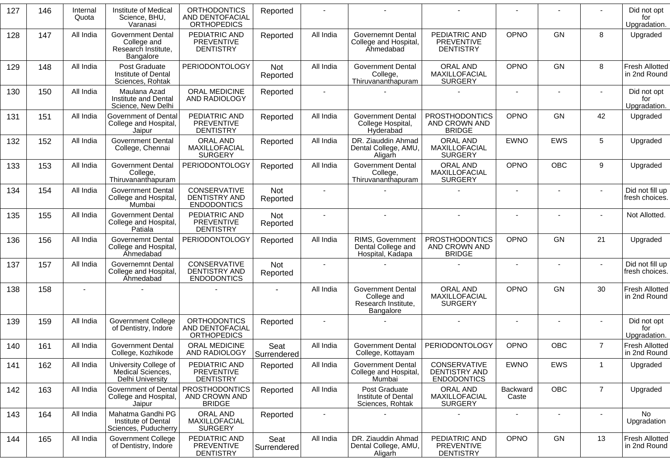| 127 | 146 | Internal<br>Quota | Institute of Medical<br>Science, BHU,<br>Varanasi                           | <b>ORTHODONTICS</b><br>AND DENTOFACIAL<br><b>ORTHOPEDICS</b>            | Reported               |                |                                                                             |                                                            | $\blacksquare$    |                          |                 | Did not opt<br>for<br>Upgradation.    |
|-----|-----|-------------------|-----------------------------------------------------------------------------|-------------------------------------------------------------------------|------------------------|----------------|-----------------------------------------------------------------------------|------------------------------------------------------------|-------------------|--------------------------|-----------------|---------------------------------------|
| 128 | 147 | All India         | <b>Government Dental</b><br>College and<br>Research Institute,<br>Bangalore | PEDIATRIC AND<br>PREVENTIVE<br><b>DENTISTRY</b>                         | Reported               | All India      | <b>Governemnt Dental</b><br>College and Hospital,<br>Ahmedabad              | PEDIATRIC AND<br><b>PREVENTIVE</b><br><b>DENTISTRY</b>     | <b>OPNO</b>       | GN                       | 8               | Upgraded                              |
| 129 | 148 | All India         | Post Graduate<br>Institute of Dental<br>Sciences, Rohtak                    | <b>PERIODONTOLOGY</b>                                                   | <b>Not</b><br>Reported | All India      | <b>Government Dental</b><br>College,<br>Thiruvananthapuram                  | <b>ORAL AND</b><br>MAXILLOFACIAL<br><b>SURGERY</b>         | OPNO              | GN                       | 8               | <b>Fresh Allotted</b><br>in 2nd Round |
| 130 | 150 | All India         | Maulana Azad<br>Institute and Dental<br>Science, New Delhi                  | <b>ORAL MEDICINE</b><br>AND RADIOLOGY                                   | Reported               | $\blacksquare$ |                                                                             |                                                            | $\sim$            | $\blacksquare$           | ٠               | Did not opt<br>for<br>Upgradation.    |
| 131 | 151 | All India         | <b>Government of Dental</b><br>College and Hospital,<br>Jaipur              | PEDIATRIC AND<br>PREVENTIVE<br><b>DENTISTRY</b>                         | Reported               | All India      | <b>Government Dental</b><br>College Hospital,<br>Hyderabad                  | <b>PROSTHODONTICS</b><br>AND CROWN AND<br><b>BRIDGE</b>    | OPNO              | <b>GN</b>                | 42              | Upgraded                              |
| 132 | 152 | All India         | <b>Government Dental</b><br>College, Chennai                                | ORAL AND<br>MAXILLOFACIAL<br><b>SURGERY</b>                             | Reported               | All India      | DR. Ziauddin Ahmad<br>Dental College, AMU,<br>Aligarh                       | <b>ORAL AND</b><br>MAXILLOFACIAL<br><b>SURGERY</b>         | <b>EWNO</b>       | <b>EWS</b>               | $5\phantom{.0}$ | Upgraded                              |
| 133 | 153 | All India         | <b>Government Dental</b><br>College,<br>Thiruvananthapuram                  | PERIODONTOLOGY                                                          | Reported               | All India      | <b>Government Dental</b><br>College,<br>Thiruvananthapuram                  | <b>ORAL AND</b><br>MAXILLOFACIAL<br><b>SURGERY</b>         | OPNO              | <b>OBC</b>               | $9\,$           | Upgraded                              |
| 134 | 154 | All India         | <b>Government Dental</b><br>College and Hospital,<br>Mumbai                 | CONSERVATIVE<br><b>DENTISTRY AND</b><br><b>ENDODONTICS</b>              | Not<br>Reported        |                |                                                                             |                                                            |                   |                          |                 | Did not fill up<br>fresh choices.     |
| 135 | 155 | All India         | <b>Government Dental</b><br>College and Hospital,<br>Patiala                | PEDIATRIC AND<br><b>PREVENTIVE</b><br><b>DENTISTRY</b>                  | Not<br>Reported        |                |                                                                             | $\overline{\phantom{a}}$                                   | $\overline{a}$    | $\blacksquare$           |                 | Not Allotted.                         |
| 136 | 156 | All India         | <b>Governemnt Dental</b><br>College and Hospital,<br>Ahmedabad              | PERIODONTOLOGY                                                          | Reported               | All India      | RIMS, Government<br>Dental College and<br>Hospital, Kadapa                  | <b>PROSTHODONTICS</b><br>AND CROWN AND<br><b>BRIDGE</b>    | OPNO              | <b>GN</b>                | 21              | Upgraded                              |
| 137 | 157 | All India         | <b>Governemnt Dental</b><br>College and Hospital,<br><b>Ahmedabad</b>       | CONSERVATIVE<br><b>DENTISTRY AND</b><br><b>ENDODONTICS</b>              | Not<br>Reported        | $\blacksquare$ |                                                                             |                                                            | $\blacksquare$    | $\overline{\phantom{a}}$ | $\blacksquare$  | Did not fill up<br>fresh choices.     |
| 138 | 158 |                   |                                                                             |                                                                         |                        | All India      | <b>Government Dental</b><br>College and<br>Research Institute,<br>Bangalore | ORAL AND<br>MAXILLOFACIAL<br><b>SURGERY</b>                | OPNO              | <b>GN</b>                | 30              | <b>Fresh Allotted</b><br>in 2nd Round |
| 139 | 159 | All India         | <b>Government College</b><br>of Dentistry, Indore                           | <b>ORTHODONTICS</b><br>AND DENTOFACIAL<br><b>ORTHOPEDICS</b>            | Reported               | $\blacksquare$ |                                                                             |                                                            | $\sim$            | $\blacksquare$           |                 | Did not opt<br>for<br>Upgradation.    |
| 140 | 161 | All India         | <b>Government Dental</b><br>College, Kozhikode                              | <b>ORAL MEDICINE</b><br>AND RADIOLOGY                                   | Seat<br>Surrendered    | All India      | <b>Government Dental</b><br>College, Kottayam                               | <b>PERIODONTOLOGY</b>                                      | OPNO              | <b>OBC</b>               | $\overline{7}$  | <b>Fresh Allotted</b><br>in 2nd Round |
| 141 | 162 | All India         | University College of<br>Medical Sciences,<br>Delhi University              | PEDIATRIC AND<br>PREVENTIVE<br><b>DENTISTRY</b>                         | Reported               | All India      | <b>Government Dental</b><br>College and Hospital,<br>Mumbai                 | CONSERVATIVE<br><b>DENTISTRY AND</b><br><b>ENDODONTICS</b> | <b>EWNO</b>       | EWS                      | $\mathbf{1}$    | Upgraded                              |
| 142 | 163 | All India         | College and Hospital,<br>Jaipur                                             | Government of Dental   PROSTHODONTICS<br>AND CROWN AND<br><b>BRIDGE</b> | Reported               | All India      | Post Graduate<br>Institute of Dental<br>Sciences, Rohtak                    | <b>ORAL AND</b><br>MAXILLOFACIAL<br><b>SURGERY</b>         | Backward<br>Caste | OBC                      | $\overline{7}$  | Upgraded                              |
| 143 | 164 | All India         | Mahatma Gandhi PG<br>Institute of Dental<br>Sciences, Puducherry            | ORAL AND<br>MAXILLOFACIAL<br><b>SURGERY</b>                             | Reported               |                |                                                                             |                                                            |                   |                          |                 | No<br>Upgradation                     |
| 144 | 165 | All India         | <b>Government College</b><br>of Dentistry, Indore                           | PEDIATRIC AND<br><b>PREVENTIVE</b><br><b>DENTISTRY</b>                  | Seat<br>Surrendered    | All India      | DR. Ziauddin Ahmad<br>Dental College, AMU,<br>Aligarh                       | PEDIATRIC AND<br><b>PREVENTIVE</b><br><b>DENTISTRY</b>     | OPNO              | GN                       | 13              | <b>Fresh Allotted</b><br>in 2nd Round |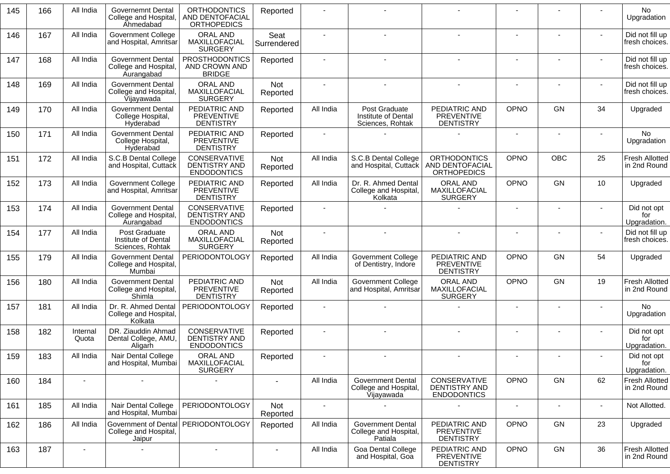| 145 | 166 | All India         | Governemnt Dental<br>College and Hospital,<br><b>Ahmedabad</b>  | <b>ORTHODONTICS</b><br>AND DENTOFACIAL<br><b>ORTHOPEDICS</b>      | Reported            |                |                                                                 |                                                              |                |                          |    | <b>No</b><br>Upgradation              |
|-----|-----|-------------------|-----------------------------------------------------------------|-------------------------------------------------------------------|---------------------|----------------|-----------------------------------------------------------------|--------------------------------------------------------------|----------------|--------------------------|----|---------------------------------------|
| 146 | 167 | All India         | <b>Government College</b><br>and Hospital, Amritsar             | <b>ORAL AND</b><br>MAXILLOFACIAL<br><b>SURGERY</b>                | Seat<br>Surrendered |                |                                                                 |                                                              |                |                          |    | Did not fill up<br>fresh choices.     |
| 147 | 168 | All India         | <b>Government Dental</b><br>College and Hospital<br>Aurangabad  | <b>PROSTHODONTICS</b><br>AND CROWN AND<br><b>BRIDGE</b>           | Reported            |                |                                                                 |                                                              | $\sim$         |                          |    | Did not fill up<br>fresh choices.     |
| 148 | 169 | All India         | <b>Government Dental</b><br>College and Hospital<br>Vijayawada  | ORAL AND<br>MAXILLOFACIAL<br><b>SURGERY</b>                       | Not<br>Reported     |                |                                                                 |                                                              |                |                          |    | Did not fill up<br>fresh choices.     |
| 149 | 170 | All India         | <b>Government Dental</b><br>College Hospital,<br>Hyderabad      | PEDIATRIC AND<br>PREVENTIVE<br><b>DENTISTRY</b>                   | Reported            | All India      | Post Graduate<br>Institute of Dental<br>Sciences, Rohtak        | PEDIATRIC AND<br><b>PREVENTIVE</b><br><b>DENTISTRY</b>       | <b>OPNO</b>    | <b>GN</b>                | 34 | Upgraded                              |
| 150 | 171 | All India         | <b>Government Dental</b><br>College Hospital,<br>Hyderabad      | PEDIATRIC AND<br><b>PREVENTIVE</b><br><b>DENTISTRY</b>            | Reported            |                |                                                                 |                                                              |                |                          |    | No<br>Upgradation                     |
| 151 | 172 | All India         | S.C.B Dental College<br>and Hospital, Cuttack                   | CONSERVATIVE<br><b>DENTISTRY AND</b><br><b>ENDODONTICS</b>        | Not<br>Reported     | All India      | S.C.B Dental College<br>and Hospital, Cuttack                   | <b>ORTHODONTICS</b><br>AND DENTOFACIAL<br><b>ORTHOPEDICS</b> | OPNO           | OBC                      | 25 | <b>Fresh Allotted</b><br>in 2nd Round |
| 152 | 173 | All India         | <b>Government College</b><br>and Hospital, Amritsar             | PEDIATRIC AND<br>PREVENTIVE<br><b>DENTISTRY</b>                   | Reported            | All India      | Dr. R. Ahmed Dental<br>College and Hospital,<br>Kolkata         | ORAL AND<br>MAXILLOFACIAL<br><b>SURGERY</b>                  | <b>OPNO</b>    | <b>GN</b>                | 10 | Upgraded                              |
| 153 | 174 | All India         | <b>Government Dental</b><br>College and Hospital,<br>Aurangabad | <b>CONSERVATIVE</b><br><b>DENTISTRY AND</b><br><b>ENDODONTICS</b> | Reported            |                |                                                                 |                                                              | $\sim$         | $\overline{\phantom{a}}$ |    | Did not opt<br>for<br>Upgradation.    |
| 154 | 177 | All India         | Post Graduate<br>Institute of Dental<br>Sciences, Rohtak        | ORAL AND<br>MAXILLOFACIAL<br><b>SURGERY</b>                       | Not<br>Reported     |                |                                                                 |                                                              |                |                          |    | Did not fill up<br>fresh choices.     |
| 155 | 179 | All India         | <b>Government Dental</b><br>College and Hospital,<br>Mumbai     | PERIODONTOLOGY                                                    | Reported            | All India      | <b>Government College</b><br>of Dentistry, Indore               | PEDIATRIC AND<br>PREVENTIVE<br><b>DENTISTRY</b>              | OPNO           | <b>GN</b>                | 54 | Upgraded                              |
| 156 | 180 | All India         | <b>Government Dental</b><br>College and Hospital,<br>Shimla     | PEDIATRIC AND<br>PREVENTIVE<br><b>DENTISTRY</b>                   | Not<br>Reported     | All India      | <b>Government College</b><br>and Hospital, Amritsar             | ORAL AND<br>MAXILLOFACIAL<br><b>SURGERY</b>                  | OPNO           | <b>GN</b>                | 19 | <b>Fresh Allotted</b><br>in 2nd Round |
| 157 | 181 | All India         | Dr. R. Ahmed Dental<br>College and Hospital,<br>Kolkata         | PERIODONTOLOGY                                                    | Reported            |                |                                                                 |                                                              | $\blacksquare$ |                          |    | No.<br>Upgradation                    |
| 158 | 182 | Internal<br>Quota | DR. Ziauddin Ahmad<br>Dental College, AMU,<br>Aligarh           | CONSERVATIVE<br>DENTISTRY AND<br><b>ENDODONTICS</b>               | Reported            |                |                                                                 |                                                              | $\blacksquare$ |                          |    | Did not opt<br>for<br>Upgradation.    |
| 159 | 183 | All India         | Nair Dental College<br>and Hospital, Mumbai                     | ORAL AND<br><b>MAXILLOFACIAL</b><br><b>SURGERY</b>                | Reported            |                |                                                                 |                                                              | $\blacksquare$ |                          |    | Did not opt<br>for<br>Upgradation.    |
| 160 | 184 |                   |                                                                 |                                                                   |                     | All India      | <b>Government Dental</b><br>College and Hospital,<br>Vijayawada | <b>CONSERVATIVE</b><br>DENTISTRY AND<br><b>ENDODONTICS</b>   | <b>OPNO</b>    | <b>GN</b>                | 62 | <b>Fresh Allotted</b><br>in 2nd Round |
| 161 | 185 | All India         | Nair Dental College<br>and Hospital, Mumbai                     | PERIODONTOLOGY                                                    | Not<br>Reported     | $\blacksquare$ |                                                                 |                                                              |                |                          |    | Not Allotted.                         |
| 162 | 186 | All India         | College and Hospital,<br>Jaipur                                 | Government of Dental   PERIODONTOLOGY                             | Reported            | All India      | <b>Government Dental</b><br>College and Hospital,<br>Patiala    | PEDIATRIC AND<br><b>PREVENTIVE</b><br><b>DENTISTRY</b>       | OPNO           | <b>GN</b>                | 23 | Upgraded                              |
| 163 | 187 | $\sim$            |                                                                 | $\sim$                                                            | $\blacksquare$      | All India      | <b>Goa Dental College</b><br>and Hospital, Goa                  | PEDIATRIC AND<br><b>PREVENTIVE</b><br><b>DENTISTRY</b>       | <b>OPNO</b>    | <b>GN</b>                | 36 | <b>Fresh Allotted</b><br>in 2nd Round |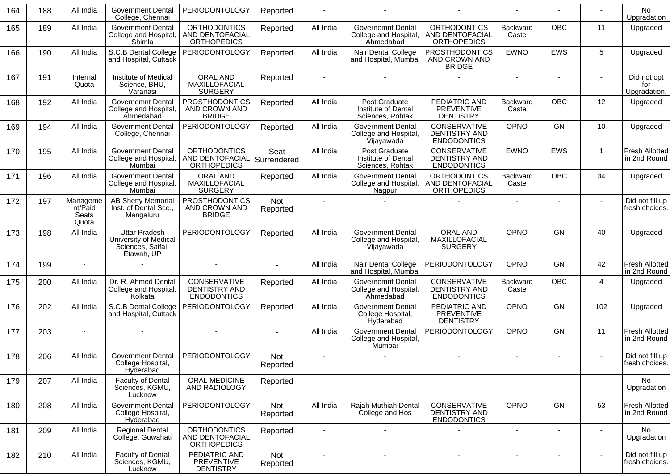| 164 | 188 | All India                             | <b>Government Dental</b><br>College, Chennai                                     | <b>PERIODONTOLOGY</b>                                        | Reported            |           |                                                                        |                                                              |                          |                          |                | No<br>Upgradation                     |
|-----|-----|---------------------------------------|----------------------------------------------------------------------------------|--------------------------------------------------------------|---------------------|-----------|------------------------------------------------------------------------|--------------------------------------------------------------|--------------------------|--------------------------|----------------|---------------------------------------|
| 165 | 189 | All India                             | <b>Government Dental</b><br>College and Hospital,<br>Shimla                      | <b>ORTHODONTICS</b><br>AND DENTOFACIAL<br><b>ORTHOPEDICS</b> | Reported            | All India | <b>Governemnt Dental</b><br>College and Hospital,<br>Ahmedabad         | <b>ORTHODONTICS</b><br>AND DENTOFACIAL<br><b>ORTHOPEDICS</b> | <b>Backward</b><br>Caste | <b>OBC</b>               | 11             | Upgraded                              |
| 166 | 190 | All India                             | S.C.B Dental College<br>and Hospital, Cuttack                                    | PERIODONTOLOGY                                               | Reported            | All India | Nair Dental College<br>and Hospital, Mumbai                            | PROSTHODONTICS<br>AND CROWN AND<br><b>BRIDGE</b>             | <b>EWNO</b>              | <b>EWS</b>               | 5              | Upgraded                              |
| 167 | 191 | Internal<br>Quota                     | Institute of Medical<br>Science, BHU,<br>Varanasi                                | <b>ORAL AND</b><br>MAXILLOFACIAL<br><b>SURGERY</b>           | Reported            |           |                                                                        |                                                              |                          |                          |                | Did not opt<br>for<br>Upgradation.    |
| 168 | 192 | All India                             | <b>Governemnt Dental</b><br>College and Hospital,<br>Ahmedabad                   | <b>PROSTHODONTICS</b><br>AND CROWN AND<br><b>BRIDGE</b>      | Reported            | All India | Post Graduate<br>Institute of Dental<br>Sciences, Rohtak               | PEDIATRIC AND<br><b>PREVENTIVE</b><br><b>DENTISTRY</b>       | Backward<br>Caste        | <b>OBC</b>               | 12             | Upgraded                              |
| 169 | 194 | All India                             | <b>Government Dental</b><br>College, Chennai                                     | PERIODONTOLOGY                                               | Reported            | All India | <b>Government Dental</b><br>College and Hospital,<br><b>Vijayawada</b> | CONSERVATIVE<br>DENTISTRY AND<br><b>ENDODONTICS</b>          | OPNO                     | <b>GN</b>                | 10             | Upgraded                              |
| 170 | 195 | All India                             | <b>Government Dental</b><br>College and Hospital,<br>Mumbai                      | <b>ORTHODONTICS</b><br>AND DENTOFACIAL<br><b>ORTHOPEDICS</b> | Seat<br>Surrendered | All India | Post Graduate<br>Institute of Dental<br>Sciences, Rohtak               | CONSERVATIVE<br>DENTISTRY AND<br><b>ENDODONTICS</b>          | <b>EWNO</b>              | <b>EWS</b>               | $\mathbf{1}$   | <b>Fresh Allotted</b><br>in 2nd Round |
| 171 | 196 | All India                             | <b>Government Dental</b><br>College and Hospital,<br>Mumbai                      | <b>ORAL AND</b><br>MAXILLOFACIAL<br><b>SURGERY</b>           | Reported            | All India | <b>Government Dental</b><br>College and Hospital,<br>Nagpur            | <b>ORTHODONTICS</b><br>AND DENTOFACIAL<br><b>ORTHOPEDICS</b> | <b>Backward</b><br>Caste | <b>OBC</b>               | 34             | Upgraded                              |
| 172 | 197 | Manageme<br>nt/Paid<br>Seats<br>Quota | <b>AB Shetty Memorial</b><br>Inst. of Dental Sce.,<br>Mangaluru                  | <b>PROSTHODONTICS</b><br>AND CROWN AND<br><b>BRIDGE</b>      | Not<br>Reported     |           |                                                                        |                                                              |                          |                          |                | Did not fill up<br>fresh choices.     |
| 173 | 198 | All India                             | <b>Uttar Pradesh</b><br>University of Medical<br>Sciences, Saifai,<br>Etawah, UP | PERIODONTOLOGY                                               | Reported            | All India | <b>Government Dental</b><br>College and Hospital,<br>Vijayawada        | ORAL AND<br>MAXILLOFACIAL<br><b>SURGERY</b>                  | OPNO                     | <b>GN</b>                | 40             | Upgraded                              |
| 174 | 199 |                                       |                                                                                  |                                                              | $\blacksquare$      | All India | Nair Dental College<br>and Hospital, Mumbai                            | <b>PERIODONTOLOGY</b>                                        | OPNO                     | <b>GN</b>                | 42             | Fresh Allotted<br>in 2nd Round        |
| 175 | 200 | All India                             | Dr. R. Ahmed Dental<br>College and Hospital,<br>Kolkata                          | CONSERVATIVE<br><b>DENTISTRY AND</b><br><b>ENDODONTICS</b>   | Reported            | All India | <b>Governemnt Dental</b><br>College and Hospital,<br>Ahmedabad         | CONSERVATIVE<br><b>DENTISTRY AND</b><br><b>ENDODONTICS</b>   | Backward<br>Caste        | <b>OBC</b>               | $\overline{4}$ | Upgraded                              |
| 176 | 202 | All India                             | S.C.B Dental College<br>and Hospital, Cuttack                                    | PERIODONTOLOGY                                               | Reported            | All India | <b>Government Dental</b><br>College Hospital,<br>Hyderabad             | PEDIATRIC AND<br><b>PREVENTIVE</b><br><b>DENTISTRY</b>       | OPNO                     | <b>GN</b>                | 102            | Upgraded                              |
| 177 | 203 |                                       |                                                                                  |                                                              |                     | All India | <b>Government Dental</b><br>College and Hospital,<br>Mumbai            | <b>PERIODONTOLOGY</b>                                        | OPNO                     | <b>GN</b>                | 11             | Fresh Allotted<br>in 2nd Round        |
| 178 | 206 | All India                             | <b>Government Dental</b><br>College Hospital,<br>Hyderabad                       | PERIODONTOLOGY                                               | Not<br>Reported     |           |                                                                        |                                                              |                          |                          |                | Did not fill up<br>fresh choices.     |
| 179 | 207 | All India                             | <b>Faculty of Dental</b><br>Sciences, KGMU,<br>Lucknow                           | ORAL MEDICINE<br>AND RADIOLOGY                               | Reported            |           | $\sim$                                                                 | $\sim$                                                       | $\overline{\phantom{a}}$ |                          | $\blacksquare$ | No<br>Upgradation                     |
| 180 | 208 | All India                             | <b>Government Dental</b><br>College Hospital,<br>Hyderabad                       | <b>PERIODONTOLOGY</b>                                        | Not<br>Reported     | All India | Rajah Muthiah Dental<br>College and Hos                                | CONSERVATIVE<br>DENTISTRY AND<br><b>ENDODONTICS</b>          | OPNO                     | GN                       | 53             | Fresh Allotted<br>in 2nd Round        |
| 181 | 209 | All India                             | <b>Regional Dental</b><br>College, Guwahati                                      | <b>ORTHODONTICS</b><br>AND DENTOFACIAL<br><b>ORTHOPEDICS</b> | Reported            |           |                                                                        |                                                              | $\overline{\phantom{a}}$ | $\overline{\phantom{a}}$ | $\sim$         | No<br>Upgradation                     |
| 182 | 210 | All India                             | <b>Faculty of Dental</b><br>Sciences, KGMU,<br>Lucknow                           | PEDIATRIC AND<br>PREVENTIVE<br><b>DENTISTRY</b>              | Not<br>Reported     |           |                                                                        |                                                              |                          |                          |                | Did not fill up<br>fresh choices.     |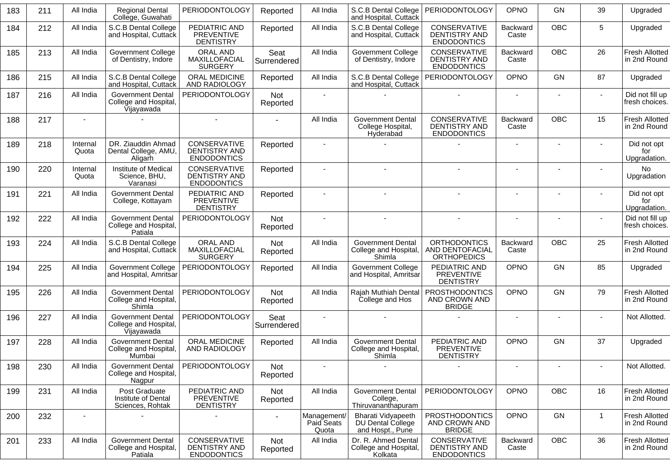| 183 | 211 | All India         | <b>Regional Dental</b><br>College, Guwahati                       | <b>PERIODONTOLOGY</b>                                             | Reported               | All India                          | S.C.B Dental College<br>and Hospital, Cuttack               | <b>PERIODONTOLOGY</b>                                        | OPNO                     | <b>GN</b>  | 39           | Upgraded                              |
|-----|-----|-------------------|-------------------------------------------------------------------|-------------------------------------------------------------------|------------------------|------------------------------------|-------------------------------------------------------------|--------------------------------------------------------------|--------------------------|------------|--------------|---------------------------------------|
| 184 | 212 | All India         | S.C.B Dental College<br>and Hospital, Cuttack                     | PEDIATRIC AND<br><b>PREVENTIVE</b><br><b>DENTISTRY</b>            | Reported               | All India                          | S.C.B Dental College<br>and Hospital, Cuttack               | CONSERVATIVE<br><b>DENTISTRY AND</b><br><b>ENDODONTICS</b>   | Backward<br>Caste        | <b>OBC</b> | 5            | Upgraded                              |
| 185 | 213 | All India         | <b>Government College</b><br>of Dentistry, Indore                 | <b>ORAL AND</b><br>MAXILLOFACIAL<br><b>SURGERY</b>                | Seat<br>Surrendered    | All India                          | <b>Government College</b><br>of Dentistry, Indore           | CONSERVATIVE<br>DENTISTRY AND<br><b>ENDODONTICS</b>          | <b>Backward</b><br>Caste | <b>OBC</b> | 26           | <b>Fresh Allotted</b><br>in 2nd Round |
| 186 | 215 | All India         | S.C.B Dental College<br>and Hospital, Cuttack                     | ORAL MEDICINE<br>AND RADIOLOGY                                    | Reported               | All India                          | S.C.B Dental College<br>and Hospital, Cuttack               | <b>PERIODONTOLOGY</b>                                        | OPNO                     | GN         | 87           | Upgraded                              |
| 187 | 216 | All India         | <b>Government Dental</b><br>College and Hospital,<br>Vijayawada   | <b>PERIODONTOLOGY</b>                                             | Not<br>Reported        | $\blacksquare$                     |                                                             |                                                              |                          |            |              | Did not fill up<br>fresh choices.     |
| 188 | 217 |                   |                                                                   |                                                                   | $\sim$                 | All India                          | <b>Government Dental</b><br>College Hospital,<br>Hyderabad  | CONSERVATIVE<br>DENTISTRY AND<br><b>ENDODONTICS</b>          | <b>Backward</b><br>Caste | <b>OBC</b> | 15           | <b>Fresh Allotted</b><br>in 2nd Round |
| 189 | 218 | Internal<br>Quota | DR. Ziauddin Ahmad<br>Dental College, AMU,<br>Aligarh             | CONSERVATIVE<br>DENTISTRY AND<br><b>ENDODONTICS</b>               | Reported               |                                    |                                                             |                                                              |                          |            |              | Did not opt<br>for<br>Upgradation.    |
| 190 | 220 | Internal<br>Quota | Institute of Medical<br>Science, BHU,<br>Varanasi                 | <b>CONSERVATIVE</b><br><b>DENTISTRY AND</b><br><b>ENDODONTICS</b> | Reported               |                                    |                                                             |                                                              |                          |            |              | <b>No</b><br>Upgradation              |
| 191 | 221 | All India         | <b>Government Dental</b><br>College, Kottayam                     | PEDIATRIC AND<br>PREVENTIVE<br><b>DENTISTRY</b>                   | Reported               |                                    |                                                             |                                                              |                          |            |              | Did not opt<br>for<br>Upgradation.    |
| 192 | 222 | All India         | <b>Government Dental</b><br>College and Hospital,<br>Patiala      | <b>PERIODONTOLOGY</b>                                             | Not<br>Reported        |                                    |                                                             |                                                              |                          |            |              | Did not fill up<br>fresh choices.     |
| 193 | 224 | All India         | S.C.B Dental College<br>and Hospital, Cuttack                     | <b>ORAL AND</b><br>MAXILLOFACIAL<br><b>SURGERY</b>                | Not<br>Reported        | All India                          | Government Dental<br>College and Hospital,<br>Shimla        | <b>ORTHODONTICS</b><br>AND DENTOFACIAL<br><b>ORTHOPEDICS</b> | Backward<br>Caste        | <b>OBC</b> | 25           | Fresh Allotted<br>in 2nd Round        |
| 194 | 225 | All India         | <b>Government College</b><br>and Hospital, Amritsar               | <b>PERIODONTOLOGY</b>                                             | Reported               | All India                          | Government College<br>and Hospital, Amritsar                | PEDIATRIC AND<br><b>PREVENTIVE</b><br><b>DENTISTRY</b>       | OPNO                     | <b>GN</b>  | 85           | Upgraded                              |
| 195 | 226 | All India         | <b>Government Dental</b><br>College and Hospital,<br>Shimla       | <b>PERIODONTOLOGY</b>                                             | <b>Not</b><br>Reported | All India                          | Rajah Muthiah Dental<br>College and Hos                     | <b>PROSTHODONTICS</b><br>AND CROWN AND<br><b>BRIDGE</b>      | <b>OPNO</b>              | <b>GN</b>  | 79           | <b>Fresh Allotted</b><br>in 2nd Round |
| 196 | 227 | All India         | <b>Government Dental</b><br>College and Hospital,<br>Vijayawada   | <b>PERIODONTOLOGY</b>                                             | Seat<br>Surrendered    | $\blacksquare$                     |                                                             |                                                              |                          |            |              | Not Allotted.                         |
| 197 | 228 | All India         | <b>Government Dental</b><br><b>College and Hospital</b><br>Mumbai | <b>ORAL MEDICINE</b><br>AND RADIOLOGY                             | Reported               | All India                          | <b>Government Dental</b><br>College and Hospital,<br>Shimla | PEDIATRIC AND<br>PREVENTIVE<br><b>DENTISTRY</b>              | OPNO                     | <b>GN</b>  | 37           | Upgraded                              |
| 198 | 230 | All India         | <b>Government Dental</b><br>College and Hospital,<br>Nagpur       | <b>PERIODONTOLOGY</b>                                             | Not<br>Reported        |                                    |                                                             |                                                              |                          |            |              | Not Allotted.                         |
| 199 | 231 | All India         | Post Graduate<br>Institute of Dental<br>Sciences, Rohtak          | PEDIATRIC AND<br><b>PREVENTIVE</b><br><b>DENTISTRY</b>            | Not<br>Reported        | All India                          | Government Dental<br>College,<br>Thiruvananthapuram         | PERIODONTOLOGY                                               | OPNO                     | <b>OBC</b> | 16           | Fresh Allotted<br>in 2nd Round        |
| 200 | 232 | $\blacksquare$    |                                                                   |                                                                   |                        | Management/<br>Paid Seats<br>Quota | Bharati Vidyapeeth<br>DU Dental College<br>and Hospt., Pune | <b>PROSTHODONTICS</b><br>AND CROWN AND<br><b>BRIDGE</b>      | OPNO                     | GN         | $\mathbf{1}$ | <b>Fresh Allotted</b><br>in 2nd Round |
| 201 | 233 | All India         | <b>Government Dental</b><br>College and Hospital<br>Patiala       | CONSERVATIVE<br>DENTISTRY AND<br><b>ENDODONTICS</b>               | Not<br>Reported        | All India                          | Dr. R. Ahmed Dental<br>College and Hospital,<br>Kolkata     | CONSERVATIVE<br>DENTISTRY AND<br><b>ENDODONTICS</b>          | Backward<br>Caste        | <b>OBC</b> | 36           | Fresh Allotted<br>in 2nd Round        |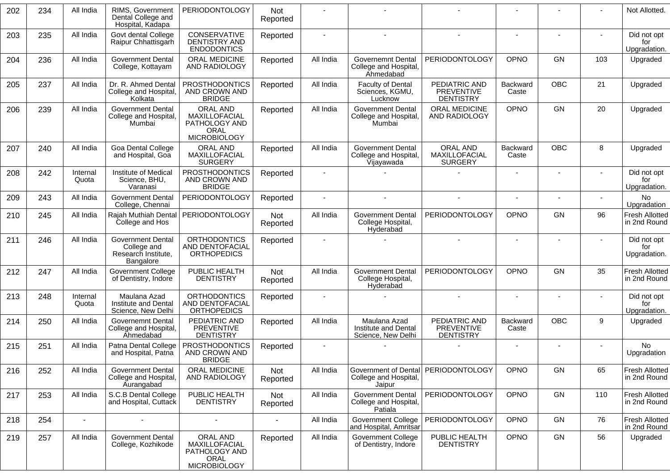| 202 | 234 | All India         | RIMS, Government<br>Dental College and<br>Hospital, Kadapa                  | <b>PERIODONTOLOGY</b>                                                            | <b>Not</b><br>Reported |           |                                                                        |                                                        |                          |            |     | Not Allotted.                         |
|-----|-----|-------------------|-----------------------------------------------------------------------------|----------------------------------------------------------------------------------|------------------------|-----------|------------------------------------------------------------------------|--------------------------------------------------------|--------------------------|------------|-----|---------------------------------------|
| 203 | 235 | All India         | Govt dental College<br>Raipur Chhattisgarh                                  | CONSERVATIVE<br>DENTISTRY AND<br><b>ENDODONTICS</b>                              | Reported               |           |                                                                        |                                                        |                          |            |     | Did not opt<br>for<br>Upgradation.    |
| 204 | 236 | All India         | <b>Government Dental</b><br>College, Kottayam                               | ORAL MEDICINE<br>AND RADIOLOGY                                                   | Reported               | All India | <b>Governemnt Dental</b><br>College and Hospital,<br>Ahmedabad         | PERIODONTOLOGY                                         | OPNO                     | <b>GN</b>  | 103 | Upgraded                              |
| 205 | 237 | All India         | Dr. R. Ahmed Dental<br>College and Hospital,<br>Kolkata                     | <b>PROSTHODONTICS</b><br>AND CROWN AND<br><b>BRIDGE</b>                          | Reported               | All India | <b>Faculty of Dental</b><br>Sciences, KGMU,<br>Lucknow                 | PEDIATRIC AND<br>PREVENTIVE<br><b>DENTISTRY</b>        | Backward<br>Caste        | OBC        | 21  | Upgraded                              |
| 206 | 239 | All India         | <b>Government Dental</b><br>College and Hospital,<br>Mumbai                 | ORAL AND<br>MAXILLOFACIAL<br>PATHOLOGY AND<br><b>ORAL</b><br><b>MICROBIOLOGY</b> | Reported               | All India | <b>Government Dental</b><br>College and Hospital,<br>Mumbai            | ORAL MEDICINE<br>AND RADIOLOGY                         | OPNO                     | <b>GN</b>  | 20  | Upgraded                              |
| 207 | 240 | All India         | Goa Dental College<br>and Hospital, Goa                                     | ORAL AND<br>MAXILLOFACIAL<br><b>SURGERY</b>                                      | Reported               | All India | <b>Government Dental</b><br>College and Hospital,<br><b>Vijayawada</b> | ORAL AND<br><b>MAXILLOFACIAL</b><br><b>SURGERY</b>     | <b>Backward</b><br>Caste | <b>OBC</b> | 8   | Upgraded                              |
| 208 | 242 | Internal<br>Quota | Institute of Medical<br>Science, BHU,<br>Varanasi                           | <b>PROSTHODONTICS</b><br>AND CROWN AND<br><b>BRIDGE</b>                          | Reported               |           |                                                                        |                                                        |                          |            |     | Did not opt<br>for<br>Upgradation.    |
| 209 | 243 | All India         | <b>Government Dental</b><br>College, Chennai                                | <b>PERIODONTOLOGY</b>                                                            | Reported               |           | $\sim$                                                                 | $\blacksquare$                                         |                          | ٠          |     | No<br>Upgradation                     |
| 210 | 245 | All India         | Rajah Muthiah Dental<br>College and Hos                                     | PERIODONTOLOGY                                                                   | Not<br>Reported        | All India | <b>Government Dental</b><br>College Hospital,<br>Hyderabad             | PERIODONTOLOGY                                         | OPNO                     | GN         | 96  | <b>Fresh Allotted</b><br>in 2nd Round |
| 211 | 246 | All India         | <b>Government Dental</b><br>College and<br>Research Institute,<br>Bangalore | <b>ORTHODONTICS</b><br>AND DENTOFACIAL<br><b>ORTHOPEDICS</b>                     | Reported               |           |                                                                        |                                                        |                          |            |     | Did not opt<br>for<br>Upgradation.    |
| 212 | 247 | All India         | <b>Government College</b><br>of Dentistry, Indore                           | PUBLIC HEALTH<br><b>DENTISTRY</b>                                                | <b>Not</b><br>Reported | All India | <b>Government Dental</b><br>College Hospital,<br>Hyderabad             | PERIODONTOLOGY                                         | OPNO                     | GN         | 35  | <b>Fresh Allotted</b><br>in 2nd Round |
| 213 | 248 | Internal<br>Quota | Maulana Azad<br>Institute and Dental<br>Science, New Delhi                  | <b>ORTHODONTICS</b><br><b>AND DENTOFACIAL</b><br><b>ORTHOPEDICS</b>              | Reported               |           |                                                                        |                                                        |                          |            |     | Did not opt<br>for<br>Upgradation.    |
| 214 | 250 | All India         | <b>Governemnt Dental</b><br>College and Hospital,<br>Ahmedabad              | PEDIATRIC AND<br><b>PREVENTIVE</b><br><b>DENTISTRY</b>                           | Reported               | All India | Maulana Azad<br>Institute and Dental<br>Science, New Delhi             | PEDIATRIC AND<br><b>PREVENTIVE</b><br><b>DENTISTRY</b> | Backward<br>Caste        | OBC        | 9   | Upgraded                              |
| 215 | 251 | All India         | Patna Dental College<br>and Hospital, Patna                                 | <b>PROSTHODONTICS</b><br>AND CROWN AND<br><b>BRIDGE</b>                          | Reported               |           |                                                                        |                                                        |                          |            |     | No<br>Upgradation                     |
| 216 | 252 | All India         | <b>Government Dental</b><br>College and Hospital,<br><b>Aurangabad</b>      | ORAL MEDICINE<br>AND RADIOLOGY                                                   | Not<br>Reported        | All India | <b>Government of Dental</b><br>College and Hospital,<br>Jaipur         | PERIODONTOLOGY                                         | OPNO                     | GN         | 65  | Fresh Allotted<br>in 2nd Round        |
| 217 | 253 | All India         | S.C.B Dental College<br>and Hospital, Cuttack                               | PUBLIC HEALTH<br><b>DENTISTRY</b>                                                | Not<br>Reported        | All India | <b>Government Dental</b><br>College and Hospital,<br>Patiala           | <b>PERIODONTOLOGY</b>                                  | OPNO                     | GN         | 110 | Fresh Allotted<br>in 2nd Round        |
| 218 | 254 | $\mathbf{r}$      | $\sim$                                                                      |                                                                                  |                        | All India | <b>Government College</b><br>and Hospital, Amritsar                    | <b>PERIODONTOLOGY</b>                                  | <b>OPNO</b>              | GN         | 76  | <b>Fresh Allotted</b><br>in 2nd Round |
| 219 | 257 | All India         | <b>Government Dental</b><br>College, Kozhikode                              | ORAL AND<br>MAXILLOFACIAL<br>PATHOLOGY AND<br><b>ORAL</b><br><b>MICROBIOLOGY</b> | Reported               | All India | <b>Government College</b><br>of Dentistry, Indore                      | PUBLIC HEALTH<br><b>DENTISTRY</b>                      | OPNO                     | GN         | 56  | Upgraded                              |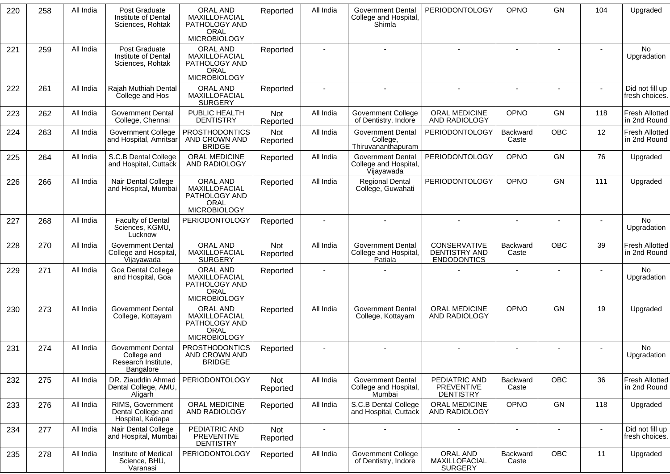| 220 | 258 | All India | Post Graduate<br>Institute of Dental<br>Sciences, Rohtak                    | <b>ORAL AND</b><br>MAXILLOFACIAL<br>PATHOLOGY AND<br><b>ORAL</b><br><b>MICROBIOLOGY</b> | Reported               | All India      | <b>Government Dental</b><br>College and Hospital,<br>Shimla     | PERIODONTOLOGY                                             | OPNO                     | GN             | 104            | Upgraded                              |
|-----|-----|-----------|-----------------------------------------------------------------------------|-----------------------------------------------------------------------------------------|------------------------|----------------|-----------------------------------------------------------------|------------------------------------------------------------|--------------------------|----------------|----------------|---------------------------------------|
| 221 | 259 | All India | Post Graduate<br>Institute of Dental<br>Sciences, Rohtak                    | ORAL AND<br>MAXILLOFACIAL<br>PATHOLOGY AND<br><b>ORAL</b><br><b>MICROBIOLOGY</b>        | Reported               |                |                                                                 |                                                            |                          |                |                | No<br>Upgradation                     |
| 222 | 261 | All India | Rajah Muthiah Dental<br>College and Hos                                     | ORAL AND<br>MAXILLOFACIAL<br><b>SURGERY</b>                                             | Reported               |                |                                                                 |                                                            | $\blacksquare$           |                |                | Did not fill up<br>fresh choices.     |
| 223 | 262 | All India | <b>Government Dental</b><br>College, Chennai                                | PUBLIC HEALTH<br><b>DENTISTRY</b>                                                       | <b>Not</b><br>Reported | All India      | <b>Government College</b><br>of Dentistry, Indore               | ORAL MEDICINE<br>AND RADIOLOGY                             | OPNO                     | <b>GN</b>      | 118            | <b>Fresh Allotted</b><br>in 2nd Round |
| 224 | 263 | All India | <b>Government College</b><br>and Hospital, Amritsar                         | <b>PROSTHODONTICS</b><br>AND CROWN AND<br><b>BRIDGE</b>                                 | <b>Not</b><br>Reported | All India      | <b>Government Dental</b><br>College,<br>Thiruvananthapuram      | PERIODONTOLOGY                                             | Backward<br>Caste        | <b>OBC</b>     | 12             | <b>Fresh Allotted</b><br>in 2nd Round |
| 225 | 264 | All India | S.C.B Dental College<br>and Hospital, Cuttack                               | ORAL MEDICINE<br>AND RADIOLOGY                                                          | Reported               | All India      | <b>Government Dental</b><br>College and Hospital,<br>Vijayawada | PERIODONTOLOGY                                             | OPNO                     | <b>GN</b>      | 76             | Upgraded                              |
| 226 | 266 | All India | Nair Dental College<br>and Hospital, Mumbai                                 | ORAL AND<br>MAXILLOFACIAL<br>PATHOLOGY AND<br>ORAL<br><b>MICROBIOLOGY</b>               | Reported               | All India      | <b>Regional Dental</b><br>College, Guwahati                     | PERIODONTOLOGY                                             | OPNO                     | <b>GN</b>      | 111            | Upgraded                              |
| 227 | 268 | All India | <b>Faculty of Dental</b><br>Sciences, KGMU,<br>Lucknow                      | <b>PERIODONTOLOGY</b>                                                                   | Reported               |                |                                                                 |                                                            |                          |                |                | No<br>Upgradation                     |
| 228 | 270 | All India | <b>Government Dental</b><br>College and Hospital,<br>Vijayawada             | ORAL AND<br>MAXILLOFACIAL<br><b>SURGERY</b>                                             | Not<br>Reported        | All India      | <b>Government Dental</b><br>College and Hospital,<br>Patiala    | <b>CONSERVATIVE</b><br>DENTISTRY AND<br><b>ENDODONTICS</b> | Backward<br>Caste        | <b>OBC</b>     | 39             | <b>Fresh Allotted</b><br>in 2nd Round |
| 229 | 271 | All India | <b>Goa Dental College</b><br>and Hospital, Goa                              | ORAL AND<br>MAXILLOFACIAL<br>PATHOLOGY AND<br>ORAL<br><b>MICROBIOLOGY</b>               | Reported               |                |                                                                 |                                                            | $\overline{\phantom{a}}$ |                |                | No.<br>Upgradation                    |
| 230 | 273 | All India | <b>Government Dental</b><br>College, Kottayam                               | ORAL AND<br>MAXILLOFACIAL<br>PATHOLOGY AND<br><b>ORAL</b><br><b>MICROBIOLOGY</b>        | Reported               | All India      | <b>Government Dental</b><br>College, Kottayam                   | ORAL MEDICINE<br>AND RADIOLOGY                             | OPNO                     | GN             | 19             | Upgraded                              |
| 231 | 274 | All India | <b>Government Dental</b><br>College and<br>Research Institute,<br>Bangalore | <b>PROSTHODONTICS</b><br>AND CROWN AND<br><b>BRIDGE</b>                                 | Reported               |                |                                                                 |                                                            |                          |                |                | <b>No</b><br>Upgradation              |
| 232 | 275 | All India | Dental College, AMU,<br>Aligarh                                             | DR. Ziauddin Ahmad   PERIODONTOLOGY                                                     | Not<br>Reported        | All India      | <b>Government Dental</b><br>College and Hospital,<br>Mumbai     | PEDIATRIC AND<br><b>PREVENTIVE</b><br><b>DENTISTRY</b>     | <b>Backward</b><br>Caste | OBC            | 36             | <b>Fresh Allotted</b><br>in 2nd Round |
| 233 | 276 | All India | RIMS, Government<br>Dental College and<br>Hospital, Kadapa                  | ORAL MEDICINE<br>AND RADIOLOGY                                                          | Reported               | All India      | S.C.B Dental College<br>and Hospital, Cuttack                   | ORAL MEDICINE<br>AND RADIOLOGY                             | OPNO                     | GN             | 118            | Upgraded                              |
| 234 | 277 | All India | Nair Dental College<br>and Hospital, Mumbai                                 | PEDIATRIC AND<br>PREVENTIVE<br><b>DENTISTRY</b>                                         | Not<br>Reported        | $\blacksquare$ | $\mathbf{r}$                                                    | $\sim$                                                     | $\blacksquare$           | $\blacksquare$ | $\blacksquare$ | Did not fill up<br>fresh choices.     |
| 235 | 278 | All India | Institute of Medical<br>Science, BHU,<br>Varanasi                           | <b>PERIODONTOLOGY</b>                                                                   | Reported               | All India      | <b>Government College</b><br>of Dentistry, Indore               | ORAL AND<br>MAXILLOFACIAL<br><b>SURGERY</b>                | Backward<br>Caste        | OBC            | 11             | Upgraded                              |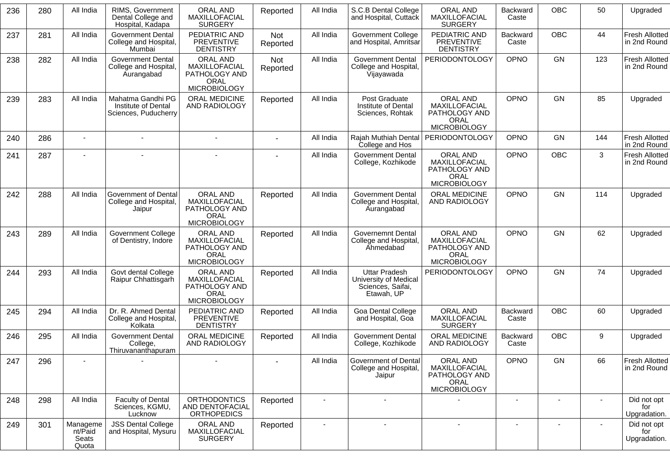| 236 | 280 | All India                             | RIMS, Government<br>Dental College and<br>Hospital, Kadapa       | ORAL AND<br>MAXILLOFACIAL<br><b>SURGERY</b>                                      | Reported        | All India      | S.C.B Dental College<br>and Hospital, Cuttack                                    | ORAL AND<br>MAXILLOFACIAL<br><b>SURGERY</b>                                      | Backward<br>Caste        | <b>OBC</b>     | 50               | Upgraded                              |
|-----|-----|---------------------------------------|------------------------------------------------------------------|----------------------------------------------------------------------------------|-----------------|----------------|----------------------------------------------------------------------------------|----------------------------------------------------------------------------------|--------------------------|----------------|------------------|---------------------------------------|
| 237 | 281 | All India                             | <b>Government Dental</b><br>College and Hospital,<br>Mumbai      | PEDIATRIC AND<br><b>PREVENTIVE</b><br><b>DENTISTRY</b>                           | Not<br>Reported | All India      | <b>Government College</b><br>and Hospital, Amritsar                              | PEDIATRIC AND<br><b>PREVENTIVE</b><br><b>DENTISTRY</b>                           | Backward<br>Caste        | <b>OBC</b>     | 44               | <b>Fresh Allotted</b><br>in 2nd Round |
| 238 | 282 | All India                             | <b>Government Dental</b><br>College and Hospital,<br>Aurangabad  | <b>ORAL AND</b><br>MAXILLOFACIAL<br>PATHOLOGY AND<br>ORAL<br><b>MICROBIOLOGY</b> | Not<br>Reported | All India      | <b>Government Dental</b><br>College and Hospital,<br><b>Vijayawada</b>           | PERIODONTOLOGY                                                                   | <b>OPNO</b>              | GN             | 123              | <b>Fresh Allotted</b><br>in 2nd Round |
| 239 | 283 | All India                             | Mahatma Gandhi PG<br>Institute of Dental<br>Sciences, Puducherry | ORAL MEDICINE<br>AND RADIOLOGY                                                   | Reported        | All India      | Post Graduate<br>Institute of Dental<br>Sciences, Rohtak                         | ORAL AND<br>MAXILLOFACIAL<br>PATHOLOGY AND<br>ORAL<br><b>MICROBIOLOGY</b>        | OPNO                     | GN             | 85               | Upgraded                              |
| 240 | 286 | $\overline{\phantom{a}}$              |                                                                  | $\blacksquare$                                                                   |                 | All India      | Rajah Muthiah Dental<br>College and Hos                                          | PERIODONTOLOGY                                                                   | <b>OPNO</b>              | GN             | 144              | Fresh Allotted<br>in 2nd Round        |
| 241 | 287 |                                       |                                                                  |                                                                                  |                 | All India      | <b>Government Dental</b><br>College, Kozhikode                                   | ORAL AND<br><b>MAXILLOFACIAL</b><br>PATHOLOGY AND<br>ORAL<br><b>MICROBIOLOGY</b> | OPNO                     | <b>OBC</b>     | 3                | <b>Fresh Allotted</b><br>in 2nd Round |
| 242 | 288 | All India                             | Government of Dental<br>College and Hospital,<br>Jaipur          | ORAL AND<br>MAXILLOFACIAL<br>PATHOLOGY AND<br><b>ORAL</b><br><b>MICROBIOLOGY</b> | Reported        | All India      | <b>Government Dental</b><br>College and Hospital,<br>Aurangabad                  | ORAL MEDICINE<br>AND RADIOLOGY                                                   | <b>OPNO</b>              | GN             | 114              | Upgraded                              |
| 243 | 289 | All India                             | <b>Government College</b><br>of Dentistry, Indore                | ORAL AND<br>MAXILLOFACIAL<br>PATHOLOGY AND<br>ORAL<br><b>MICROBIOLOGY</b>        | Reported        | All India      | <b>Governemnt Dental</b><br>College and Hospital,<br>Ahmedabad                   | ORAL AND<br>MAXILLOFACIAL<br>PATHOLOGY AND<br>ORAL<br><b>MICROBIOLOGY</b>        | OPNO                     | <b>GN</b>      | 62               | Upgraded                              |
| 244 | 293 | All India                             | Govt dental College<br>Raipur Chhattisgarh                       | ORAL AND<br>MAXILLOFACIAL<br>PATHOLOGY AND<br>ORAL<br><b>MICROBIOLOGY</b>        | Reported        | All India      | <b>Uttar Pradesh</b><br>University of Medical<br>Sciences, Saifai,<br>Etawah, UP | PERIODONTOLOGY                                                                   | <b>OPNO</b>              | GN             | 74               | Upgraded                              |
| 245 | 294 | All India                             | Dr. R. Ahmed Dental<br>College and Hospital,<br>Kolkata          | PEDIATRIC AND<br>PREVENTIVE<br><b>DENTISTRY</b>                                  | Reported        | All India      | Goa Dental College<br>and Hospital, Goa                                          | ORAL AND<br>MAXILLOFACIAL<br><b>SURGERY</b>                                      | Backward<br>Caste        | <b>OBC</b>     | 60               | Upgraded                              |
| 246 | 295 | All India                             | <b>Government Dental</b><br>College,<br>Thiruvananthapuram       | <b>ORAL MEDICINE</b><br>AND RADIOLOGY                                            | Reported        | All India      | <b>Government Dental</b><br>College, Kozhikode                                   | ORAL MEDICINE<br>AND RADIOLOGY                                                   | Backward<br>Caste        | <b>OBC</b>     | $\boldsymbol{9}$ | Upgraded                              |
| 247 | 296 |                                       |                                                                  |                                                                                  |                 | All India      | Government of Dental<br>College and Hospital,<br>Jaipur                          | ORAL AND<br>MAXILLOFACIAL<br>PATHOLOGY AND<br><b>ORAL</b><br>MICROBIOLOGY        | OPNO                     | GN             | 66               | Fresh Allotted<br>in 2nd Round        |
| 248 | 298 | All India                             | Faculty of Dental<br>Sciences, KGMU,<br>Lucknow                  | <b>ORTHODONTICS</b><br>AND DENTOFACIAL<br><b>ORTHOPEDICS</b>                     | Reported        |                | $\blacksquare$                                                                   |                                                                                  |                          |                |                  | Did not opt<br>for<br>Upgradation.    |
| 249 | 301 | Manageme<br>nt/Paid<br>Seats<br>Quota | <b>JSS Dental College</b><br>and Hospital, Mysuru                | ORAL AND<br>MAXILLOFACIAL<br><b>SURGERY</b>                                      | Reported        | $\blacksquare$ | $\sim$                                                                           | $\blacksquare$                                                                   | $\overline{\phantom{a}}$ | $\blacksquare$ |                  | Did not opt<br>for<br>Upgradation.    |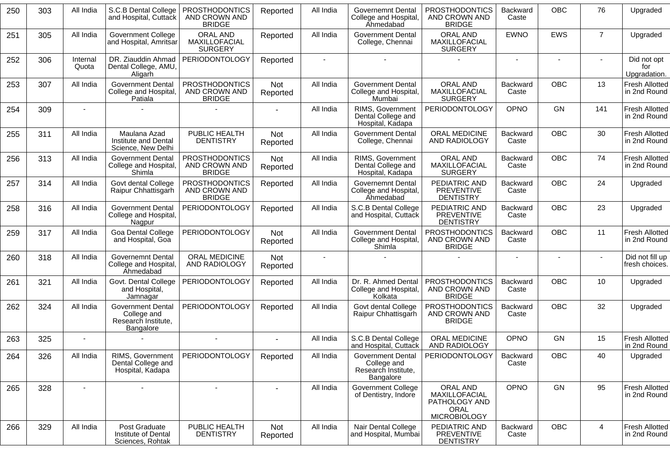| 250 | 303 | All India         | S.C.B Dental College<br>and Hospital, Cuttack                               | <b>PROSTHODONTICS</b><br>AND CROWN AND<br><b>BRIDGE</b> | Reported               | All India | <b>Governemnt Dental</b><br>College and Hospital,<br>Ahmedabad              | <b>PROSTHODONTICS</b><br>AND CROWN AND<br><b>BRIDGE</b>                   | <b>Backward</b><br>Caste | <b>OBC</b> | 76             | Upgraded                              |
|-----|-----|-------------------|-----------------------------------------------------------------------------|---------------------------------------------------------|------------------------|-----------|-----------------------------------------------------------------------------|---------------------------------------------------------------------------|--------------------------|------------|----------------|---------------------------------------|
| 251 | 305 | All India         | <b>Government College</b><br>and Hospital, Amritsar                         | ORAL AND<br>MAXILLOFACIAL<br><b>SURGERY</b>             | Reported               | All India | <b>Government Dental</b><br>College, Chennai                                | ORAL AND<br>MAXILLOFACIAL<br><b>SURGERY</b>                               | <b>EWNO</b>              | <b>EWS</b> | $\overline{7}$ | Upgraded                              |
| 252 | 306 | Internal<br>Quota | DR. Ziauddin Ahmad<br>Dental College, AMU,<br>Aligarh                       | PERIODONTOLOGY                                          | Reported               |           |                                                                             |                                                                           | $\blacksquare$           |            |                | Did not opt<br>for<br>Upgradation.    |
| 253 | 307 | All India         | <b>Government Dental</b><br>College and Hospital,<br>Patiala                | <b>PROSTHODONTICS</b><br>AND CROWN AND<br><b>BRIDGE</b> | Not<br>Reported        | All India | <b>Government Dental</b><br>College and Hospital,<br>Mumbai                 | <b>ORAL AND</b><br>MAXILLOFACIAL<br><b>SURGERY</b>                        | Backward<br>Caste        | <b>OBC</b> | 13             | <b>Fresh Allotted</b><br>in 2nd Round |
| 254 | 309 |                   |                                                                             |                                                         |                        | All India | RIMS, Government<br>Dental College and<br>Hospital, Kadapa                  | PERIODONTOLOGY                                                            | OPNO                     | <b>GN</b>  | 141            | Fresh Allotted<br>in 2nd Round        |
| 255 | 311 | All India         | Maulana Azad<br>Institute and Dental<br>Science, New Delhi                  | PUBLIC HEALTH<br><b>DENTISTRY</b>                       | Not<br>Reported        | All India | <b>Government Dental</b><br>College, Chennai                                | ORAL MEDICINE<br>AND RADIOLOGY                                            | Backward<br>Caste        | OBC        | 30             | Fresh Allotted<br>in 2nd Round        |
| 256 | 313 | All India         | <b>Government Dental</b><br>College and Hospital,<br>Shimla                 | <b>PROSTHODONTICS</b><br>AND CROWN AND<br><b>BRIDGE</b> | Not<br>Reported        | All India | RIMS, Government<br>Dental College and<br>Hospital, Kadapa                  | ORAL AND<br>MAXILLOFACIAL<br><b>SURGERY</b>                               | <b>Backward</b><br>Caste | <b>OBC</b> | 74             | <b>Fresh Allotted</b><br>in 2nd Round |
| 257 | 314 | All India         | Govt dental College<br>Raipur Chhattisgarh                                  | <b>PROSTHODONTICS</b><br>AND CROWN AND<br><b>BRIDGE</b> | Reported               | All India | <b>Governemnt Dental</b><br>College and Hospital,<br><b>Ahmedabad</b>       | PEDIATRIC AND<br><b>PREVENTIVE</b><br><b>DENTISTRY</b>                    | <b>Backward</b><br>Caste | <b>OBC</b> | 24             | Upgraded                              |
| 258 | 316 | All India         | <b>Government Dental</b><br>College and Hospital,<br>Nagpur                 | PERIODONTOLOGY                                          | Reported               | All India | S.C.B Dental College<br>and Hospital, Cuttack                               | PEDIATRIC AND<br><b>PREVENTIVE</b><br><b>DENTISTRY</b>                    | <b>Backward</b><br>Caste | <b>OBC</b> | 23             | Upgraded                              |
| 259 | 317 | All India         | Goa Dental College<br>and Hospital, Goa                                     | <b>PERIODONTOLOGY</b>                                   | <b>Not</b><br>Reported | All India | <b>Government Dental</b><br>College and Hospital,<br>Shimla                 | PROSTHODONTICS<br>AND CROWN AND<br><b>BRIDGE</b>                          | <b>Backward</b><br>Caste | <b>OBC</b> | 11             | Fresh Allotted<br>in 2nd Round        |
| 260 | 318 | All India         | Governemnt Dental<br>College and Hospital,<br>Ähmedabad                     | ORAL MEDICINE<br>AND RADIOLOGY                          | Not<br>Reported        |           |                                                                             |                                                                           | $\blacksquare$           |            |                | Did not fill up<br>fresh choices.     |
| 261 | 321 | All India         | Govt. Dental College<br>and Hospital,<br>Jamnagar                           | <b>PERIODONTOLOGY</b>                                   | Reported               | All India | Dr. R. Ahmed Dental<br>College and Hospital,<br>Kolkata                     | <b>PROSTHODONTICS</b><br>AND CROWN AND<br><b>BRIDGE</b>                   | <b>Backward</b><br>Caste | <b>OBC</b> | 10             | Upgraded                              |
| 262 | 324 | All India         | <b>Government Dental</b><br>College and<br>Research Institute,<br>Bangalore | PERIODONTOLOGY                                          | Reported               | All India | Govt dental College<br>Raipur Chhattisgarh                                  | <b>PROSTHODONTICS</b><br>AND CROWN AND<br><b>BRIDGE</b>                   | <b>Backward</b><br>Caste | <b>OBC</b> | 32             | Upgraded                              |
| 263 | 325 |                   |                                                                             | $\blacksquare$                                          |                        | All India | S.C.B Dental College<br>and Hospital, Cuttack                               | ORAL MEDICINE<br>AND RADIOLOGY                                            | OPNO                     | GN         | 15             | Fresh Allotted<br>in 2nd Round        |
| 264 | 326 | All India         | RIMS, Government<br>Dental College and<br>Hospital, Kadapa                  | <b>PERIODONTOLOGY</b>                                   | Reported               | All India | <b>Government Dental</b><br>College and<br>Research Institute,<br>Bangalore | PERIODONTOLOGY                                                            | Backward<br>Caste        | <b>OBC</b> | 40             | Upgraded                              |
| 265 | 328 |                   |                                                                             | $\blacksquare$                                          |                        | All India | <b>Government College</b><br>of Dentistry, Indore                           | ORAL AND<br>MAXILLOFACIAL<br>PATHOLOGY AND<br>ORAL<br><b>MICROBIOLOGY</b> | OPNO                     | GN         | 95             | <b>Fresh Allotted</b><br>in 2nd Round |
| 266 | 329 | All India         | Post Graduate<br>Institute of Dental<br>Sciences, Rohtak                    | PUBLIC HEALTH<br><b>DENTISTRY</b>                       | Not<br>Reported        | All India | Nair Dental College<br>and Hospital, Mumbai                                 | PEDIATRIC AND<br>PREVENTIVE<br><b>DENTISTRY</b>                           | Backward<br>Caste        | OBC        | 4              | <b>Fresh Allotted</b><br>in 2nd Round |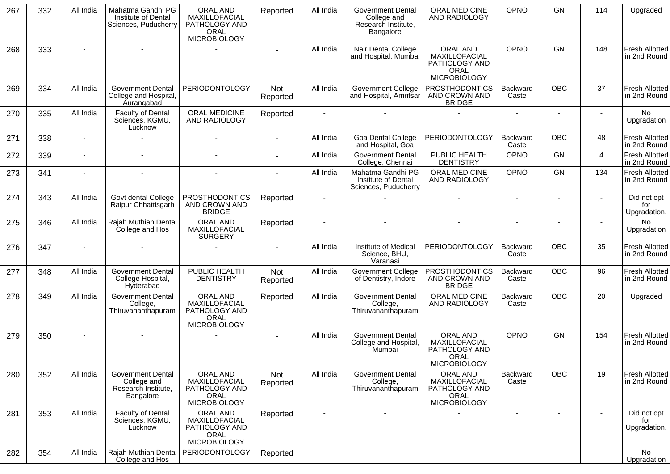| 267 | 332 | All India | Mahatma Gandhi PG<br>Institute of Dental<br>Sciences, Puducherry            | <b>ORAL AND</b><br>MAXILLOFACIAL<br>PATHOLOGY AND<br><b>ORAL</b><br><b>MICROBIOLOGY</b> | Reported        | All India | <b>Government Dental</b><br>College and<br>Research Institute,<br>Bangalore | <b>ORAL MEDICINE</b><br>AND RADIOLOGY                                     | OPNO                     | <b>GN</b>      | 114            | Upgraded                              |
|-----|-----|-----------|-----------------------------------------------------------------------------|-----------------------------------------------------------------------------------------|-----------------|-----------|-----------------------------------------------------------------------------|---------------------------------------------------------------------------|--------------------------|----------------|----------------|---------------------------------------|
| 268 | 333 |           |                                                                             |                                                                                         |                 | All India | Nair Dental College<br>and Hospital, Mumbai                                 | ORAL AND<br>MAXILLOFACIAL<br>PATHOLOGY AND<br>ORAL<br><b>MICROBIOLOGY</b> | OPNO                     | GN             | 148            | <b>Fresh Allotted</b><br>in 2nd Round |
| 269 | 334 | All India | <b>Government Dental</b><br>College and Hospital,<br>Aurangabad             | <b>PERIODONTOLOGY</b>                                                                   | Not<br>Reported | All India | <b>Government College</b><br>and Hospital, Amritsar                         | <b>PROSTHODONTICS</b><br>AND CROWN AND<br><b>BRIDGE</b>                   | Backward<br>Caste        | <b>OBC</b>     | 37             | <b>Fresh Allotted</b><br>in 2nd Round |
| 270 | 335 | All India | <b>Faculty of Dental</b><br>Sciences, KGMU,<br>Lucknow                      | ORAL MEDICINE<br>AND RADIOLOGY                                                          | Reported        |           |                                                                             |                                                                           | $\overline{a}$           |                |                | No<br>Upgradation                     |
| 271 | 338 |           |                                                                             |                                                                                         |                 | All India | <b>Goa Dental College</b><br>and Hospital, Goa                              | PERIODONTOLOGY                                                            | Backward<br>Caste        | OBC            | 48             | <b>Fresh Allotted</b><br>in 2nd Round |
| 272 | 339 | $\sim$    |                                                                             |                                                                                         |                 | All India | <b>Government Dental</b><br>College, Chennai                                | PUBLIC HEALTH<br><b>DENTISTRY</b>                                         | <b>OPNO</b>              | GN             | $\overline{4}$ | <b>Fresh Allotted</b><br>in 2nd Round |
| 273 | 341 |           | $\sim$                                                                      | $\blacksquare$                                                                          |                 | All India | Mahatma Gandhi PG<br>Institute of Dental<br>Sciences, Puducherry            | <b>ORAL MEDICINE</b><br>AND RADIOLOGY                                     | OPNO                     | GN             | 134            | <b>Fresh Allotted</b><br>in 2nd Round |
| 274 | 343 | All India | Govt dental College<br>Raipur Chhattisgarh                                  | <b>PROSTHODONTICS</b><br>AND CROWN AND<br><b>BRIDGE</b>                                 | Reported        |           |                                                                             |                                                                           | $\overline{\phantom{a}}$ | $\blacksquare$ |                | Did not opt<br>for<br>Upgradation.    |
| 275 | 346 | All India | Rajah Muthiah Dental<br>College and Hos                                     | ORAL AND<br><b>MAXILLOFACIAL</b><br><b>SURGERY</b>                                      | Reported        |           |                                                                             | $\sim$                                                                    | $\blacksquare$           |                |                | No.<br>Upgradation                    |
| 276 | 347 |           |                                                                             |                                                                                         |                 | All India | Institute of Medical<br>Science, BHU,<br>Varanasi                           | PERIODONTOLOGY                                                            | Backward<br>Caste        | <b>OBC</b>     | 35             | Fresh Allotted<br>in 2nd Round        |
| 277 | 348 | All India | <b>Government Dental</b><br>College Hospital,<br>Hyderabad                  | PUBLIC HEALTH<br><b>DENTISTRY</b>                                                       | Not<br>Reported | All India | Government College<br>of Dentistry, Indore                                  | <b>PROSTHODONTICS</b><br>AND CROWN AND<br><b>BRIDGE</b>                   | Backward<br>Caste        | <b>OBC</b>     | 96             | <b>Fresh Allotted</b><br>in 2nd Round |
| 278 | 349 | All India | <b>Government Dental</b><br>College,<br>Thiruvananthapuram                  | ORAL AND<br>MAXILLOFACIAL<br>PATHOLOGY AND<br>ORAL<br><b>MICROBIOLOGY</b>               | Reported        | All India | <b>Government Dental</b><br>College,<br>Thiruvananthapuram                  | ORAL MEDICINE<br>AND RADIOLOGY                                            | Backward<br>Caste        | <b>OBC</b>     | 20             | Upgraded                              |
| 279 | 350 |           | $\sim$                                                                      |                                                                                         |                 | All India | <b>Government Dental</b><br>College and Hospital,<br>Mumbai                 | ORAL AND<br>MAXILLOFACIAL<br>PATHOLOGY AND<br>ORAL<br><b>MICROBIOLOGY</b> | <b>OPNO</b>              | GN             | 154            | <b>Fresh Allotted</b><br>in 2nd Round |
| 280 | 352 | All India | <b>Government Dental</b><br>College and<br>Research Institute,<br>Bangalore | ORAL AND<br>MAXILLOFACIAL<br>PATHOLOGY AND<br><b>ORAL</b><br><b>MICROBIOLOGY</b>        | Not<br>Reported | All India | <b>Government Dental</b><br>College,<br>Thiruvananthapuram                  | ORAL AND<br>MAXILLOFACIAL<br>PATHOLOGY AND<br>ORAL<br><b>MICROBIOLOGY</b> | Backward<br>Caste        | <b>OBC</b>     | 19             | <b>Fresh Allotted</b><br>in 2nd Round |
| 281 | 353 | All India | <b>Faculty of Dental</b><br>Sciences, KGMU,<br>Lucknow                      | ORAL AND<br>MAXILLOFACIAL<br>PATHOLOGY AND<br>ORAL<br><b>MICROBIOLOGY</b>               | Reported        |           |                                                                             |                                                                           | $\blacksquare$           |                |                | Did not opt<br>for<br>Upgradation.    |
| 282 | 354 | All India | Rajah Muthiah Dental<br>College and Hos                                     | <b>PERIODONTOLOGY</b>                                                                   | Reported        |           |                                                                             | $\blacksquare$                                                            | $\blacksquare$           |                |                | No<br>Upgradation                     |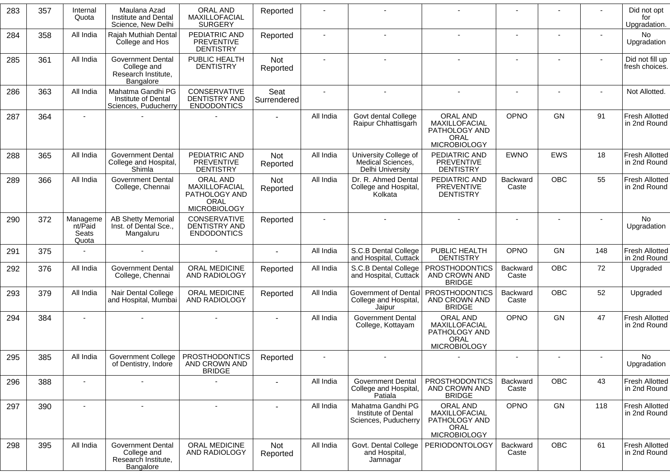| 283 | 357 | Internal<br>Quota                     | Maulana Azad<br>Institute and Dental<br>Science, New Delhi                  | ORAL AND<br>MAXILLOFACIAL<br><b>SURGERY</b>                               | Reported            |           |                                                                  |                                                                                  |                          |            |     | Did not opt<br>for<br>Upgradation.    |
|-----|-----|---------------------------------------|-----------------------------------------------------------------------------|---------------------------------------------------------------------------|---------------------|-----------|------------------------------------------------------------------|----------------------------------------------------------------------------------|--------------------------|------------|-----|---------------------------------------|
| 284 | 358 | All India                             | Rajah Muthiah Dental<br>College and Hos                                     | PEDIATRIC AND<br>PREVENTIVE<br><b>DENTISTRY</b>                           | Reported            |           |                                                                  |                                                                                  |                          |            |     | <b>No</b><br>Upgradation              |
| 285 | 361 | All India                             | <b>Government Dental</b><br>College and<br>Research Institute,<br>Bangalore | PUBLIC HEALTH<br><b>DENTISTRY</b>                                         | Not<br>Reported     |           |                                                                  |                                                                                  | $\sim$                   |            |     | Did not fill up<br>fresh choices.     |
| 286 | 363 | All India                             | Mahatma Gandhi PG<br>Institute of Dental<br>Sciences, Puducherry            | CONSERVATIVE<br><b>DENTISTRY AND</b><br><b>ENDODONTICS</b>                | Seat<br>Surrendered |           |                                                                  |                                                                                  |                          |            |     | Not Allotted.                         |
| 287 | 364 |                                       |                                                                             |                                                                           |                     | All India | Govt dental College<br>Raipur Chhattisgarh                       | ORAL AND<br>MAXILLOFACIAL<br>PATHOLOGY AND<br>ORAL<br><b>MICROBIOLOGY</b>        | <b>OPNO</b>              | <b>GN</b>  | 91  | Fresh Allotted<br>in 2nd Round        |
| 288 | 365 | All India                             | <b>Government Dental</b><br>College and Hospital,<br>Shimla                 | PEDIATRIC AND<br>PREVENTIVE<br><b>DENTISTRY</b>                           | Not<br>Reported     | All India | University College of<br>Medical Sciences,<br>Delhi University   | PEDIATRIC AND<br><b>PREVENTIVE</b><br><b>DENTISTRY</b>                           | <b>EWNO</b>              | <b>EWS</b> | 18  | <b>Fresh Allotted</b><br>in 2nd Round |
| 289 | 366 | All India                             | <b>Government Dental</b><br>College, Chennai                                | ORAL AND<br>MAXILLOFACIAL<br>PATHOLOGY AND<br>ORAL<br><b>MICROBIOLOGY</b> | Not<br>Reported     | All India | Dr. R. Ahmed Dental<br>College and Hospital,<br>Kolkata          | PEDIATRIC AND<br><b>PREVENTIVE</b><br><b>DENTISTRY</b>                           | <b>Backward</b><br>Caste | <b>OBC</b> | 55  | <b>Fresh Allotted</b><br>in 2nd Round |
| 290 | 372 | Manageme<br>nt/Paid<br>Seats<br>Quota | <b>AB Shetty Memorial</b><br>Inst. of Dental Sce.,<br>Mangaluru             | CONSERVATIVE<br><b>DENTISTRY AND</b><br><b>ENDODONTICS</b>                | Reported            |           |                                                                  |                                                                                  | $\blacksquare$           |            |     | No<br>Upgradation                     |
| 291 | 375 |                                       |                                                                             |                                                                           | $\sim$              | All India | S.C.B Dental College<br>and Hospital, Cuttack                    | PUBLIC HEALTH<br><b>DENTISTRY</b>                                                | <b>OPNO</b>              | <b>GN</b>  | 148 | <b>Fresh Allotted</b><br>in 2nd Round |
| 292 | 376 | All India                             | <b>Government Dental</b><br>College, Chennai                                | ORAL MEDICINE<br>AND RADIOLOGY                                            | Reported            | All India | S.C.B Dental College<br>and Hospital, Cuttack                    | PROSTHODONTICS<br>AND CROWN AND<br><b>BRIDGE</b>                                 | Backward<br>Caste        | OBC        | 72  | Upgraded                              |
| 293 | 379 | All India                             | Nair Dental College<br>and Hospital, Mumbai                                 | ORAL MEDICINE<br>AND RADIOLOGY                                            | Reported            | All India | Government of Dental<br>College and Hospital,<br>Jaipur          | PROSTHODONTICS<br>AND CROWN AND<br><b>BRIDGE</b>                                 | Backward<br>Caste        | <b>OBC</b> | 52  | Upgraded                              |
| 294 | 384 |                                       |                                                                             |                                                                           |                     | All India | <b>Government Dental</b><br>College, Kottayam                    | ORAL AND<br>MAXILLOFACIAL<br>PATHOLOGY AND<br>ORAL<br><b>MICROBIOLOGY</b>        | <b>OPNO</b>              | <b>GN</b>  | 47  | <b>Fresh Allotted</b><br>in 2nd Round |
| 295 | 385 | All India                             | Government College<br>of Dentistry, Indore                                  | <b>PROSTHODONTICS</b><br>AND CROWN AND<br><b>BRIDGE</b>                   | Reported            |           |                                                                  |                                                                                  |                          |            |     | No<br>Upgradation                     |
| 296 | 388 | $\sim$                                |                                                                             |                                                                           |                     | All India | <b>Government Dental</b><br>College and Hospital,<br>Patiala     | PROSTHODONTICS<br>AND CROWN AND<br><b>BRIDGE</b>                                 | Backward<br>Caste        | OBC        | 43  | <b>Fresh Allotted</b><br>in 2nd Round |
| 297 | 390 |                                       |                                                                             |                                                                           |                     | All India | Mahatma Gandhi PG<br>Institute of Dental<br>Sciences, Puducherry | ORAL AND<br>MAXILLOFACIAL<br>PATHOLOGY AND<br><b>ORAL</b><br><b>MICROBIOLOGY</b> | <b>OPNO</b>              | GN         | 118 | <b>Fresh Allotted</b><br>in 2nd Round |
| 298 | 395 | All India                             | <b>Government Dental</b><br>College and<br>Research Institute,<br>Bangalore | ORAL MEDICINE<br>AND RADIOLOGY                                            | Not<br>Reported     | All India | Govt. Dental College<br>and Hospital,<br>Jamnagar                | PERIODONTOLOGY                                                                   | Backward<br>Caste        | OBC        | 61  | <b>Fresh Allotted</b><br>in 2nd Round |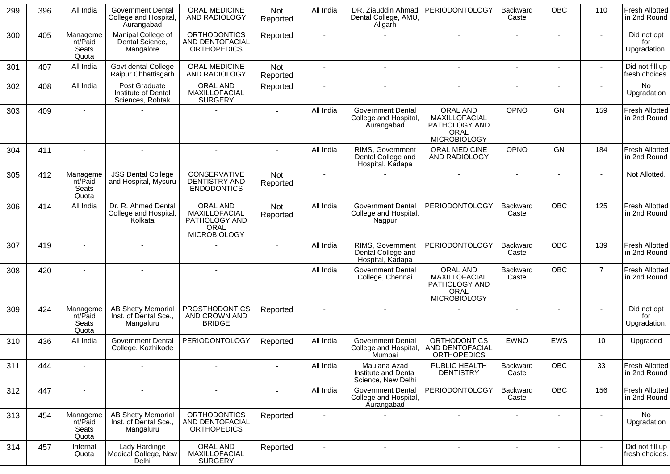| 299 | 396 | All India                             | <b>Government Dental</b><br>College and Hospital,<br><b>Aurangabad</b> | ORAL MEDICINE<br>AND RADIOLOGY                                            | <b>Not</b><br>Reported | All India      | DR. Ziauddin Ahmad<br>Dental College, AMU,<br>Aligarh           | PERIODONTOLOGY                                                            | Backward<br>Caste        | <b>OBC</b>     | 110            | <b>Fresh Allotted</b><br>in 2nd Round |
|-----|-----|---------------------------------------|------------------------------------------------------------------------|---------------------------------------------------------------------------|------------------------|----------------|-----------------------------------------------------------------|---------------------------------------------------------------------------|--------------------------|----------------|----------------|---------------------------------------|
| 300 | 405 | Manageme<br>nt/Paid<br>Seats<br>Quota | Manipal College of<br>Dental Science,<br>Mangalore                     | <b>ORTHODONTICS</b><br>AND DENTOFACIAL<br><b>ORTHOPEDICS</b>              | Reported               |                |                                                                 |                                                                           |                          |                |                | Did not opt<br>for<br>Upgradation.    |
| 301 | 407 | All India                             | Govt dental College<br>Raipur Chhattisgarh                             | ORAL MEDICINE<br>AND RADIOLOGY                                            | Not<br>Reported        |                |                                                                 |                                                                           |                          |                |                | Did not fill up<br>fresh choices.     |
| 302 | 408 | All India                             | Post Graduate<br>Institute of Dental<br>Sciences, Rohtak               | <b>ORAL AND</b><br>MAXILLOFACIAL<br><b>SURGERY</b>                        | Reported               |                |                                                                 |                                                                           |                          |                |                | No<br>Upgradation                     |
| 303 | 409 |                                       |                                                                        |                                                                           | $\blacksquare$         | All India      | <b>Government Dental</b><br>College and Hospital,<br>Aurangabad | ORAL AND<br>MAXILLOFACIAL<br>PATHOLOGY AND<br>ORAL<br><b>MICROBIOLOGY</b> | <b>OPNO</b>              | <b>GN</b>      | 159            | <b>Fresh Allotted</b><br>in 2nd Round |
| 304 | 411 |                                       |                                                                        |                                                                           |                        | All India      | RIMS, Government<br>Dental College and<br>Hospital, Kadapa      | <b>ORAL MEDICINE</b><br>AND RADIOLOGY                                     | OPNO                     | <b>GN</b>      | 184            | <b>Fresh Allotted</b><br>in 2nd Round |
| 305 | 412 | Manageme<br>nt/Paid<br>Seats<br>Quota | <b>JSS Dental College</b><br>and Hospital, Mysuru                      | CONSERVATIVE<br><b>DENTISTRY AND</b><br><b>ENDODONTICS</b>                | Not<br>Reported        | $\sim$         |                                                                 |                                                                           | $\sim$                   |                |                | Not Allotted.                         |
| 306 | 414 | All India                             | Dr. R. Ahmed Dental<br>College and Hospital,<br>Kolkata                | ORAL AND<br>MAXILLOFACIAL<br>PATHOLOGY AND<br>ORAL<br><b>MICROBIOLOGY</b> | Not<br>Reported        | All India      | <b>Government Dental</b><br>College and Hospital,<br>Nagpur     | PERIODONTOLOGY                                                            | Backward<br>Caste        | <b>OBC</b>     | 125            | <b>Fresh Allotted</b><br>in 2nd Round |
| 307 | 419 |                                       |                                                                        |                                                                           |                        | All India      | RIMS, Government<br>Dental College and<br>Hospital, Kadapa      | PERIODONTOLOGY                                                            | Backward<br>Caste        | <b>OBC</b>     | 139            | <b>Fresh Allotted</b><br>in 2nd Round |
| 308 | 420 |                                       |                                                                        |                                                                           |                        | All India      | <b>Government Dental</b><br>College, Chennai                    | ORAL AND<br>MAXILLOFACIAL<br>PATHOLOGY AND<br>ORAL<br><b>MICROBIOLOGY</b> | <b>Backward</b><br>Caste | <b>OBC</b>     | $\overline{7}$ | <b>Fresh Allotted</b><br>in 2nd Round |
| 309 | 424 | Manageme<br>nt/Paid<br>Seats<br>Quota | <b>AB Shetty Memorial</b><br>Inst. of Dental Sce.,<br>Mangaluru        | <b>PROSTHODONTICS</b><br>AND CROWN AND<br><b>BRIDGE</b>                   | Reported               |                |                                                                 |                                                                           |                          |                |                | Did not opt<br>for<br>Upgradation.    |
| 310 | 436 | All India                             | <b>Government Dental</b><br>College, Kozhikode                         | PERIODONTOLOGY                                                            | Reported               | All India      | <b>Government Dental</b><br>College and Hospital,<br>Mumbai     | <b>ORTHODONTICS</b><br>AND DENTOFACIAL<br><b>ORTHOPEDICS</b>              | <b>EWNO</b>              | <b>EWS</b>     | 10             | Upgraded                              |
| 311 | 444 |                                       |                                                                        |                                                                           |                        | All India      | Maulana Azad<br>Institute and Dental<br>Science, New Delhi      | PUBLIC HEALTH<br><b>DENTISTRY</b>                                         | Backward<br>Caste        | OBC            | 33             | Fresh Allotted<br>in 2nd Round        |
| 312 | 447 |                                       |                                                                        |                                                                           |                        | All India      | <b>Government Dental</b><br>College and Hospital,<br>Aurangabad | PERIODONTOLOGY                                                            | Backward<br>Caste        | OBC            | 156            | <b>Fresh Allotted</b><br>in 2nd Round |
| 313 | 454 | Manageme<br>nt/Paid<br>Seats<br>Quota | <b>AB Shetty Memorial</b><br>Inst. of Dental Sce.,<br>Mangaluru        | <b>ORTHODONTICS</b><br>AND DENTOFACIAL<br><b>ORTHOPEDICS</b>              | Reported               |                |                                                                 |                                                                           |                          |                |                | No<br>Upgradation                     |
| 314 | 457 | Internal<br>Quota                     | Lady Hardinge<br>Medical College, New<br>Delhi                         | ORAL AND<br>MAXILLOFACIAL<br><b>SURGERY</b>                               | Reported               | $\blacksquare$ | $\sim$                                                          | $\blacksquare$                                                            | $\overline{\phantom{a}}$ | $\blacksquare$ | $\blacksquare$ | Did not fill up<br>fresh choices.     |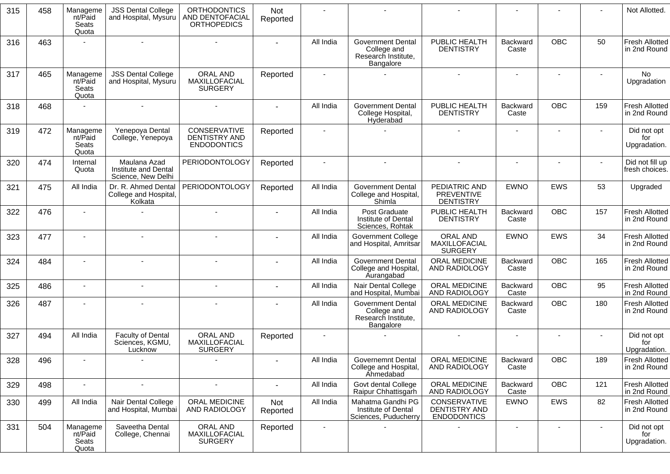| 315 | 458 | Manageme<br>nt/Paid<br>Seats<br>Quota | <b>JSS Dental College</b><br>and Hospital, Mysuru          | <b>ORTHODONTICS</b><br><b>AND DENTOFACIAL</b><br><b>ORTHOPEDICS</b> | Not<br>Reported |           |                                                                             |                                                        |                   |                |        | Not Allotted.                         |
|-----|-----|---------------------------------------|------------------------------------------------------------|---------------------------------------------------------------------|-----------------|-----------|-----------------------------------------------------------------------------|--------------------------------------------------------|-------------------|----------------|--------|---------------------------------------|
| 316 | 463 |                                       |                                                            |                                                                     |                 | All India | <b>Government Dental</b><br>College and<br>Research Institute,<br>Bangalore | PUBLIC HEALTH<br><b>DENTISTRY</b>                      | Backward<br>Caste | <b>OBC</b>     | 50     | <b>Fresh Allotted</b><br>in 2nd Round |
| 317 | 465 | Manageme<br>nt/Paid<br>Seats<br>Quota | <b>JSS Dental College</b><br>and Hospital, Mysuru          | <b>ORAL AND</b><br>MAXILLOFACIAL<br><b>SURGERY</b>                  | Reported        |           |                                                                             | $\sim$                                                 | $\sim$            | $\sim$         | $\sim$ | No<br>Upgradation                     |
| 318 | 468 |                                       | $\sim$                                                     |                                                                     |                 | All India | <b>Government Dental</b><br>College Hospital,<br>Hyderabad                  | PUBLIC HEALTH<br><b>DENTISTRY</b>                      | Backward<br>Caste | <b>OBC</b>     | 159    | <b>Fresh Allotted</b><br>in 2nd Round |
| 319 | 472 | Manageme<br>nt/Paid<br>Seats<br>Quota | Yenepoya Dental<br>College, Yenepoya                       | CONSERVATIVE<br>DENTISTRY AND<br><b>ENDODONTICS</b>                 | Reported        |           |                                                                             |                                                        | $\blacksquare$    | $\blacksquare$ |        | Did not opt<br>for<br>Upgradation.    |
| 320 | 474 | Internal<br>Quota                     | Maulana Azad<br>Institute and Dental<br>Science, New Delhi | <b>PERIODONTOLOGY</b>                                               | Reported        |           |                                                                             |                                                        |                   |                |        | Did not fill up<br>fresh choices.     |
| 321 | 475 | All India                             | Dr. R. Ahmed Dental<br>College and Hospital,<br>Kolkata    | <b>PERIODONTOLOGY</b>                                               | Reported        | All India | <b>Government Dental</b><br>College and Hospital,<br>Shimla                 | PEDIATRIC AND<br><b>PREVENTIVE</b><br><b>DENTISTRY</b> | <b>EWNO</b>       | <b>EWS</b>     | 53     | Upgraded                              |
| 322 | 476 | $\overline{\phantom{a}}$              |                                                            | $\sim$                                                              |                 | All India | Post Graduate<br>Institute of Dental<br>Sciences, Rohtak                    | PUBLIC HEALTH<br><b>DENTISTRY</b>                      | Backward<br>Caste | <b>OBC</b>     | 157    | <b>Fresh Allotted</b><br>in 2nd Round |
| 323 | 477 | $\overline{\phantom{a}}$              |                                                            |                                                                     |                 | All India | <b>Government College</b><br>and Hospital, Amritsar                         | <b>ORAL AND</b><br>MAXILLOFACIAL<br><b>SURGERY</b>     | <b>EWNO</b>       | <b>EWS</b>     | 34     | <b>Fresh Allotted</b><br>in 2nd Round |
| 324 | 484 |                                       |                                                            |                                                                     |                 | All India | <b>Government Dental</b><br>College and Hospital,<br>Aurangabad             | ORAL MEDICINE<br>AND RADIOLOGY                         | Backward<br>Caste | <b>OBC</b>     | 165    | <b>Fresh Allotted</b><br>in 2nd Round |
| 325 | 486 | $\blacksquare$                        |                                                            |                                                                     |                 | All India | Nair Dental College<br>and Hospital, Mumbai                                 | ORAL MEDICINE<br>AND RADIOLOGY                         | Backward<br>Caste | <b>OBC</b>     | 95     | <b>Fresh Allotted</b><br>in 2nd Round |
| 326 | 487 | $\blacksquare$                        |                                                            |                                                                     |                 | All India | <b>Government Dental</b><br>College and<br>Research Institute,<br>Bangalore | <b>ORAL MEDICINE</b><br>AND RADIOLOGY                  | Backward<br>Caste | <b>OBC</b>     | 180    | <b>Fresh Allotted</b><br>in 2nd Round |
| 327 | 494 | All India                             | <b>Faculty of Dental</b><br>Sciences, KGMU,<br>Lucknow     | ORAL AND<br>MAXILLOFACIAL<br><b>SURGERY</b>                         | Reported        |           |                                                                             |                                                        | $\blacksquare$    |                |        | Did not opt<br>for<br>Upgradation.    |
| 328 | 496 |                                       |                                                            |                                                                     |                 | All India | Governemnt Dental<br>College and Hospital,<br><b>Ahmedabad</b>              | ORAL MEDICINE<br>AND RADIOLOGY                         | Backward<br>Caste | OBC            | 189    | Fresh Allotted<br>in 2nd Round        |
| 329 | 498 | $\blacksquare$                        | $\blacksquare$                                             | $\mathbf{r}$                                                        |                 | All India | Govt dental College<br>Raipur Chhattisgarh                                  | ORAL MEDICINE<br>AND RADIOLOGY                         | Backward<br>Caste | <b>OBC</b>     | 121    | <b>Fresh Allotted</b><br>in 2nd Round |
| 330 | 499 | All India                             | Nair Dental College<br>and Hospital, Mumbai                | ORAL MEDICINE<br>AND RADIOLOGY                                      | Not<br>Reported | All India | Mahatma Gandhi PG<br>Institute of Dental<br>Sciences, Puducherry            | CONSERVATIVE<br>DENTISTRY AND<br><b>ENDODONTICS</b>    | <b>EWNO</b>       | EWS            | 82     | <b>Fresh Allotted</b><br>in 2nd Round |
| 331 | 504 | Manageme<br>nt/Paid<br>Seats<br>Quota | Saveetha Dental<br>College, Chennai                        | ORAL AND<br>MAXILLOFACIAL<br><b>SURGERY</b>                         | Reported        | $\sim$    |                                                                             |                                                        |                   |                | $\sim$ | Did not opt<br>for<br>Upgradation.    |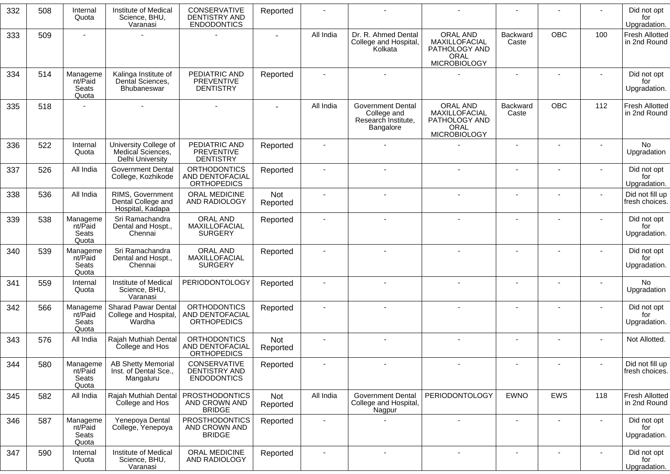| 332 | 508 | Internal<br>Quota                            | Institute of Medical<br>Science, BHU,<br>Varanasi                     | CONSERVATIVE<br><b>DENTISTRY AND</b><br><b>ENDODONTICS</b>   | Reported        |           |                                                                             |                                                                                  |                          |            |     | Did not opt<br>for<br>Upgradation.    |
|-----|-----|----------------------------------------------|-----------------------------------------------------------------------|--------------------------------------------------------------|-----------------|-----------|-----------------------------------------------------------------------------|----------------------------------------------------------------------------------|--------------------------|------------|-----|---------------------------------------|
| 333 | 509 |                                              |                                                                       |                                                              |                 | All India | Dr. R. Ahmed Dental<br>College and Hospital,<br>Kolkata                     | ORAL AND<br>MAXILLOFACIAL<br>PATHOLOGY AND<br>ORAL<br><b>MICROBIOLOGY</b>        | <b>Backward</b><br>Caste | <b>OBC</b> | 100 | <b>Fresh Allotted</b><br>in 2nd Round |
| 334 | 514 | Manageme<br>nt/Paid<br>Seats<br>Quota        | Kalinga Institute of<br>Dental Sciences,<br>Bhubaneswar               | PEDIATRIC AND<br><b>PREVENTIVE</b><br><b>DENTISTRY</b>       | Reported        |           |                                                                             |                                                                                  | $\overline{\phantom{a}}$ |            |     | Did not opt<br>for<br>Upgradation.    |
| 335 | 518 |                                              |                                                                       |                                                              |                 | All India | <b>Government Dental</b><br>College and<br>Research Institute,<br>Bangalore | ORAL AND<br>MAXILLOFACIAL<br>PATHOLOGY AND<br><b>ORAL</b><br><b>MICROBIOLOGY</b> | Backward<br>Caste        | <b>OBC</b> | 112 | <b>Fresh Allotted</b><br>in 2nd Round |
| 336 | 522 | Internal<br>Quota                            | University College of<br>Medical Sciences,<br><b>Delhi University</b> | PEDIATRIC AND<br><b>PREVENTIVE</b><br><b>DENTISTRY</b>       | Reported        |           |                                                                             |                                                                                  |                          |            |     | No<br>Upgradation                     |
| 337 | 526 | All India                                    | <b>Government Dental</b><br>College, Kozhikode                        | <b>ORTHODONTICS</b><br>AND DENTOFACIAL<br><b>ORTHOPEDICS</b> | Reported        |           |                                                                             |                                                                                  |                          |            |     | Did not opt<br>for<br>Upgradation.    |
| 338 | 536 | All India                                    | RIMS, Government<br>Dental College and<br>Hospital, Kadapa            | <b>ORAL MEDICINE</b><br>AND RADIOLOGY                        | Not<br>Reported |           |                                                                             |                                                                                  | $\overline{\phantom{a}}$ |            |     | Did not fill up<br>fresh choices.     |
| 339 | 538 | Manageme<br>nt/Paid<br><b>Seats</b><br>Quota | Sri Ramachandra<br>Dental and Hospt.,<br>Chennai                      | ORAL AND<br>MAXILLOFACIAL<br><b>SURGERY</b>                  | Reported        |           |                                                                             |                                                                                  | $\overline{a}$           |            |     | Did not opt<br>for<br>Upgradation.    |
| 340 | 539 | Manageme<br>nt/Paid<br>Seats<br>Quota        | Sri Ramachandra<br>Dental and Hospt.,<br>Chennai                      | <b>ORAL AND</b><br>MAXILLOFACIAL<br><b>SURGERY</b>           | Reported        |           |                                                                             |                                                                                  |                          |            |     | Did not opt<br>for<br>Upgradation.    |
| 341 | 559 | Internal<br>Quota                            | Institute of Medical<br>Science, BHU,<br>Varanasi                     | <b>PERIODONTOLOGY</b>                                        | Reported        |           |                                                                             |                                                                                  |                          |            |     | No<br>Upgradation                     |
| 342 | 566 | Manageme<br>nt/Paid<br>Seats<br>Quota        | <b>Sharad Pawar Dental</b><br>College and Hospital,<br>Wardha         | <b>ORTHODONTICS</b><br>AND DENTOFACIAL<br><b>ORTHOPEDICS</b> | Reported        |           |                                                                             |                                                                                  |                          |            |     | Did not opt<br>for<br>Upgradation.    |
| 343 | 576 | All India                                    | Rajah Muthiah Dental<br>College and Hos                               | <b>ORTHODONTICS</b><br>AND DENTOFACIAL<br><b>ORTHOPEDICS</b> | Not<br>Reported |           |                                                                             |                                                                                  |                          |            |     | Not Allotted.                         |
| 344 | 580 | Manageme<br>nt/Paid<br>Seats<br>Quota        | <b>AB Shetty Memorial</b><br>Inst. of Dental Sce.,<br>Mangaluru       | CONSERVATIVE<br><b>DENTISTRY AND</b><br><b>ENDODONTICS</b>   | Reported        |           |                                                                             |                                                                                  | $\overline{\phantom{a}}$ |            |     | Did not fill up<br>fresh choices.     |
| 345 | 582 | All India                                    | Rajah Muthiah Dental<br>College and Hos                               | <b>PROSTHODONTICS</b><br>AND CROWN AND<br><b>BRIDGE</b>      | Not<br>Reported | All India | <b>Government Dental</b><br>College and Hospital,<br>Nagpur                 | PERIODONTOLOGY                                                                   | <b>EWNO</b>              | EWS        | 118 | Fresh Allotted<br>in 2nd Round        |
| 346 | 587 | Manageme<br>nt/Paid<br>Seats<br>Quota        | Yenepoya Dental<br>College, Yenepoya                                  | <b>PROSTHODONTICS</b><br>AND CROWN AND<br><b>BRIDGE</b>      | Reported        |           |                                                                             |                                                                                  | $\blacksquare$           |            |     | Did not opt<br>for<br>Upgradation.    |
| 347 | 590 | Internal<br>Quota                            | Institute of Medical<br>Science, BHU,<br>Varanasi                     | ORAL MEDICINE<br>AND RADIOLOGY                               | Reported        |           |                                                                             | $\sim$                                                                           | $\overline{\phantom{a}}$ |            |     | Did not opt<br>for<br>Upgradation.    |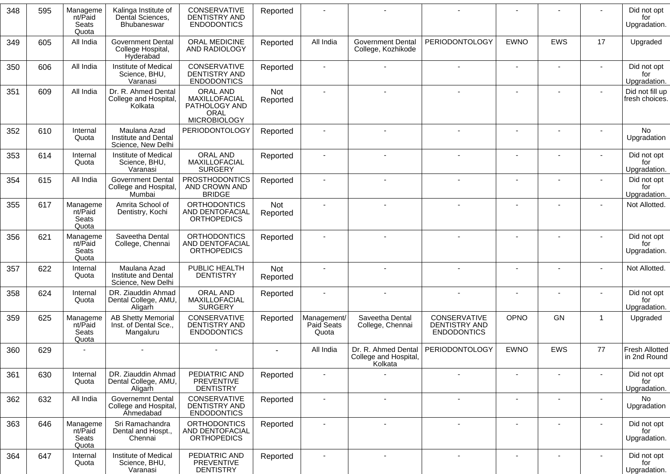| 348 | 595 | Manageme<br>nt/Paid<br>Seats<br>Quota | Kalinga Institute of<br>Dental Sciences,<br>Bhubaneswar         | CONSERVATIVE<br><b>DENTISTRY AND</b><br><b>ENDODONTICS</b>                | Reported        |                                    |                                                         |                                                     |                |            |                | Did not opt<br>for<br>Upgradation.    |
|-----|-----|---------------------------------------|-----------------------------------------------------------------|---------------------------------------------------------------------------|-----------------|------------------------------------|---------------------------------------------------------|-----------------------------------------------------|----------------|------------|----------------|---------------------------------------|
| 349 | 605 | All India                             | <b>Government Dental</b><br>College Hospital,<br>Hyderabad      | ORAL MEDICINE<br>AND RADIOLOGY                                            | Reported        | All India                          | <b>Government Dental</b><br>College, Kozhikode          | PERIODONTOLOGY                                      | <b>EWNO</b>    | <b>EWS</b> | 17             | Upgraded                              |
| 350 | 606 | All India                             | Institute of Medical<br>Science, BHU,<br>Varanasi               | CONSERVATIVE<br>DENTISTRY AND<br><b>ENDODONTICS</b>                       | Reported        |                                    |                                                         |                                                     |                | ٠          | $\blacksquare$ | Did not opt<br>for<br>Upgradation.    |
| 351 | 609 | All India                             | Dr. R. Ahmed Dental<br>College and Hospital,<br>Kolkata         | ORAL AND<br>MAXILLOFACIAL<br>PATHOLOGY AND<br>ORAL<br><b>MICROBIOLOGY</b> | Not<br>Reported |                                    |                                                         |                                                     |                |            |                | Did not fill up<br>fresh choices.     |
| 352 | 610 | Internal<br>Quota                     | Maulana Azad<br>Institute and Dental<br>Science, New Delhi      | <b>PERIODONTOLOGY</b>                                                     | Reported        |                                    |                                                         |                                                     |                |            |                | No<br>Upgradation                     |
| 353 | 614 | Internal<br>Quota                     | Institute of Medical<br>Science, BHU,<br>Varanasi               | ORAL AND<br>MAXILLOFACIAL<br><b>SURGERY</b>                               | Reported        |                                    |                                                         |                                                     |                |            |                | Did not opt<br>for<br>Upgradation.    |
| 354 | 615 | All India                             | <b>Government Dental</b><br>College and Hospital,<br>Mumbai     | <b>PROSTHODONTICS</b><br>AND CROWN AND<br><b>BRIDGE</b>                   | Reported        |                                    |                                                         |                                                     |                |            | -              | Did not opt<br>for<br>Upgradation.    |
| 355 | 617 | Manageme<br>nt/Paid<br>Seats<br>Quota | Amrita School of<br>Dentistry, Kochi                            | <b>ORTHODONTICS</b><br><b>AND DENTOFACIAL</b><br><b>ORTHOPEDICS</b>       | Not<br>Reported |                                    |                                                         |                                                     |                |            |                | Not Allotted.                         |
| 356 | 621 | Manageme<br>nt/Paid<br>Seats<br>Quota | Saveetha Dental<br>College, Chennai                             | <b>ORTHODONTICS</b><br>AND DENTOFACIAL<br><b>ORTHOPEDICS</b>              | Reported        |                                    |                                                         |                                                     |                |            |                | Did not opt<br>for<br>Upgradation.    |
| 357 | 622 | Internal<br>Quota                     | Maulana Azad<br>Institute and Dental<br>Science, New Delhi      | PUBLIC HEALTH<br><b>DENTISTRY</b>                                         | Not<br>Reported |                                    |                                                         |                                                     |                |            |                | Not Allotted.                         |
| 358 | 624 | Internal<br>Quota                     | DR. Ziauddin Ahmad<br>Dental College, AMU,<br>Aligarh           | ORAL AND<br>MAXILLOFACIAL<br><b>SURGERY</b>                               | Reported        |                                    |                                                         |                                                     |                |            |                | Did not opt<br>for<br>Upgradation.    |
| 359 | 625 | Manageme<br>nt/Paid<br>Seats<br>Quota | <b>AB Shetty Memorial</b><br>Inst. of Dental Sce.,<br>Mangaluru | CONSERVATIVE<br>DENTISTRY AND<br><b>ENDODONTICS</b>                       | Reported        | Management/<br>Paid Seats<br>Quota | Saveetha Dental<br>College, Chennai                     | CONSERVATIVE<br>DENTISTRY AND<br><b>ENDODONTICS</b> | OPNO           | <b>GN</b>  | -1             | Upgraded                              |
| 360 | 629 |                                       |                                                                 |                                                                           |                 | All India                          | Dr. R. Ahmed Dental<br>College and Hospital,<br>Kolkata | PERIODONTOLOGY                                      | <b>EWNO</b>    | <b>EWS</b> | 77             | <b>Fresh Allotted</b><br>in 2nd Round |
| 361 | 630 | Internal<br>Quota                     | DR. Ziauddin Ahmad<br>Dental College, AMU,<br>Aligarh           | PEDIATRIC AND<br><b>PREVENTIVE</b><br><b>DENTISTRY</b>                    | Reported        |                                    |                                                         |                                                     |                |            |                | Did not opt<br>for<br>Upgradation.    |
| 362 | 632 | All India                             | Governemnt Dental<br>College and Hospital,<br><b>Ahmedabad</b>  | CONSERVATIVE<br>DENTISTRY AND<br><b>ENDODONTICS</b>                       | Reported        |                                    | $\blacksquare$                                          | $\blacksquare$                                      | $\blacksquare$ | ۰          |                | No<br>Upgradation                     |
| 363 | 646 | Manageme<br>nt/Paid<br>Seats<br>Quota | Sri Ramachandra<br>Dental and Hospt.,<br>Chennai                | <b>ORTHODONTICS</b><br>AND DENTOFACIAL<br><b>ORTHOPEDICS</b>              | Reported        |                                    | $\blacksquare$                                          | $\overline{\phantom{a}}$                            |                | ٠          | -              | Did not opt<br>for<br>Upgradation.    |
| 364 | 647 | Internal<br>Quota                     | Institute of Medical<br>Science, BHU,<br>Varanasi               | PEDIATRIC AND<br><b>PREVENTIVE</b><br><b>DENTISTRY</b>                    | Reported        |                                    | $\blacksquare$                                          | ÷                                                   |                |            |                | Did not opt<br>for<br>Upgradation.    |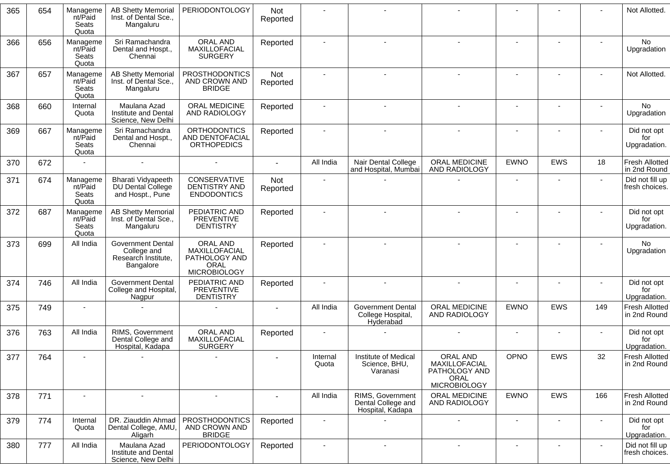| 365 | 654 | Manageme<br>nt/Paid<br>Seats<br>Quota | <b>AB Shetty Memorial</b><br>Inst. of Dental Sce.,<br>Mangaluru             | <b>PERIODONTOLOGY</b>                                                            | <b>Not</b><br>Reported |                          |                                                            |                                                                                  |                          |                |                          | Not Allotted.                         |
|-----|-----|---------------------------------------|-----------------------------------------------------------------------------|----------------------------------------------------------------------------------|------------------------|--------------------------|------------------------------------------------------------|----------------------------------------------------------------------------------|--------------------------|----------------|--------------------------|---------------------------------------|
| 366 | 656 | Manageme<br>nt/Paid<br>Seats<br>Quota | Sri Ramachandra<br>Dental and Hospt.,<br>Chennai                            | ORAL AND<br>MAXILLOFACIAL<br><b>SURGERY</b>                                      | Reported               |                          |                                                            |                                                                                  |                          |                |                          | No<br>Upgradation                     |
| 367 | 657 | Manageme<br>nt/Paid<br>Seats<br>Quota | <b>AB Shetty Memorial</b><br>Inst. of Dental Sce<br>Mangaluru               | <b>PROSTHODONTICS</b><br>AND CROWN AND<br><b>BRIDGE</b>                          | Not<br>Reported        |                          |                                                            |                                                                                  |                          |                | $\blacksquare$           | Not Allotted.                         |
| 368 | 660 | Internal<br>Quota                     | Maulana Azad<br>Institute and Dental<br>Science, New Delhi                  | ORAL MEDICINE<br>AND RADIOLOGY                                                   | Reported               |                          |                                                            |                                                                                  | $\blacksquare$           |                |                          | <b>No</b><br>Upgradation              |
| 369 | 667 | Manageme<br>nt/Paid<br>Seats<br>Quota | Sri Ramachandra<br>Dental and Hospt.,<br>Chennai                            | <b>ORTHODONTICS</b><br><b>AND DENTOFACIAL</b><br><b>ORTHOPEDICS</b>              | Reported               |                          |                                                            |                                                                                  |                          |                |                          | Did not opt<br>for<br>Upgradation.    |
| 370 | 672 |                                       |                                                                             | $\sim$                                                                           |                        | All India                | Nair Dental College<br>and Hospital, Mumbai                | ORAL MEDICINE<br>AND RADIOLOGY                                                   | <b>EWNO</b>              | EWS            | 18                       | <b>Fresh Allotted</b><br>in 2nd Round |
| 371 | 674 | Manageme<br>nt/Paid<br>Seats<br>Quota | Bharati Vidyapeeth<br>DU Dental College<br>and Hospt., Pune                 | CONSERVATIVE<br><b>DENTISTRY AND</b><br><b>ENDODONTICS</b>                       | <b>Not</b><br>Reported |                          |                                                            |                                                                                  |                          |                |                          | Did not fill up<br>fresh choices.     |
| 372 | 687 | Manageme<br>nt/Paid<br>Seats<br>Quota | <b>AB Shetty Memorial</b><br>Inst. of Dental Sce.,<br>Mangaluru             | PEDIATRIC AND<br><b>PREVENTIVE</b><br><b>DENTISTRY</b>                           | Reported               |                          |                                                            |                                                                                  |                          |                |                          | Did not opt<br>for<br>Upgradation.    |
| 373 | 699 | All India                             | <b>Government Dental</b><br>College and<br>Research Institute,<br>Bangalore | ORAL AND<br>MAXILLOFACIAL<br>PATHOLOGY AND<br><b>ORAL</b><br><b>MICROBIOLOGY</b> | Reported               |                          |                                                            |                                                                                  |                          |                |                          | No<br>Upgradation                     |
| 374 | 746 | All India                             | <b>Government Dental</b><br>College and Hospital,<br>Nagpur                 | PEDIATRIC AND<br><b>PREVENTIVE</b><br><b>DENTISTRY</b>                           | Reported               |                          | $\sim$                                                     | $\blacksquare$                                                                   | $\overline{\phantom{a}}$ | ۰              |                          | Did not opt<br>for<br>Upgradation.    |
| 375 | 749 |                                       |                                                                             |                                                                                  |                        | All India                | <b>Government Dental</b><br>College Hospital,<br>Hyderabad | <b>ORAL MEDICINE</b><br>AND RADIOLOGY                                            | <b>EWNO</b>              | <b>EWS</b>     | 149                      | <b>Fresh Allotted</b><br>in 2nd Round |
| 376 | 763 | All India                             | RIMS, Government<br>Dental College and<br>Hospital, Kadapa                  | ORAL AND<br>MAXILLOFACIAL<br><b>SURGERY</b>                                      | Reported               | $\blacksquare$           |                                                            |                                                                                  | $\sim$                   | $\blacksquare$ | $\blacksquare$           | Did not opt<br>for<br>Upgradation.    |
| 377 | 764 |                                       |                                                                             |                                                                                  |                        | Internal<br>Quota        | Institute of Medical<br>Science, BHU,<br>Varanasi          | <b>ORAL AND</b><br>MAXILLOFACIAL<br>PATHOLOGY AND<br>ORAL<br><b>MICROBIOLOGY</b> | OPNO                     | <b>EWS</b>     | 32                       | <b>Fresh Allotted</b><br>in 2nd Round |
| 378 | 771 |                                       |                                                                             | $\blacksquare$                                                                   |                        | All India                | RIMS, Government<br>Dental College and<br>Hospital, Kadapa | ORAL MEDICINE<br>AND RADIOLOGY                                                   | <b>EWNO</b>              | EWS            | 166                      | <b>Fresh Allotted</b><br>in 2nd Round |
| 379 | 774 | Internal<br>Quota                     | DR. Ziauddin Ahmad<br>Dental College, AMU,<br>Aligarh                       | <b>PROSTHODONTICS</b><br>AND CROWN AND<br><b>BRIDGE</b>                          | Reported               | $\overline{\phantom{a}}$ |                                                            | $\overline{\phantom{a}}$                                                         |                          | ۰              | $\overline{\phantom{a}}$ | Did not opt<br>for<br>Upgradation.    |
| 380 | 777 | All India                             | Maulana Azad<br>Institute and Dental<br>Science, New Delhi                  | <b>PERIODONTOLOGY</b>                                                            | Reported               | $\sim$                   | $\sim$                                                     | $\blacksquare$                                                                   | $\overline{\phantom{a}}$ | ٠              |                          | Did not fill up<br>fresh choices.     |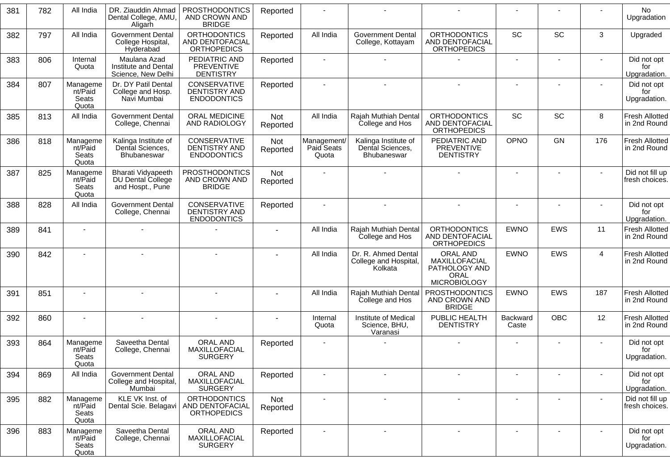| 381 | 782 | All India                             | DR. Ziauddin Ahmad<br>Dental College, AMU,<br>Aligarh       | <b>PROSTHODONTICS</b><br>AND CROWN AND<br><b>BRIDGE</b>           | Reported        |                                    |                                                         |                                                                           |                   |                          |                | No<br>Upgradation                     |
|-----|-----|---------------------------------------|-------------------------------------------------------------|-------------------------------------------------------------------|-----------------|------------------------------------|---------------------------------------------------------|---------------------------------------------------------------------------|-------------------|--------------------------|----------------|---------------------------------------|
| 382 | 797 | All India                             | <b>Government Dental</b><br>College Hospital,<br>Hyderabad  | <b>ORTHODONTICS</b><br>AND DENTOFACIAL<br><b>ORTHOPEDICS</b>      | Reported        | All India                          | <b>Government Dental</b><br>College, Kottayam           | <b>ORTHODONTICS</b><br>AND DENTOFACIAL<br><b>ORTHOPEDICS</b>              | <b>SC</b>         | SC                       | 3              | Upgraded                              |
| 383 | 806 | Internal<br>Quota                     | Maulana Azad<br>Institute and Dental<br>Science, New Delhi  | PEDIATRIC AND<br>PREVENTIVE<br><b>DENTISTRY</b>                   | Reported        |                                    |                                                         |                                                                           |                   |                          |                | Did not opt<br>for<br>Upgradation.    |
| 384 | 807 | Manageme<br>nt/Paid<br>Seats<br>Quota | Dr. DY Patil Dental<br>College and Hosp.<br>Navi Mumbai     | CONSERVATIVE<br>DENTISTRY AND<br><b>ENDODONTICS</b>               | Reported        |                                    |                                                         |                                                                           |                   |                          |                | Did not opt<br>for<br>Upgradation.    |
| 385 | 813 | All India                             | <b>Government Dental</b><br>College, Chennai                | ORAL MEDICINE<br>AND RADIOLOGY                                    | Not<br>Reported | All India                          | Rajah Muthiah Dental<br>College and Hos                 | <b>ORTHODONTICS</b><br>AND DENTOFACIAL<br><b>ORTHOPEDICS</b>              | <b>SC</b>         | SC                       | 8              | <b>Fresh Allotted</b><br>in 2nd Round |
| 386 | 818 | Manageme<br>nt/Paid<br>Seats<br>Quota | Kalinga Institute of<br>Dental Sciences,<br>Bhubaneswar     | CONSERVATIVE<br><b>DENTISTRY AND</b><br><b>ENDODONTICS</b>        | Not<br>Reported | Management/<br>Paid Seats<br>Quota | Kalinga Institute of<br>Dental Sciences,<br>Bhubaneswar | PEDIATRIC AND<br><b>PREVENTIVE</b><br><b>DENTISTRY</b>                    | OPNO              | <b>GN</b>                | 176            | <b>Fresh Allotted</b><br>in 2nd Round |
| 387 | 825 | Manageme<br>nt/Paid<br>Seats<br>Quota | Bharati Vidyapeeth<br>DU Dental College<br>and Hospt., Pune | <b>PROSTHODONTICS</b><br>AND CROWN AND<br><b>BRIDGE</b>           | Not<br>Reported |                                    |                                                         |                                                                           | $\blacksquare$    |                          | $\blacksquare$ | Did not fill up<br>fresh choices.     |
| 388 | 828 | All India                             | Government Dental<br>College, Chennai                       | <b>CONSERVATIVE</b><br><b>DENTISTRY AND</b><br><b>ENDODONTICS</b> | Reported        |                                    |                                                         |                                                                           |                   |                          |                | Did not opt<br>for<br>Upgradation.    |
| 389 | 841 |                                       |                                                             |                                                                   |                 | All India                          | Rajah Muthiah Dental<br>College and Hos                 | <b>ORTHODONTICS</b><br>AND DENTOFACIAL<br><b>ORTHOPEDICS</b>              | <b>EWNO</b>       | EWS                      | 11             | <b>Fresh Allotted</b><br>in 2nd Round |
| 390 | 842 | $\sim$                                | $\overline{\phantom{a}}$                                    | $\overline{a}$                                                    |                 | All India                          | Dr. R. Ahmed Dental<br>College and Hospital,<br>Kolkata | ORAL AND<br>MAXILLOFACIAL<br>PATHOLOGY AND<br>ORAL<br><b>MICROBIOLOGY</b> | <b>EWNO</b>       | EWS                      | $\overline{4}$ | <b>Fresh Allotted</b><br>in 2nd Round |
| 391 | 851 |                                       |                                                             |                                                                   |                 | All India                          | Rajah Muthiah Dental<br>College and Hos                 | <b>PROSTHODONTICS</b><br>AND CROWN AND<br><b>BRIDGE</b>                   | <b>EWNO</b>       | <b>EWS</b>               | 187            | <b>Fresh Allotted</b><br>in 2nd Round |
| 392 | 860 |                                       |                                                             |                                                                   |                 | Internal<br>Quota                  | Institute of Medical<br>Science, BHU,<br>Varanasi       | PUBLIC HEALTH<br><b>DENTISTRY</b>                                         | Backward<br>Caste | <b>OBC</b>               | 12             | <b>Fresh Allotted</b><br>in 2nd Round |
| 393 | 864 | Manageme<br>nt/Paid<br>Seats<br>Quota | Saveetha Dental<br>College, Chennai                         | ORAL AND<br>MAXILLOFACIAL<br><b>SURGERY</b>                       | Reported        |                                    |                                                         |                                                                           |                   |                          |                | Did not opt<br>for<br>Upgradation.    |
| 394 | 869 | All India                             | <b>Government Dental</b><br>College and Hospital,<br>Mumbai | ORAL AND<br>MAXILLOFACIAL<br><b>SURGERY</b>                       | Reported        |                                    | $\blacksquare$                                          | $\blacksquare$                                                            | $\blacksquare$    | $\blacksquare$           |                | Did not opt<br>for<br>Upgradation.    |
| 395 | 882 | Manageme<br>nt/Paid<br>Seats<br>Quota | KLE VK Inst. of<br>Dental Scie. Belagavi                    | <b>ORTHODONTICS</b><br>AND DENTOFACIAL<br><b>ORTHOPEDICS</b>      | Not<br>Reported | $\blacksquare$                     | $\sim$                                                  | $\blacksquare$                                                            |                   | $\blacksquare$           | $\sim$         | Did not fill up<br>fresh choices.     |
| 396 | 883 | Manageme<br>nt/Paid<br>Seats<br>Quota | Saveetha Dental<br>College, Chennai                         | ORAL AND<br>MAXILLOFACIAL<br><b>SURGERY</b>                       | Reported        |                                    | $\sim$                                                  | $\overline{\phantom{a}}$                                                  |                   | $\overline{\phantom{a}}$ | $\blacksquare$ | Did not opt<br>for<br>Upgradation.    |
|     |     |                                       |                                                             |                                                                   |                 |                                    |                                                         |                                                                           |                   |                          |                |                                       |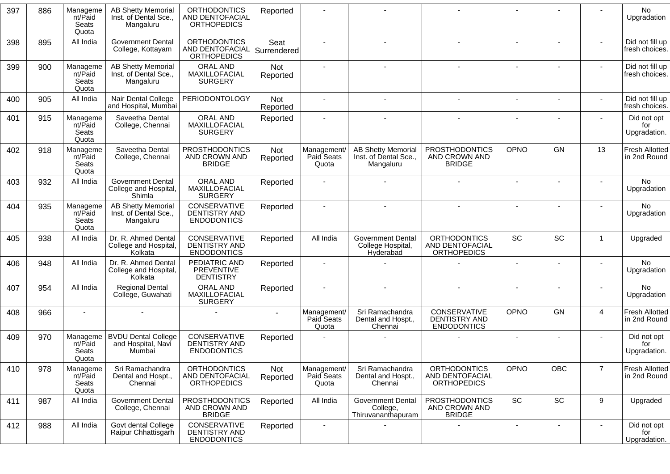| 397 | 886 | Manageme<br>nt/Paid<br>Seats<br>Quota | <b>AB Shetty Memorial</b><br>Inst. of Dental Sce.,<br>Mangaluru | <b>ORTHODONTICS</b><br><b>AND DENTOFACIAL</b><br><b>ORTHOPEDICS</b> | Reported            |                                    |                                                                 |                                                              |                              |                              |                          | No<br>Upgradation                     |
|-----|-----|---------------------------------------|-----------------------------------------------------------------|---------------------------------------------------------------------|---------------------|------------------------------------|-----------------------------------------------------------------|--------------------------------------------------------------|------------------------------|------------------------------|--------------------------|---------------------------------------|
| 398 | 895 | All India                             | <b>Government Dental</b><br>College, Kottayam                   | <b>ORTHODONTICS</b><br>AND DENTOFACIAL<br><b>ORTHOPEDICS</b>        | Seat<br>Surrendered |                                    |                                                                 |                                                              |                              |                              |                          | Did not fill up<br>fresh choices.     |
| 399 | 900 | Manageme<br>nt/Paid<br>Seats<br>Quota | <b>AB Shetty Memorial</b><br>Inst. of Dental Sce.,<br>Mangaluru | ORAL AND<br>MAXILLOFACIAL<br><b>SURGERY</b>                         | Not<br>Reported     |                                    |                                                                 |                                                              |                              |                              |                          | Did not fill up<br>fresh choices.     |
| 400 | 905 | All India                             | Nair Dental College<br>and Hospital, Mumbai                     | <b>PERIODONTOLOGY</b>                                               | Not<br>Reported     |                                    |                                                                 | $\blacksquare$                                               |                              |                              |                          | Did not fill up<br>fresh choices.     |
| 401 | 915 | Manageme<br>nt/Paid<br>Seats<br>Quota | Saveetha Dental<br>College, Chennai                             | ORAL AND<br>MAXILLOFACIAL<br><b>SURGERY</b>                         | Reported            |                                    |                                                                 |                                                              |                              |                              |                          | Did not opt<br>for<br>Upgradation.    |
| 402 | 918 | Manageme<br>nt/Paid<br>Seats<br>Quota | Saveetha Dental<br>College, Chennai                             | <b>PROSTHODONTICS</b><br>AND CROWN AND<br><b>BRIDGE</b>             | Not<br>Reported     | Management/<br>Paid Seats<br>Quota | <b>AB Shetty Memorial</b><br>Inst. of Dental Sce.,<br>Mangaluru | <b>PROSTHODONTICS</b><br>AND CROWN AND<br><b>BRIDGE</b>      | OPNO                         | <b>GN</b>                    | 13                       | <b>Fresh Allotted</b><br>in 2nd Round |
| 403 | 932 | All India                             | <b>Government Dental</b><br>College and Hospital,<br>Shimla     | ORAL AND<br>MAXILLOFACIAL<br><b>SURGERY</b>                         | Reported            |                                    |                                                                 |                                                              | $\blacksquare$               |                              |                          | <b>No</b><br>Upgradation              |
| 404 | 935 | Manageme<br>nt/Paid<br>Seats<br>Quota | <b>AB Shetty Memorial</b><br>Inst. of Dental Sce.,<br>Mangaluru | CONSERVATIVE<br>DENTISTRY AND<br><b>ENDODONTICS</b>                 | Reported            |                                    |                                                                 |                                                              |                              |                              |                          | No<br>Upgradation                     |
| 405 | 938 | All India                             | Dr. R. Ahmed Dental<br>College and Hospital,<br>Kolkata         | CONSERVATIVE<br><b>DENTISTRY AND</b><br><b>ENDODONTICS</b>          | Reported            | All India                          | <b>Government Dental</b><br>College Hospital,<br>Hyderabad      | <b>ORTHODONTICS</b><br>AND DENTOFACIAL<br><b>ORTHOPEDICS</b> | SC                           | SC                           | 1                        | Upgraded                              |
| 406 | 948 | All India                             | Dr. R. Ahmed Dental<br>College and Hospital,<br>Kolkata         | PEDIATRIC AND<br><b>PREVENTIVE</b><br><b>DENTISTRY</b>              | Reported            |                                    |                                                                 |                                                              |                              |                              |                          | No<br>Upgradation                     |
| 407 | 954 | All India                             | <b>Regional Dental</b><br>College, Guwahati                     | ORAL AND<br>MAXILLOFACIAL<br><b>SURGERY</b>                         | Reported            |                                    |                                                                 |                                                              | $\qquad \qquad \blacksquare$ |                              |                          | <b>No</b><br>Upgradation              |
| 408 | 966 |                                       |                                                                 |                                                                     |                     | Management/<br>Paid Seats<br>Quota | Sri Ramachandra<br>Dental and Hospt.,<br>Chennai                | CONSERVATIVE<br>DENTISTRY AND<br><b>ENDODONTICS</b>          | OPNO                         | <b>GN</b>                    | $\overline{4}$           | <b>Fresh Allotted</b><br>in 2nd Round |
| 409 | 970 | Manageme<br>nt/Paid<br>Seats<br>Quota | <b>BVDU Dental College</b><br>and Hospital, Navi<br>Mumbai      | CONSERVATIVE<br>DENTISTRY AND<br><b>ENDODONTICS</b>                 | Reported            |                                    |                                                                 |                                                              | $\blacksquare$               |                              |                          | Did not opt<br>for<br>Upgradation.    |
| 410 | 978 | Manageme<br>nt/Paid<br>Seats<br>Quota | Sri Ramachandra<br>Dental and Hospt.,<br>Chennai                | <b>ORTHODONTICS</b><br>AND DENTOFACIAL<br><b>ORTHOPEDICS</b>        | Not<br>Reported     | Management/<br>Paid Seats<br>Quota | Sri Ramachandra<br>Dental and Hospt.,<br>Chennai                | <b>ORTHODONTICS</b><br>AND DENTOFACIAL<br><b>ORTHOPEDICS</b> | OPNO                         | OBC                          | $\overline{7}$           | <b>Fresh Allotted</b><br>in 2nd Round |
| 411 | 987 | All India                             | <b>Government Dental</b><br>College, Chennai                    | <b>PROSTHODONTICS</b><br>AND CROWN AND<br><b>BRIDGE</b>             | Reported            | All India                          | <b>Government Dental</b><br>College,<br>Thiruvananthapuram      | <b>PROSTHODONTICS</b><br>AND CROWN AND<br><b>BRIDGE</b>      | SC                           | SC                           | 9                        | Upgraded                              |
| 412 | 988 | All India                             | Govt dental College<br>Raipur Chhattisgarh                      | CONSERVATIVE<br>DENTISTRY AND<br><b>ENDODONTICS</b>                 | Reported            | $\overline{\phantom{a}}$           |                                                                 |                                                              | $\overline{\phantom{a}}$     | $\qquad \qquad \blacksquare$ | $\overline{\phantom{a}}$ | Did not opt<br>for<br>Upgradation.    |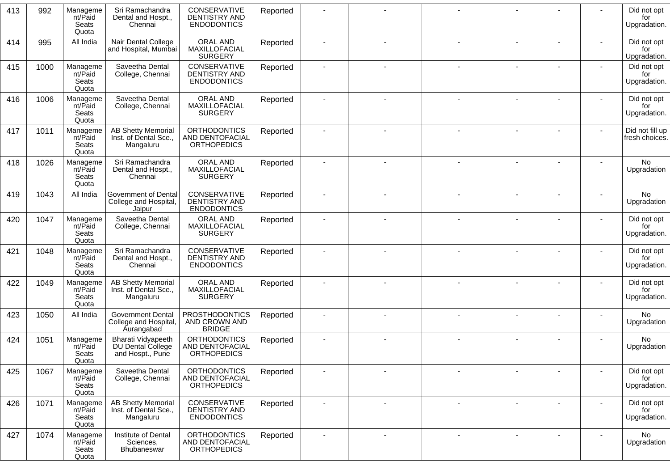| 413 | 992  | Manageme<br>nt/Paid<br>Seats<br>Quota | Sri Ramachandra<br>Dental and Hospt.,<br>Chennai                   | CONSERVATIVE<br>DENTISTRY AND<br><b>ENDODONTICS</b>          | Reported |                |                |                |                          |                          | Did not opt<br>for<br>Upgradation. |
|-----|------|---------------------------------------|--------------------------------------------------------------------|--------------------------------------------------------------|----------|----------------|----------------|----------------|--------------------------|--------------------------|------------------------------------|
| 414 | 995  | All India                             | Nair Dental College<br>and Hospital, Mumbai                        | ORAL AND<br>MAXILLOFACIAL<br><b>SURGERY</b>                  | Reported |                |                |                |                          |                          | Did not opt<br>for<br>Upgradation. |
| 415 | 1000 | Manageme<br>nt/Paid<br>Seats<br>Quota | Saveetha Dental<br>College, Chennai                                | CONSERVATIVE<br>DENTISTRY AND<br><b>ENDODONTICS</b>          | Reported |                |                |                |                          |                          | Did not opt<br>for<br>Upgradation. |
| 416 | 1006 | Manageme<br>nt/Paid<br>Seats<br>Quota | Saveetha Dental<br>College, Chennai                                | ORAL AND<br>MAXILLOFACIAL<br><b>SURGERY</b>                  | Reported |                |                |                |                          |                          | Did not opt<br>for<br>Upgradation. |
| 417 | 1011 | Manageme<br>nt/Paid<br>Seats<br>Quota | <b>AB Shetty Memorial</b><br>Inst. of Dental Sce.,<br>Mangaluru    | <b>ORTHODONTICS</b><br>AND DENTOFACIAL<br><b>ORTHOPEDICS</b> | Reported |                |                |                |                          |                          | Did not fill up<br>fresh choices.  |
| 418 | 1026 | Manageme<br>nt/Paid<br>Seats<br>Quota | Sri Ramachandra<br>Dental and Hospt.,<br>Chennai                   | ORAL AND<br>MAXILLOFACIAL<br><b>SURGERY</b>                  | Reported |                |                |                |                          |                          | <b>No</b><br>Upgradation           |
| 419 | 1043 | All India                             | Government of Dental<br>College and Hospital,<br>Jaipur            | CONSERVATIVE<br><b>DENTISTRY AND</b><br><b>ENDODONTICS</b>   | Reported |                |                |                |                          |                          | No<br>Upgradation                  |
| 420 | 1047 | Manageme<br>nt/Paid<br>Seats<br>Quota | Saveetha Dental<br>College, Chennai                                | ORAL AND<br>MAXILLOFACIAL<br><b>SURGERY</b>                  | Reported |                |                |                |                          |                          | Did not opt<br>for<br>Upgradation. |
| 421 | 1048 | Manageme<br>nt/Paid<br>Seats<br>Quota | Sri Ramachandra<br>Dental and Hospt.,<br>Chennai                   | CONSERVATIVE<br>DENTISTRY AND<br><b>ENDODONTICS</b>          | Reported |                |                |                |                          |                          | Did not opt<br>for<br>Upgradation. |
| 422 | 1049 | Manageme<br>nt/Paid<br>Seats<br>Quota | <b>AB Shetty Memorial</b><br>Inst. of Dental Sce.,<br>Mangaluru    | ORAL AND<br>MAXILLOFACIAL<br><b>SURGERY</b>                  | Reported |                |                |                |                          |                          | Did not opt<br>for<br>Upgradation. |
| 423 | 1050 | All India                             | <b>Government Dental</b><br>College and Hospital,<br>Aurangabad    | <b>PROSTHODONTICS</b><br>AND CROWN AND<br><b>BRIDGE</b>      | Reported |                |                |                |                          |                          | No<br>Upgradation                  |
| 424 | 1051 | Manageme<br>nt/Paid<br>Seats<br>Quota | <b>Bharati Vidyapeeth</b><br>DU Dental College<br>and Hospt., Pune | <b>ORTHODONTICS</b><br>AND DENTOFACIAL<br><b>ORTHOPEDICS</b> | Reported |                |                |                |                          |                          | <b>No</b><br>Upgradation           |
| 425 | 1067 | Manageme<br>nt/Paid<br>Seats<br>Quota | Saveetha Dental<br>College, Chennai                                | <b>ORTHODONTICS</b><br>AND DENTOFACIAL<br><b>ORTHOPEDICS</b> | Reported |                |                |                |                          |                          | Did not opt<br>for<br>Upgradation. |
| 426 | 1071 | Manageme<br>nt/Paid<br>Seats<br>Quota | <b>AB Shetty Memorial</b><br>Inst. of Dental Sce.,<br>Mangaluru    | CONSERVATIVE<br>DENTISTRY AND<br><b>ENDODONTICS</b>          | Reported | $\blacksquare$ | $\sim$         | $\blacksquare$ |                          | $\blacksquare$           | Did not opt<br>for<br>Upgradation. |
| 427 | 1074 | Manageme<br>nt/Paid<br>Seats<br>Quota | Institute of Dental<br>Sciences,<br>Bhubaneswar                    | <b>ORTHODONTICS</b><br>AND DENTOFACIAL<br><b>ORTHOPEDICS</b> | Reported |                | $\blacksquare$ |                | $\overline{\phantom{a}}$ | $\overline{\phantom{a}}$ | No<br>Upgradation                  |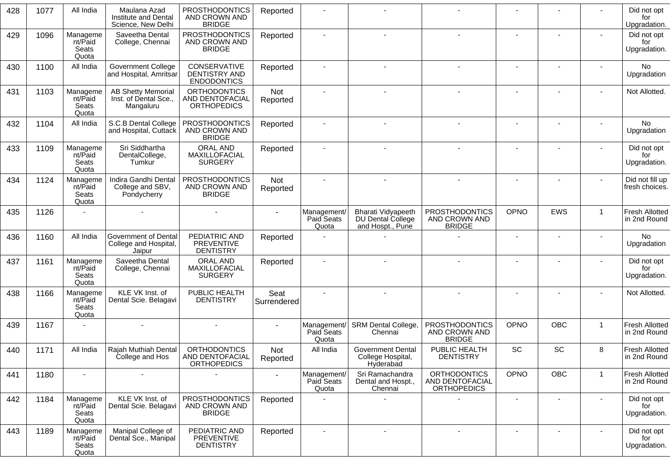| 428 | 1077 | All India                             | Maulana Azad<br>Institute and Dental<br>Science, New Delhi      | <b>PROSTHODONTICS</b><br>AND CROWN AND<br><b>BRIDGE</b>      | Reported            |                                    |                                                             |                                                              |                              |            |                | Did not opt<br>for<br>Upgradation.    |
|-----|------|---------------------------------------|-----------------------------------------------------------------|--------------------------------------------------------------|---------------------|------------------------------------|-------------------------------------------------------------|--------------------------------------------------------------|------------------------------|------------|----------------|---------------------------------------|
| 429 | 1096 | Manageme<br>nt/Paid<br>Seats<br>Quota | Saveetha Dental<br>College, Chennai                             | <b>PROSTHODONTICS</b><br>AND CROWN AND<br><b>BRIDGE</b>      | Reported            |                                    |                                                             |                                                              |                              |            |                | Did not opt<br>for<br>Upgradation.    |
| 430 | 1100 | All India                             | <b>Government College</b><br>and Hospital, Amritsar             | CONSERVATIVE<br>DENTISTRY AND<br><b>ENDODONTICS</b>          | Reported            |                                    |                                                             |                                                              |                              |            |                | <b>No</b><br>Upgradation              |
| 431 | 1103 | Manageme<br>nt/Paid<br>Seats<br>Quota | <b>AB Shetty Memorial</b><br>Inst. of Dental Sce.,<br>Mangaluru | <b>ORTHODONTICS</b><br>AND DENTOFACIAL<br><b>ORTHOPEDICS</b> | Not<br>Reported     |                                    |                                                             |                                                              |                              |            |                | Not Allotted.                         |
| 432 | 1104 | All India                             | S.C.B Dental College<br>and Hospital, Cuttack                   | <b>PROSTHODONTICS</b><br>AND CROWN AND<br><b>BRIDGE</b>      | Reported            |                                    |                                                             |                                                              |                              |            |                | No<br>Upgradation                     |
| 433 | 1109 | Manageme<br>nt/Paid<br>Seats<br>Quota | Sri Siddhartha<br>DentalCollege,<br>Tumkur                      | ORAL AND<br>MAXILLOFACIAL<br><b>SURGERY</b>                  | Reported            |                                    |                                                             |                                                              |                              |            |                | Did not opt<br>for<br>Upgradation.    |
| 434 | 1124 | Manageme<br>nt/Paid<br>Seats<br>Quota | Indira Gandhi Dental<br>College and SBV,<br>Pondycherry         | <b>PROSTHODONTICS</b><br>AND CROWN AND<br><b>BRIDGE</b>      | Not<br>Reported     |                                    |                                                             |                                                              |                              |            |                | Did not fill up<br>fresh choices.     |
| 435 | 1126 |                                       |                                                                 |                                                              |                     | Management/<br>Paid Seats<br>Quota | Bharati Vidyapeeth<br>DU Dental College<br>and Hospt., Pune | <b>PROSTHODONTICS</b><br>AND CROWN AND<br><b>BRIDGE</b>      | OPNO                         | EWS        | $\overline{1}$ | Fresh Allotted<br>in 2nd Round        |
| 436 | 1160 | All India                             | Government of Dental<br>College and Hospital,<br>Jaipur         | PEDIATRIC AND<br><b>PREVENTIVE</b><br><b>DENTISTRY</b>       | Reported            |                                    |                                                             |                                                              | $\blacksquare$               | ٠          |                | No<br>Upgradation                     |
| 437 | 1161 | Manageme<br>nt/Paid<br>Seats<br>Quota | Saveetha Dental<br>College, Chennai                             | ORAL AND<br>MAXILLOFACIAL<br><b>SURGERY</b>                  | Reported            |                                    |                                                             |                                                              |                              |            |                | Did not opt<br>for<br>Upgradation.    |
| 438 | 1166 | Manageme<br>nt/Paid<br>Seats<br>Quota | KLE VK Inst. of<br>Dental Scie. Belagavi                        | PUBLIC HEALTH<br><b>DENTISTRY</b>                            | Seat<br>Surrendered |                                    |                                                             |                                                              | $\blacksquare$               |            |                | Not Allotted.                         |
| 439 | 1167 |                                       |                                                                 |                                                              |                     | Management/<br>Paid Seats<br>Quota | SRM Dental College,<br>Chennai                              | <b>PROSTHODONTICS</b><br>AND CROWN AND<br><b>BRIDGE</b>      | OPNO                         | <b>OBC</b> | $\overline{1}$ | <b>Fresh Allotted</b><br>in 2nd Round |
| 440 | 1171 | All India                             | Raiah Muthiah Dental<br>College and Hos                         | <b>ORTHODONTICS</b><br>AND DENTOFACIAL<br><b>ORTHOPEDICS</b> | Not<br>Reported     | All India                          | <b>Government Dental</b><br>College Hospital,<br>Hyderabad  | PUBLIC HEALTH<br><b>DENTISTRY</b>                            | SC                           | <b>SC</b>  | 8              | <b>Fresh Allotted</b><br>in 2nd Round |
| 441 | 1180 |                                       |                                                                 |                                                              |                     | Management/<br>Paid Seats<br>Quota | Sri Ramachandra<br>Dental and Hospt.,<br>Chennai            | <b>ORTHODONTICS</b><br>AND DENTOFACIAL<br><b>ORTHOPEDICS</b> | OPNO                         | <b>OBC</b> | $\mathbf{1}$   | Fresh Allotted<br>in 2nd Round        |
| 442 | 1184 | Manageme<br>nt/Paid<br>Seats<br>Quota | KLE VK Inst. of<br>Dental Scie. Belagavi                        | <b>PROSTHODONTICS</b><br>AND CROWN AND<br><b>BRIDGE</b>      | Reported            |                                    |                                                             |                                                              | $\qquad \qquad \blacksquare$ |            | $\blacksquare$ | Did not opt<br>for<br>Upgradation.    |
| 443 | 1189 | Manageme<br>nt/Paid<br>Seats<br>Quota | Manipal College of<br>Dental Sce., Manipal                      | PEDIATRIC AND<br><b>PREVENTIVE</b><br><b>DENTISTRY</b>       | Reported            |                                    | $\sim$                                                      | $\overline{\phantom{a}}$                                     |                              |            | ٠              | Did not opt<br>for<br>Upgradation.    |
|     |      |                                       |                                                                 |                                                              |                     |                                    |                                                             |                                                              |                              |            |                |                                       |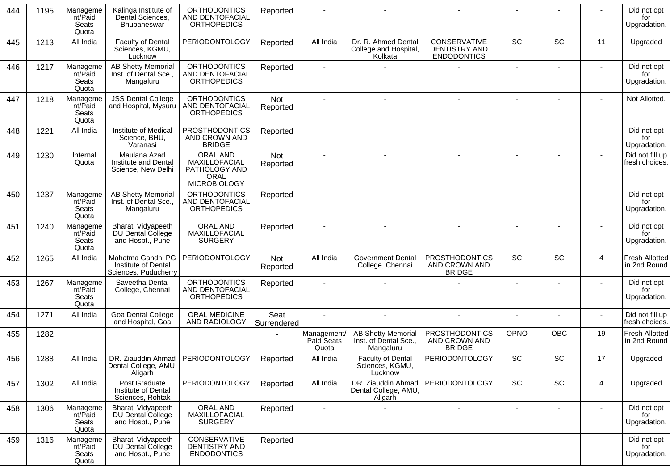| 444 | 1195 | Manageme<br>nt/Paid<br>Seats<br>Quota | Kalinga Institute of<br>Dental Sciences,<br>Bhubaneswar          | <b>ORTHODONTICS</b><br>AND DENTOFACIAL<br><b>ORTHOPEDICS</b>                     | Reported            |                                    |                                                                 |                                                            |                          |                          |                | Did not opt<br>for<br>Upgradation.    |
|-----|------|---------------------------------------|------------------------------------------------------------------|----------------------------------------------------------------------------------|---------------------|------------------------------------|-----------------------------------------------------------------|------------------------------------------------------------|--------------------------|--------------------------|----------------|---------------------------------------|
| 445 | 1213 | All India                             | <b>Faculty of Dental</b><br>Sciences, KGMU,<br>Lucknow           | <b>PERIODONTOLOGY</b>                                                            | Reported            | All India                          | Dr. R. Ahmed Dental<br>College and Hospital,<br>Kolkata         | CONSERVATIVE<br><b>DENTISTRY AND</b><br><b>ENDODONTICS</b> | <b>SC</b>                | SC                       | 11             | Upgraded                              |
| 446 | 1217 | Manageme<br>nt/Paid<br>Seats<br>Quota | <b>AB Shetty Memorial</b><br>Inst. of Dental Sce.,<br>Mangaluru  | <b>ORTHODONTICS</b><br>AND DENTOFACIAL<br><b>ORTHOPEDICS</b>                     | Reported            |                                    |                                                                 |                                                            |                          |                          |                | Did not opt<br>for<br>Upgradation.    |
| 447 | 1218 | Manageme<br>nt/Paid<br>Seats<br>Quota | <b>JSS Dental College</b><br>and Hospital, Mysuru                | <b>ORTHODONTICS</b><br>AND DENTOFACIAL<br><b>ORTHOPEDICS</b>                     | Not<br>Reported     |                                    |                                                                 |                                                            |                          |                          |                | Not Allotted.                         |
| 448 | 1221 | All India                             | Institute of Medical<br>Science, BHU,<br>Varanasi                | <b>PROSTHODONTICS</b><br>AND CROWN AND<br><b>BRIDGE</b>                          | Reported            |                                    |                                                                 | $\blacksquare$                                             |                          | $\blacksquare$           |                | Did not opt<br>for<br>Upgradation.    |
| 449 | 1230 | Internal<br>Quota                     | Maulana Azad<br>Institute and Dental<br>Science, New Delhi       | ORAL AND<br>MAXILLOFACIAL<br>PATHOLOGY AND<br><b>ORAL</b><br><b>MICROBIOLOGY</b> | Not<br>Reported     |                                    |                                                                 |                                                            |                          | $\blacksquare$           | $\blacksquare$ | Did not fill up<br>fresh choices.     |
| 450 | 1237 | Manageme<br>nt/Paid<br>Seats<br>Quota | <b>AB Shetty Memorial</b><br>Inst. of Dental Sce.,<br>Mangaluru  | <b>ORTHODONTICS</b><br>AND DENTOFACIAL<br><b>ORTHOPEDICS</b>                     | Reported            |                                    |                                                                 |                                                            |                          |                          |                | Did not opt<br>for<br>Upgradation.    |
| 451 | 1240 | Manageme<br>nt/Paid<br>Seats<br>Quota | Bharati Vidyapeeth<br>DU Dental College<br>and Hospt., Pune      | ORAL AND<br>MAXILLOFACIAL<br><b>SURGERY</b>                                      | Reported            |                                    |                                                                 |                                                            |                          |                          |                | Did not opt<br>for<br>Upgradation.    |
| 452 | 1265 | All India                             | Mahatma Gandhi PG<br>Institute of Dental<br>Sciences, Puducherry | <b>PERIODONTOLOGY</b>                                                            | Not<br>Reported     | All India                          | <b>Government Dental</b><br>College, Chennai                    | <b>PROSTHODONTICS</b><br>AND CROWN AND<br><b>BRIDGE</b>    | SC                       | SC                       | $\overline{4}$ | <b>Fresh Allotted</b><br>in 2nd Round |
| 453 | 1267 | Manageme<br>nt/Paid<br>Seats<br>Quota | Saveetha Dental<br>College, Chennai                              | <b>ORTHODONTICS</b><br>AND DENTOFACIAL<br><b>ORTHOPEDICS</b>                     | Reported            |                                    |                                                                 |                                                            | $\blacksquare$           |                          |                | Did not opt<br>for<br>Upgradation.    |
| 454 | 1271 | All India                             | Goa Dental College<br>and Hospital, Goa                          | ORAL MEDICINE<br>AND RADIOLOGY                                                   | Seat<br>Surrendered |                                    |                                                                 |                                                            |                          |                          |                | Did not fill up<br>fresh choices.     |
| 455 | 1282 |                                       |                                                                  |                                                                                  |                     | Management/<br>Paid Seats<br>Quota | <b>AB Shetty Memorial</b><br>Inst. of Dental Sce.,<br>Mangaluru | PROSTHODONTICS<br>AND CROWN AND<br><b>BRIDGE</b>           | OPNO                     | OBC                      | 19             | <b>Fresh Allotted</b><br>in 2nd Round |
| 456 | 1288 | All India                             | Dental College, AMU,<br>Aligarh                                  | DR. Ziauddin Ahmad   PERIODONTOLOGY                                              | Reported            | All India                          | <b>Faculty of Dental</b><br>Sciences, KGMU,<br>Lucknow          | <b>PERIODONTOLOGY</b>                                      | <b>SC</b>                | SC                       | 17             | Upgraded                              |
| 457 | 1302 | All India                             | Post Graduate<br>Institute of Dental<br>Sciences, Rohtak         | <b>PERIODONTOLOGY</b>                                                            | Reported            | All India                          | DR. Ziauddin Ahmad<br>Dental College, AMU,<br>Aligarh           | <b>PERIODONTOLOGY</b>                                      | SC                       | SC                       | 4              | Upgraded                              |
| 458 | 1306 | Manageme<br>nt/Paid<br>Seats<br>Quota | Bharati Vidyapeeth<br>DU Dental College<br>and Hospt., Pune      | ORAL AND<br>MAXILLOFACIAL<br><b>SURGERY</b>                                      | Reported            | $\blacksquare$                     |                                                                 | $\blacksquare$                                             | $\overline{\phantom{a}}$ |                          |                | Did not opt<br>for<br>Upgradation.    |
| 459 | 1316 | Manageme<br>nt/Paid<br>Seats<br>Quota | Bharati Vidyapeeth<br>DU Dental College<br>and Hospt., Pune      | CONSERVATIVE<br>DENTISTRY AND<br><b>ENDODONTICS</b>                              | Reported            |                                    | $\sim$                                                          | $\blacksquare$                                             |                          | $\overline{\phantom{a}}$ |                | Did not opt<br>for<br>Upgradation.    |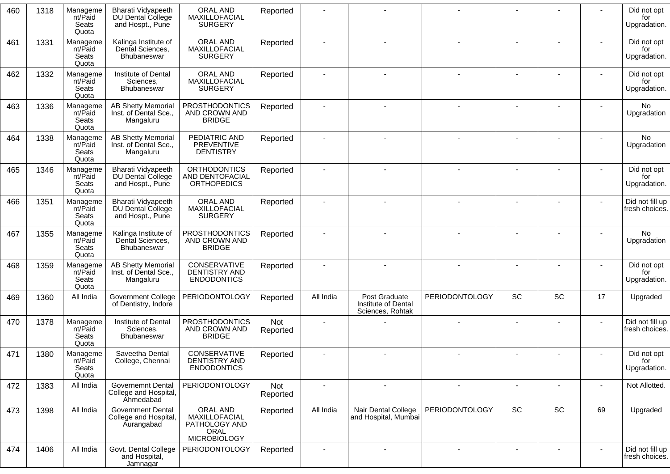| 460 | 1318 | Manageme<br>nt/Paid<br>Seats<br>Quota | Bharati Vidyapeeth<br>DU Dental College<br>and Hospt., Pune        | ORAL AND<br>MAXILLOFACIAL<br><b>SURGERY</b>                               | Reported        |                |                                                          |                |    |    |                | Did not opt<br>for<br>Upgradation. |
|-----|------|---------------------------------------|--------------------------------------------------------------------|---------------------------------------------------------------------------|-----------------|----------------|----------------------------------------------------------|----------------|----|----|----------------|------------------------------------|
| 461 | 1331 | Manageme<br>nt/Paid<br>Seats<br>Quota | Kalinga Institute of<br>Dental Sciences,<br>Bhubaneswar            | ORAL AND<br>MAXILLOFACIAL<br><b>SURGERY</b>                               | Reported        |                |                                                          |                |    |    |                | Did not opt<br>for<br>Upgradation. |
| 462 | 1332 | Manageme<br>nt/Paid<br>Seats<br>Quota | Institute of Dental<br>Sciences,<br>Bhubaneswar                    | ORAL AND<br>MAXILLOFACIAL<br><b>SURGERY</b>                               | Reported        |                |                                                          |                |    |    |                | Did not opt<br>for<br>Upgradation. |
| 463 | 1336 | Manageme<br>nt/Paid<br>Seats<br>Quota | <b>AB Shetty Memorial</b><br>Inst. of Dental Sce.,<br>Mangaluru    | <b>PROSTHODONTICS</b><br>AND CROWN AND<br><b>BRIDGE</b>                   | Reported        |                |                                                          |                |    |    |                | <b>No</b><br>Upgradation           |
| 464 | 1338 | Manageme<br>nt/Paid<br>Seats<br>Quota | <b>AB Shetty Memorial</b><br>Inst. of Dental Sce.,<br>Mangaluru    | PEDIATRIC AND<br>PREVENTIVE<br><b>DENTISTRY</b>                           | Reported        |                |                                                          |                |    |    |                | <b>No</b><br>Upgradation           |
| 465 | 1346 | Manageme<br>nt/Paid<br>Seats<br>Quota | Bharati Vidyapeeth<br>DU Dental College<br>and Hospt., Pune        | <b>ORTHODONTICS</b><br>AND DENTOFACIAL<br><b>ORTHOPEDICS</b>              | Reported        |                |                                                          |                |    |    |                | Did not opt<br>for<br>Upgradation. |
| 466 | 1351 | Manageme<br>nt/Paid<br>Seats<br>Quota | Bharati Vidyapeeth<br><b>DU Dental College</b><br>and Hospt., Pune | ORAL AND<br>MAXILLOFACIAL<br><b>SURGERY</b>                               | Reported        |                |                                                          |                |    |    |                | Did not fill up<br>fresh choices.  |
| 467 | 1355 | Manageme<br>nt/Paid<br>Seats<br>Quota | Kalinga Institute of<br>Dental Sciences,<br>Bhubaneswar            | <b>PROSTHODONTICS</b><br>AND CROWN AND<br><b>BRIDGE</b>                   | Reported        |                |                                                          |                |    |    |                | No<br>Upgradation                  |
| 468 | 1359 | Manageme<br>nt/Paid<br>Seats<br>Quota | <b>AB Shetty Memorial</b><br>Inst. of Dental Sce.,<br>Mangaluru    | CONSERVATIVE<br>DENTISTRY AND<br><b>ENDODONTICS</b>                       | Reported        |                |                                                          |                |    |    |                | Did not opt<br>for<br>Upgradation. |
| 469 | 1360 | All India                             | <b>Government College</b><br>of Dentistry, Indore                  | <b>PERIODONTOLOGY</b>                                                     | Reported        | All India      | Post Graduate<br>Institute of Dental<br>Sciences, Rohtak | PERIODONTOLOGY | SC | SC | 17             | Upgraded                           |
| 470 | 1378 | Manageme<br>nt/Paid<br>Seats<br>Quota | Institute of Dental<br>Sciences,<br>Bhubaneswar                    | <b>PROSTHODONTICS</b><br>AND CROWN AND<br><b>BRIDGE</b>                   | Not<br>Reported |                |                                                          |                |    |    |                | Did not fill up<br>fresh choices.  |
| 471 | 1380 | Manageme<br>nt/Paid<br>Seats<br>Quota | Saveetha Dental<br>College, Chennai                                | CONSERVATIVE<br>DENTISTRY AND<br><b>ENDODONTICS</b>                       | Reported        |                |                                                          |                |    |    |                | Did not opt<br>for<br>Upgradation. |
| 472 | 1383 | All India                             | <b>Governemnt Dental</b><br>College and Hospital,<br>Ahmedabad     | <b>PERIODONTOLOGY</b>                                                     | Not<br>Reported | $\blacksquare$ | $\blacksquare$                                           | $\blacksquare$ |    | ÷, | $\blacksquare$ | Not Allotted.                      |
| 473 | 1398 | All India                             | <b>Government Dental</b><br>College and Hospital,<br>Aurangabad    | ORAL AND<br>MAXILLOFACIAL<br>PATHOLOGY AND<br>ORAL<br><b>MICROBIOLOGY</b> | Reported        | All India      | Nair Dental College<br>and Hospital, Mumbai              | PERIODONTOLOGY | SC | SC | 69             | Upgraded                           |
| 474 | 1406 | All India                             | Govt. Dental College<br>and Hospital,<br>Jamnagar                  | PERIODONTOLOGY                                                            | Reported        |                |                                                          |                |    |    |                | Did not fill up<br>fresh choices.  |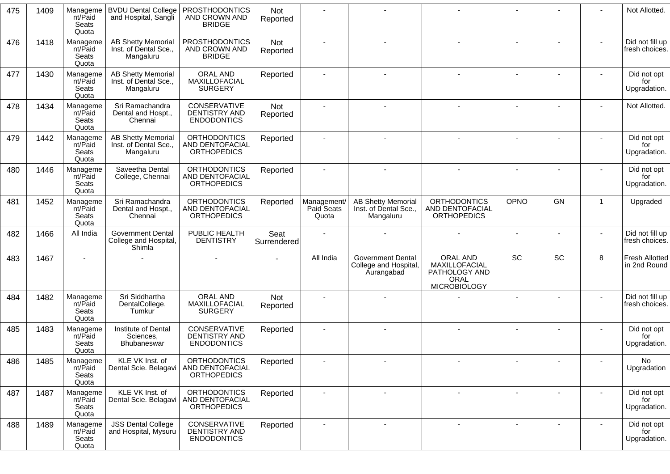| 1409<br><b>BVDU Dental College</b><br><b>PROSTHODONTICS</b><br>475<br>Manageme<br>Not<br>AND CROWN AND<br>nt/Paid<br>and Hospital, Sangli<br>Reported<br>Seats<br><b>BRIDGE</b><br>Quota<br><b>PROSTHODONTICS</b><br><b>AB Shetty Memorial</b><br>Manageme<br>476<br>1418<br>Not<br>nt/Paid<br>Inst. of Dental Sce.,<br>AND CROWN AND<br>Reported<br><b>BRIDGE</b><br>Seats<br>Mangaluru<br>Quota<br>ORAL AND<br><b>AB Shetty Memorial</b><br>477<br>1430<br>Manageme<br>Reported<br>MAXILLOFACIAL<br>nt/Paid<br>Inst. of Dental Sce.,<br>for<br>Seats<br><b>SURGERY</b><br>Mangaluru<br>Quota<br>Sri Ramachandra<br>CONSERVATIVE<br>478<br>1434<br>Manageme<br>Not<br>DENTISTRY AND<br>Dental and Hospt.,<br>nt/Paid<br>Reported<br>Chennai<br><b>ENDODONTICS</b><br>Seats<br>Quota<br><b>AB Shetty Memorial</b><br><b>ORTHODONTICS</b><br>Manageme<br>1442<br>479<br>Reported<br><b>AND DENTOFACIAL</b><br>nt/Paid<br>Inst. of Dental Sce.,<br><b>ORTHOPEDICS</b><br>Seats<br>Mangaluru<br>Quota<br>Saveetha Dental<br><b>ORTHODONTICS</b><br>1446<br>480<br>Manageme<br>Reported<br>AND DENTOFACIAL<br>nt/Paid<br>College, Chennai<br>for<br>Seats<br><b>ORTHOPEDICS</b><br>Quota<br>Sri Ramachandra<br><b>ORTHODONTICS</b><br><b>ORTHODONTICS</b><br><b>OPNO</b><br>GN<br>481<br>1452<br>Management/<br><b>AB Shetty Memorial</b><br>$\overline{1}$<br>Manageme<br>Reported<br><b>AND DENTOFACIAL</b><br><b>AND DENTOFACIAL</b><br>Dental and Hospt.,<br>Inst. of Dental Sce.,<br>nt/Paid<br>Paid Seats<br>Chennai<br><b>ORTHOPEDICS</b><br>Mangaluru<br><b>ORTHOPEDICS</b><br>Seats<br>Quota<br>Quota<br>All India<br><b>Government Dental</b><br>PUBLIC HEALTH<br>Seat<br>1466<br>482<br>College and Hospital,<br><b>DENTISTRY</b><br>Surrendered<br>Shimla<br>SC<br>SC<br>ORAL AND<br>8<br>All India<br><b>Government Dental</b><br>1467<br>483<br>College and Hospital,<br>MAXILLOFACIAL<br>Aurangabad<br>PATHOLOGY AND<br>ORAL<br><b>MICROBIOLOGY</b><br><b>ORAL AND</b><br>Sri Siddhartha<br>484<br>1482<br>Manageme<br>Not<br>DentalCollege,<br>MAXILLOFACIAL<br>nt/Paid<br>Reported<br>Tumkur<br><b>SURGERY</b><br>Seats<br>Quota<br>Institute of Dental<br>CONSERVATIVE<br>485<br>1483<br>Manageme<br>Reported<br>DENTISTRY AND<br>Sciences,<br>nt/Paid<br>Seats<br><b>ENDODONTICS</b><br><b>Bhubaneswar</b><br>Quota<br><b>ORTHODONTICS</b><br>KLE VK Inst. of<br>1485<br>Manageme<br>Reported<br>486<br>Dental Scie. Belagavi<br>AND DENTOFACIAL<br>nt/Paid<br><b>ORTHOPEDICS</b><br>Seats<br>Quota<br>KLE VK Inst. of<br><b>ORTHODONTICS</b><br>Manageme<br>487<br>1487<br>Reported<br>$\blacksquare$<br>$\overline{\phantom{a}}$<br>nt/Paid<br>Dental Scie. Belagavi<br>AND DENTOFACIAL<br><b>ORTHOPEDICS</b><br>Seats<br>Quota<br>1489<br><b>JSS Dental College</b><br>CONSERVATIVE<br>488<br>Manageme<br>Reported<br>and Hospital, Mysuru<br>DENTISTRY AND<br>nt/Paid<br><b>ENDODONTICS</b><br>Seats<br>Quota |  |  |  |  |  |  |                                       |
|----------------------------------------------------------------------------------------------------------------------------------------------------------------------------------------------------------------------------------------------------------------------------------------------------------------------------------------------------------------------------------------------------------------------------------------------------------------------------------------------------------------------------------------------------------------------------------------------------------------------------------------------------------------------------------------------------------------------------------------------------------------------------------------------------------------------------------------------------------------------------------------------------------------------------------------------------------------------------------------------------------------------------------------------------------------------------------------------------------------------------------------------------------------------------------------------------------------------------------------------------------------------------------------------------------------------------------------------------------------------------------------------------------------------------------------------------------------------------------------------------------------------------------------------------------------------------------------------------------------------------------------------------------------------------------------------------------------------------------------------------------------------------------------------------------------------------------------------------------------------------------------------------------------------------------------------------------------------------------------------------------------------------------------------------------------------------------------------------------------------------------------------------------------------------------------------------------------------------------------------------------------------------------------------------------------------------------------------------------------------------------------------------------------------------------------------------------------------------------------------------------------------------------------------------------------------------------------------------------------------------------------------------------------------------------------------------------------------------------------------------------------------------------------------------------------------------------------------------------------------------------------------------------------------------------|--|--|--|--|--|--|---------------------------------------|
|                                                                                                                                                                                                                                                                                                                                                                                                                                                                                                                                                                                                                                                                                                                                                                                                                                                                                                                                                                                                                                                                                                                                                                                                                                                                                                                                                                                                                                                                                                                                                                                                                                                                                                                                                                                                                                                                                                                                                                                                                                                                                                                                                                                                                                                                                                                                                                                                                                                                                                                                                                                                                                                                                                                                                                                                                                                                                                                                  |  |  |  |  |  |  | Not Allotted.                         |
|                                                                                                                                                                                                                                                                                                                                                                                                                                                                                                                                                                                                                                                                                                                                                                                                                                                                                                                                                                                                                                                                                                                                                                                                                                                                                                                                                                                                                                                                                                                                                                                                                                                                                                                                                                                                                                                                                                                                                                                                                                                                                                                                                                                                                                                                                                                                                                                                                                                                                                                                                                                                                                                                                                                                                                                                                                                                                                                                  |  |  |  |  |  |  | Did not fill up<br>fresh choices.     |
|                                                                                                                                                                                                                                                                                                                                                                                                                                                                                                                                                                                                                                                                                                                                                                                                                                                                                                                                                                                                                                                                                                                                                                                                                                                                                                                                                                                                                                                                                                                                                                                                                                                                                                                                                                                                                                                                                                                                                                                                                                                                                                                                                                                                                                                                                                                                                                                                                                                                                                                                                                                                                                                                                                                                                                                                                                                                                                                                  |  |  |  |  |  |  | Did not opt<br>Upgradation.           |
|                                                                                                                                                                                                                                                                                                                                                                                                                                                                                                                                                                                                                                                                                                                                                                                                                                                                                                                                                                                                                                                                                                                                                                                                                                                                                                                                                                                                                                                                                                                                                                                                                                                                                                                                                                                                                                                                                                                                                                                                                                                                                                                                                                                                                                                                                                                                                                                                                                                                                                                                                                                                                                                                                                                                                                                                                                                                                                                                  |  |  |  |  |  |  | Not Allotted.                         |
|                                                                                                                                                                                                                                                                                                                                                                                                                                                                                                                                                                                                                                                                                                                                                                                                                                                                                                                                                                                                                                                                                                                                                                                                                                                                                                                                                                                                                                                                                                                                                                                                                                                                                                                                                                                                                                                                                                                                                                                                                                                                                                                                                                                                                                                                                                                                                                                                                                                                                                                                                                                                                                                                                                                                                                                                                                                                                                                                  |  |  |  |  |  |  | Did not opt<br>for<br>Upgradation.    |
|                                                                                                                                                                                                                                                                                                                                                                                                                                                                                                                                                                                                                                                                                                                                                                                                                                                                                                                                                                                                                                                                                                                                                                                                                                                                                                                                                                                                                                                                                                                                                                                                                                                                                                                                                                                                                                                                                                                                                                                                                                                                                                                                                                                                                                                                                                                                                                                                                                                                                                                                                                                                                                                                                                                                                                                                                                                                                                                                  |  |  |  |  |  |  | Did not opt<br>Upgradation.           |
|                                                                                                                                                                                                                                                                                                                                                                                                                                                                                                                                                                                                                                                                                                                                                                                                                                                                                                                                                                                                                                                                                                                                                                                                                                                                                                                                                                                                                                                                                                                                                                                                                                                                                                                                                                                                                                                                                                                                                                                                                                                                                                                                                                                                                                                                                                                                                                                                                                                                                                                                                                                                                                                                                                                                                                                                                                                                                                                                  |  |  |  |  |  |  | Upgraded                              |
|                                                                                                                                                                                                                                                                                                                                                                                                                                                                                                                                                                                                                                                                                                                                                                                                                                                                                                                                                                                                                                                                                                                                                                                                                                                                                                                                                                                                                                                                                                                                                                                                                                                                                                                                                                                                                                                                                                                                                                                                                                                                                                                                                                                                                                                                                                                                                                                                                                                                                                                                                                                                                                                                                                                                                                                                                                                                                                                                  |  |  |  |  |  |  | Did not fill up<br>fresh choices.     |
|                                                                                                                                                                                                                                                                                                                                                                                                                                                                                                                                                                                                                                                                                                                                                                                                                                                                                                                                                                                                                                                                                                                                                                                                                                                                                                                                                                                                                                                                                                                                                                                                                                                                                                                                                                                                                                                                                                                                                                                                                                                                                                                                                                                                                                                                                                                                                                                                                                                                                                                                                                                                                                                                                                                                                                                                                                                                                                                                  |  |  |  |  |  |  | <b>Fresh Allotted</b><br>in 2nd Round |
|                                                                                                                                                                                                                                                                                                                                                                                                                                                                                                                                                                                                                                                                                                                                                                                                                                                                                                                                                                                                                                                                                                                                                                                                                                                                                                                                                                                                                                                                                                                                                                                                                                                                                                                                                                                                                                                                                                                                                                                                                                                                                                                                                                                                                                                                                                                                                                                                                                                                                                                                                                                                                                                                                                                                                                                                                                                                                                                                  |  |  |  |  |  |  | Did not fill up<br>fresh choices.     |
|                                                                                                                                                                                                                                                                                                                                                                                                                                                                                                                                                                                                                                                                                                                                                                                                                                                                                                                                                                                                                                                                                                                                                                                                                                                                                                                                                                                                                                                                                                                                                                                                                                                                                                                                                                                                                                                                                                                                                                                                                                                                                                                                                                                                                                                                                                                                                                                                                                                                                                                                                                                                                                                                                                                                                                                                                                                                                                                                  |  |  |  |  |  |  | Did not opt<br>for<br>Upgradation.    |
|                                                                                                                                                                                                                                                                                                                                                                                                                                                                                                                                                                                                                                                                                                                                                                                                                                                                                                                                                                                                                                                                                                                                                                                                                                                                                                                                                                                                                                                                                                                                                                                                                                                                                                                                                                                                                                                                                                                                                                                                                                                                                                                                                                                                                                                                                                                                                                                                                                                                                                                                                                                                                                                                                                                                                                                                                                                                                                                                  |  |  |  |  |  |  | No<br>Upgradation                     |
|                                                                                                                                                                                                                                                                                                                                                                                                                                                                                                                                                                                                                                                                                                                                                                                                                                                                                                                                                                                                                                                                                                                                                                                                                                                                                                                                                                                                                                                                                                                                                                                                                                                                                                                                                                                                                                                                                                                                                                                                                                                                                                                                                                                                                                                                                                                                                                                                                                                                                                                                                                                                                                                                                                                                                                                                                                                                                                                                  |  |  |  |  |  |  | Did not opt<br>for<br>Upgradation.    |
|                                                                                                                                                                                                                                                                                                                                                                                                                                                                                                                                                                                                                                                                                                                                                                                                                                                                                                                                                                                                                                                                                                                                                                                                                                                                                                                                                                                                                                                                                                                                                                                                                                                                                                                                                                                                                                                                                                                                                                                                                                                                                                                                                                                                                                                                                                                                                                                                                                                                                                                                                                                                                                                                                                                                                                                                                                                                                                                                  |  |  |  |  |  |  | Did not opt<br>for<br>Upgradation.    |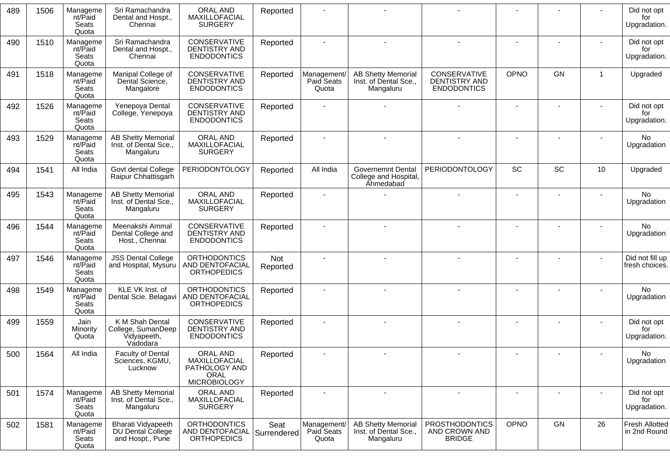| 489 | 1506 | Manageme<br>nt/Paid<br>Seats<br>Quota | Sri Ramachandra<br>Dental and Hospt.,<br>Chennai                 | <b>ORAL AND</b><br>MAXILLOFACIAL<br><b>SURGERY</b>                               | Reported            |                                    |                                                                       |                                                            |             |           |                 | Did not opt<br>for<br>Upgradation.    |
|-----|------|---------------------------------------|------------------------------------------------------------------|----------------------------------------------------------------------------------|---------------------|------------------------------------|-----------------------------------------------------------------------|------------------------------------------------------------|-------------|-----------|-----------------|---------------------------------------|
| 490 | 1510 | Manageme<br>nt/Paid<br>Seats<br>Quota | Sri Ramachandra<br>Dental and Hospt.,<br>Chennai                 | CONSERVATIVE<br><b>DENTISTRY AND</b><br><b>ENDODONTICS</b>                       | Reported            |                                    |                                                                       |                                                            |             |           |                 | Did not opt<br>for<br>Upgradation.    |
| 491 | 1518 | Manageme<br>nt/Paid<br>Seats<br>Quota | Manipal College of<br>Dental Science,<br>Mangalore               | CONSERVATIVE<br><b>DENTISTRY AND</b><br><b>ENDODONTICS</b>                       | Reported            | Management/<br>Paid Seats<br>Quota | <b>AB Shetty Memorial</b><br>Inst. of Dental Sce.,<br>Mangaluru       | CONSERVATIVE<br><b>DENTISTRY AND</b><br><b>ENDODONTICS</b> | <b>OPNO</b> | <b>GN</b> | $\mathbf{1}$    | Upgraded                              |
| 492 | 1526 | Manageme<br>nt/Paid<br>Seats<br>Quota | Yenepoya Dental<br>College, Yenepoya                             | <b>CONSERVATIVE</b><br><b>DENTISTRY AND</b><br><b>ENDODONTICS</b>                | Reported            |                                    |                                                                       |                                                            |             |           |                 | Did not opt<br>for<br>Upgradation.    |
| 493 | 1529 | Manageme<br>nt/Paid<br>Seats<br>Quota | <b>AB Shetty Memorial</b><br>Inst. of Dental Sce.,<br>Mangaluru  | ORAL AND<br>MAXILLOFACIAL<br><b>SURGERY</b>                                      | Reported            |                                    |                                                                       |                                                            |             |           |                 | No<br>Upgradation                     |
| 494 | 1541 | All India                             | Govt dental College<br>Raipur Chhattisgarh                       | <b>PERIODONTOLOGY</b>                                                            | Reported            | All India                          | <b>Governemnt Dental</b><br>College and Hospital,<br><b>Ahmedabad</b> | <b>PERIODONTOLOGY</b>                                      | <b>SC</b>   | SC        | 10 <sup>°</sup> | Upgraded                              |
| 495 | 1543 | Manageme<br>nt/Paid<br>Seats<br>Quota | <b>AB Shetty Memorial</b><br>Inst. of Dental Sce.,<br>Mangaluru  | ORAL AND<br>MAXILLOFACIAL<br><b>SURGERY</b>                                      | Reported            |                                    |                                                                       |                                                            |             |           |                 | No.<br>Upgradation                    |
| 496 | 1544 | Manageme<br>nt/Paid<br>Seats<br>Quota | Meenakshi Ammal<br>Dental College and<br>Host., Chennai          | CONSERVATIVE<br>DENTISTRY AND<br><b>ENDODONTICS</b>                              | Reported            |                                    |                                                                       |                                                            |             |           |                 | <b>No</b><br>Upgradation              |
| 497 | 1546 | Manageme<br>nt/Paid<br>Seats<br>Quota | <b>JSS Dental College</b><br>and Hospital, Mysuru                | <b>ORTHODONTICS</b><br>AND DENTOFACIAL<br><b>ORTHOPEDICS</b>                     | Not<br>Reported     |                                    |                                                                       |                                                            |             |           |                 | Did not fill up<br>fresh choices.     |
| 498 | 1549 | Manageme<br>nt/Paid<br>Seats<br>Quota | KLE VK Inst. of<br>Dental Scie. Belagavi                         | <b>ORTHODONTICS</b><br>AND DENTOFACIAL<br><b>ORTHOPEDICS</b>                     | Reported            |                                    |                                                                       |                                                            |             |           |                 | No.<br>Upgradation                    |
| 499 | 1559 | Jain<br>Minority<br>Quota             | K M Shah Dental<br>College, SumanDeep<br>Vidyapeeth,<br>Vadodara | CONSERVATIVE<br>DENTISTRY AND<br><b>ENDODONTICS</b>                              | Reported            |                                    |                                                                       |                                                            |             |           |                 | Did not opt<br>for<br>Upgradation.    |
| 500 | 1564 | All India                             | Faculty of Dental<br>Sciences, KGMU,<br>Lucknow                  | ORAL AND<br>MAXILLOFACIAL<br>PATHOLOGY AND<br><b>ORAL</b><br><b>MICROBIOLOGY</b> | Reported            |                                    |                                                                       |                                                            |             |           |                 | No.<br>Upgradation                    |
| 501 | 1574 | Manageme<br>nt/Paid<br>Seats<br>Quota | <b>AB Shetty Memorial</b><br>Inst. of Dental Sce.,<br>Mangaluru  | ORAL AND<br>MAXILLOFACIAL<br><b>SURGERY</b>                                      | Reported            | $\overline{\phantom{a}}$           | $\overline{\phantom{a}}$                                              | $\overline{\phantom{a}}$                                   |             |           |                 | Did not opt<br>for<br>Upgradation.    |
| 502 | 1581 | Manageme<br>nt/Paid<br>Seats<br>Quota | Bharati Vidyapeeth<br>DU Dental College<br>and Hospt., Pune      | <b>ORTHODONTICS</b><br>AND DENTOFACIAL<br><b>ORTHOPEDICS</b>                     | Seat<br>Surrendered | Management/<br>Paid Seats<br>Quota | <b>AB Shetty Memorial</b><br>Inst. of Dental Sce.,<br>Mangaluru       | <b>PROSTHODONTICS</b><br>AND CROWN AND<br><b>BRIDGE</b>    | OPNO        | GN        | 26              | <b>Fresh Allotted</b><br>in 2nd Round |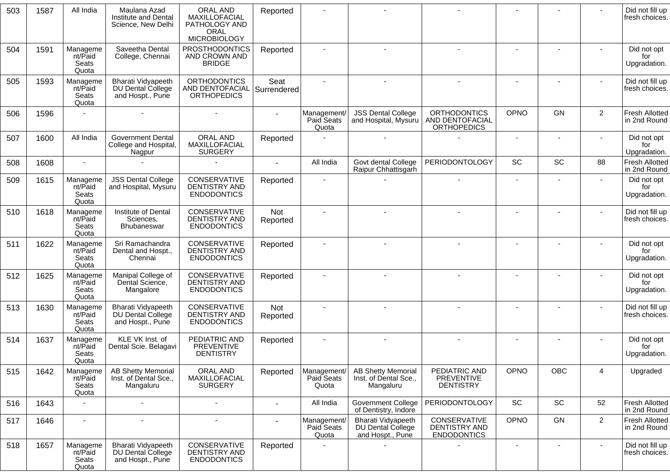| 503 | 1587 | All India                             | Maulana Azad<br>Institute and Dental<br>Science, New Delhi         | <b>ORAL AND</b><br>MAXILLOFACIAL<br>PATHOLOGY AND<br><b>ORAL</b><br><b>MICROBIOLOGY</b> | Reported            |                                    |                                                                 |                                                            |                              |           |                | Did not fill up<br>fresh choices.     |
|-----|------|---------------------------------------|--------------------------------------------------------------------|-----------------------------------------------------------------------------------------|---------------------|------------------------------------|-----------------------------------------------------------------|------------------------------------------------------------|------------------------------|-----------|----------------|---------------------------------------|
| 504 | 1591 | Manageme<br>nt/Paid<br>Seats<br>Quota | Saveetha Dental<br>College, Chennai                                | <b>PROSTHODONTICS</b><br>AND CROWN AND<br><b>BRIDGE</b>                                 | Reported            |                                    |                                                                 |                                                            |                              |           |                | Did not opt<br>for<br>Upgradation.    |
| 505 | 1593 | Manageme<br>nt/Paid<br>Seats<br>Quota | <b>Bharati Vidyapeeth</b><br>DU Dental College<br>and Hospt., Pune | <b>ORTHODONTICS</b><br>AND DENTOFACIAL<br><b>ORTHOPEDICS</b>                            | Seat<br>Surrendered |                                    |                                                                 |                                                            |                              |           |                | Did not fill up<br>fresh choices.     |
| 506 | 1596 |                                       |                                                                    |                                                                                         | $\sim$              | Management/<br>Paid Seats<br>Quota | <b>JSS Dental College</b><br>and Hospital, Mysuru               | <b>ORTHODONTICS</b><br>AND DENTOFACIAL<br>ORTHOPEDICS      | OPNO                         | <b>GN</b> | $\overline{2}$ | <b>Fresh Allotted</b><br>in 2nd Round |
| 507 | 1600 | All India                             | <b>Government Dental</b><br>College and Hospital,<br>Nagpur        | <b>ORAL AND</b><br>MAXILLOFACIAL<br><b>SURGERY</b>                                      | Reported            |                                    |                                                                 |                                                            | $\sim$                       |           |                | Did not opt<br>for<br>Upgradation.    |
| 508 | 1608 |                                       |                                                                    |                                                                                         |                     | All India                          | Govt dental College<br>Raipur Chhattisgarh                      | <b>PERIODONTOLOGY</b>                                      | SC                           | SC        | 88             | <b>Fresh Allotted</b><br>in 2nd Round |
| 509 | 1615 | Manageme<br>nt/Paid<br>Seats<br>Quota | <b>JSS Dental College</b><br>and Hospital, Mysuru                  | CONSERVATIVE<br><b>DENTISTRY AND</b><br><b>ENDODONTICS</b>                              | Reported            |                                    |                                                                 |                                                            | $\sim$                       |           |                | Did not opt<br>for<br>Upgradation.    |
| 510 | 1618 | Manageme<br>nt/Paid<br>Seats<br>Quota | Institute of Dental<br>Sciences,<br><b>Bhubaneswar</b>             | CONSERVATIVE<br><b>DENTISTRY AND</b><br><b>ENDODONTICS</b>                              | Not<br>Reported     |                                    |                                                                 |                                                            |                              |           |                | Did not fill up<br>fresh choices.     |
| 511 | 1622 | Manageme<br>nt/Paid<br>Seats<br>Quota | Sri Ramachandra<br>Dental and Hospt.,<br>Chennai                   | CONSERVATIVE<br><b>DENTISTRY AND</b><br><b>ENDODONTICS</b>                              | Reported            |                                    |                                                                 |                                                            |                              |           |                | Did not opt<br>for<br>Upgradation.    |
| 512 | 1625 | Manageme<br>nt/Paid<br>Seats<br>Quota | Manipal College of<br>Dental Science,<br>Mangalore                 | CONSERVATIVE<br><b>DENTISTRY AND</b><br><b>ENDODONTICS</b>                              | Reported            |                                    |                                                                 |                                                            | $\blacksquare$               |           |                | Did not opt<br>for<br>Upgradation.    |
| 513 | 1630 | Manageme<br>nt/Paid<br>Seats<br>Quota | <b>Bharati Vidyapeeth</b><br>DU Dental College<br>and Hospt., Pune | CONSERVATIVE<br>DENTISTRY AND<br><b>ENDODONTICS</b>                                     | Not<br>Reported     |                                    |                                                                 |                                                            |                              |           |                | Did not fill up<br>fresh choices.     |
| 514 | 1637 | Manageme<br>nt/Paid<br>Seats<br>Quota | KLE VK Inst. of<br>Dental Scie. Belagavi                           | PEDIATRIC AND<br><b>PREVENTIVE</b><br><b>DENTISTRY</b>                                  | Reported            |                                    |                                                                 |                                                            |                              |           |                | Did not opt<br>for<br>Upgradation.    |
| 515 | 1642 | Manageme<br>nt/Paid<br>Seats<br>Quota | <b>AB Shetty Memorial</b><br>Inst. of Dental Sce.,<br>Mangaluru    | ORAL AND<br>MAXILLOFACIAL<br><b>SURGERY</b>                                             | Reported            | Management/<br>Paid Seats<br>Quota | <b>AB Shetty Memorial</b><br>Inst. of Dental Sce.,<br>Mangaluru | PEDIATRIC AND<br><b>PREVENTIVE</b><br><b>DENTISTRY</b>     | OPNO                         | OBC       | $\overline{4}$ | Upgraded                              |
| 516 | 1643 |                                       |                                                                    | $\blacksquare$                                                                          | $\blacksquare$      | All India                          | Government College<br>of Dentistry, Indore                      | <b>PERIODONTOLOGY</b>                                      | $\operatorname{\textsf{SC}}$ | SC        | 52             | <b>Fresh Allotted</b><br>in 2nd Round |
| 517 | 1646 |                                       |                                                                    |                                                                                         |                     | Management/<br>Paid Seats<br>Quota | Bharati Vidyapeeth<br>DU Dental College<br>and Hospt., Pune     | CONSERVATIVE<br><b>DENTISTRY AND</b><br><b>ENDODONTICS</b> | <b>OPNO</b>                  | GN        | $\overline{2}$ | <b>Fresh Allotted</b><br>in 2nd Round |
| 518 | 1657 | Manageme<br>nt/Paid<br>Seats<br>Quota | <b>Bharati Vidyapeeth</b><br>DU Dental College<br>and Hospt., Pune | CONSERVATIVE<br><b>DENTISTRY AND</b><br><b>ENDODONTICS</b>                              | Reported            |                                    |                                                                 |                                                            |                              |           |                | Did not fill up<br>fresh choices.     |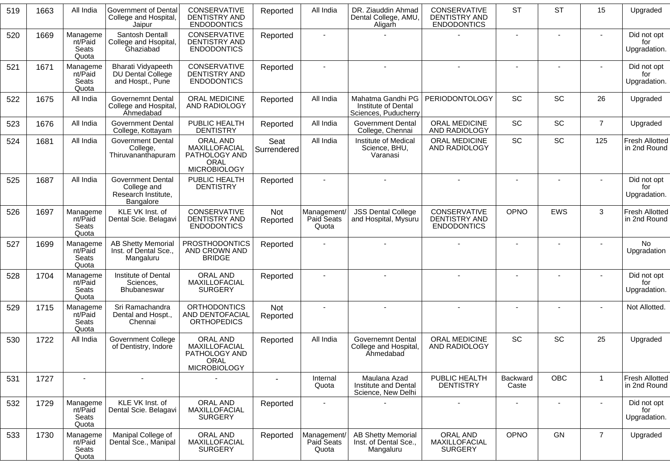| 519 | 1663 | All India                             | <b>Government of Dental</b><br>College and Hospital,<br>Jaipur              | CONSERVATIVE<br><b>DENTISTRY AND</b><br><b>ENDODONTICS</b>                | Reported               | All India                          | DR. Ziauddin Ahmad<br>Dental College, AMU,<br>Aligarh            | CONSERVATIVE<br>DENTISTRY AND<br><b>ENDODONTICS</b>        | <b>ST</b>         | <b>ST</b>      | 15             | Upgraded                              |
|-----|------|---------------------------------------|-----------------------------------------------------------------------------|---------------------------------------------------------------------------|------------------------|------------------------------------|------------------------------------------------------------------|------------------------------------------------------------|-------------------|----------------|----------------|---------------------------------------|
| 520 | 1669 | Manageme<br>nt/Paid<br>Seats<br>Quota | Santosh Dentall<br>College and Hsopital,<br>Ghaziabad                       | CONSERVATIVE<br>DENTISTRY AND<br><b>ENDODONTICS</b>                       | Reported               |                                    |                                                                  |                                                            | $\blacksquare$    | $\blacksquare$ |                | Did not opt<br>for<br>Upgradation.    |
| 521 | 1671 | Manageme<br>nt/Paid<br>Seats<br>Quota | <b>Bharati Vidyapeeth</b><br>DU Dental College<br>and Hospt., Pune          | CONSERVATIVE<br>DENTISTRY AND<br><b>ENDODONTICS</b>                       | Reported               |                                    |                                                                  |                                                            | $\blacksquare$    |                |                | Did not opt<br>for<br>Upgradation.    |
| 522 | 1675 | All India                             | <b>Governemnt Dental</b><br>College and Hospital,<br>Ahmedabad              | ORAL MEDICINE<br>AND RADIOLOGY                                            | Reported               | All India                          | Mahatma Gandhi PG<br>Institute of Dental<br>Sciences, Puducherry | <b>PERIODONTOLOGY</b>                                      | SC                | SC             | 26             | Upgraded                              |
| 523 | 1676 | All India                             | <b>Government Dental</b><br>College, Kottayam                               | PUBLIC HEALTH<br><b>DENTISTRY</b>                                         | Reported               | All India                          | <b>Government Dental</b><br>College, Chennai                     | ORAL MEDICINE<br>AND RADIOLOGY                             | SC                | SC             | $\overline{7}$ | Upgraded                              |
| 524 | 1681 | All India                             | <b>Government Dental</b><br>College,<br>Thiruvananthapuram                  | ORAL AND<br>MAXILLOFACIAL<br>PATHOLOGY AND<br>ORAL<br><b>MICROBIOLOGY</b> | Seat<br>Surrendered    | All India                          | Institute of Medical<br>Science, BHU,<br>Varanasi                | ORAL MEDICINE<br>AND RADIOLOGY                             | SC                | SC             | 125            | Fresh Allotted<br>in 2nd Round        |
| 525 | 1687 | All India                             | <b>Government Dental</b><br>College and<br>Research Institute,<br>Bangalore | PUBLIC HEALTH<br><b>DENTISTRY</b>                                         | Reported               |                                    |                                                                  |                                                            |                   |                |                | Did not opt<br>for<br>Upgradation.    |
| 526 | 1697 | Manageme<br>nt/Paid<br>Seats<br>Quota | KLE VK Inst. of<br>Dental Scie. Belagavi                                    | CONSERVATIVE<br><b>DENTISTRY AND</b><br><b>ENDODONTICS</b>                | <b>Not</b><br>Reported | Management/<br>Paid Seats<br>Quota | <b>JSS Dental College</b><br>and Hospital, Mysuru                | CONSERVATIVE<br><b>DENTISTRY AND</b><br><b>ENDODONTICS</b> | OPNO              | <b>EWS</b>     | 3              | <b>Fresh Allotted</b><br>in 2nd Round |
| 527 | 1699 | Manageme<br>nt/Paid<br>Seats<br>Quota | <b>AB Shetty Memorial</b><br>Inst. of Dental Sce.,<br>Mangaluru             | <b>PROSTHODONTICS</b><br>AND CROWN AND<br><b>BRIDGE</b>                   | Reported               |                                    |                                                                  |                                                            |                   |                |                | No.<br>Upgradation                    |
| 528 | 1704 | Manageme<br>nt/Paid<br>Seats<br>Quota | Institute of Dental<br>Sciences,<br>Bhubaneswar                             | ORAL AND<br>MAXILLOFACIAL<br><b>SURGERY</b>                               | Reported               |                                    |                                                                  |                                                            |                   |                |                | Did not opt<br>for<br>Upgradation.    |
| 529 | 1715 | Manageme<br>nt/Paid<br>Seats<br>Quota | Sri Ramachandra<br>Dental and Hospt.,<br>Chennai                            | <b>ORTHODONTICS</b><br>AND DENTOFACIAL<br><b>ORTHOPEDICS</b>              | Not<br>Reported        |                                    |                                                                  | $\blacksquare$                                             |                   |                |                | Not Allotted.                         |
| 530 | 1722 | All India                             | <b>Government College</b><br>of Dentistry, Indore                           | ORAL AND<br>MAXILLOFACIAL<br>PATHOLOGY AND<br>ORAL<br><b>MICROBIOLOGY</b> | Reported               | All India                          | <b>Governemnt Dental</b><br>College and Hospital,<br>Ahmedabad   | ORAL MEDICINE<br>AND RADIOLOGY                             | SC                | SC             | 25             | Upgraded                              |
| 531 | 1727 | $\overline{\phantom{a}}$              | $\blacksquare$                                                              |                                                                           |                        | Internal<br>Quota                  | Maulana Azad<br>Institute and Dental<br>Science, New Delhi       | PUBLIC HEALTH<br><b>DENTISTRY</b>                          | Backward<br>Caste | OBC            | $\mathbf{1}$   | Fresh Allotted<br>in 2nd Round        |
| 532 | 1729 | Manageme<br>nt/Paid<br>Seats<br>Quota | KLE VK Inst. of<br>Dental Scie. Belagavi                                    | ORAL AND<br>MAXILLOFACIAL<br><b>SURGERY</b>                               | Reported               | $\blacksquare$                     |                                                                  | $\overline{a}$                                             | $\sim$            | $\blacksquare$ | $\sim$         | Did not opt<br>for<br>Upgradation.    |
| 533 | 1730 | Manageme<br>nt/Paid<br>Seats<br>Quota | Manipal College of<br>Dental Sce., Manipal                                  | ORAL AND<br>MAXILLOFACIAL<br><b>SURGERY</b>                               | Reported               | Management/<br>Paid Seats<br>Quota | <b>AB Shetty Memorial</b><br>Inst. of Dental Sce.,<br>Mangaluru  | ORAL AND<br>MAXILLOFACIAL<br><b>SURGERY</b>                | OPNO              | GN             | $\overline{7}$ | Upgraded                              |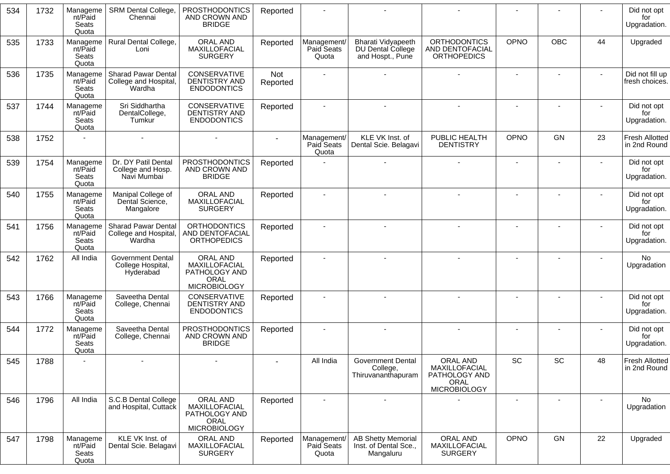| 534 | 1732 | Manageme<br>nt/Paid<br>Seats<br>Quota | SRM Dental College,<br>Chennai                                | <b>PROSTHODONTICS</b><br>AND CROWN AND<br><b>BRIDGE</b>                   | Reported        |                                    |                                                                 |                                                                           |                |                              |                | Did not opt<br>for<br>Upgradation.    |
|-----|------|---------------------------------------|---------------------------------------------------------------|---------------------------------------------------------------------------|-----------------|------------------------------------|-----------------------------------------------------------------|---------------------------------------------------------------------------|----------------|------------------------------|----------------|---------------------------------------|
| 535 | 1733 | Manageme<br>nt/Paid<br>Seats<br>Quota | Rural Dental College,<br>Loni                                 | ORAL AND<br>MAXILLOFACIAL<br><b>SURGERY</b>                               | Reported        | Management/<br>Paid Seats<br>Quota | Bharati Vidyapeeth<br>DU Dental College<br>and Hospt., Pune     | <b>ORTHODONTICS</b><br>AND DENTOFACIAL<br><b>ORTHOPEDICS</b>              | <b>OPNO</b>    | <b>OBC</b>                   | 44             | Upgraded                              |
| 536 | 1735 | Manageme<br>nt/Paid<br>Seats<br>Quota | <b>Sharad Pawar Dental</b><br>College and Hospital,<br>Wardha | CONSERVATIVE<br><b>DENTISTRY AND</b><br><b>ENDODONTICS</b>                | Not<br>Reported |                                    |                                                                 |                                                                           | ٠              |                              | $\blacksquare$ | Did not fill up<br>fresh choices.     |
| 537 | 1744 | Manageme<br>nt/Paid<br>Seats<br>Quota | Sri Siddhartha<br>DentalCollege,<br>Tumkur                    | CONSERVATIVE<br>DENTISTRY AND<br><b>ENDODONTICS</b>                       | Reported        |                                    |                                                                 |                                                                           | $\blacksquare$ |                              |                | Did not opt<br>for<br>Upgradation.    |
| 538 | 1752 |                                       |                                                               |                                                                           |                 | Management/<br>Paid Seats<br>Quota | KLE VK Inst. of<br>Dental Scie. Belagavi                        | PUBLIC HEALTH<br><b>DENTISTRY</b>                                         | OPNO           | GN                           | 23             | <b>Fresh Allotted</b><br>in 2nd Round |
| 539 | 1754 | Manageme<br>nt/Paid<br>Seats<br>Quota | Dr. DY Patil Dental<br>College and Hosp.<br>Navi Mumbai       | <b>PROSTHODONTICS</b><br>AND CROWN AND<br><b>BRIDGE</b>                   | Reported        |                                    |                                                                 |                                                                           | $\blacksquare$ |                              |                | Did not opt<br>for<br>Upgradation.    |
| 540 | 1755 | Manageme<br>nt/Paid<br>Seats<br>Quota | Manipal College of<br>Dental Science,<br>Mangalore            | ORAL AND<br>MAXILLOFACIAL<br><b>SURGERY</b>                               | Reported        |                                    |                                                                 |                                                                           |                |                              |                | Did not opt<br>for<br>Upgradation.    |
| 541 | 1756 | Manageme<br>nt/Paid<br>Seats<br>Quota | <b>Sharad Pawar Dental</b><br>College and Hospital,<br>Wardha | <b>ORTHODONTICS</b><br>AND DENTOFACIAL<br><b>ORTHOPEDICS</b>              | Reported        |                                    |                                                                 |                                                                           |                |                              |                | Did not opt<br>for<br>Upgradation.    |
| 542 | 1762 | All India                             | <b>Government Dental</b><br>College Hospital,<br>Hyderabad    | ORAL AND<br>MAXILLOFACIAL<br>PATHOLOGY AND<br>ORAL<br><b>MICROBIOLOGY</b> | Reported        |                                    |                                                                 |                                                                           |                |                              |                | No<br>Upgradation                     |
| 543 | 1766 | Manageme<br>nt/Paid<br>Seats<br>Quota | Saveetha Dental<br>College, Chennai                           | CONSERVATIVE<br>DENTISTRY AND<br><b>ENDODONTICS</b>                       | Reported        |                                    |                                                                 |                                                                           |                |                              |                | Did not opt<br>for<br>Upgradation.    |
| 544 | 1772 | Manageme<br>nt/Paid<br>Seats<br>Quota | Saveetha Dental<br>College, Chennai                           | <b>PROSTHODONTICS</b><br>AND CROWN AND<br><b>BRIDGE</b>                   | Reported        |                                    |                                                                 |                                                                           |                |                              |                | Did not opt<br>for<br>Upgradation.    |
| 545 | 1788 |                                       |                                                               |                                                                           |                 | All India                          | <b>Government Dental</b><br>College,<br>Thiruvananthapuram      | ORAL AND<br>MAXILLOFACIAL<br>PATHOLOGY AND<br>ORAL<br><b>MICROBIOLOGY</b> | SC             | $\operatorname{\textsf{SC}}$ | 48             | <b>Fresh Allotted</b><br>in 2nd Round |
| 546 | 1796 | All India                             | S.C.B Dental College<br>and Hospital, Cuttack                 | ORAL AND<br>MAXILLOFACIAL<br>PATHOLOGY AND<br>ORAL<br><b>MICROBIOLOGY</b> | Reported        |                                    |                                                                 |                                                                           |                |                              |                | No.<br>Upgradation                    |
| 547 | 1798 | Manageme<br>nt/Paid<br>Seats<br>Quota | KLE VK Inst. of<br>Dental Scie. Belagavi                      | ORAL AND<br>MAXILLOFACIAL<br><b>SURGERY</b>                               | Reported        | Management/<br>Paid Seats<br>Quota | <b>AB Shetty Memorial</b><br>Inst. of Dental Sce.,<br>Mangaluru | ORAL AND<br>MAXILLOFACIAL<br><b>SURGERY</b>                               | <b>OPNO</b>    | GN                           | 22             | Upgraded                              |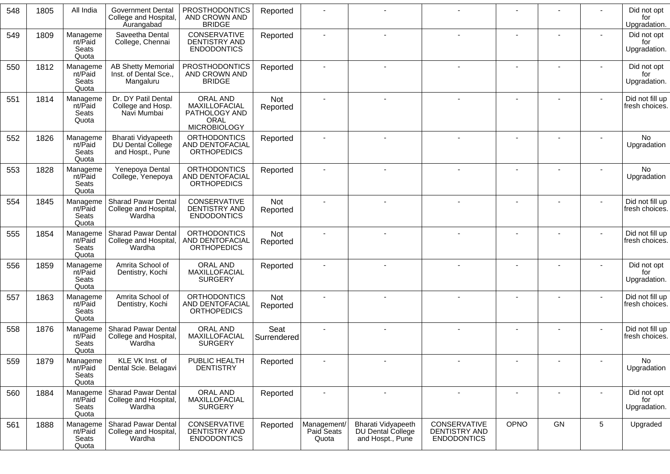| 548 | 1805 | All India                             | Government Dental<br>College and Hospital,<br><b>Aurangabad</b> | <b>PROSTHODONTICS</b><br>AND CROWN AND<br><b>BRIDGE</b>                   | Reported            |                                    |                                                             |                                                     |      |    |   | Did not opt<br>for<br>Upgradation. |
|-----|------|---------------------------------------|-----------------------------------------------------------------|---------------------------------------------------------------------------|---------------------|------------------------------------|-------------------------------------------------------------|-----------------------------------------------------|------|----|---|------------------------------------|
| 549 | 1809 | Manageme<br>nt/Paid<br>Seats<br>Quota | Saveetha Dental<br>College, Chennai                             | CONSERVATIVE<br>DENTISTRY AND<br><b>ENDODONTICS</b>                       | Reported            |                                    |                                                             |                                                     |      |    |   | Did not opt<br>for<br>Upgradation. |
| 550 | 1812 | Manageme<br>nt/Paid<br>Seats<br>Quota | <b>AB Shetty Memorial</b><br>Inst. of Dental Sce.,<br>Mangaluru | <b>PROSTHODONTICS</b><br>AND CROWN AND<br><b>BRIDGE</b>                   | Reported            |                                    |                                                             |                                                     |      |    |   | Did not opt<br>for<br>Upgradation. |
| 551 | 1814 | Manageme<br>nt/Paid<br>Seats<br>Quota | Dr. DY Patil Dental<br>College and Hosp.<br>Navi Mumbai         | ORAL AND<br>MAXILLOFACIAL<br>PATHOLOGY AND<br>ORAL<br><b>MICROBIOLOGY</b> | Not<br>Reported     |                                    |                                                             |                                                     |      |    |   | Did not fill up<br>fresh choices.  |
| 552 | 1826 | Manageme<br>nt/Paid<br>Seats<br>Quota | Bharati Vidyapeeth<br>DU Dental College<br>and Hospt., Pune     | <b>ORTHODONTICS</b><br>AND DENTOFACIAL<br><b>ORTHOPEDICS</b>              | Reported            |                                    |                                                             |                                                     |      |    |   | No<br>Upgradation                  |
| 553 | 1828 | Manageme<br>nt/Paid<br>Seats<br>Quota | Yenepoya Dental<br>College, Yenepoya                            | <b>ORTHODONTICS</b><br><b>AND DENTOFACIAL</b><br><b>ORTHOPEDICS</b>       | Reported            |                                    |                                                             |                                                     |      |    |   | <b>No</b><br>Upgradation           |
| 554 | 1845 | Manageme<br>nt/Paid<br>Seats<br>Quota | <b>Sharad Pawar Dental</b><br>College and Hospital,<br>Wardha   | CONSERVATIVE<br><b>DENTISTRY AND</b><br><b>ENDODONTICS</b>                | Not<br>Reported     |                                    |                                                             |                                                     |      |    |   | Did not fill up<br>fresh choices.  |
| 555 | 1854 | Manageme<br>nt/Paid<br>Seats<br>Quota | <b>Sharad Pawar Dental</b><br>College and Hospital,<br>Wardha   | <b>ORTHODONTICS</b><br>AND DENTOFACIAL<br><b>ORTHOPEDICS</b>              | Not<br>Reported     |                                    |                                                             |                                                     |      |    |   | Did not fill up<br>fresh choices.  |
| 556 | 1859 | Manageme<br>nt/Paid<br>Seats<br>Quota | Amrita School of<br>Dentistry, Kochi                            | ORAL AND<br>MAXILLOFACIAL<br><b>SURGERY</b>                               | Reported            |                                    |                                                             |                                                     |      |    |   | Did not opt<br>for<br>Upgradation. |
| 557 | 1863 | Manageme<br>nt/Paid<br>Seats<br>Quota | Amrita School of<br>Dentistry, Kochi                            | <b>ORTHODONTICS</b><br>AND DENTOFACIAL<br><b>ORTHOPEDICS</b>              | Not<br>Reported     |                                    |                                                             |                                                     |      |    |   | Did not fill up<br>fresh choices.  |
| 558 | 1876 | Manageme<br>nt/Paid<br>Seats<br>Quota | <b>Sharad Pawar Dental</b><br>College and Hospital,<br>Wardha   | ORAL AND<br>MAXILLOFACIAL<br><b>SURGERY</b>                               | Seat<br>Surrendered |                                    |                                                             |                                                     |      |    |   | Did not fill up<br>fresh choices.  |
| 559 | 1879 | Manageme<br>nt/Paid<br>Seats<br>Quota | KLE VK Inst. of<br>Dental Scie. Belagavi                        | PUBLIC HEALTH<br><b>DENTISTRY</b>                                         | Reported            |                                    |                                                             |                                                     |      |    |   | No<br>Upgradation                  |
| 560 | 1884 | Manageme<br>nt/Paid<br>Seats<br>Quota | Sharad Pawar Dental<br>College and Hospital,<br>Wardha          | ORAL AND<br>MAXILLOFACIAL<br><b>SURGERY</b>                               | Reported            | $\overline{\phantom{a}}$           | $\blacksquare$                                              |                                                     |      |    |   | Did not opt<br>for<br>Upgradation. |
| 561 | 1888 | Manageme<br>nt/Paid<br>Seats<br>Quota | Sharad Pawar Dental<br>College and Hospital,<br>Wardha          | CONSERVATIVE<br>DENTISTRY AND<br><b>ENDODONTICS</b>                       | Reported            | Management/<br>Paid Seats<br>Quota | Bharati Vidyapeeth<br>DU Dental College<br>and Hospt., Pune | CONSERVATIVE<br>DENTISTRY AND<br><b>ENDODONTICS</b> | OPNO | GN | 5 | Upgraded                           |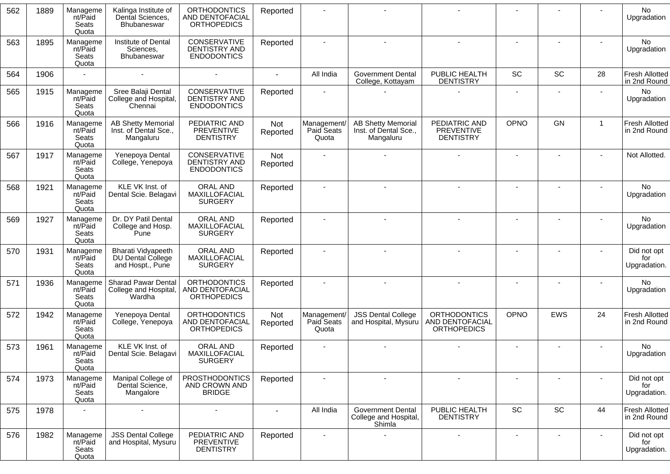| 562 | 1889 | Manageme<br>nt/Paid<br>Seats<br>Quota | Kalinga Institute of<br>Dental Sciences,<br><b>Bhubaneswar</b>  | <b>ORTHODONTICS</b><br>AND DENTOFACIAL<br><b>ORTHOPEDICS</b> | Reported               |                                    |                                                                 |                                                              |                          |                |              | <b>No</b><br>Upgradation              |
|-----|------|---------------------------------------|-----------------------------------------------------------------|--------------------------------------------------------------|------------------------|------------------------------------|-----------------------------------------------------------------|--------------------------------------------------------------|--------------------------|----------------|--------------|---------------------------------------|
| 563 | 1895 | Manageme<br>nt/Paid<br>Seats<br>Quota | Institute of Dental<br>Sciences,<br>Bhubaneswar                 | CONSERVATIVE<br>DENTISTRY AND<br><b>ENDODONTICS</b>          | Reported               |                                    |                                                                 |                                                              |                          |                |              | No<br>Upgradation                     |
| 564 | 1906 |                                       | $\sim$                                                          | $\sim$                                                       | $\sim$                 | All India                          | <b>Government Dental</b><br>College, Kottayam                   | PUBLIC HEALTH<br><b>DENTISTRY</b>                            | SC                       | SC             | 28           | <b>Fresh Allotted</b><br>in 2nd Round |
| 565 | 1915 | Manageme<br>nt/Paid<br>Seats<br>Quota | Sree Balaji Dental<br>College and Hospital,<br>Chennai          | <b>CONSERVATIVE</b><br>DENTISTRY AND<br><b>ENDODONTICS</b>   | Reported               |                                    |                                                                 |                                                              | $\overline{\phantom{a}}$ | $\blacksquare$ |              | <b>No</b><br>Upgradation              |
| 566 | 1916 | Manageme<br>nt/Paid<br>Seats<br>Quota | <b>AB Shetty Memorial</b><br>Inst. of Dental Sce.,<br>Mangaluru | PEDIATRIC AND<br><b>PREVENTIVE</b><br><b>DENTISTRY</b>       | <b>Not</b><br>Reported | Management/<br>Paid Seats<br>Quota | <b>AB Shetty Memorial</b><br>Inst. of Dental Sce.,<br>Mangaluru | PEDIATRIC AND<br>PREVENTIVE<br><b>DENTISTRY</b>              | OPNO                     | GN             | $\mathbf{1}$ | <b>Fresh Allotted</b><br>in 2nd Round |
| 567 | 1917 | Manageme<br>nt/Paid<br>Seats<br>Quota | Yenepoya Dental<br>College, Yenepoya                            | CONSERVATIVE<br><b>DENTISTRY AND</b><br><b>ENDODONTICS</b>   | Not<br>Reported        |                                    |                                                                 |                                                              | $\blacksquare$           |                |              | Not Allotted.                         |
| 568 | 1921 | Manageme<br>nt/Paid<br>Seats<br>Quota | KLE VK Inst. of<br>Dental Scie. Belagavi                        | ORAL AND<br>MAXILLOFACIAL<br><b>SURGERY</b>                  | Reported               |                                    |                                                                 |                                                              |                          |                |              | No.<br>Upgradation                    |
| 569 | 1927 | Manageme<br>nt/Paid<br>Seats<br>Quota | Dr. DY Patil Dental<br>College and Hosp.<br>Pune                | ORAL AND<br>MAXILLOFACIAL<br><b>SURGERY</b>                  | Reported               |                                    |                                                                 |                                                              |                          |                |              | No<br>Upgradation                     |
| 570 | 1931 | Manageme<br>nt/Paid<br>Seats<br>Quota | Bharati Vidyapeeth<br>DU Dental College<br>and Hospt., Pune     | ORAL AND<br>MAXILLOFACIAL<br><b>SURGERY</b>                  | Reported               |                                    |                                                                 |                                                              |                          |                |              | Did not opt<br>for<br>Upgradation.    |
| 571 | 1936 | Manageme<br>nt/Paid<br>Seats<br>Quota | <b>Sharad Pawar Dental</b><br>College and Hospital,<br>Wardha   | <b>ORTHODONTICS</b><br>AND DENTOFACIAL<br><b>ORTHOPEDICS</b> | Reported               |                                    |                                                                 |                                                              | $\overline{\phantom{a}}$ |                |              | No<br>Upgradation                     |
| 572 | 1942 | Manageme<br>nt/Paid<br>Seats<br>Quota | Yenepoya Dental<br>College, Yenepoya                            | <b>ORTHODONTICS</b><br>AND DENTOFACIAL<br><b>ORTHOPEDICS</b> | Not<br>Reported        | Management/<br>Paid Seats<br>Quota | <b>JSS Dental College</b><br>and Hospital, Mysuru               | <b>ORTHODONTICS</b><br>AND DENTOFACIAL<br><b>ORTHOPEDICS</b> | OPNO                     | <b>EWS</b>     | 24           | <b>Fresh Allotted</b><br>in 2nd Round |
| 573 | 1961 | Manageme<br>nt/Paid<br>Seats<br>Quota | KLE VK Inst. of<br>Dental Scie. Belagavi                        | ORAL AND<br>MAXILLOFACIAL<br><b>SURGERY</b>                  | Reported               |                                    |                                                                 |                                                              |                          |                |              | No.<br>Upgradation                    |
| 574 | 1973 | Manageme<br>nt/Paid<br>Seats<br>Quota | Manipal College of<br>Dental Science,<br>Mangalore              | <b>PROSTHODONTICS</b><br>AND CROWN AND<br><b>BRIDGE</b>      | Reported               |                                    |                                                                 | $\overline{\phantom{a}}$                                     | $\overline{\phantom{a}}$ |                |              | Did not opt<br>for<br>Upgradation.    |
| 575 | 1978 |                                       |                                                                 | $\overline{\phantom{a}}$                                     |                        | All India                          | <b>Government Dental</b><br>College and Hospital,<br>Shimla     | PUBLIC HEALTH<br><b>DENTISTRY</b>                            | SC                       | SC             | 44           | <b>Fresh Allotted</b><br>in 2nd Round |
| 576 | 1982 | Manageme<br>nt/Paid<br>Seats<br>Quota | <b>JSS Dental College</b><br>and Hospital, Mysuru               | PEDIATRIC AND<br><b>PREVENTIVE</b><br><b>DENTISTRY</b>       | Reported               | $\blacksquare$                     |                                                                 | $\blacksquare$                                               | $\overline{\phantom{a}}$ | $\blacksquare$ |              | Did not opt<br>for<br>Upgradation.    |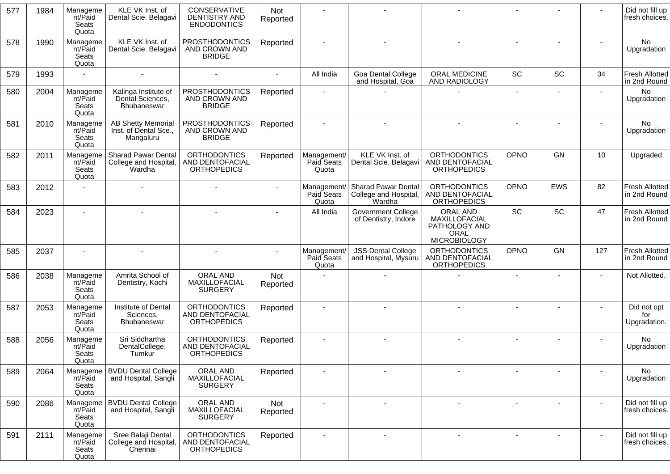| 577 | 1984 | Manageme<br>nt/Paid<br>Seats<br>Quota | KLE VK Inst. of<br>Dental Scie. Belagavi                        | <b>CONSERVATIVE</b><br>DENTISTRY AND<br><b>ENDODONTICS</b>   | <b>Not</b><br>Reported |                                    |                                                        |                                                                                  |                |                |        | Did not fill up<br>fresh choices.     |
|-----|------|---------------------------------------|-----------------------------------------------------------------|--------------------------------------------------------------|------------------------|------------------------------------|--------------------------------------------------------|----------------------------------------------------------------------------------|----------------|----------------|--------|---------------------------------------|
| 578 | 1990 | Manageme<br>nt/Paid<br>Seats<br>Quota | KLE VK Inst. of<br>Dental Scie. Belagavi                        | <b>PROSTHODONTICS</b><br>AND CROWN AND<br><b>BRIDGE</b>      | Reported               |                                    |                                                        |                                                                                  |                |                |        | No<br>Upgradation                     |
| 579 | 1993 |                                       | $\sim$                                                          | $\mathbf{r}$                                                 | $\sim$                 | All India                          | Goa Dental College<br>and Hospital, Goa                | ORAL MEDICINE<br>AND RADIOLOGY                                                   | <b>SC</b>      | <b>SC</b>      | 34     | <b>Fresh Allotted</b><br>in 2nd Round |
| 580 | 2004 | Manageme<br>nt/Paid<br>Seats<br>Quota | Kalinga Institute of<br>Dental Sciences,<br>Bhubaneswar         | <b>PROSTHODONTICS</b><br>AND CROWN AND<br><b>BRIDGE</b>      | Reported               |                                    |                                                        |                                                                                  | $\blacksquare$ | $\blacksquare$ |        | No<br>Upgradation                     |
| 581 | 2010 | Manageme<br>nt/Paid<br>Seats<br>Quota | <b>AB Shetty Memorial</b><br>Inst. of Dental Sce.,<br>Mangaluru | <b>PROSTHODONTICS</b><br>AND CROWN AND<br><b>BRIDGE</b>      | Reported               |                                    |                                                        |                                                                                  |                |                |        | No<br>Upgradation                     |
| 582 | 2011 | Manageme<br>nt/Paid<br>Seats<br>Quota | <b>Sharad Pawar Dental</b><br>College and Hospital,<br>Wardha   | <b>ORTHODONTICS</b><br>AND DENTOFACIAL<br><b>ORTHOPEDICS</b> | Reported               | Management/<br>Paid Seats<br>Quota | KLE VK Inst. of<br>Dental Scie. Belagavi               | <b>ORTHODONTICS</b><br>AND DENTOFACIAL<br><b>ORTHOPEDICS</b>                     | OPNO           | GN             | 10     | Upgraded                              |
| 583 | 2012 |                                       |                                                                 |                                                              |                        | Management<br>Paid Seats<br>Quota  | Sharad Pawar Dental<br>College and Hospital,<br>Wardha | <b>ORTHODONTICS</b><br>AND DENTOFACIAL<br><b>ORTHOPEDICS</b>                     | OPNO           | EWS            | 82     | Fresh Allotted<br>in 2nd Round        |
| 584 | 2023 |                                       |                                                                 |                                                              |                        | All India                          | <b>Government College</b><br>of Dentistry, Indore      | <b>ORAL AND</b><br>MAXILLOFACIAL<br>PATHOLOGY AND<br>ORAL<br><b>MICROBIOLOGY</b> | <b>SC</b>      | SC             | 47     | <b>Fresh Allotted</b><br>in 2nd Round |
| 585 | 2037 |                                       |                                                                 |                                                              |                        | Management/<br>Paid Seats<br>Quota | <b>JSS Dental College</b><br>and Hospital, Mysuru      | <b>ORTHODONTICS</b><br>AND DENTOFACIAL<br><b>ORTHOPEDICS</b>                     | OPNO           | GN             | 127    | <b>Fresh Allotted</b><br>in 2nd Round |
| 586 | 2038 | Manageme<br>nt/Paid<br>Seats<br>Quota | Amrita School of<br>Dentistry, Kochi                            | ORAL AND<br>MAXILLOFACIAL<br><b>SURGERY</b>                  | Not<br>Reported        |                                    |                                                        |                                                                                  |                |                |        | Not Allotted.                         |
| 587 | 2053 | Manageme<br>nt/Paid<br>Seats<br>Quota | Institute of Dental<br>Sciences,<br>Bhubaneswar                 | <b>ORTHODONTICS</b><br>AND DENTOFACIAL<br><b>ORTHOPEDICS</b> | Reported               |                                    |                                                        |                                                                                  |                |                |        | Did not opt<br>for<br>Upgradation.    |
| 588 | 2056 | Manageme<br>nt/Paid<br>Seats<br>Quota | Sri Siddhartha<br>DentalCollege,<br>Tumkur                      | <b>ORTHODONTICS</b><br>AND DENTOFACIAL<br><b>ORTHOPEDICS</b> | Reported               |                                    |                                                        |                                                                                  |                |                |        | No<br>Upgradation                     |
| 589 | 2064 | Manageme<br>nt/Paid<br>Seats<br>Quota | <b>BVDU Dental College</b><br>and Hospital, Sangli              | ORAL AND<br>MAXILLOFACIAL<br><b>SURGERY</b>                  | Reported               |                                    |                                                        |                                                                                  |                |                |        | No<br>Upgradation                     |
| 590 | 2086 | Manageme<br>nt/Paid<br>Seats<br>Quota | <b>BVDU Dental College</b><br>and Hospital, Sangli              | ORAL AND<br>MAXILLOFACIAL<br><b>SURGERY</b>                  | Not<br>Reported        |                                    |                                                        | $\overline{\phantom{a}}$                                                         |                |                | $\sim$ | Did not fill up<br>fresh choices.     |
| 591 | 2111 | Manageme<br>nt/Paid<br>Seats<br>Quota | Sree Balaji Dental<br>College and Hospital,<br>Chennai          | <b>ORTHODONTICS</b><br>AND DENTOFACIAL<br><b>ORTHOPEDICS</b> | Reported               |                                    |                                                        |                                                                                  |                |                |        | Did not fill up<br>fresh choices.     |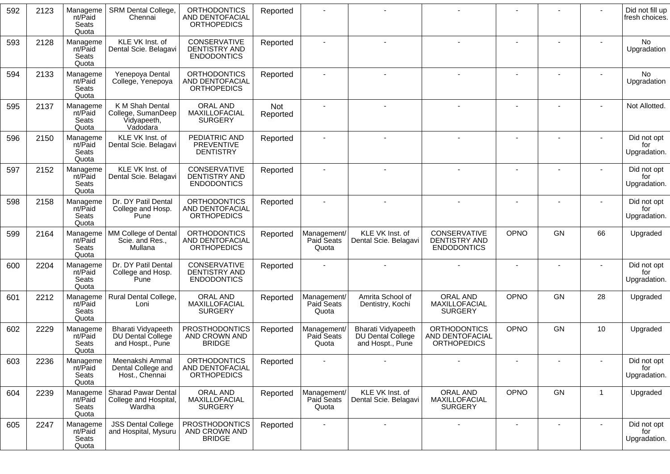| 592 | 2123 | Manageme<br>nt/Paid<br>Seats<br>Quota | <b>SRM Dental College,</b><br>Chennai                              | <b>ORTHODONTICS</b><br>AND DENTOFACIAL<br><b>ORTHOPEDICS</b> | Reported        |                                    |                                                             |                                                              |             |    |                | Did not fill up<br>fresh choices.  |
|-----|------|---------------------------------------|--------------------------------------------------------------------|--------------------------------------------------------------|-----------------|------------------------------------|-------------------------------------------------------------|--------------------------------------------------------------|-------------|----|----------------|------------------------------------|
| 593 | 2128 | Manageme<br>nt/Paid<br>Seats<br>Quota | KLE VK Inst. of<br>Dental Scie. Belagavi                           | CONSERVATIVE<br>DENTISTRY AND<br><b>ENDODONTICS</b>          | Reported        |                                    |                                                             |                                                              |             |    |                | No<br>Upgradation                  |
| 594 | 2133 | Manageme<br>nt/Paid<br>Seats<br>Quota | Yenepoya Dental<br>College, Yenepoya                               | <b>ORTHODONTICS</b><br>AND DENTOFACIAL<br><b>ORTHOPEDICS</b> | Reported        |                                    |                                                             |                                                              |             |    |                | No<br>Upgradation                  |
| 595 | 2137 | Manageme<br>nt/Paid<br>Seats<br>Quota | K M Shah Dental<br>College, SumanDeep<br>Vidyapeeth,<br>Vadodara   | ORAL AND<br>MAXILLOFACIAL<br><b>SURGERY</b>                  | Not<br>Reported |                                    |                                                             |                                                              |             |    |                | Not Allotted.                      |
| 596 | 2150 | Manageme<br>nt/Paid<br>Seats<br>Quota | KLE VK Inst. of<br>Dental Scie. Belagavi                           | PEDIATRIC AND<br><b>PREVENTIVE</b><br><b>DENTISTRY</b>       | Reported        |                                    |                                                             |                                                              |             |    |                | Did not opt<br>for<br>Upgradation. |
| 597 | 2152 | Manageme<br>nt/Paid<br>Seats<br>Quota | KLE VK Inst. of<br>Dental Scie. Belagavi                           | CONSERVATIVE<br>DENTISTRY AND<br><b>ENDODONTICS</b>          | Reported        | $\blacksquare$                     |                                                             |                                                              |             |    | $\sim$         | Did not opt<br>for<br>Upgradation. |
| 598 | 2158 | Manageme<br>nt/Paid<br>Seats<br>Quota | Dr. DY Patil Dental<br>College and Hosp.<br>Pune                   | <b>ORTHODONTICS</b><br>AND DENTOFACIAL<br><b>ORTHOPEDICS</b> | Reported        |                                    |                                                             |                                                              |             |    |                | Did not opt<br>for<br>Upgradation. |
| 599 | 2164 | Manageme<br>nt/Paid<br>Seats<br>Quota | MM College of Dental<br>Scie. and Res.,<br>Mullana                 | <b>ORTHODONTICS</b><br>AND DENTOFACIAL<br><b>ORTHOPEDICS</b> | Reported        | Management/<br>Paid Seats<br>Quota | KLE VK Inst. of<br>Dental Scie. Belagavi                    | CONSERVATIVE<br><b>DENTISTRY AND</b><br><b>ENDODONTICS</b>   | <b>OPNO</b> | GN | 66             | Upgraded                           |
| 600 | 2204 | Manageme<br>nt/Paid<br>Seats<br>Quota | Dr. DY Patil Dental<br>College and Hosp.<br>Pune                   | CONSERVATIVE<br>DENTISTRY AND<br><b>ENDODONTICS</b>          | Reported        |                                    |                                                             |                                                              |             |    | $\blacksquare$ | Did not opt<br>for<br>Upgradation. |
| 601 | 2212 | Manageme<br>nt/Paid<br>Seats<br>Quota | Rural Dental College,<br>Loni                                      | ORAL AND<br>MAXILLOFACIAL<br><b>SURGERY</b>                  | Reported        | Management/<br>Paid Seats<br>Quota | Amrita School of<br>Dentistry, Kochi                        | <b>ORAL AND</b><br>MAXILLOFACIAL<br><b>SURGERY</b>           | OPNO        | GN | 28             | Upgraded                           |
| 602 | 2229 | Manageme<br>nt/Paid<br>Seats<br>Quota | <b>Bharati Vidyapeeth</b><br>DU Dental College<br>and Hospt., Pune | <b>PROSTHODONTICS</b><br>AND CROWN AND<br><b>BRIDGE</b>      | Reported        | Management/<br>Paid Seats<br>Quota | Bharati Vidyapeeth<br>DU Dental College<br>and Hospt., Pune | <b>ORTHODONTICS</b><br>AND DENTOFACIAL<br><b>ORTHOPEDICS</b> | OPNO        | GN | 10             | Upgraded                           |
| 603 | 2236 | Manageme<br>nt/Paid<br>Seats<br>Quota | Meenakshi Ammal<br>Dental College and<br>Host., Chennai            | <b>ORTHODONTICS</b><br>AND DENTOFACIAL<br><b>ORTHOPEDICS</b> | Reported        |                                    |                                                             |                                                              |             |    |                | Did not opt<br>for<br>Upgradation. |
| 604 | 2239 | Manageme<br>nt/Paid<br>Seats<br>Quota | <b>Sharad Pawar Dental</b><br>College and Hospital,<br>Wardha      | ORAL AND<br>MAXILLOFACIAL<br><b>SURGERY</b>                  | Reported        | Management/<br>Paid Seats<br>Quota | KLE VK Inst. of<br>Dental Scie. Belagavi                    | ORAL AND<br>MAXILLOFACIAL<br><b>SURGERY</b>                  | <b>OPNO</b> | GN | $\mathbf 1$    | Upgraded                           |
| 605 | 2247 | Manageme<br>nt/Paid<br>Seats<br>Quota | <b>JSS Dental College</b><br>and Hospital, Mysuru                  | PROSTHODONTICS<br>AND CROWN AND<br><b>BRIDGE</b>             | Reported        |                                    |                                                             |                                                              |             |    |                | Did not opt<br>for<br>Upgradation. |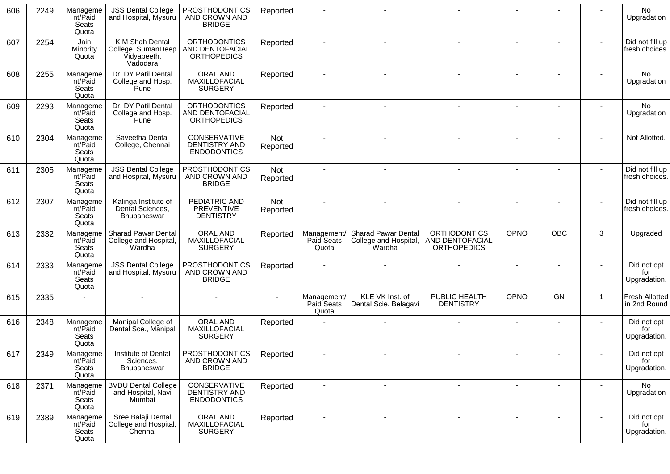| 606<br>2249<br><b>JSS Dental College</b><br><b>PROSTHODONTICS</b><br>Manageme<br>Reported<br>nt/Paid<br>and Hospital, Mysuru<br>AND CROWN AND<br>Seats<br><b>BRIDGE</b><br>Quota<br>K M Shah Dental<br><b>ORTHODONTICS</b><br>Jain<br>607<br>2254<br>Reported<br>AND DENTOFACIAL<br>Minority<br>College, SumanDeep<br><b>ORTHOPEDICS</b><br>Vidyapeeth,<br>Quota<br>Vadodara<br>Dr. DY Patil Dental<br><b>ORAL AND</b><br>608<br>2255<br>Manageme<br>Reported<br>$\blacksquare$<br>MAXILLOFACIAL<br>nt/Paid<br>College and Hosp.<br><b>SURGERY</b><br>Seats<br>Pune<br>Quota<br><b>ORTHODONTICS</b><br>2293<br>Manageme<br>Dr. DY Patil Dental<br>609<br>Reported<br>nt/Paid<br>College and Hosp.<br>AND DENTOFACIAL<br>Seats<br>Pune<br><b>ORTHOPEDICS</b><br>Quota<br>Saveetha Dental<br>CONSERVATIVE<br>610<br>2304<br>Not<br>Manageme<br>nt/Paid<br><b>DENTISTRY AND</b><br>College, Chennai<br>Reported<br>Seats<br><b>ENDODONTICS</b><br>Quota<br><b>JSS Dental College</b><br><b>PROSTHODONTICS</b><br>Not<br>611<br>2305<br>Manageme<br>nt/Paid<br>AND CROWN AND<br>and Hospital, Mysuru<br>Reported<br><b>BRIDGE</b><br>Seats<br>Quota<br>PEDIATRIC AND<br>612<br>2307<br>Manageme<br>Kalinga Institute of<br><b>Not</b><br>nt/Paid<br>Dental Sciences,<br><b>PREVENTIVE</b><br>Reported<br>Seats<br><b>DENTISTRY</b><br><b>Bhubaneswar</b><br>Quota<br><b>Sharad Pawar Dental</b><br><b>ORAL AND</b><br><b>Sharad Pawar Dental</b><br><b>ORTHODONTICS</b><br>613<br>2332<br>Management/<br>Manageme<br>Reported<br>MAXILLOFACIAL<br>nt/Paid<br>College and Hospital,<br>Paid Seats<br>College and Hospital,<br>AND DENTOFACIAL<br>Wardha<br><b>SURGERY</b><br>Seats<br>Quota<br>Wardha<br><b>ORTHOPEDICS</b><br>Quota<br><b>JSS Dental College</b><br><b>PROSTHODONTICS</b><br>614<br>2333<br>Manageme<br>Reported<br>nt/Paid<br>AND CROWN AND<br>and Hospital, Mysuru<br><b>BRIDGE</b><br>Seats<br>Quota<br>KLE VK Inst. of<br>PUBLIC HEALTH<br>Management/<br>615<br>2335<br>Paid Seats<br><b>DENTISTRY</b><br>Dental Scie. Belagavi<br>Quota<br>ORAL AND<br>2348<br>Manageme<br>Manipal College of<br>616<br>Reported<br>MAXILLOFACIAL<br>nt/Paid<br>Dental Sce., Manipal |             | <b>No</b><br>Upgradation<br>Did not fill up<br>fresh choices.<br>No<br>Upgradation<br><b>No</b><br>Upgradation<br>Not Allotted.<br>Did not fill up<br>fresh choices.<br>Did not fill up<br>fresh choices. |
|----------------------------------------------------------------------------------------------------------------------------------------------------------------------------------------------------------------------------------------------------------------------------------------------------------------------------------------------------------------------------------------------------------------------------------------------------------------------------------------------------------------------------------------------------------------------------------------------------------------------------------------------------------------------------------------------------------------------------------------------------------------------------------------------------------------------------------------------------------------------------------------------------------------------------------------------------------------------------------------------------------------------------------------------------------------------------------------------------------------------------------------------------------------------------------------------------------------------------------------------------------------------------------------------------------------------------------------------------------------------------------------------------------------------------------------------------------------------------------------------------------------------------------------------------------------------------------------------------------------------------------------------------------------------------------------------------------------------------------------------------------------------------------------------------------------------------------------------------------------------------------------------------------------------------------------------------------------------------------------------------------------------------------------------------------------------------------------------------------------------------------------------------------------------------------------|-------------|-----------------------------------------------------------------------------------------------------------------------------------------------------------------------------------------------------------|
|                                                                                                                                                                                                                                                                                                                                                                                                                                                                                                                                                                                                                                                                                                                                                                                                                                                                                                                                                                                                                                                                                                                                                                                                                                                                                                                                                                                                                                                                                                                                                                                                                                                                                                                                                                                                                                                                                                                                                                                                                                                                                                                                                                                        |             |                                                                                                                                                                                                           |
|                                                                                                                                                                                                                                                                                                                                                                                                                                                                                                                                                                                                                                                                                                                                                                                                                                                                                                                                                                                                                                                                                                                                                                                                                                                                                                                                                                                                                                                                                                                                                                                                                                                                                                                                                                                                                                                                                                                                                                                                                                                                                                                                                                                        |             |                                                                                                                                                                                                           |
|                                                                                                                                                                                                                                                                                                                                                                                                                                                                                                                                                                                                                                                                                                                                                                                                                                                                                                                                                                                                                                                                                                                                                                                                                                                                                                                                                                                                                                                                                                                                                                                                                                                                                                                                                                                                                                                                                                                                                                                                                                                                                                                                                                                        |             |                                                                                                                                                                                                           |
|                                                                                                                                                                                                                                                                                                                                                                                                                                                                                                                                                                                                                                                                                                                                                                                                                                                                                                                                                                                                                                                                                                                                                                                                                                                                                                                                                                                                                                                                                                                                                                                                                                                                                                                                                                                                                                                                                                                                                                                                                                                                                                                                                                                        |             |                                                                                                                                                                                                           |
|                                                                                                                                                                                                                                                                                                                                                                                                                                                                                                                                                                                                                                                                                                                                                                                                                                                                                                                                                                                                                                                                                                                                                                                                                                                                                                                                                                                                                                                                                                                                                                                                                                                                                                                                                                                                                                                                                                                                                                                                                                                                                                                                                                                        |             |                                                                                                                                                                                                           |
|                                                                                                                                                                                                                                                                                                                                                                                                                                                                                                                                                                                                                                                                                                                                                                                                                                                                                                                                                                                                                                                                                                                                                                                                                                                                                                                                                                                                                                                                                                                                                                                                                                                                                                                                                                                                                                                                                                                                                                                                                                                                                                                                                                                        |             |                                                                                                                                                                                                           |
|                                                                                                                                                                                                                                                                                                                                                                                                                                                                                                                                                                                                                                                                                                                                                                                                                                                                                                                                                                                                                                                                                                                                                                                                                                                                                                                                                                                                                                                                                                                                                                                                                                                                                                                                                                                                                                                                                                                                                                                                                                                                                                                                                                                        |             |                                                                                                                                                                                                           |
|                                                                                                                                                                                                                                                                                                                                                                                                                                                                                                                                                                                                                                                                                                                                                                                                                                                                                                                                                                                                                                                                                                                                                                                                                                                                                                                                                                                                                                                                                                                                                                                                                                                                                                                                                                                                                                                                                                                                                                                                                                                                                                                                                                                        | <b>OPNO</b> | OBC<br>3<br>Upgraded                                                                                                                                                                                      |
|                                                                                                                                                                                                                                                                                                                                                                                                                                                                                                                                                                                                                                                                                                                                                                                                                                                                                                                                                                                                                                                                                                                                                                                                                                                                                                                                                                                                                                                                                                                                                                                                                                                                                                                                                                                                                                                                                                                                                                                                                                                                                                                                                                                        |             | Did not opt<br>for<br>Upgradation.                                                                                                                                                                        |
|                                                                                                                                                                                                                                                                                                                                                                                                                                                                                                                                                                                                                                                                                                                                                                                                                                                                                                                                                                                                                                                                                                                                                                                                                                                                                                                                                                                                                                                                                                                                                                                                                                                                                                                                                                                                                                                                                                                                                                                                                                                                                                                                                                                        | <b>OPNO</b> | GN<br>$\mathbf{1}$<br>Fresh Allotted<br>in 2nd Round                                                                                                                                                      |
| <b>SURGERY</b><br>Seats<br>Quota                                                                                                                                                                                                                                                                                                                                                                                                                                                                                                                                                                                                                                                                                                                                                                                                                                                                                                                                                                                                                                                                                                                                                                                                                                                                                                                                                                                                                                                                                                                                                                                                                                                                                                                                                                                                                                                                                                                                                                                                                                                                                                                                                       |             | Did not opt<br>for<br>Upgradation.                                                                                                                                                                        |
| Institute of Dental<br><b>PROSTHODONTICS</b><br>617<br>2349<br>Manageme<br>Reported<br>nt/Paid<br>AND CROWN AND<br>Sciences,<br><b>BRIDGE</b><br>Seats<br>Bhubaneswar<br>Quota                                                                                                                                                                                                                                                                                                                                                                                                                                                                                                                                                                                                                                                                                                                                                                                                                                                                                                                                                                                                                                                                                                                                                                                                                                                                                                                                                                                                                                                                                                                                                                                                                                                                                                                                                                                                                                                                                                                                                                                                         |             | Did not opt<br>for<br>Upgradation.                                                                                                                                                                        |
| <b>BVDU Dental College</b><br>CONSERVATIVE<br>2371<br>Manageme<br>Reported<br>618<br>$\overline{\phantom{a}}$<br><b>DENTISTRY AND</b><br>nt/Paid<br>and Hospital, Navi<br>Mumbai<br><b>ENDODONTICS</b><br>Seats<br>Quota                                                                                                                                                                                                                                                                                                                                                                                                                                                                                                                                                                                                                                                                                                                                                                                                                                                                                                                                                                                                                                                                                                                                                                                                                                                                                                                                                                                                                                                                                                                                                                                                                                                                                                                                                                                                                                                                                                                                                               |             | No<br>Upgradation                                                                                                                                                                                         |
| 619<br>2389<br>Manageme<br>Sree Balaji Dental<br>ORAL AND<br>Reported<br>$\blacksquare$<br>$\blacksquare$<br>College and Hospital,<br>MAXILLOFACIAL<br>nt/Paid<br>Chennai<br><b>SURGERY</b><br>Seats<br>Quota                                                                                                                                                                                                                                                                                                                                                                                                                                                                                                                                                                                                                                                                                                                                                                                                                                                                                                                                                                                                                                                                                                                                                                                                                                                                                                                                                                                                                                                                                                                                                                                                                                                                                                                                                                                                                                                                                                                                                                          |             | Did not opt<br>for<br>Upgradation.                                                                                                                                                                        |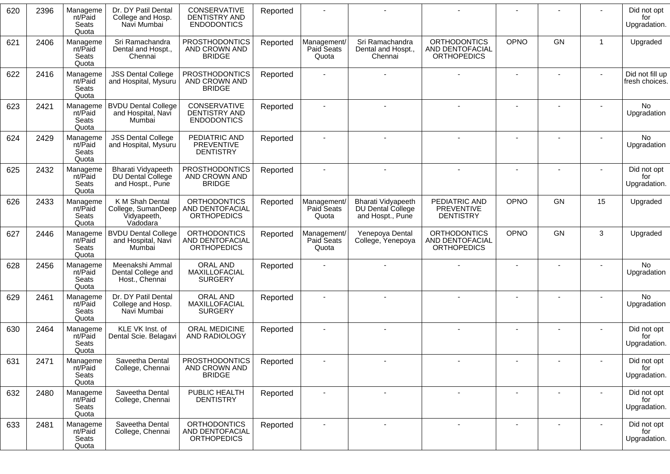| 620 | 2396 | Manageme<br>nt/Paid<br>Seats<br>Quota | Dr. DY Patil Dental<br>College and Hosp.<br>Navi Mumbai          | <b>CONSERVATIVE</b><br>DENTISTRY AND<br><b>ENDODONTICS</b>   | Reported |                                    |                                                             |                                                              |             |    |              | Did not opt<br>for<br>Upgradation. |
|-----|------|---------------------------------------|------------------------------------------------------------------|--------------------------------------------------------------|----------|------------------------------------|-------------------------------------------------------------|--------------------------------------------------------------|-------------|----|--------------|------------------------------------|
| 621 | 2406 | Manageme<br>nt/Paid<br>Seats<br>Quota | Sri Ramachandra<br>Dental and Hospt.,<br>Chennai                 | <b>PROSTHODONTICS</b><br>AND CROWN AND<br><b>BRIDGE</b>      | Reported | Management/<br>Paid Seats<br>Quota | Sri Ramachandra<br>Dental and Hospt.,<br>Chennai            | <b>ORTHODONTICS</b><br>AND DENTOFACIAL<br><b>ORTHOPEDICS</b> | <b>OPNO</b> | GN | $\mathbf{1}$ | Upgraded                           |
| 622 | 2416 | Manageme<br>nt/Paid<br>Seats<br>Quota | <b>JSS Dental College</b><br>and Hospital, Mysuru                | <b>PROSTHODONTICS</b><br>AND CROWN AND<br><b>BRIDGE</b>      | Reported |                                    |                                                             |                                                              |             |    |              | Did not fill up<br>fresh choices.  |
| 623 | 2421 | Manageme<br>nt/Paid<br>Seats<br>Quota | <b>BVDU Dental College</b><br>and Hospital, Navi<br>Mumbai       | CONSERVATIVE<br>DENTISTRY AND<br><b>ENDODONTICS</b>          | Reported | $\blacksquare$                     |                                                             |                                                              |             |    |              | <b>No</b><br>Upgradation           |
| 624 | 2429 | Manageme<br>nt/Paid<br>Seats<br>Quota | <b>JSS Dental College</b><br>and Hospital, Mysuru                | PEDIATRIC AND<br><b>PREVENTIVE</b><br><b>DENTISTRY</b>       | Reported |                                    |                                                             |                                                              |             |    |              | No<br>Upgradation                  |
| 625 | 2432 | Manageme<br>nt/Paid<br>Seats<br>Quota | Bharati Vidyapeeth<br>DU Dental College<br>and Hospt., Pune      | <b>PROSTHODONTICS</b><br>AND CROWN AND<br><b>BRIDGE</b>      | Reported | $\blacksquare$                     |                                                             |                                                              |             |    |              | Did not opt<br>for<br>Upgradation. |
| 626 | 2433 | Manageme<br>nt/Paid<br>Seats<br>Quota | K M Shah Dental<br>College, SumanDeep<br>Vidyapeeth,<br>Vadodara | <b>ORTHODONTICS</b><br>AND DENTOFACIAL<br><b>ORTHOPEDICS</b> | Reported | Management/<br>Paid Seats<br>Quota | Bharati Vidyapeeth<br>DU Dental College<br>and Hospt., Pune | PEDIATRIC AND<br><b>PREVENTIVE</b><br><b>DENTISTRY</b>       | <b>OPNO</b> | GN | 15           | Upgraded                           |
| 627 | 2446 | Manageme<br>nt/Paid<br>Seats<br>Quota | <b>BVDU Dental College</b><br>and Hospital, Navi<br>Mumbai       | <b>ORTHODONTICS</b><br>AND DENTOFACIAL<br><b>ORTHOPEDICS</b> | Reported | Management/<br>Paid Seats<br>Quota | Yenepoya Dental<br>College, Yenepoya                        | <b>ORTHODONTICS</b><br>AND DENTOFACIAL<br><b>ORTHOPEDICS</b> | OPNO        | GN | 3            | Upgraded                           |
| 628 | 2456 | Manageme<br>nt/Paid<br>Seats<br>Quota | Meenakshi Ammal<br>Dental College and<br>Host., Chennai          | ORAL AND<br>MAXILLOFACIAL<br><b>SURGERY</b>                  | Reported |                                    |                                                             |                                                              |             |    |              | No<br>Upgradation                  |
| 629 | 2461 | Manageme<br>nt/Paid<br>Seats<br>Quota | Dr. DY Patil Dental<br>College and Hosp.<br>Navi Mumbai          | <b>ORAL AND</b><br>MAXILLOFACIAL<br><b>SURGERY</b>           | Reported |                                    |                                                             |                                                              |             |    |              | <b>No</b><br>Upgradation           |
| 630 | 2464 | Manageme<br>nt/Paid<br>Seats<br>Quota | KLE VK Inst. of<br>Dental Scie. Belagavi                         | ORAL MEDICINE<br>AND RADIOLOGY                               | Reported |                                    |                                                             |                                                              |             |    |              | Did not opt<br>for<br>Upgradation. |
| 631 | 2471 | Manageme<br>nt/Paid<br>Seats<br>Quota | Saveetha Dental<br>College, Chennai                              | <b>PROSTHODONTICS</b><br>AND CROWN AND<br><b>BRIDGE</b>      | Reported |                                    |                                                             |                                                              |             |    |              | Did not opt<br>for<br>Upgradation. |
| 632 | 2480 | Manageme<br>nt/Paid<br>Seats<br>Quota | Saveetha Dental<br>College, Chennai                              | PUBLIC HEALTH<br><b>DENTISTRY</b>                            | Reported | $\overline{\phantom{a}}$           |                                                             |                                                              |             |    |              | Did not opt<br>for<br>Upgradation. |
| 633 | 2481 | Manageme<br>nt/Paid<br>Seats<br>Quota | Saveetha Dental<br>College, Chennai                              | <b>ORTHODONTICS</b><br>AND DENTOFACIAL<br><b>ORTHOPEDICS</b> | Reported |                                    |                                                             |                                                              |             |    |              | Did not opt<br>for<br>Upgradation. |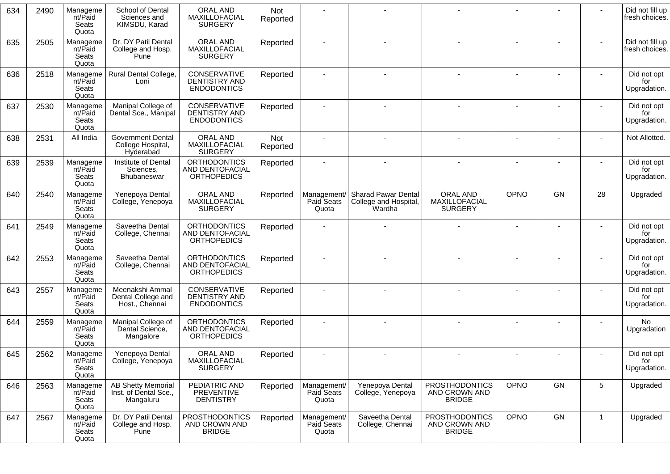| 634 | 2490 | Manageme<br>nt/Paid<br>Seats<br>Quota | School of Dental<br>Sciences and<br>KIMSDU, Karad               | ORAL AND<br>MAXILLOFACIAL<br><b>SURGERY</b>                         | Not<br>Reported |                                           |                                                              |                                                         |             |    |              | Did not fill up<br>fresh choices.  |
|-----|------|---------------------------------------|-----------------------------------------------------------------|---------------------------------------------------------------------|-----------------|-------------------------------------------|--------------------------------------------------------------|---------------------------------------------------------|-------------|----|--------------|------------------------------------|
| 635 | 2505 | Manageme<br>nt/Paid<br>Seats<br>Quota | Dr. DY Patil Dental<br>College and Hosp.<br>Pune                | ORAL AND<br>MAXILLOFACIAL<br><b>SURGERY</b>                         | Reported        |                                           |                                                              |                                                         |             |    |              | Did not fill up<br>fresh choices.  |
| 636 | 2518 | Manageme<br>nt/Paid<br>Seats<br>Quota | Rural Dental College,<br>Loni                                   | CONSERVATIVE<br>DENTISTRY AND<br><b>ENDODONTICS</b>                 | Reported        | $\blacksquare$                            |                                                              |                                                         |             |    |              | Did not opt<br>for<br>Upgradation. |
| 637 | 2530 | Manageme<br>nt/Paid<br>Seats<br>Quota | Manipal College of<br>Dental Sce., Manipal                      | CONSERVATIVE<br>DENTISTRY AND<br><b>ENDODONTICS</b>                 | Reported        |                                           |                                                              |                                                         |             |    |              | Did not opt<br>for<br>Upgradation. |
| 638 | 2531 | All India                             | <b>Government Dental</b><br>College Hospital,<br>Hyderabad      | ORAL AND<br><b>MAXILLOFACIAL</b><br><b>SURGERY</b>                  | Not<br>Reported |                                           |                                                              |                                                         |             |    |              | Not Allotted.                      |
| 639 | 2539 | Manageme<br>nt/Paid<br>Seats<br>Quota | Institute of Dental<br>Sciences,<br><b>Bhubaneswar</b>          | <b>ORTHODONTICS</b><br><b>AND DENTOFACIAL</b><br><b>ORTHOPEDICS</b> | Reported        |                                           |                                                              |                                                         |             |    |              | Did not opt<br>for<br>Upgradation. |
| 640 | 2540 | Manageme<br>nt/Paid<br>Seats<br>Quota | Yenepoya Dental<br>College, Yenepoya                            | ORAL AND<br>MAXILLOFACIAL<br><b>SURGERY</b>                         | Reported        | Management/<br><b>Paid Seats</b><br>Quota | <b>Sharad Pawar Dental</b><br>College and Hospital<br>Wardha | ORAL AND<br>MAXILLOFACIAL<br><b>SURGERY</b>             | <b>OPNO</b> | GN | 28           | Upgraded                           |
| 641 | 2549 | Manageme<br>nt/Paid<br>Seats<br>Quota | Saveetha Dental<br>College, Chennai                             | <b>ORTHODONTICS</b><br>AND DENTOFACIAL<br><b>ORTHOPEDICS</b>        | Reported        |                                           |                                                              |                                                         |             |    |              | Did not opt<br>for<br>Upgradation. |
| 642 | 2553 | Manageme<br>nt/Paid<br>Seats<br>Quota | Saveetha Dental<br>College, Chennai                             | <b>ORTHODONTICS</b><br><b>AND DENTOFACIAL</b><br><b>ORTHOPEDICS</b> | Reported        |                                           |                                                              |                                                         |             |    |              | Did not opt<br>for<br>Upgradation. |
| 643 | 2557 | Manageme<br>nt/Paid<br>Seats<br>Quota | Meenakshi Ammal<br>Dental College and<br>Host., Chennai         | CONSERVATIVE<br><b>DENTISTRY AND</b><br><b>ENDODONTICS</b>          | Reported        | ٠                                         |                                                              |                                                         |             |    |              | Did not opt<br>for<br>Upgradation. |
| 644 | 2559 | Manageme<br>nt/Paid<br>Seats<br>Quota | Manipal College of<br>Dental Science,<br>Mangalore              | <b>ORTHODONTICS</b><br><b>AND DENTOFACIAL</b><br><b>ORTHOPEDICS</b> | Reported        | $\overline{\phantom{a}}$                  |                                                              |                                                         |             |    |              | <b>No</b><br>Upgradation           |
| 645 | 2562 | Manageme<br>nt/Paid<br>Seats<br>Quota | Yenepoya Dental<br>College, Yenepoya                            | ORAL AND<br>MAXILLOFACIAL<br><b>SURGERY</b>                         | Reported        |                                           |                                                              |                                                         |             |    |              | Did not opt<br>for<br>Upgradation. |
| 646 | 2563 | Manageme<br>nt/Paid<br>Seats<br>Quota | <b>AB Shetty Memorial</b><br>Inst. of Dental Sce.,<br>Mangaluru | PEDIATRIC AND<br>PREVENTIVE<br><b>DENTISTRY</b>                     | Reported        | Management/<br>Paid Seats<br>Quota        | Yenepoya Dental<br>College, Yenepoya                         | <b>PROSTHODONTICS</b><br>AND CROWN AND<br><b>BRIDGE</b> | <b>OPNO</b> | GN | 5            | Upgraded                           |
| 647 | 2567 | Manageme<br>nt/Paid<br>Seats<br>Quota | Dr. DY Patil Dental<br>College and Hosp.<br>Pune                | <b>PROSTHODONTICS</b><br>AND CROWN AND<br><b>BRIDGE</b>             | Reported        | Management/<br>Paid Seats<br>Quota        | Saveetha Dental<br>College, Chennai                          | <b>PROSTHODONTICS</b><br>AND CROWN AND<br><b>BRIDGE</b> | <b>OPNO</b> | GN | $\mathbf{1}$ | Upgraded                           |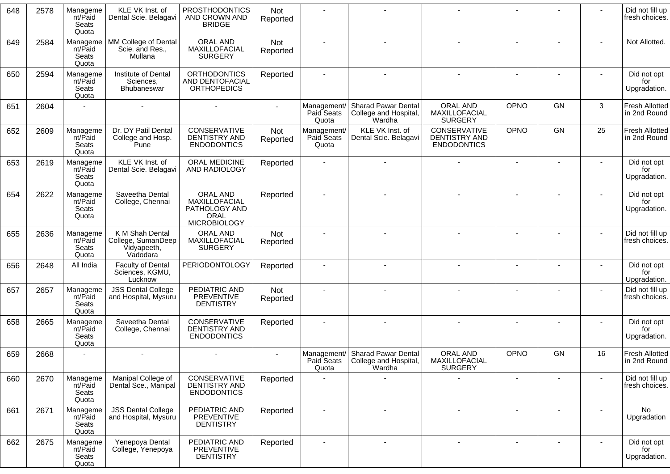| 648 | 2578 | Manageme<br>nt/Paid<br>Seats<br>Quota | KLE VK Inst. of<br>Dental Scie. Belagavi                         | <b>PROSTHODONTICS</b><br>AND CROWN AND<br><b>BRIDGE</b>                   | Not<br>Reported |                                    |                                                                    |                                                     |                          |           |    | Did not fill up<br>fresh choices.     |
|-----|------|---------------------------------------|------------------------------------------------------------------|---------------------------------------------------------------------------|-----------------|------------------------------------|--------------------------------------------------------------------|-----------------------------------------------------|--------------------------|-----------|----|---------------------------------------|
| 649 | 2584 | Manageme<br>nt/Paid<br>Seats<br>Quota | MM College of Dental<br>Scie. and Res.,<br>Mullana               | <b>ORAL AND</b><br>MAXILLOFACIAL<br><b>SURGERY</b>                        | Not<br>Reported |                                    |                                                                    |                                                     |                          |           |    | Not Allotted.                         |
| 650 | 2594 | Manageme<br>nt/Paid<br>Seats<br>Quota | Institute of Dental<br>Sciences,<br>Bhubaneswar                  | <b>ORTHODONTICS</b><br>AND DENTOFACIAL<br><b>ORTHOPEDICS</b>              | Reported        |                                    |                                                                    |                                                     | $\blacksquare$           |           |    | Did not opt<br>for<br>Upgradation.    |
| 651 | 2604 |                                       |                                                                  |                                                                           |                 | Management/<br>Paid Seats<br>Quota | <b>Sharad Pawar Dental</b><br>College and Hospital,<br>Wardha      | ORAL AND<br>MAXILLOFACIAL<br><b>SURGERY</b>         | OPNO                     | GN        | 3  | Fresh Allotted<br>in 2nd Round        |
| 652 | 2609 | Manageme<br>nt/Paid<br>Seats<br>Quota | Dr. DY Patil Dental<br>College and Hosp.<br>Pune                 | CONSERVATIVE<br><b>DENTISTRY AND</b><br><b>ENDODONTICS</b>                | Not<br>Reported | Management/<br>Paid Seats<br>Quota | KLE VK Inst. of<br>Dental Scie. Belagavi                           | CONSERVATIVE<br>DENTISTRY AND<br><b>ENDODONTICS</b> | <b>OPNO</b>              | GN        | 25 | <b>Fresh Allotted</b><br>in 2nd Round |
| 653 | 2619 | Manageme<br>nt/Paid<br>Seats<br>Quota | KLE VK Inst. of<br>Dental Scie. Belagavi                         | ORAL MEDICINE<br>AND RADIOLOGY                                            | Reported        |                                    |                                                                    |                                                     |                          |           |    | Did not opt<br>for<br>Upgradation.    |
| 654 | 2622 | Manageme<br>nt/Paid<br>Seats<br>Quota | Saveetha Dental<br>College, Chennai                              | ORAL AND<br>MAXILLOFACIAL<br>PATHOLOGY AND<br>ORAL<br><b>MICROBIOLOGY</b> | Reported        |                                    |                                                                    |                                                     | $\blacksquare$           |           |    | Did not opt<br>for<br>Upgradation.    |
| 655 | 2636 | Manageme<br>nt/Paid<br>Seats<br>Quota | K M Shah Dental<br>College, SumanDeep<br>Vidyapeeth,<br>Vadodara | <b>ORAL AND</b><br>MAXILLOFACIAL<br><b>SURGERY</b>                        | Not<br>Reported |                                    |                                                                    |                                                     |                          |           |    | Did not fill up<br>fresh choices.     |
| 656 | 2648 | All India                             | <b>Faculty of Dental</b><br>Sciences, KGMU,<br>Lucknow           | <b>PERIODONTOLOGY</b>                                                     | Reported        |                                    |                                                                    |                                                     | $\blacksquare$           |           |    | Did not opt<br>for<br>Upgradation.    |
| 657 | 2657 | Manageme<br>nt/Paid<br>Seats<br>Quota | <b>JSS Dental College</b><br>and Hospital, Mysuru                | PEDIATRIC AND<br><b>PREVENTIVE</b><br><b>DENTISTRY</b>                    | Not<br>Reported |                                    |                                                                    |                                                     |                          |           |    | Did not fill up<br>fresh choices.     |
| 658 | 2665 | Manageme<br>nt/Paid<br>Seats<br>Quota | Saveetha Dental<br>College, Chennai                              | CONSERVATIVE<br>DENTISTRY AND<br><b>ENDODONTICS</b>                       | Reported        |                                    |                                                                    |                                                     | $\overline{\phantom{a}}$ |           |    | Did not opt<br>for<br>Upgradation.    |
| 659 | 2668 |                                       |                                                                  |                                                                           |                 | Paid Seats<br>Quota                | Management/ Sharad Pawar Dental<br>College and Hospital,<br>Wardha | <b>ORAL AND</b><br>MAXILLOFACIAL<br><b>SURGERY</b>  | OPNO                     | <b>GN</b> | 16 | <b>Fresh Allotted</b><br>in 2nd Round |
| 660 | 2670 | Manageme<br>nt/Paid<br>Seats<br>Quota | Manipal College of<br>Dental Sce., Manipal                       | CONSERVATIVE<br>DENTISTRY AND<br><b>ENDODONTICS</b>                       | Reported        |                                    |                                                                    |                                                     |                          |           |    | Did not fill up<br>fresh choices.     |
| 661 | 2671 | Manageme<br>nt/Paid<br>Seats<br>Quota | <b>JSS Dental College</b><br>and Hospital, Mysuru                | PEDIATRIC AND<br><b>PREVENTIVE</b><br><b>DENTISTRY</b>                    | Reported        |                                    |                                                                    |                                                     |                          |           |    | No.<br>Upgradation                    |
| 662 | 2675 | Manageme<br>nt/Paid<br>Seats<br>Quota | Yenepoya Dental<br>College, Yenepoya                             | PEDIATRIC AND<br>PREVENTIVE<br><b>DENTISTRY</b>                           | Reported        |                                    |                                                                    | $\sim$                                              | $\blacksquare$           |           |    | Did not opt<br>for<br>Upgradation.    |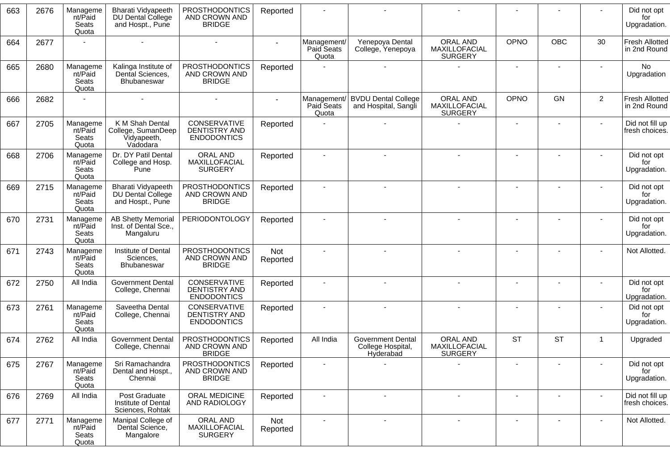| 663 | 2676 | Manageme<br>nt/Paid<br>Seats<br>Quota | <b>Bharati Vidyapeeth</b><br>DU Dental College<br>and Hospt., Pune | <b>PROSTHODONTICS</b><br>AND CROWN AND<br><b>BRIDGE</b>    | Reported        |                                    |                                                     |                                                    |           |            |                | Did not opt<br>for<br>Upgradation.    |
|-----|------|---------------------------------------|--------------------------------------------------------------------|------------------------------------------------------------|-----------------|------------------------------------|-----------------------------------------------------|----------------------------------------------------|-----------|------------|----------------|---------------------------------------|
| 664 | 2677 |                                       |                                                                    |                                                            |                 | Management/<br>Paid Seats<br>Quota | Yenepoya Dental<br>College, Yenepoya                | <b>ORAL AND</b><br>MAXILLOFACIAL<br><b>SURGERY</b> | OPNO      | <b>OBC</b> | 30             | <b>Fresh Allotted</b><br>in 2nd Round |
| 665 | 2680 | Manageme<br>nt/Paid<br>Seats<br>Quota | Kalinga Institute of<br>Dental Sciences,<br><b>Bhubaneswar</b>     | <b>PROSTHODONTICS</b><br>AND CROWN AND<br><b>BRIDGE</b>    | Reported        |                                    |                                                     |                                                    |           |            |                | <b>No</b><br>Upgradation              |
| 666 | 2682 |                                       |                                                                    |                                                            |                 | Management/<br>Paid Seats<br>Quota | <b>BVDU Dental College</b><br>and Hospital, Sangli  | ORAL AND<br>MAXILLOFACIAL<br><b>SURGERY</b>        | OPNO      | GN         | $\overline{2}$ | <b>Fresh Allotted</b><br>in 2nd Round |
| 667 | 2705 | Manageme<br>nt/Paid<br>Seats<br>Quota | K M Shah Dental<br>College, SumanDeep<br>Vidyapeeth,<br>Vadodara   | CONSERVATIVE<br>DENTISTRY AND<br><b>ENDODONTICS</b>        | Reported        |                                    |                                                     |                                                    |           |            |                | Did not fill up<br>fresh choices.     |
| 668 | 2706 | Manageme<br>nt/Paid<br>Seats<br>Quota | Dr. DY Patil Dental<br>College and Hosp.<br>Pune                   | ORAL AND<br>MAXILLOFACIAL<br><b>SURGERY</b>                | Reported        | $\blacksquare$                     |                                                     |                                                    |           |            |                | Did not opt<br>for<br>Upgradation.    |
| 669 | 2715 | Manageme<br>nt/Paid<br>Seats<br>Quota | <b>Bharati Vidyapeeth</b><br>DU Dental College<br>and Hospt., Pune | <b>PROSTHODONTICS</b><br>AND CROWN AND<br><b>BRIDGE</b>    | Reported        | $\overline{\phantom{a}}$           |                                                     |                                                    |           |            |                | Did not opt<br>for<br>Upgradation.    |
| 670 | 2731 | Manageme<br>nt/Paid<br>Seats<br>Quota | <b>AB Shetty Memorial</b><br>Inst. of Dental Sce.,<br>Mangaluru    | <b>PERIODONTOLOGY</b>                                      | Reported        |                                    |                                                     |                                                    |           |            |                | Did not opt<br>for<br>Upgradation.    |
| 671 | 2743 | Manageme<br>nt/Paid<br>Seats<br>Quota | Institute of Dental<br>Sciences,<br>Bhubaneswar                    | <b>PROSTHODONTICS</b><br>AND CROWN AND<br><b>BRIDGE</b>    | Not<br>Reported |                                    |                                                     |                                                    |           |            |                | Not Allotted.                         |
| 672 | 2750 | All India                             | <b>Government Dental</b><br>College, Chennai                       | <b>CONSERVATIVE</b><br>DENTISTRY AND<br><b>ENDODONTICS</b> | Reported        | ٠                                  |                                                     |                                                    |           |            |                | Did not opt<br>for<br>Upgradation.    |
| 673 | 2761 | Manageme<br>nt/Paid<br>Seats<br>Quota | Saveetha Dental<br>College, Chennai                                | CONSERVATIVE<br><b>DENTISTRY AND</b><br><b>ENDODONTICS</b> | Reported        | $\blacksquare$                     |                                                     |                                                    |           |            |                | Did not opt<br>for<br>Upgradation.    |
| 674 | 2762 | All India                             | <b>Government Dental</b><br>College, Chennai                       | <b>PROSTHODONTICS</b><br>AND CROWN AND<br><b>BRIDGE</b>    | Reported        | All India                          | Government Dental<br>College Hospital,<br>Hyderabad | <b>ORAL AND</b><br>MAXILLOFACIAL<br><b>SURGERY</b> | <b>ST</b> | <b>ST</b>  | -1             | Upgraded                              |
| 675 | 2767 | Manageme<br>nt/Paid<br>Seats<br>Quota | Sri Ramachandra<br>Dental and Hospt.,<br>Chennai                   | PROSTHODONTICS<br>AND CROWN AND<br><b>BRIDGE</b>           | Reported        | $\overline{\phantom{a}}$           |                                                     |                                                    |           |            |                | Did not opt<br>for<br>Upgradation.    |
| 676 | 2769 | All India                             | Post Graduate<br>Institute of Dental<br>Sciences, Rohtak           | ORAL MEDICINE<br>AND RADIOLOGY                             | Reported        | $\overline{\phantom{a}}$           |                                                     |                                                    |           |            |                | Did not fill up<br>fresh choices.     |
| 677 | 2771 | Manageme<br>nt/Paid<br>Seats<br>Quota | Manipal College of<br>Dental Science,<br>Mangalore                 | ORAL AND<br>MAXILLOFACIAL<br><b>SURGERY</b>                | Not<br>Reported | $\overline{\phantom{a}}$           | $\blacksquare$                                      | $\blacksquare$                                     |           |            |                | Not Allotted.                         |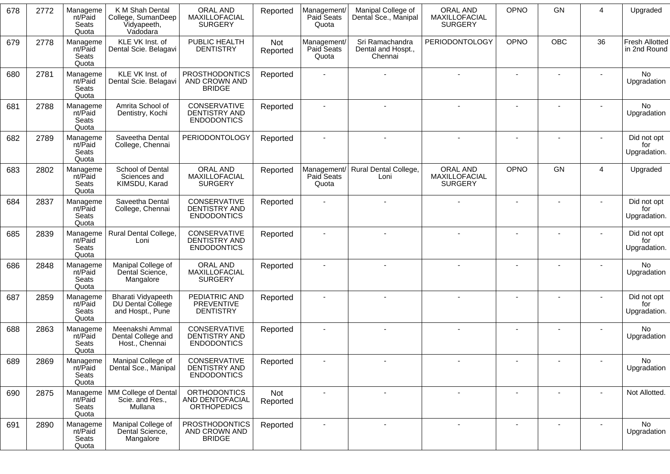| 678 | 2772 | Manageme<br>nt/Paid<br>Seats<br>Quota | K M Shah Dental<br>College, SumanDeep<br>Vidyapeeth,<br>Vadodara | <b>ORAL AND</b><br>MAXILLOFACIAL<br><b>SURGERY</b>           | Reported        | Management/<br>Paid Seats<br>Quota | Manipal College of<br>Dental Sce., Manipal       | <b>ORAL AND</b><br>MAXILLOFACIAL<br><b>SURGERY</b> | OPNO        | GN         | 4  | Upgraded                              |
|-----|------|---------------------------------------|------------------------------------------------------------------|--------------------------------------------------------------|-----------------|------------------------------------|--------------------------------------------------|----------------------------------------------------|-------------|------------|----|---------------------------------------|
| 679 | 2778 | Manageme<br>nt/Paid<br>Seats<br>Quota | KLE VK Inst. of<br>Dental Scie. Belagavi                         | PUBLIC HEALTH<br><b>DENTISTRY</b>                            | Not<br>Reported | Management/<br>Paid Seats<br>Quota | Sri Ramachandra<br>Dental and Hospt.,<br>Chennai | <b>PERIODONTOLOGY</b>                              | <b>OPNO</b> | <b>OBC</b> | 36 | <b>Fresh Allotted</b><br>in 2nd Round |
| 680 | 2781 | Manageme<br>nt/Paid<br>Seats<br>Quota | KLE VK Inst. of<br>Dental Scie. Belagavi                         | <b>PROSTHODONTICS</b><br>AND CROWN AND<br><b>BRIDGE</b>      | Reported        |                                    |                                                  |                                                    |             |            |    | No<br>Upgradation                     |
| 681 | 2788 | Manageme<br>nt/Paid<br>Seats<br>Quota | Amrita School of<br>Dentistry, Kochi                             | CONSERVATIVE<br>DENTISTRY AND<br><b>ENDODONTICS</b>          | Reported        | $\blacksquare$                     |                                                  |                                                    |             |            |    | No<br>Upgradation                     |
| 682 | 2789 | Manageme<br>nt/Paid<br>Seats<br>Quota | Saveetha Dental<br>College, Chennai                              | PERIODONTOLOGY                                               | Reported        |                                    |                                                  |                                                    |             |            |    | Did not opt<br>for<br>Upgradation.    |
| 683 | 2802 | Manageme<br>nt/Paid<br>Seats<br>Quota | School of Dental<br>Sciences and<br>KIMSDU, Karad                | ORAL AND<br>MAXILLOFACIAL<br><b>SURGERY</b>                  | Reported        | Management/<br>Paid Seats<br>Quota | Rural Dental College,<br>Loni                    | <b>ORAL AND</b><br>MAXILLOFACIAL<br><b>SURGERY</b> | <b>OPNO</b> | GN         | 4  | Upgraded                              |
| 684 | 2837 | Manageme<br>nt/Paid<br>Seats<br>Quota | Saveetha Dental<br>College, Chennai                              | CONSERVATIVE<br><b>DENTISTRY AND</b><br><b>ENDODONTICS</b>   | Reported        |                                    |                                                  |                                                    |             |            |    | Did not opt<br>for<br>Upgradation.    |
| 685 | 2839 | Manageme<br>nt/Paid<br>Seats<br>Quota | Rural Dental College,<br>Loni                                    | CONSERVATIVE<br>DENTISTRY AND<br><b>ENDODONTICS</b>          | Reported        |                                    |                                                  |                                                    |             |            |    | Did not opt<br>for<br>Upgradation.    |
| 686 | 2848 | Manageme<br>nt/Paid<br>Seats<br>Quota | Manipal College of<br>Dental Science,<br>Mangalore               | ORAL AND<br>MAXILLOFACIAL<br><b>SURGERY</b>                  | Reported        |                                    |                                                  |                                                    |             |            |    | No<br>Upgradation                     |
| 687 | 2859 | Manageme<br>nt/Paid<br>Seats<br>Quota | Bharati Vidyapeeth<br>DU Dental College<br>and Hospt., Pune      | PEDIATRIC AND<br><b>PREVENTIVE</b><br><b>DENTISTRY</b>       | Reported        |                                    |                                                  |                                                    |             |            |    | Did not opt<br>for<br>Upgradation.    |
| 688 | 2863 | Manageme<br>nt/Paid<br>Seats<br>Quota | Meenakshi Ammal<br>Dental College and<br>Host., Chennai          | CONSERVATIVE<br><b>DENTISTRY AND</b><br><b>ENDODONTICS</b>   | Reported        |                                    |                                                  |                                                    |             |            |    | No<br>Upgradation                     |
| 689 | 2869 | Manageme<br>nt/Paid<br>Seats<br>Quota | Manipal College of<br>Dental Sce., Manipal                       | CONSERVATIVE<br>DENTISTRY AND<br><b>ENDODONTICS</b>          | Reported        |                                    |                                                  |                                                    |             |            |    | No<br>Upgradation                     |
| 690 | 2875 | Manageme<br>nt/Paid<br>Seats<br>Quota | MM College of Dental<br>Scie. and Res.,<br>Mullana               | <b>ORTHODONTICS</b><br>AND DENTOFACIAL<br><b>ORTHOPEDICS</b> | Not<br>Reported | $\blacksquare$                     |                                                  |                                                    |             |            |    | Not Allotted.                         |
| 691 | 2890 | Manageme<br>nt/Paid<br>Seats<br>Quota | Manipal College of<br>Dental Science,<br>Mangalore               | <b>PROSTHODONTICS</b><br>AND CROWN AND<br><b>BRIDGE</b>      | Reported        |                                    | $\overline{\phantom{a}}$                         |                                                    |             |            |    | No<br>Upgradation                     |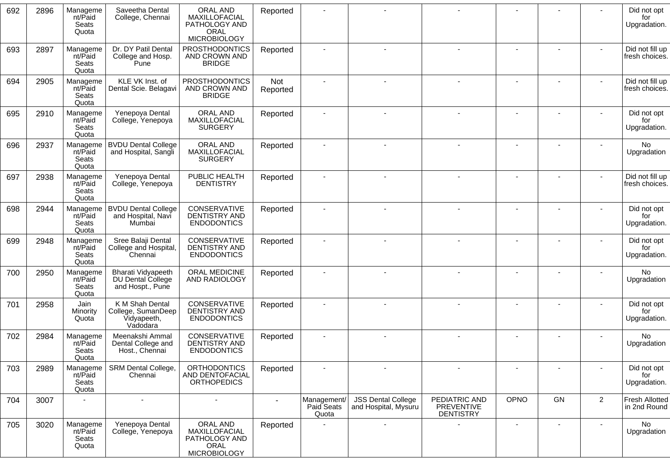| 692 | 2896 | Manageme<br>nt/Paid<br>Seats<br>Quota | Saveetha Dental<br>College, Chennai                              | ORAL AND<br>MAXILLOFACIAL<br>PATHOLOGY AND<br><b>ORAL</b><br><b>MICROBIOLOGY</b> | Reported        |                                    |                                                   |                                                 |      |    |                | Did not opt<br>for<br>Upgradation.    |
|-----|------|---------------------------------------|------------------------------------------------------------------|----------------------------------------------------------------------------------|-----------------|------------------------------------|---------------------------------------------------|-------------------------------------------------|------|----|----------------|---------------------------------------|
| 693 | 2897 | Manageme<br>nt/Paid<br>Seats<br>Quota | Dr. DY Patil Dental<br>College and Hosp.<br>Pune                 | <b>PROSTHODONTICS</b><br>AND CROWN AND<br><b>BRIDGE</b>                          | Reported        |                                    |                                                   |                                                 |      |    |                | Did not fill up<br>fresh choices.     |
| 694 | 2905 | Manageme<br>nt/Paid<br>Seats<br>Quota | KLE VK Inst. of<br>Dental Scie. Belagavi                         | <b>PROSTHODONTICS</b><br>AND CROWN AND<br><b>BRIDGE</b>                          | Not<br>Reported |                                    |                                                   |                                                 |      |    |                | Did not fill up<br>fresh choices.     |
| 695 | 2910 | Manageme<br>nt/Paid<br>Seats<br>Quota | Yenepoya Dental<br>College, Yenepoya                             | ORAL AND<br>MAXILLOFACIAL<br><b>SURGERY</b>                                      | Reported        | $\blacksquare$                     |                                                   |                                                 |      |    |                | Did not opt<br>for<br>Upgradation.    |
| 696 | 2937 | Manageme<br>nt/Paid<br>Seats<br>Quota | <b>BVDU Dental College</b><br>and Hospital, Sangli               | <b>ORAL AND</b><br>MAXILLOFACIAL<br><b>SURGERY</b>                               | Reported        |                                    |                                                   |                                                 |      |    |                | No<br>Upgradation                     |
| 697 | 2938 | Manageme<br>nt/Paid<br>Seats<br>Quota | Yenepoya Dental<br>College, Yenepoya                             | PUBLIC HEALTH<br><b>DENTISTRY</b>                                                | Reported        |                                    |                                                   |                                                 |      |    |                | Did not fill up<br>fresh choices.     |
| 698 | 2944 | Manageme<br>nt/Paid<br>Seats<br>Quota | <b>BVDU Dental College</b><br>and Hospital, Navi<br>Mumbai       | CONSERVATIVE<br>DENTISTRY AND<br><b>ENDODONTICS</b>                              | Reported        | $\blacksquare$                     |                                                   |                                                 |      |    |                | Did not opt<br>for<br>Upgradation.    |
| 699 | 2948 | Manageme<br>nt/Paid<br>Seats<br>Quota | Sree Balaji Dental<br>College and Hospital,<br>Chennai           | CONSERVATIVE<br><b>DENTISTRY AND</b><br><b>ENDODONTICS</b>                       | Reported        |                                    |                                                   |                                                 |      |    |                | Did not opt<br>for<br>Upgradation.    |
| 700 | 2950 | Manageme<br>nt/Paid<br>Seats<br>Quota | Bharati Vidyapeeth<br>DU Dental College<br>and Hospt., Pune      | ORAL MEDICINE<br>AND RADIOLOGY                                                   | Reported        |                                    |                                                   |                                                 |      |    |                | No<br>Upgradation                     |
| 701 | 2958 | Jain<br>Minority<br>Quota             | K M Shah Dental<br>College, SumanDeep<br>Vidyapeeth,<br>Vadodara | CONSERVATIVE<br><b>DENTISTRY AND</b><br><b>ENDODONTICS</b>                       | Reported        | $\sim$                             |                                                   |                                                 |      |    |                | Did not opt<br>for<br>Upgradation.    |
| 702 | 2984 | Manageme<br>nt/Paid<br>Seats<br>Quota | Meenakshi Ammal<br>Dental College and<br>Host., Chennai          | CONSERVATIVE<br>DENTISTRY AND<br><b>ENDODONTICS</b>                              | Reported        |                                    |                                                   |                                                 |      |    |                | No.<br>Upgradation                    |
| 703 | 2989 | Manageme<br>nt/Paid<br>Seats<br>Quota | <b>SRM Dental College,</b><br>Chennai                            | <b>ORTHODONTICS</b><br>AND DENTOFACIAL<br><b>ORTHOPEDICS</b>                     | Reported        |                                    |                                                   |                                                 |      |    |                | Did not opt<br>for<br>Upgradation.    |
| 704 | 3007 |                                       | $\blacksquare$                                                   |                                                                                  |                 | Management/<br>Paid Seats<br>Quota | <b>JSS Dental College</b><br>and Hospital, Mysuru | PEDIATRIC AND<br>PREVENTIVE<br><b>DENTISTRY</b> | OPNO | GN | $\overline{2}$ | <b>Fresh Allotted</b><br>in 2nd Round |
| 705 | 3020 | Manageme<br>nt/Paid<br>Seats<br>Quota | Yenepoya Dental<br>College, Yenepoya                             | ORAL AND<br>MAXILLOFACIAL<br>PATHOLOGY AND<br>ORAL<br><b>MICROBIOLOGY</b>        | Reported        |                                    |                                                   |                                                 |      |    |                | No<br>Upgradation                     |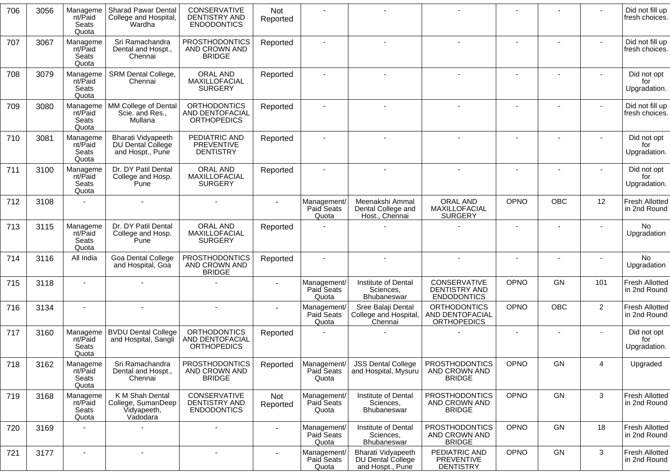| 706 | 3056 | Manageme<br>nt/Paid<br>Seats<br>Quota | <b>Sharad Pawar Dental</b><br>College and Hospital,<br>Wardha      | CONSERVATIVE<br><b>DENTISTRY AND</b><br><b>ENDODONTICS</b>        | Not<br>Reported |                                    |                                                             |                                                              |                          |            |                | Did not fill up<br>fresh choices.     |
|-----|------|---------------------------------------|--------------------------------------------------------------------|-------------------------------------------------------------------|-----------------|------------------------------------|-------------------------------------------------------------|--------------------------------------------------------------|--------------------------|------------|----------------|---------------------------------------|
| 707 | 3067 | Manageme<br>nt/Paid<br>Seats<br>Quota | Sri Ramachandra<br>Dental and Hospt.,<br>Chennai                   | <b>PROSTHODONTICS</b><br>AND CROWN AND<br><b>BRIDGE</b>           | Reported        |                                    | $\sim$                                                      |                                                              |                          |            |                | Did not fill up<br>fresh choices.     |
| 708 | 3079 | Manageme<br>nt/Paid<br>Seats<br>Quota | SRM Dental College,<br>Chennai                                     | ORAL AND<br>MAXILLOFACIAL<br><b>SURGERY</b>                       | Reported        |                                    | $\sim$                                                      | $\blacksquare$                                               |                          |            |                | Did not opt<br>for<br>Upgradation.    |
| 709 | 3080 | Manageme<br>nt/Paid<br>Seats<br>Quota | MM College of Dental<br>Scie. and Res.,<br>Mullana                 | <b>ORTHODONTICS</b><br>AND DENTOFACIAL<br><b>ORTHOPEDICS</b>      | Reported        |                                    |                                                             |                                                              |                          |            |                | Did not fill up<br>fresh choices.     |
| 710 | 3081 | Manageme<br>nt/Paid<br>Seats<br>Quota | <b>Bharati Vidyapeeth</b><br>DU Dental College<br>and Hospt., Pune | PEDIATRIC AND<br>PREVENTIVE<br><b>DENTISTRY</b>                   | Reported        |                                    |                                                             |                                                              |                          |            |                | Did not opt<br>for<br>Upgradation.    |
| 711 | 3100 | Manageme<br>nt/Paid<br>Seats<br>Quota | Dr. DY Patil Dental<br>College and Hosp.<br>Pune                   | ORAL AND<br>MAXILLOFACIAL<br><b>SURGERY</b>                       | Reported        |                                    | $\sim$                                                      | $\blacksquare$                                               | $\blacksquare$           |            |                | Did not opt<br>for<br>Upgradation.    |
| 712 | 3108 |                                       |                                                                    |                                                                   |                 | Management/<br>Paid Seats<br>Quota | Meenakshi Ammal<br>Dental College and<br>Host., Chennai     | <b>ORAL AND</b><br>MAXILLOFACIAL<br><b>SURGERY</b>           | OPNO                     | <b>OBC</b> | 12             | <b>Fresh Allotted</b><br>in 2nd Round |
| 713 | 3115 | Manageme<br>nt/Paid<br>Seats<br>Quota | Dr. DY Patil Dental<br>College and Hosp.<br>Pune                   | ORAL AND<br>MAXILLOFACIAL<br><b>SURGERY</b>                       | Reported        |                                    |                                                             |                                                              |                          |            |                | No<br>Upgradation                     |
| 714 | 3116 | All India                             | Goa Dental College<br>and Hospital, Goa                            | <b>PROSTHODONTICS</b><br>AND CROWN AND<br><b>BRIDGE</b>           | Reported        |                                    |                                                             |                                                              |                          |            |                | No<br>Upgradation                     |
| 715 | 3118 |                                       |                                                                    |                                                                   |                 | Management/<br>Paid Seats<br>Quota | Institute of Dental<br>Sciences,<br><b>Bhubaneswar</b>      | CONSERVATIVE<br><b>DENTISTRY AND</b><br><b>ENDODONTICS</b>   | OPNO                     | <b>GN</b>  | 101            | <b>Fresh Allotted</b><br>in 2nd Round |
| 716 | 3134 |                                       |                                                                    |                                                                   |                 | Management/<br>Paid Seats<br>Quota | Sree Balaji Dental<br>College and Hospital,<br>Chennai      | <b>ORTHODONTICS</b><br>AND DENTOFACIAL<br><b>ORTHOPEDICS</b> | OPNO                     | OBC        | $\overline{2}$ | <b>Fresh Allotted</b><br>in 2nd Round |
| 717 | 3160 | Manageme<br>nt/Paid<br>Seats<br>Quota | <b>BVDU Dental College</b><br>and Hospital, Sangli                 | <b>ORTHODONTICS</b><br>AND DENTOFACIAL<br><b>ORTHOPEDICS</b>      | Reported        |                                    |                                                             |                                                              | $\overline{\phantom{a}}$ | ۰          | ٠              | Did not opt<br>for<br>Upgradation.    |
| 718 | 3162 | Manageme<br>nt/Paid<br>Seats<br>Quota | Sri Ramachandra<br>Dental and Hospt.,<br>Chennai                   | <b>PROSTHODONTICS</b><br>AND CROWN AND<br><b>BRIDGE</b>           | Reported        | Management/<br>Paid Seats<br>Quota | <b>JSS Dental College</b><br>and Hospital, Mysuru           | <b>PROSTHODONTICS</b><br>AND CROWN AND<br><b>BRIDGE</b>      | OPNO                     | GN.        | 4              | Upgraded                              |
| 719 | 3168 | Manageme<br>nt/Paid<br>Seats<br>Quota | K M Shah Dental<br>College, SumanDeep<br>Vidyapeeth,<br>Vadodara   | <b>CONSERVATIVE</b><br><b>DENTISTRY AND</b><br><b>ENDODONTICS</b> | Not<br>Reported | Management/<br>Paid Seats<br>Quota | Institute of Dental<br>Sciences,<br>Bhubaneswar             | <b>PROSTHODONTICS</b><br>AND CROWN AND<br><b>BRIDGE</b>      | OPNO                     | GN         | $\mathbf{3}$   | <b>Fresh Allotted</b><br>in 2nd Round |
| 720 | 3169 |                                       |                                                                    | $\blacksquare$                                                    |                 | Management/<br>Paid Seats<br>Quota | Institute of Dental<br>Sciences,<br>Bhubaneswar             | <b>PROSTHODONTICS</b><br>AND CROWN AND<br><b>BRIDGE</b>      | OPNO                     | GN         | 18             | <b>Fresh Allotted</b><br>in 2nd Round |
| 721 | 3177 | $\overline{\phantom{a}}$              | $\sim$                                                             | $\overline{\phantom{a}}$                                          |                 | Management/<br>Paid Seats<br>Quota | Bharati Vidyapeeth<br>DU Dental College<br>and Hospt., Pune | PEDIATRIC AND<br>PREVENTIVE<br><b>DENTISTRY</b>              | <b>OPNO</b>              | GN         | $\mathbf{3}$   | <b>Fresh Allotted</b><br>in 2nd Round |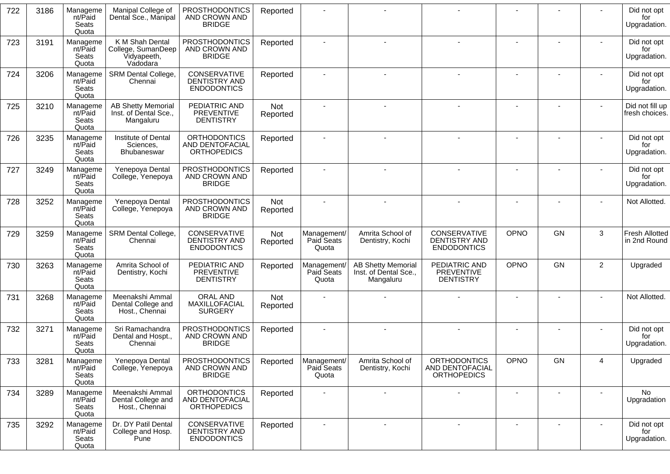| 722 | 3186 | Manageme<br>nt/Paid<br>Seats<br>Quota | Manipal College of<br>Dental Sce., Manipal                       | <b>PROSTHODONTICS</b><br>AND CROWN AND<br><b>BRIDGE</b>             | Reported               |                                             |                                                                 |                                                              |             |    |                | Did not opt<br>for<br>Upgradation.    |
|-----|------|---------------------------------------|------------------------------------------------------------------|---------------------------------------------------------------------|------------------------|---------------------------------------------|-----------------------------------------------------------------|--------------------------------------------------------------|-------------|----|----------------|---------------------------------------|
| 723 | 3191 | Manageme<br>nt/Paid<br>Seats<br>Quota | K M Shah Dental<br>College, SumanDeep<br>Vidyapeeth,<br>Vadodara | <b>PROSTHODONTICS</b><br>AND CROWN AND<br><b>BRIDGE</b>             | Reported               |                                             |                                                                 |                                                              |             |    |                | Did not opt<br>for<br>Upgradation.    |
| 724 | 3206 | Manageme<br>nt/Paid<br>Seats<br>Quota | SRM Dental College,<br>Chennai                                   | CONSERVATIVE<br><b>DENTISTRY AND</b><br><b>ENDODONTICS</b>          | Reported               | $\blacksquare$                              |                                                                 |                                                              |             |    |                | Did not opt<br>for<br>Upgradation.    |
| 725 | 3210 | Manageme<br>nt/Paid<br>Seats<br>Quota | <b>AB Shetty Memorial</b><br>Inst. of Dental Sce.,<br>Mangaluru  | PEDIATRIC AND<br><b>PREVENTIVE</b><br><b>DENTISTRY</b>              | Not<br>Reported        |                                             |                                                                 |                                                              |             |    |                | Did not fill up<br>fresh choices.     |
| 726 | 3235 | Manageme<br>nt/Paid<br>Seats<br>Quota | Institute of Dental<br>Sciences,<br><b>Bhubaneswar</b>           | <b>ORTHODONTICS</b><br>AND DENTOFACIAL<br><b>ORTHOPEDICS</b>        | Reported               |                                             |                                                                 |                                                              |             |    |                | Did not opt<br>for<br>Upgradation.    |
| 727 | 3249 | Manageme<br>nt/Paid<br>Seats<br>Quota | Yenepoya Dental<br>College, Yenepoya                             | <b>PROSTHODONTICS</b><br>AND CROWN AND<br><b>BRIDGE</b>             | Reported               | $\blacksquare$                              |                                                                 |                                                              |             |    |                | Did not opt<br>for<br>Upgradation.    |
| 728 | 3252 | Manageme<br>nt/Paid<br>Seats<br>Quota | Yenepoya Dental<br>College, Yenepoya                             | <b>PROSTHODONTICS</b><br>AND CROWN AND<br><b>BRIDGE</b>             | Not<br>Reported        |                                             |                                                                 |                                                              |             |    |                | Not Allotted.                         |
| 729 | 3259 | Manageme<br>nt/Paid<br>Seats<br>Quota | SRM Dental College,<br>Chennai                                   | CONSERVATIVE<br><b>DENTISTRY AND</b><br><b>ENDODONTICS</b>          | Not<br>Reported        | Management/<br>Paid Seats<br>Quota          | Amrita School of<br>Dentistry, Kochi                            | CONSERVATIVE<br>DENTISTRY AND<br><b>ENDODONTICS</b>          | <b>OPNO</b> | GN | 3              | <b>Fresh Allotted</b><br>in 2nd Round |
| 730 | 3263 | Manageme<br>nt/Paid<br>Seats<br>Quota | Amrita School of<br>Dentistry, Kochi                             | PEDIATRIC AND<br><b>PREVENTIVE</b><br><b>DENTISTRY</b>              | Reported               | Management/<br>Paid Seats<br>Quota          | <b>AB Shetty Memorial</b><br>Inst. of Dental Sce.,<br>Mangaluru | PEDIATRIC AND<br><b>PREVENTIVE</b><br><b>DENTISTRY</b>       | <b>OPNO</b> | GN | $\overline{2}$ | Upgraded                              |
| 731 | 3268 | Manageme<br>nt/Paid<br>Seats<br>Quota | Meenakshi Ammal<br>Dental College and<br>Host., Chennai          | <b>ORAL AND</b><br>MAXILLOFACIAL<br><b>SURGERY</b>                  | <b>Not</b><br>Reported |                                             |                                                                 |                                                              |             |    |                | Not Allotted.                         |
| 732 | 3271 | Manageme<br>nt/Paid<br>Seats<br>Quota | Sri Ramachandra<br>Dental and Hospt.,<br>Chennai                 | <b>PROSTHODONTICS</b><br>AND CROWN AND<br><b>BRIDGE</b>             | Reported               |                                             |                                                                 |                                                              |             |    |                | Did not opt<br>for<br>Upgradation.    |
| 733 | 3281 | Manageme<br>nt/Paid<br>Seats<br>Quota | Yenepoya Dental<br>College, Yenepoya                             | PROSTHODONTICS<br>AND CROWN AND<br><b>BRIDGE</b>                    |                        | Reported Management/<br>Paid Seats<br>Quota | Amrita School of<br>Dentistry, Kochi                            | <b>ORTHODONTICS</b><br>AND DENTOFACIAL<br><b>ORTHOPEDICS</b> | OPNO        | GN | $\Lambda$      | Upgraded                              |
| 734 | 3289 | Manageme<br>nt/Paid<br>Seats<br>Quota | Meenakshi Ammal<br>Dental College and<br>Host., Chennai          | <b>ORTHODONTICS</b><br><b>AND DENTOFACIAL</b><br><b>ORTHOPEDICS</b> | Reported               | $\overline{\phantom{a}}$                    |                                                                 |                                                              |             |    |                | No.<br>Upgradation                    |
| 735 | 3292 | Manageme<br>nt/Paid<br>Seats<br>Quota | Dr. DY Patil Dental<br>College and Hosp.<br>Pune                 | CONSERVATIVE<br><b>DENTISTRY AND</b><br><b>ENDODONTICS</b>          | Reported               |                                             |                                                                 |                                                              |             |    |                | Did not opt<br>for<br>Upgradation.    |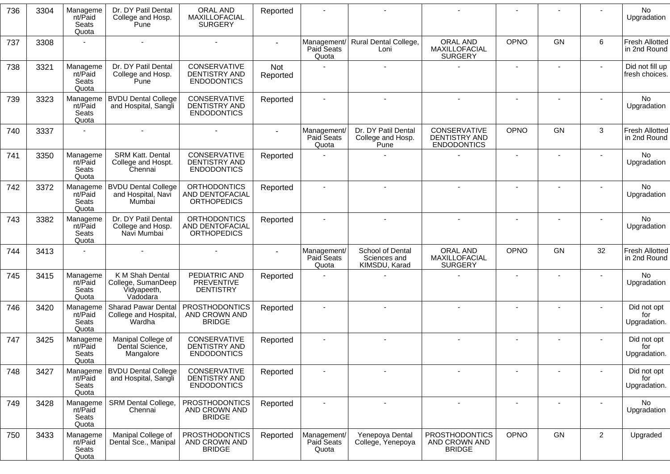| 736 | 3304 | Manageme<br>nt/Paid<br>Seats<br>Quota | Dr. DY Patil Dental<br>College and Hosp.<br>Pune                 | ORAL AND<br>MAXILLOFACIAL<br><b>SURGERY</b>                  | Reported        |                                    |                                                   |                                                            |                          |    |                | No<br>Upgradation                     |
|-----|------|---------------------------------------|------------------------------------------------------------------|--------------------------------------------------------------|-----------------|------------------------------------|---------------------------------------------------|------------------------------------------------------------|--------------------------|----|----------------|---------------------------------------|
| 737 | 3308 |                                       |                                                                  |                                                              |                 | Paid Seats<br>Quota                | Management/ Rural Dental College,<br>Loni         | ORAL AND<br>MAXILLOFACIAL<br><b>SURGERY</b>                | OPNO                     | GN | 6              | Fresh Allotted<br>in 2nd Round        |
| 738 | 3321 | Manageme<br>nt/Paid<br>Seats<br>Quota | Dr. DY Patil Dental<br>College and Hosp.<br>Pune                 | CONSERVATIVE<br><b>DENTISTRY AND</b><br><b>ENDODONTICS</b>   | Not<br>Reported |                                    |                                                   |                                                            |                          |    |                | Did not fill up<br>fresh choices.     |
| 739 | 3323 | Manageme<br>nt/Paid<br>Seats<br>Quota | <b>BVDU Dental College</b><br>and Hospital, Sangli               | CONSERVATIVE<br><b>DENTISTRY AND</b><br><b>ENDODONTICS</b>   | Reported        |                                    |                                                   |                                                            |                          |    |                | No<br>Upgradation                     |
| 740 | 3337 |                                       |                                                                  |                                                              |                 | Management/<br>Paid Seats<br>Quota | Dr. DY Patil Dental<br>College and Hosp.<br>Pune  | <b>CONSERVATIVE</b><br>DENTISTRY AND<br><b>ENDODONTICS</b> | OPNO                     | GN | 3              | <b>Fresh Allotted</b><br>in 2nd Round |
| 741 | 3350 | Manageme<br>nt/Paid<br>Seats<br>Quota | SRM Katt. Dental<br>College and Hospt.<br>Chennai                | CONSERVATIVE<br><b>DENTISTRY AND</b><br><b>ENDODONTICS</b>   | Reported        |                                    |                                                   |                                                            | $\sim$                   |    |                | <b>No</b><br>Upgradation              |
| 742 | 3372 | Manageme<br>nt/Paid<br>Seats<br>Quota | <b>BVDU Dental College</b><br>and Hospital, Navi<br>Mumbai       | <b>ORTHODONTICS</b><br>AND DENTOFACIAL<br><b>ORTHOPEDICS</b> | Reported        |                                    |                                                   |                                                            |                          |    |                | No<br>Upgradation                     |
| 743 | 3382 | Manageme<br>nt/Paid<br>Seats<br>Quota | Dr. DY Patil Dental<br>College and Hosp.<br>Navi Mumbai          | <b>ORTHODONTICS</b><br>AND DENTOFACIAL<br><b>ORTHOPEDICS</b> | Reported        |                                    |                                                   |                                                            |                          |    |                | No<br>Upgradation                     |
| 744 | 3413 |                                       |                                                                  |                                                              |                 | Management/<br>Paid Seats<br>Quota | School of Dental<br>Sciences and<br>KIMSDU, Karad | ORAL AND<br>MAXILLOFACIAL<br><b>SURGERY</b>                | OPNO                     | GN | 32             | <b>Fresh Allotted</b><br>in 2nd Round |
| 745 | 3415 | Manageme<br>nt/Paid<br>Seats<br>Quota | K M Shah Dental<br>College, SumanDeep<br>Vidyapeeth,<br>Vadodara | PEDIATRIC AND<br><b>PREVENTIVE</b><br><b>DENTISTRY</b>       | Reported        |                                    |                                                   |                                                            |                          |    |                | No<br>Upgradation                     |
| 746 | 3420 | Manageme<br>nt/Paid<br>Seats<br>Quota | <b>Sharad Pawar Dental</b><br>College and Hospital,<br>Wardha    | <b>PROSTHODONTICS</b><br>AND CROWN AND<br><b>BRIDGE</b>      | Reported        |                                    |                                                   |                                                            |                          |    |                | Did not opt<br>for<br>Upgradation.    |
| 747 | 3425 | Manageme<br>nt/Paid<br>Seats<br>Quota | Manipal College of<br>Dental Science,<br>Mangalore               | CONSERVATIVE<br>DENTISTRY AND<br><b>ENDODONTICS</b>          | Reported        |                                    |                                                   |                                                            |                          |    |                | Did not opt<br>for<br>Upgradation.    |
| 748 | 3427 | Manageme<br>nt/Paid<br>Seats<br>Quota | <b>BVDU Dental College</b><br>and Hospital, Sangli               | CONSERVATIVE<br><b>DENTISTRY AND</b><br><b>ENDODONTICS</b>   | Reported        |                                    |                                                   |                                                            |                          |    |                | Did not opt<br>for<br>Upgradation.    |
| 749 | 3428 | Manageme<br>nt/Paid<br>Seats<br>Quota | <b>SRM Dental College,</b><br>Chennai                            | <b>PROSTHODONTICS</b><br>AND CROWN AND<br><b>BRIDGE</b>      | Reported        |                                    |                                                   | $\overline{\phantom{a}}$                                   | $\overline{\phantom{a}}$ |    |                | No<br>Upgradation                     |
| 750 | 3433 | Manageme<br>nt/Paid<br>Seats<br>Quota | Manipal College of<br>Dental Sce., Manipal                       | <b>PROSTHODONTICS</b><br>AND CROWN AND<br><b>BRIDGE</b>      | Reported        | Management/<br>Paid Seats<br>Quota | Yenepoya Dental<br>College, Yenepoya              | <b>PROSTHODONTICS</b><br>AND CROWN AND<br><b>BRIDGE</b>    | OPNO                     | GN | $\overline{2}$ | Upgraded                              |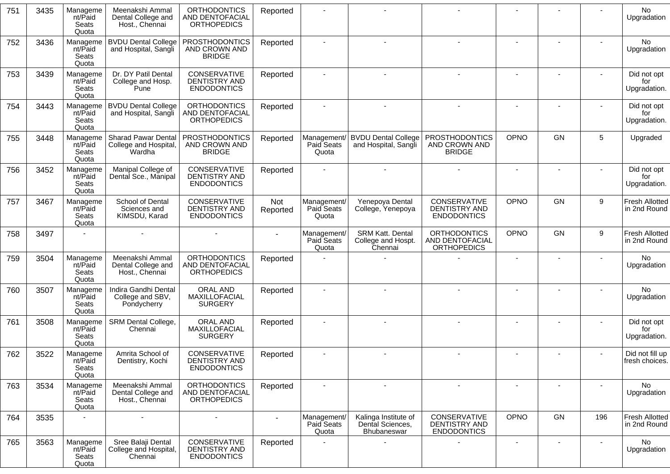| 751 | 3435 | Manageme<br>nt/Paid<br>Seats<br>Quota | Meenakshi Ammal<br>Dental College and<br>Host., Chennai | <b>ORTHODONTICS</b><br><b>AND DENTOFACIAL</b><br><b>ORTHOPEDICS</b> | Reported        |                                    |                                                         |                                                                   |                |                |        | No<br>Upgradation                     |
|-----|------|---------------------------------------|---------------------------------------------------------|---------------------------------------------------------------------|-----------------|------------------------------------|---------------------------------------------------------|-------------------------------------------------------------------|----------------|----------------|--------|---------------------------------------|
| 752 | 3436 | Manageme<br>nt/Paid<br>Seats<br>Quota | <b>BVDU Dental College</b><br>and Hospital, Sangli      | <b>PROSTHODONTICS</b><br>AND CROWN AND<br><b>BRIDGE</b>             | Reported        |                                    |                                                         |                                                                   |                |                |        | No<br>Upgradation                     |
| 753 | 3439 | Manageme<br>nt/Paid<br>Seats<br>Quota | Dr. DY Patil Dental<br>College and Hosp.<br>Pune        | CONSERVATIVE<br>DENTISTRY AND<br><b>ENDODONTICS</b>                 | Reported        |                                    |                                                         |                                                                   |                | $\blacksquare$ |        | Did not opt<br>for<br>Upgradation.    |
| 754 | 3443 | Manageme<br>nt/Paid<br>Seats<br>Quota | <b>BVDU Dental College</b><br>and Hospital, Sangli      | <b>ORTHODONTICS</b><br><b>AND DENTOFACIAL</b><br><b>ORTHOPEDICS</b> | Reported        |                                    |                                                         |                                                                   |                |                |        | Did not opt<br>for<br>Upgradation.    |
| 755 | 3448 | Manageme<br>nt/Paid<br>Seats<br>Quota | Sharad Pawar Dental<br>College and Hospital,<br>Wardha  | PROSTHODONTICS<br>AND CROWN AND<br><b>BRIDGE</b>                    | Reported        | Management/<br>Paid Seats<br>Quota | <b>BVDU Dental College</b><br>and Hospital, Sangli      | <b>PROSTHODONTICS</b><br>AND CROWN AND<br><b>BRIDGE</b>           | <b>OPNO</b>    | <b>GN</b>      | 5      | Upgraded                              |
| 756 | 3452 | Manageme<br>nt/Paid<br>Seats<br>Quota | Manipal College of<br>Dental Sce., Manipal              | CONSERVATIVE<br><b>DENTISTRY AND</b><br><b>ENDODONTICS</b>          | Reported        |                                    |                                                         |                                                                   |                |                |        | Did not opt<br>for<br>Upgradation.    |
| 757 | 3467 | Manageme<br>nt/Paid<br>Seats<br>Quota | School of Dental<br>Sciences and<br>KIMSDU, Karad       | CONSERVATIVE<br><b>DENTISTRY AND</b><br><b>ENDODONTICS</b>          | Not<br>Reported | Management/<br>Paid Seats<br>Quota | Yenepoya Dental<br>College, Yenepoya                    | <b>CONSERVATIVE</b><br><b>DENTISTRY AND</b><br><b>ENDODONTICS</b> | OPNO           | GN             | 9      | <b>Fresh Allotted</b><br>in 2nd Round |
| 758 | 3497 |                                       |                                                         |                                                                     |                 | Management/<br>Paid Seats<br>Quota | SRM Katt. Dental<br>College and Hospt.<br>Chennai       | <b>ORTHODONTICS</b><br>AND DENTOFACIAL<br><b>ORTHOPEDICS</b>      | OPNO           | <b>GN</b>      | 9      | <b>Fresh Allotted</b><br>in 2nd Round |
| 759 | 3504 | Manageme<br>nt/Paid<br>Seats<br>Quota | Meenakshi Ammal<br>Dental College and<br>Host., Chennai | <b>ORTHODONTICS</b><br>AND DENTOFACIAL<br><b>ORTHOPEDICS</b>        | Reported        |                                    |                                                         |                                                                   |                |                |        | <b>No</b><br>Upgradation              |
| 760 | 3507 | Manageme<br>nt/Paid<br>Seats<br>Quota | Indira Gandhi Dental<br>College and SBV,<br>Pondycherry | ORAL AND<br>MAXILLOFACIAL<br><b>SURGERY</b>                         | Reported        |                                    |                                                         |                                                                   |                |                |        | No.<br>Upgradation                    |
| 761 | 3508 | Manageme<br>nt/Paid<br>Seats<br>Quota | SRM Dental College,<br>Chennai                          | ORAL AND<br>MAXILLOFACIAL<br><b>SURGERY</b>                         | Reported        |                                    |                                                         |                                                                   |                |                |        | Did not opt<br>for<br>Upgradation.    |
| 762 | 3522 | Manageme<br>nt/Paid<br>Seats<br>Quota | Amrita School of<br>Dentistry, Kochi                    | CONSERVATIVE<br>DENTISTRY AND<br><b>ENDODONTICS</b>                 | Reported        |                                    |                                                         |                                                                   |                |                |        | Did not fill up<br>fresh choices.     |
| 763 | 3534 | Manageme<br>nt/Paid<br>Seats<br>Quota | Meenakshi Ammal<br>Dental College and<br>Host., Chennai | <b>ORTHODONTICS</b><br>AND DENTOFACIAL<br><b>ORTHOPEDICS</b>        | Reported        |                                    |                                                         |                                                                   |                |                |        | No.<br>Upgradation                    |
| 764 | 3535 | $\overline{\phantom{a}}$              | $\sim$                                                  | $\sim$                                                              |                 | Management/<br>Paid Seats<br>Quota | Kalinga Institute of<br>Dental Sciences,<br>Bhubaneswar | CONSERVATIVE<br><b>DENTISTRY AND</b><br><b>ENDODONTICS</b>        | OPNO           | GN             | 196    | <b>Fresh Allotted</b><br>in 2nd Round |
| 765 | 3563 | Manageme<br>nt/Paid<br>Seats<br>Quota | Sree Balaji Dental<br>College and Hospital,<br>Chennai  | CONSERVATIVE<br>DENTISTRY AND<br><b>ENDODONTICS</b>                 | Reported        |                                    |                                                         |                                                                   | $\blacksquare$ | $\blacksquare$ | $\sim$ | No<br>Upgradation                     |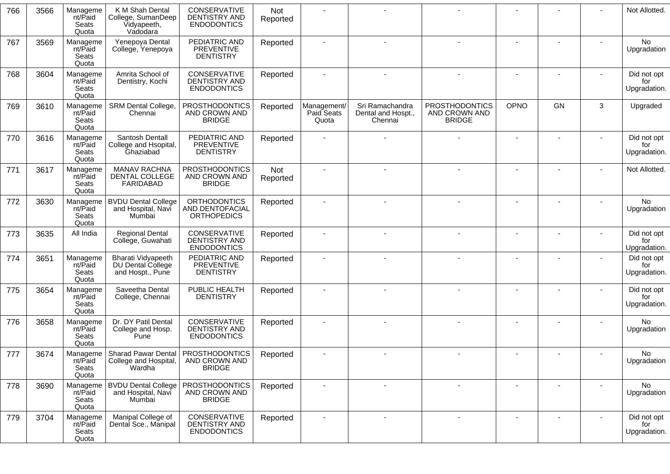| 766 | 3566 | Manageme<br>nt/Paid<br>Seats<br>Quota | K M Shah Dental<br>College, SumanDeep<br>Vidyapeeth,<br>Vadodara          | CONSERVATIVE<br>DENTISTRY AND<br><b>ENDODONTICS</b>          | Not<br>Reported |                                    |                                                  |                                                         |      |                          |        | Not Allotted.                      |
|-----|------|---------------------------------------|---------------------------------------------------------------------------|--------------------------------------------------------------|-----------------|------------------------------------|--------------------------------------------------|---------------------------------------------------------|------|--------------------------|--------|------------------------------------|
| 767 | 3569 | Manageme<br>nt/Paid<br>Seats<br>Quota | Yenepoya Dental<br>College, Yenepoya                                      | PEDIATRIC AND<br><b>PREVENTIVE</b><br><b>DENTISTRY</b>       | Reported        |                                    |                                                  |                                                         |      |                          |        | No<br>Upgradation                  |
| 768 | 3604 | Manageme<br>nt/Paid<br>Seats<br>Quota | Amrita School of<br>Dentistry, Kochi                                      | CONSERVATIVE<br>DENTISTRY AND<br><b>ENDODONTICS</b>          | Reported        | $\overline{\phantom{a}}$           |                                                  |                                                         |      |                          |        | Did not opt<br>for<br>Upgradation. |
| 769 | 3610 | Manageme<br>nt/Paid<br>Seats<br>Quota | <b>SRM Dental College,</b><br>Chennai                                     | <b>PROSTHODONTICS</b><br>AND CROWN AND<br><b>BRIDGE</b>      | Reported        | Management/<br>Paid Seats<br>Quota | Sri Ramachandra<br>Dental and Hospt.,<br>Chennai | <b>PROSTHODONTICS</b><br>AND CROWN AND<br><b>BRIDGE</b> | OPNO | GN                       | 3      | Upgraded                           |
| 770 | 3616 | Manageme<br>nt/Paid<br>Seats<br>Quota | Santosh Dentall<br>College and Hsopital,<br>Ghaziabad                     | PEDIATRIC AND<br><b>PREVENTIVE</b><br><b>DENTISTRY</b>       | Reported        |                                    |                                                  |                                                         |      |                          |        | Did not opt<br>for<br>Upgradation. |
| 771 | 3617 | Manageme<br>nt/Paid<br>Seats<br>Quota | <b>MANAV RACHNA</b><br>DENTAL COLLEGE<br>FARIDABAD                        | <b>PROSTHODONTICS</b><br>AND CROWN AND<br><b>BRIDGE</b>      | Not<br>Reported | $\blacksquare$                     |                                                  |                                                         |      |                          |        | Not Allotted.                      |
| 772 | 3630 | Manageme<br>nt/Paid<br>Seats<br>Quota | <b>BVDU Dental College</b><br>and Hospital, Navi<br>Mumbai                | <b>ORTHODONTICS</b><br>AND DENTOFACIAL<br><b>ORTHOPEDICS</b> | Reported        | $\overline{\phantom{a}}$           |                                                  |                                                         |      |                          |        | No<br>Upgradation                  |
| 773 | 3635 | All India                             | <b>Regional Dental</b><br>College, Guwahati                               | CONSERVATIVE<br>DENTISTRY AND<br><b>ENDODONTICS</b>          | Reported        |                                    |                                                  |                                                         |      |                          |        | Did not opt<br>for<br>Upgradation. |
| 774 | 3651 | Manageme<br>nt/Paid<br>Seats<br>Quota | <b>Bharati Vidyapeeth</b><br><b>DU Dental College</b><br>and Hospt., Pune | PEDIATRIC AND<br><b>PREVENTIVE</b><br><b>DENTISTRY</b>       | Reported        |                                    |                                                  |                                                         |      |                          |        | Did not opt<br>for<br>Upgradation. |
| 775 | 3654 | Manageme<br>nt/Paid<br>Seats<br>Quota | Saveetha Dental<br>College, Chennai                                       | PUBLIC HEALTH<br><b>DENTISTRY</b>                            | Reported        |                                    |                                                  |                                                         |      |                          |        | Did not opt<br>for<br>Upgradation. |
| 776 | 3658 | Manageme<br>nt/Paid<br>Seats<br>Quota | Dr. DY Patil Dental<br>College and Hosp.<br>Pune                          | CONSERVATIVE<br>DENTISTRY AND<br><b>ENDODONTICS</b>          | Reported        |                                    |                                                  |                                                         |      |                          |        | No<br>Upgradation                  |
| 777 | 3674 | Manageme<br>nt/Paid<br>Seats<br>Quota | Sharad Pawar Dental   PROSTHODONTICS<br>College and Hospital,  <br>Wardha | AND CROWN AND<br><b>BRIDGE</b>                               | Reported        |                                    |                                                  |                                                         |      |                          |        | No<br>Upgradation                  |
| 778 | 3690 | Manageme<br>nt/Paid<br>Seats<br>Quota | <b>BVDU Dental College</b><br>and Hospital, Navi<br>Mumbai                | <b>PROSTHODONTICS</b><br>AND CROWN AND<br><b>BRIDGE</b>      | Reported        | $\overline{\phantom{a}}$           |                                                  |                                                         |      |                          |        | No<br>Upgradation                  |
| 779 | 3704 | Manageme<br>nt/Paid<br>Seats<br>Quota | Manipal College of<br>Dental Sce., Manipal                                | <b>CONSERVATIVE</b><br>DENTISTRY AND<br><b>ENDODONTICS</b>   | Reported        | $\overline{\phantom{a}}$           | $\overline{\phantom{a}}$                         | $\overline{\phantom{a}}$                                |      | $\overline{\phantom{a}}$ | $\sim$ | Did not opt<br>for<br>Upgradation. |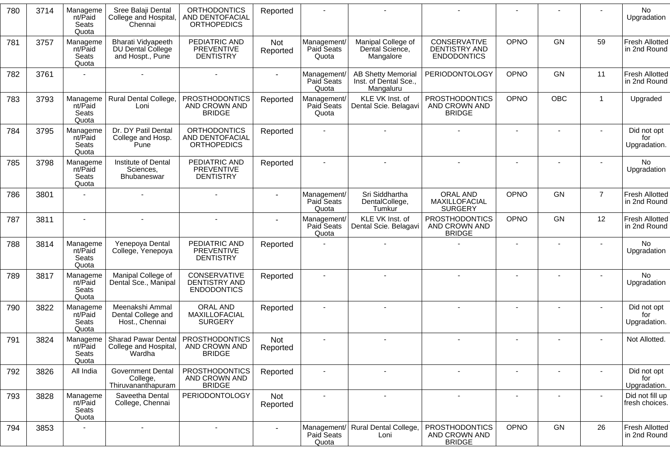| 780 | 3714 | Manageme<br>nt/Paid<br>Seats<br>Quota | Sree Balaji Dental<br>College and Hospital,<br>Chennai        | <b>ORTHODONTICS</b><br>AND DENTOFACIAL<br><b>ORTHOPEDICS</b> | Reported               |                                    |                                                                 |                                                            |                          |            |                | <b>No</b><br>Upgradation              |
|-----|------|---------------------------------------|---------------------------------------------------------------|--------------------------------------------------------------|------------------------|------------------------------------|-----------------------------------------------------------------|------------------------------------------------------------|--------------------------|------------|----------------|---------------------------------------|
| 781 | 3757 | Manageme<br>nt/Paid<br>Seats<br>Quota | Bharati Vidyapeeth<br>DU Dental College<br>and Hospt., Pune   | PEDIATRIC AND<br><b>PREVENTIVE</b><br><b>DENTISTRY</b>       | <b>Not</b><br>Reported | Management/<br>Paid Seats<br>Quota | Manipal College of<br>Dental Science,<br>Mangalore              | CONSERVATIVE<br><b>DENTISTRY AND</b><br><b>ENDODONTICS</b> | <b>OPNO</b>              | GN         | 59             | <b>Fresh Allotted</b><br>in 2nd Round |
| 782 | 3761 |                                       |                                                               |                                                              |                        | Management/<br>Paid Seats<br>Quota | <b>AB Shetty Memorial</b><br>Inst. of Dental Sce.,<br>Mangaluru | <b>PERIODONTOLOGY</b>                                      | OPNO                     | GN         | 11             | <b>Fresh Allotted</b><br>in 2nd Round |
| 783 | 3793 | Manageme<br>nt/Paid<br>Seats<br>Quota | Rural Dental College,<br>Loni                                 | <b>PROSTHODONTICS</b><br>AND CROWN AND<br><b>BRIDGE</b>      | Reported               | Management/<br>Paid Seats<br>Quota | KLE VK Inst. of<br>Dental Scie. Belagavi                        | <b>PROSTHODONTICS</b><br>AND CROWN AND<br><b>BRIDGE</b>    | <b>OPNO</b>              | <b>OBC</b> | $\mathbf{1}$   | Upgraded                              |
| 784 | 3795 | Manageme<br>nt/Paid<br>Seats<br>Quota | Dr. DY Patil Dental<br>College and Hosp.<br>Pune              | <b>ORTHODONTICS</b><br>AND DENTOFACIAL<br><b>ORTHOPEDICS</b> | Reported               |                                    |                                                                 |                                                            | $\overline{\phantom{a}}$ |            |                | Did not opt<br>for<br>Upgradation.    |
| 785 | 3798 | Manageme<br>nt/Paid<br>Seats<br>Quota | Institute of Dental<br>Sciences,<br>Bhubaneswar               | PEDIATRIC AND<br><b>PREVENTIVE</b><br><b>DENTISTRY</b>       | Reported               |                                    |                                                                 |                                                            |                          |            |                | No<br>Upgradation                     |
| 786 | 3801 |                                       |                                                               |                                                              |                        | Management/<br>Paid Seats<br>Quota | Sri Siddhartha<br>DentalCollege,<br>Tumkur                      | ORAL AND<br>MAXILLOFACIAL<br><b>SURGERY</b>                | <b>OPNO</b>              | GN         | $\overline{7}$ | <b>Fresh Allotted</b><br>in 2nd Round |
| 787 | 3811 |                                       |                                                               |                                                              |                        | Management/<br>Paid Seats<br>Quota | KLE VK Inst. of<br>Dental Scie. Belagavi                        | PROSTHODONTICS<br>AND CROWN AND<br><b>BRIDGE</b>           | OPNO                     | GN         | 12             | <b>Fresh Allotted</b><br>in 2nd Round |
| 788 | 3814 | Manageme<br>nt/Paid<br>Seats<br>Quota | Yenepoya Dental<br>College, Yenepoya                          | PEDIATRIC AND<br><b>PREVENTIVE</b><br><b>DENTISTRY</b>       | Reported               |                                    |                                                                 |                                                            |                          |            |                | <b>No</b><br>Upgradation              |
| 789 | 3817 | Manageme<br>nt/Paid<br>Seats<br>Quota | Manipal College of<br>Dental Sce., Manipal                    | CONSERVATIVE<br><b>DENTISTRY AND</b><br><b>ENDODONTICS</b>   | Reported               |                                    |                                                                 |                                                            |                          |            |                | No<br>Upgradation                     |
| 790 | 3822 | Manageme<br>nt/Paid<br>Seats<br>Quota | Meenakshi Ammal<br>Dental College and<br>Host., Chennai       | ORAL AND<br>MAXILLOFACIAL<br><b>SURGERY</b>                  | Reported               |                                    |                                                                 |                                                            |                          |            |                | Did not opt<br>for<br>Upgradation.    |
| 791 | 3824 | Manageme<br>nt/Paid<br>Seats<br>Quota | <b>Sharad Pawar Dental</b><br>College and Hospital,<br>Wardha | <b>PROSTHODONTICS</b><br>AND CROWN AND<br><b>BRIDGE</b>      | Not<br>Reported        |                                    |                                                                 |                                                            | $\blacksquare$           |            |                | Not Allotted.                         |
| 792 | 3826 | All India                             | <b>Government Dental</b><br>College,<br>Thiruvananthapuram    | <b>PROSTHODONTICS</b><br>AND CROWN AND<br><b>BRIDGE</b>      | Reported               |                                    |                                                                 |                                                            |                          |            |                | Did not opt<br>for<br>Upgradation.    |
| 793 | 3828 | Manageme<br>nt/Paid<br>Seats<br>Quota | Saveetha Dental<br>College, Chennai                           | <b>PERIODONTOLOGY</b>                                        | Not<br>Reported        |                                    |                                                                 |                                                            |                          |            |                | Did not fill up<br>fresh choices.     |
| 794 | 3853 |                                       | $\blacksquare$                                                | $\blacksquare$                                               |                        | Paid Seats<br>Quota                | Management/ Rural Dental College,<br>Loni                       | <b>PROSTHODONTICS</b><br>AND CROWN AND<br><b>BRIDGE</b>    | OPNO                     | GN         | 26             | <b>Fresh Allotted</b><br>in 2nd Round |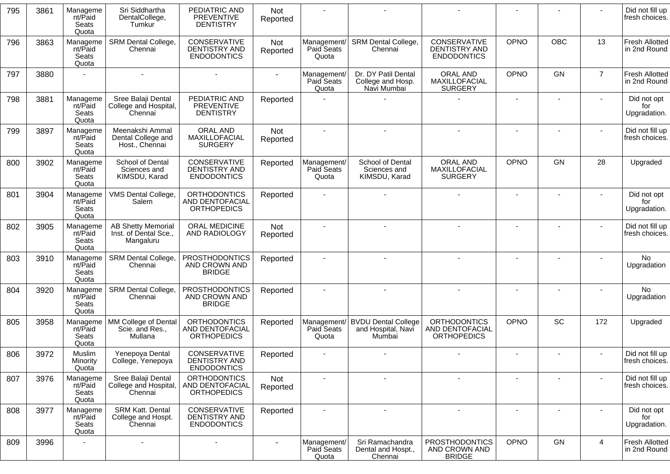| 795 | 3861 | Manageme<br>nt/Paid<br>Seats<br>Quota | Sri Siddhartha<br>DentalCollege,<br>Tumkur                      | PEDIATRIC AND<br><b>PREVENTIVE</b><br><b>DENTISTRY</b>       | Not<br>Reported        |                                    |                                                            |                                                              |                          |            |                | Did not fill up<br>fresh choices.     |
|-----|------|---------------------------------------|-----------------------------------------------------------------|--------------------------------------------------------------|------------------------|------------------------------------|------------------------------------------------------------|--------------------------------------------------------------|--------------------------|------------|----------------|---------------------------------------|
| 796 | 3863 | Manageme<br>nt/Paid<br>Seats<br>Quota | <b>SRM Dental College,</b><br>Chennai                           | CONSERVATIVE<br><b>DENTISTRY AND</b><br><b>ENDODONTICS</b>   | Not<br>Reported        | Management/<br>Paid Seats<br>Quota | <b>SRM Dental College,</b><br>Chennai                      | CONSERVATIVE<br><b>DENTISTRY AND</b><br><b>ENDODONTICS</b>   | OPNO                     | <b>OBC</b> | 13             | <b>Fresh Allotted</b><br>in 2nd Round |
| 797 | 3880 |                                       |                                                                 |                                                              |                        | Management/<br>Paid Seats<br>Quota | Dr. DY Patil Dental<br>College and Hosp.<br>Navi Mumbai    | ORAL AND<br>MAXILLOFACIAL<br><b>SURGERY</b>                  | <b>OPNO</b>              | <b>GN</b>  | $\overline{7}$ | <b>Fresh Allotted</b><br>in 2nd Round |
| 798 | 3881 | Manageme<br>nt/Paid<br>Seats<br>Quota | Sree Balaji Dental<br>College and Hospital,<br>Chennai          | PEDIATRIC AND<br><b>PREVENTIVE</b><br><b>DENTISTRY</b>       | Reported               |                                    |                                                            |                                                              |                          |            |                | Did not opt<br>for<br>Upgradation.    |
| 799 | 3897 | Manageme<br>nt/Paid<br>Seats<br>Quota | Meenakshi Ammal<br>Dental College and<br>Host., Chennai         | ORAL AND<br>MAXILLOFACIAL<br><b>SURGERY</b>                  | Not<br>Reported        |                                    |                                                            |                                                              | $\overline{\phantom{a}}$ |            |                | Did not fill up<br>fresh choices.     |
| 800 | 3902 | Manageme<br>nt/Paid<br>Seats<br>Quota | School of Dental<br>Sciences and<br>KIMSDU, Karad               | CONSERVATIVE<br><b>DENTISTRY AND</b><br><b>ENDODONTICS</b>   | Reported               | Management/<br>Paid Seats<br>Quota | School of Dental<br>Sciences and<br>KIMSDU, Karad          | ORAL AND<br>MAXILLOFACIAL<br><b>SURGERY</b>                  | OPNO                     | <b>GN</b>  | 28             | Upgraded                              |
| 801 | 3904 | Manageme<br>nt/Paid<br>Seats<br>Quota | VMS Dental College,<br>Salem                                    | <b>ORTHODONTICS</b><br>AND DENTOFACIAL<br><b>ORTHOPEDICS</b> | Reported               |                                    |                                                            |                                                              |                          |            |                | Did not opt<br>for<br>Upgradation.    |
| 802 | 3905 | Manageme<br>nt/Paid<br>Seats<br>Quota | <b>AB Shetty Memorial</b><br>Inst. of Dental Sce.,<br>Mangaluru | ORAL MEDICINE<br>AND RADIOLOGY                               | <b>Not</b><br>Reported |                                    |                                                            |                                                              | $\blacksquare$           |            |                | Did not fill up<br>fresh choices.     |
| 803 | 3910 | Manageme<br>nt/Paid<br>Seats<br>Quota | SRM Dental College,<br>Chennai                                  | <b>PROSTHODONTICS</b><br>AND CROWN AND<br><b>BRIDGE</b>      | Reported               |                                    |                                                            |                                                              |                          |            |                | No.<br>Upgradation                    |
| 804 | 3920 | Manageme<br>nt/Paid<br>Seats<br>Quota | SRM Dental College,<br>Chennai                                  | <b>PROSTHODONTICS</b><br>AND CROWN AND<br><b>BRIDGE</b>      | Reported               |                                    |                                                            |                                                              |                          |            |                | No.<br>Upgradation                    |
| 805 | 3958 | Manageme<br>nt/Paid<br>Seats<br>Quota | MM College of Dental<br>Scie. and Res.,<br>Mullana              | <b>ORTHODONTICS</b><br>AND DENTOFACIAL<br><b>ORTHOPEDICS</b> | Reported               | Management/<br>Paid Seats<br>Quota | <b>BVDU Dental College</b><br>and Hospital, Navi<br>Mumbai | <b>ORTHODONTICS</b><br>AND DENTOFACIAL<br><b>ORTHOPEDICS</b> | OPNO                     | SC         | 172            | Upgraded                              |
| 806 | 3972 | Muslim<br>Minority<br>Quota           | Yenepoya Dental<br>College, Yenepoya                            | CONSERVATIVE<br>DENTISTRY AND<br><b>ENDODONTICS</b>          | Reported               |                                    |                                                            |                                                              |                          |            |                | Did not fill up<br>fresh choices.     |
| 807 | 3976 | Manageme<br>nt/Paid<br>Seats<br>Quota | Sree Balaji Dental<br>College and Hospital,<br>Chennai          | <b>ORTHODONTICS</b><br>AND DENTOFACIAL<br><b>ORTHOPEDICS</b> | Not<br>Reported        |                                    |                                                            | $\blacksquare$                                               | $\overline{\phantom{a}}$ |            |                | Did not fill up<br>fresh choices.     |
| 808 | 3977 | Manageme<br>nt/Paid<br>Seats<br>Quota | <b>SRM Katt. Dental</b><br>College and Hospt.<br>Chennai        | CONSERVATIVE<br><b>DENTISTRY AND</b><br><b>ENDODONTICS</b>   | Reported               |                                    |                                                            | $\blacksquare$                                               | $\blacksquare$           |            |                | Did not opt<br>for<br>Upgradation.    |
| 809 | 3996 |                                       |                                                                 | $\overline{\phantom{a}}$                                     | $\sim$                 | Management/<br>Paid Seats<br>Quota | Sri Ramachandra<br>Dental and Hospt.,<br>Chennai           | <b>PROSTHODONTICS</b><br>AND CROWN AND<br><b>BRIDGE</b>      | OPNO                     | GN         | 4              | <b>Fresh Allotted</b><br>in 2nd Round |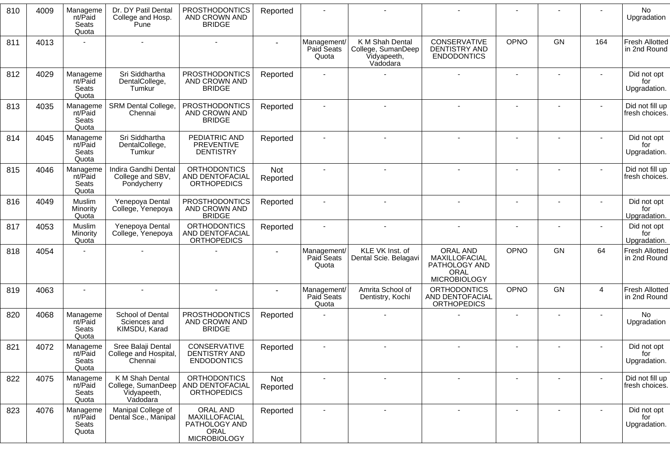| 810 | 4009 | Manageme<br>nt/Paid<br>Seats<br>Quota | Dr. DY Patil Dental<br>College and Hosp.<br>Pune                 | <b>PROSTHODONTICS</b><br>AND CROWN AND<br><b>BRIDGE</b>                   | Reported        |                                    |                                                                  |                                                                           |             |    |     | No<br>Upgradation                     |
|-----|------|---------------------------------------|------------------------------------------------------------------|---------------------------------------------------------------------------|-----------------|------------------------------------|------------------------------------------------------------------|---------------------------------------------------------------------------|-------------|----|-----|---------------------------------------|
| 811 | 4013 |                                       |                                                                  |                                                                           |                 | Management/<br>Paid Seats<br>Quota | K M Shah Dental<br>College, SumanDeep<br>Vidyapeeth,<br>Vadodara | CONSERVATIVE<br><b>DENTISTRY AND</b><br><b>ENDODONTICS</b>                | <b>OPNO</b> | GN | 164 | <b>Fresh Allotted</b><br>in 2nd Round |
| 812 | 4029 | Manageme<br>nt/Paid<br>Seats<br>Quota | Sri Siddhartha<br>DentalCollege,<br>Tumkur                       | <b>PROSTHODONTICS</b><br>AND CROWN AND<br><b>BRIDGE</b>                   | Reported        |                                    |                                                                  |                                                                           |             |    |     | Did not opt<br>for<br>Upgradation.    |
| 813 | 4035 | Manageme<br>nt/Paid<br>Seats<br>Quota | SRM Dental College,<br>Chennai                                   | <b>PROSTHODONTICS</b><br>AND CROWN AND<br><b>BRIDGE</b>                   | Reported        |                                    |                                                                  |                                                                           |             |    |     | Did not fill up<br>fresh choices.     |
| 814 | 4045 | Manageme<br>nt/Paid<br>Seats<br>Quota | Sri Siddhartha<br>DentalCollege,<br>Tumkur                       | PEDIATRIC AND<br><b>PREVENTIVE</b><br><b>DENTISTRY</b>                    | Reported        |                                    |                                                                  |                                                                           |             |    |     | Did not opt<br>for<br>Upgradation.    |
| 815 | 4046 | Manageme<br>nt/Paid<br>Seats<br>Quota | Indira Gandhi Dental<br>College and SBV,<br>Pondycherry          | <b>ORTHODONTICS</b><br>AND DENTOFACIAL<br><b>ORTHOPEDICS</b>              | Not<br>Reported |                                    |                                                                  |                                                                           |             |    |     | Did not fill up<br>fresh choices.     |
| 816 | 4049 | Muslim<br>Minority<br>Quota           | Yenepoya Dental<br>College, Yenepoya                             | <b>PROSTHODONTICS</b><br>AND CROWN AND<br><b>BRIDGE</b>                   | Reported        |                                    |                                                                  |                                                                           |             |    |     | Did not opt<br>for<br>Upgradation.    |
| 817 | 4053 | Muslim<br>Minority<br>Quota           | Yenepoya Dental<br>College, Yenepoya                             | <b>ORTHODONTICS</b><br>AND DENTOFACIAL<br><b>ORTHOPEDICS</b>              | Reported        | $\blacksquare$                     |                                                                  |                                                                           |             |    |     | Did not opt<br>for<br>Upgradation.    |
| 818 | 4054 |                                       |                                                                  |                                                                           |                 | Management/<br>Paid Seats<br>Quota | KLE VK Inst. of<br>Dental Scie. Belagavi                         | ORAL AND<br>MAXILLOFACIAL<br>PATHOLOGY AND<br>ORAL<br><b>MICROBIOLOGY</b> | <b>OPNO</b> | GN | 64  | <b>Fresh Allotted</b><br>in 2nd Round |
| 819 | 4063 | $\blacksquare$                        |                                                                  |                                                                           |                 | Management/<br>Paid Seats<br>Quota | Amrita School of<br>Dentistry, Kochi                             | <b>ORTHODONTICS</b><br>AND DENTOFACIAL<br><b>ORTHOPEDICS</b>              | <b>OPNO</b> | GN | 4   | <b>Fresh Allotted</b><br>in 2nd Round |
| 820 | 4068 | Manageme<br>nt/Paid<br>Seats<br>Quota | School of Dental<br>Sciences and<br>KIMSDU, Karad                | <b>PROSTHODONTICS</b><br>AND CROWN AND<br><b>BRIDGE</b>                   | Reported        |                                    |                                                                  |                                                                           |             |    |     | No<br>Upgradation                     |
| 821 | 4072 | Manageme<br>nt/Paid<br>Seats<br>Quota | Sree Balaji Dental<br>College and Hospital,<br>Chennai           | CONSERVATIVE<br>DENTISTRY AND<br><b>ENDODONTICS</b>                       | Reported        |                                    |                                                                  |                                                                           |             |    |     | Did not opt<br>for<br>Upgradation.    |
| 822 | 4075 | Manageme<br>nt/Paid<br>Seats<br>Quota | K M Shah Dental<br>College, SumanDeep<br>Vidyapeeth,<br>Vadodara | <b>ORTHODONTICS</b><br>AND DENTOFACIAL<br><b>ORTHOPEDICS</b>              | Not<br>Reported | $\blacksquare$                     |                                                                  |                                                                           |             |    |     | Did not fill up<br>fresh choices.     |
| 823 | 4076 | Manageme<br>nt/Paid<br>Seats<br>Quota | Manipal College of<br>Dental Sce., Manipal                       | ORAL AND<br>MAXILLOFACIAL<br>PATHOLOGY AND<br>ORAL<br><b>MICROBIOLOGY</b> | Reported        | $\overline{\phantom{a}}$           |                                                                  |                                                                           |             |    |     | Did not opt<br>for<br>Upgradation.    |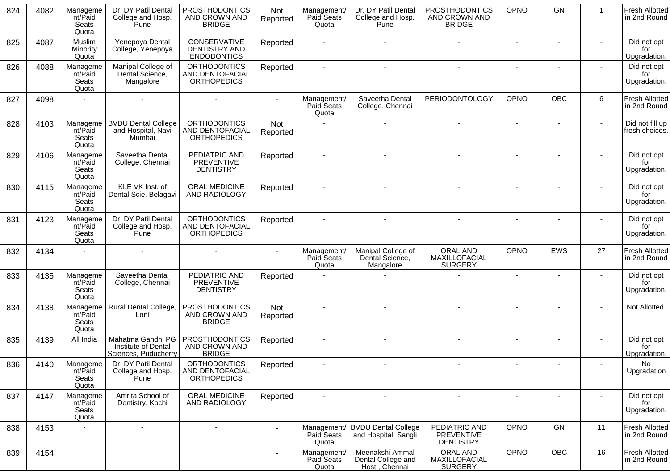| 824 | 4082 | Manageme<br>nt/Paid<br>Seats<br>Quota | Dr. DY Patil Dental<br>College and Hosp.<br>Pune                 | <b>PROSTHODONTICS</b><br>AND CROWN AND<br><b>BRIDGE</b>      | Not<br>Reported | Management/<br>Paid Seats<br>Quota | Dr. DY Patil Dental<br>College and Hosp.<br>Pune        | PROSTHODONTICS<br>AND CROWN AND<br><b>BRIDGE</b>       | OPNO                     | <b>GN</b>                | $\mathbf{1}$ | <b>Fresh Allotted</b><br>in 2nd Round |
|-----|------|---------------------------------------|------------------------------------------------------------------|--------------------------------------------------------------|-----------------|------------------------------------|---------------------------------------------------------|--------------------------------------------------------|--------------------------|--------------------------|--------------|---------------------------------------|
| 825 | 4087 | Muslim<br>Minority<br>Quota           | Yenepoya Dental<br>College, Yenepoya                             | CONSERVATIVE<br>DENTISTRY AND<br><b>ENDODONTICS</b>          | Reported        |                                    |                                                         |                                                        | $\sim$                   | $\sim$                   |              | Did not opt<br>for<br>Upgradation.    |
| 826 | 4088 | Manageme<br>nt/Paid<br>Seats<br>Quota | Manipal College of<br>Dental Science,<br>Mangalore               | <b>ORTHODONTICS</b><br>AND DENTOFACIAL<br><b>ORTHOPEDICS</b> | Reported        |                                    |                                                         |                                                        |                          |                          |              | Did not opt<br>for<br>Upgradation.    |
| 827 | 4098 |                                       |                                                                  |                                                              | $\sim$          | Management/<br>Paid Seats<br>Quota | Saveetha Dental<br>College, Chennai                     | <b>PERIODONTOLOGY</b>                                  | OPNO                     | <b>OBC</b>               | 6            | <b>Fresh Allotted</b><br>in 2nd Round |
| 828 | 4103 | Manageme<br>nt/Paid<br>Seats<br>Quota | <b>BVDU Dental College</b><br>and Hospital, Navi<br>Mumbai       | <b>ORTHODONTICS</b><br>AND DENTOFACIAL<br><b>ORTHOPEDICS</b> | Not<br>Reported |                                    |                                                         |                                                        | $\sim$                   | $\sim$                   |              | Did not fill up<br>fresh choices.     |
| 829 | 4106 | Manageme<br>nt/Paid<br>Seats<br>Quota | Saveetha Dental<br>College, Chennai                              | PEDIATRIC AND<br><b>PREVENTIVE</b><br><b>DENTISTRY</b>       | Reported        |                                    |                                                         |                                                        | $\sim$                   |                          |              | Did not opt<br>for<br>Upgradation.    |
| 830 | 4115 | Manageme<br>nt/Paid<br>Seats<br>Quota | KLE VK Inst. of<br>Dental Scie. Belagavi                         | ORAL MEDICINE<br>AND RADIOLOGY                               | Reported        |                                    |                                                         |                                                        |                          |                          |              | Did not opt<br>for<br>Upgradation.    |
| 831 | 4123 | Manageme<br>nt/Paid<br>Seats<br>Quota | Dr. DY Patil Dental<br>College and Hosp.<br>Pune                 | <b>ORTHODONTICS</b><br>AND DENTOFACIAL<br><b>ORTHOPEDICS</b> | Reported        |                                    |                                                         |                                                        | $\sim$                   |                          |              | Did not opt<br>for<br>Upgradation.    |
| 832 | 4134 |                                       |                                                                  |                                                              |                 | Management/<br>Paid Seats<br>Quota | Manipal College of<br>Dental Science,<br>Mangalore      | ORAL AND<br>MAXILLOFACIAL<br><b>SURGERY</b>            | OPNO                     | <b>EWS</b>               | 27           | <b>Fresh Allotted</b><br>in 2nd Round |
| 833 | 4135 | Manageme<br>nt/Paid<br>Seats<br>Quota | Saveetha Dental<br>College, Chennai                              | PEDIATRIC AND<br><b>PREVENTIVE</b><br><b>DENTISTRY</b>       | Reported        |                                    |                                                         |                                                        | $\sim$                   |                          |              | Did not opt<br>for<br>Upgradation.    |
| 834 | 4138 | Manageme<br>nt/Paid<br>Seats<br>Quota | Rural Dental College,<br>Loni                                    | <b>PROSTHODONTICS</b><br>AND CROWN AND<br><b>BRIDGE</b>      | Not<br>Reported |                                    |                                                         |                                                        | $\blacksquare$           |                          |              | Not Allotted.                         |
| 835 | 4139 | All India                             | Mahatma Gandhi PG<br>Institute of Dental<br>Sciences, Puducherry | <b>PROSTHODONTICS</b><br>AND CROWN AND<br><b>BRIDGE</b>      | Reported        |                                    |                                                         |                                                        |                          |                          |              | Did not opt<br>for<br>Upgradation.    |
| 836 | 4140 | Manageme<br>nt/Paid<br>Seats<br>Quota | Dr. DY Patil Dental<br>College and Hosp.<br>Pune                 | <b>ORTHODONTICS</b><br>AND DENTOFACIAL<br><b>ORTHOPEDICS</b> | Reported        |                                    |                                                         |                                                        | $\overline{\phantom{a}}$ | $\overline{\phantom{a}}$ |              | No.<br>Upgradation                    |
| 837 | 4147 | Manageme<br>nt/Paid<br>Seats<br>Quota | Amrita School of<br>Dentistry, Kochi                             | ORAL MEDICINE<br>AND RADIOLOGY                               | Reported        |                                    |                                                         |                                                        |                          |                          |              | Did not opt<br>for<br>Upgradation.    |
| 838 | 4153 |                                       | $\blacksquare$                                                   | $\blacksquare$                                               |                 | Management<br>Paid Seats<br>Quota  | <b>BVDU Dental College</b><br>and Hospital, Sangli      | PEDIATRIC AND<br><b>PREVENTIVE</b><br><b>DENTISTRY</b> | OPNO                     | GN                       | 11           | <b>Fresh Allotted</b><br>in 2nd Round |
| 839 | 4154 | $\sim$                                | $\blacksquare$                                                   | $\overline{\phantom{a}}$                                     |                 | Management/<br>Paid Seats<br>Quota | Meenakshi Ammal<br>Dental College and<br>Host., Chennai | ORAL AND<br>MAXILLOFACIAL<br><b>SURGERY</b>            | OPNO                     | OBC                      | 16           | <b>Fresh Allotted</b><br>in 2nd Round |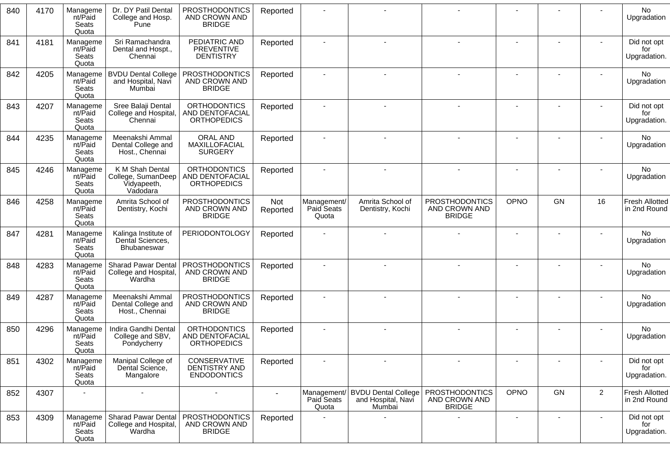| 840 | 4170 | Manageme<br>nt/Paid<br>Seats<br>Quota | Dr. DY Patil Dental<br>College and Hosp.<br>Pune                 | <b>PROSTHODONTICS</b><br>AND CROWN AND<br><b>BRIDGE</b>      | Reported        |                                    |                                                            |                                                         |                |    |                | No<br>Upgradation                     |
|-----|------|---------------------------------------|------------------------------------------------------------------|--------------------------------------------------------------|-----------------|------------------------------------|------------------------------------------------------------|---------------------------------------------------------|----------------|----|----------------|---------------------------------------|
| 841 | 4181 | Manageme<br>nt/Paid<br>Seats<br>Quota | Sri Ramachandra<br>Dental and Hospt.,<br>Chennai                 | PEDIATRIC AND<br><b>PREVENTIVE</b><br><b>DENTISTRY</b>       | Reported        |                                    |                                                            |                                                         |                |    |                | Did not opt<br>for<br>Upgradation.    |
| 842 | 4205 | Manageme<br>nt/Paid<br>Seats<br>Quota | <b>BVDU Dental College</b><br>and Hospital, Navi<br>Mumbai       | <b>PROSTHODONTICS</b><br>AND CROWN AND<br><b>BRIDGE</b>      | Reported        | $\blacksquare$                     |                                                            |                                                         |                |    |                | No<br>Upgradation                     |
| 843 | 4207 | Manageme<br>nt/Paid<br>Seats<br>Quota | Sree Balaji Dental<br>College and Hospital,<br>Chennai           | <b>ORTHODONTICS</b><br>AND DENTOFACIAL<br><b>ORTHOPEDICS</b> | Reported        |                                    |                                                            |                                                         |                |    |                | Did not opt<br>for<br>Upgradation.    |
| 844 | 4235 | Manageme<br>nt/Paid<br>Seats<br>Quota | Meenakshi Ammal<br>Dental College and<br>Host., Chennai          | ORAL AND<br>MAXILLOFACIAL<br><b>SURGERY</b>                  | Reported        |                                    |                                                            |                                                         |                |    |                | No<br>Upgradation                     |
| 845 | 4246 | Manageme<br>nt/Paid<br>Seats<br>Quota | K M Shah Dental<br>College, SumanDeep<br>Vidyapeeth,<br>Vadodara | <b>ORTHODONTICS</b><br>AND DENTOFACIAL<br><b>ORTHOPEDICS</b> | Reported        | $\overline{\phantom{a}}$           |                                                            |                                                         |                |    |                | No<br>Upgradation                     |
| 846 | 4258 | Manageme<br>nt/Paid<br>Seats<br>Quota | Amrita School of<br>Dentistry, Kochi                             | <b>PROSTHODONTICS</b><br>AND CROWN AND<br><b>BRIDGE</b>      | Not<br>Reported | Management/<br>Paid Seats<br>Quota | Amrita School of<br>Dentistry, Kochi                       | <b>PROSTHODONTICS</b><br>AND CROWN AND<br><b>BRIDGE</b> | OPNO           | GN | 16             | <b>Fresh Allotted</b><br>in 2nd Round |
| 847 | 4281 | Manageme<br>nt/Paid<br>Seats<br>Quota | Kalinga Institute of<br>Dental Sciences,<br><b>Bhubaneswar</b>   | PERIODONTOLOGY                                               | Reported        |                                    |                                                            |                                                         |                |    |                | No<br>Upgradation                     |
| 848 | 4283 | Manageme<br>nt/Paid<br>Seats<br>Quota | <b>Sharad Pawar Dental</b><br>College and Hospital<br>Wardha     | <b>PROSTHODONTICS</b><br>AND CROWN AND<br><b>BRIDGE</b>      | Reported        | $\overline{a}$                     |                                                            |                                                         |                |    |                | No<br>Upgradation                     |
| 849 | 4287 | Manageme<br>nt/Paid<br>Seats<br>Quota | Meenakshi Ammal<br>Dental College and<br>Host., Chennai          | <b>PROSTHODONTICS</b><br>AND CROWN AND<br><b>BRIDGE</b>      | Reported        |                                    |                                                            |                                                         |                |    |                | No<br>Upgradation                     |
| 850 | 4296 | Manageme<br>nt/Paid<br>Seats<br>Quota | Indira Gandhi Dental<br>College and SBV,<br>Pondycherry          | <b>ORTHODONTICS</b><br>AND DENTOFACIAL<br><b>ORTHOPEDICS</b> | Reported        |                                    |                                                            |                                                         |                |    |                | No<br>Upgradation                     |
| 851 | 4302 | Manageme<br>nt/Paid<br>Seats<br>Quota | Manipal College of<br>Dental Science,<br>Mangalore               | CONSERVATIVE<br>DENTISTRY AND<br><b>ENDODONTICS</b>          | Reported        |                                    |                                                            |                                                         |                |    |                | Did not opt<br>for<br>Upgradation.    |
| 852 | 4307 | $\overline{\phantom{a}}$              | $\blacksquare$                                                   | $\blacksquare$                                               |                 | Management/<br>Paid Seats<br>Quota | <b>BVDU Dental College</b><br>and Hospital, Navi<br>Mumbai | <b>PROSTHODONTICS</b><br>AND CROWN AND<br><b>BRIDGE</b> | <b>OPNO</b>    | GN | $\overline{2}$ | <b>Fresh Allotted</b><br>in 2nd Round |
| 853 | 4309 | Manageme<br>nt/Paid<br>Seats<br>Quota | Sharad Pawar Dental<br>College and Hospital,<br>Wardha           | <b>PROSTHODONTICS</b><br>AND CROWN AND<br><b>BRIDGE</b>      | Reported        |                                    |                                                            |                                                         | $\blacksquare$ |    |                | Did not opt<br>for<br>Upgradation.    |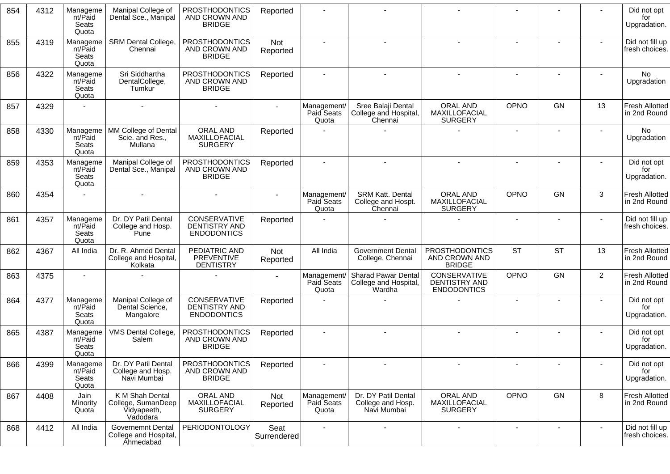| 854 | 4312 | Manageme<br>nt/Paid<br>Seats<br>Quota | Manipal College of<br>Dental Sce., Manipal                       | <b>PROSTHODONTICS</b><br>AND CROWN AND<br><b>BRIDGE</b>    | Reported               |                                    |                                                               |                                                            |                          |                |                          | Did not opt<br>for<br>Upgradation.    |
|-----|------|---------------------------------------|------------------------------------------------------------------|------------------------------------------------------------|------------------------|------------------------------------|---------------------------------------------------------------|------------------------------------------------------------|--------------------------|----------------|--------------------------|---------------------------------------|
| 855 | 4319 | Manageme<br>nt/Paid<br>Seats<br>Quota | <b>SRM Dental College,</b><br>Chennai                            | <b>PROSTHODONTICS</b><br>AND CROWN AND<br><b>BRIDGE</b>    | Not<br>Reported        |                                    |                                                               |                                                            |                          |                |                          | Did not fill up<br>fresh choices.     |
| 856 | 4322 | Manageme<br>nt/Paid<br>Seats<br>Quota | Sri Siddhartha<br>DentalCollege,<br>Tumkur                       | <b>PROSTHODONTICS</b><br>AND CROWN AND<br><b>BRIDGE</b>    | Reported               | $\blacksquare$                     | $\sim$                                                        |                                                            |                          |                |                          | No<br>Upgradation                     |
| 857 | 4329 |                                       |                                                                  |                                                            |                        | Management/<br>Paid Seats<br>Quota | Sree Balaji Dental<br>College and Hospital,<br>Chennai        | <b>ORAL AND</b><br>MAXILLOFACIAL<br><b>SURGERY</b>         | <b>OPNO</b>              | GN             | 13                       | <b>Fresh Allotted</b><br>in 2nd Round |
| 858 | 4330 | Manageme<br>nt/Paid<br>Seats<br>Quota | MM College of Dental<br>Scie. and Res.,<br>Mullana               | ORAL AND<br>MAXILLOFACIAL<br><b>SURGERY</b>                | Reported               |                                    |                                                               |                                                            |                          |                |                          | No<br>Upgradation                     |
| 859 | 4353 | Manageme<br>nt/Paid<br>Seats<br>Quota | Manipal College of<br>Dental Sce., Manipal                       | PROSTHODONTICS<br>AND CROWN AND<br><b>BRIDGE</b>           | Reported               |                                    |                                                               |                                                            |                          |                |                          | Did not opt<br>for<br>Upgradation.    |
| 860 | 4354 |                                       |                                                                  |                                                            |                        | Management/<br>Paid Seats<br>Quota | <b>SRM Katt. Dental</b><br>College and Hospt.<br>Chennai      | <b>ORAL AND</b><br>MAXILLOFACIAL<br><b>SURGERY</b>         | <b>OPNO</b>              | GN             | 3                        | <b>Fresh Allotted</b><br>in 2nd Round |
| 861 | 4357 | Manageme<br>nt/Paid<br>Seats<br>Quota | Dr. DY Patil Dental<br>College and Hosp.<br>Pune                 | CONSERVATIVE<br><b>DENTISTRY AND</b><br><b>ENDODONTICS</b> | Reported               |                                    |                                                               |                                                            |                          |                |                          | Did not fill up<br>fresh choices.     |
| 862 | 4367 | All India                             | Dr. R. Ahmed Dental<br>College and Hospital,<br>Kolkata          | PEDIATRIC AND<br>PREVENTIVE<br><b>DENTISTRY</b>            | <b>Not</b><br>Reported | All India                          | <b>Government Dental</b><br>College, Chennai                  | <b>PROSTHODONTICS</b><br>AND CROWN AND<br><b>BRIDGE</b>    | <b>ST</b>                | <b>ST</b>      | 13                       | <b>Fresh Allotted</b><br>in 2nd Round |
| 863 | 4375 | $\blacksquare$                        |                                                                  |                                                            |                        | Management/<br>Paid Seats<br>Quota | <b>Sharad Pawar Dental</b><br>College and Hospital,<br>Wardha | CONSERVATIVE<br><b>DENTISTRY AND</b><br><b>ENDODONTICS</b> | <b>OPNO</b>              | GN             | $\overline{2}$           | <b>Fresh Allotted</b><br>in 2nd Round |
| 864 | 4377 | Manageme<br>nt/Paid<br>Seats<br>Quota | Manipal College of<br>Dental Science,<br>Mangalore               | CONSERVATIVE<br>DENTISTRY AND<br><b>ENDODONTICS</b>        | Reported               |                                    |                                                               |                                                            |                          |                |                          | Did not opt<br>for<br>Upgradation.    |
| 865 | 4387 | Manageme<br>nt/Paid<br>Seats<br>Quota | VMS Dental College,<br>Salem                                     | PROSTHODONTICS<br>AND CROWN AND<br><b>BRIDGE</b>           | Reported               | $\mathbf{r}$                       |                                                               |                                                            |                          |                |                          | Did not opt<br>for<br>Upgradation.    |
| 866 | 4399 | Manageme<br>nt/Paid<br>Seats<br>Quota | Dr. DY Patil Dental<br>College and Hosp.<br>Navi Mumbai          | <b>PROSTHODONTICS</b><br>AND CROWN AND<br><b>BRIDGE</b>    | Reported               | $\overline{\phantom{a}}$           |                                                               | $\sim$                                                     | $\overline{\phantom{a}}$ |                | $\overline{\phantom{a}}$ | Did not opt<br>for<br>Upgradation.    |
| 867 | 4408 | Jain<br>Minority<br>Quota             | K M Shah Dental<br>College, SumanDeep<br>Vidyapeeth,<br>Vadodara | ORAL AND<br>MAXILLOFACIAL<br><b>SURGERY</b>                | Not<br>Reported        | Management/<br>Paid Seats<br>Quota | Dr. DY Patil Dental<br>College and Hosp.<br>Navi Mumbai       | <b>ORAL AND</b><br>MAXILLOFACIAL<br><b>SURGERY</b>         | OPNO                     | GN             | 8                        | <b>Fresh Allotted</b><br>in 2nd Round |
| 868 | 4412 | All India                             | <b>Governemnt Dental</b><br>College and Hospital,<br>Ahmedabad   | PERIODONTOLOGY                                             | Seat<br>Surrendered    | $\blacksquare$                     | $\blacksquare$                                                | $\blacksquare$                                             | $\blacksquare$           | $\blacksquare$ | $\sim$                   | Did not fill up<br>fresh choices.     |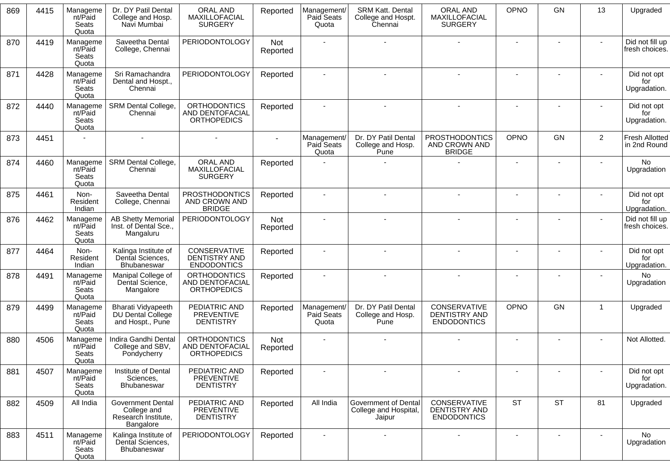| 869 | 4415 | Manageme<br>nt/Paid<br>Seats<br>Quota | Dr. DY Patil Dental<br>College and Hosp.<br>Navi Mumbai                     | ORAL AND<br>MAXILLOFACIAL<br><b>SURGERY</b>                  | Reported        | Management/<br>Paid Seats<br>Quota        | <b>SRM Katt. Dental</b><br>College and Hospt.<br>Chennai       | ORAL AND<br>MAXILLOFACIAL<br><b>SURGERY</b>             | OPNO                     | <b>GN</b> | 13             | Upgraded                              |
|-----|------|---------------------------------------|-----------------------------------------------------------------------------|--------------------------------------------------------------|-----------------|-------------------------------------------|----------------------------------------------------------------|---------------------------------------------------------|--------------------------|-----------|----------------|---------------------------------------|
| 870 | 4419 | Manageme<br>nt/Paid<br>Seats<br>Quota | Saveetha Dental<br>College, Chennai                                         | <b>PERIODONTOLOGY</b>                                        | Not<br>Reported |                                           |                                                                |                                                         |                          |           |                | Did not fill up<br>fresh choices.     |
| 871 | 4428 | Manageme<br>nt/Paid<br>Seats<br>Quota | Sri Ramachandra<br>Dental and Hospt.,<br>Chennai                            | <b>PERIODONTOLOGY</b>                                        | Reported        |                                           |                                                                |                                                         | $\sim$                   |           |                | Did not opt<br>for<br>Upgradation.    |
| 872 | 4440 | Manageme<br>nt/Paid<br>Seats<br>Quota | SRM Dental College,<br>Chennai                                              | <b>ORTHODONTICS</b><br>AND DENTOFACIAL<br><b>ORTHOPEDICS</b> | Reported        |                                           |                                                                |                                                         | $\blacksquare$           |           |                | Did not opt<br>for<br>Upgradation.    |
| 873 | 4451 |                                       |                                                                             |                                                              |                 | Management/<br>Paid Seats<br>Quota        | Dr. DY Patil Dental<br>College and Hosp.<br>Pune               | <b>PROSTHODONTICS</b><br>AND CROWN AND<br><b>BRIDGE</b> | <b>OPNO</b>              | GN        | $\overline{2}$ | <b>Fresh Allotted</b><br>in 2nd Round |
| 874 | 4460 | Manageme<br>nt/Paid<br>Seats<br>Quota | SRM Dental College,<br>Chennai                                              | ORAL AND<br>MAXILLOFACIAL<br><b>SURGERY</b>                  | Reported        |                                           |                                                                |                                                         | $\blacksquare$           |           |                | No<br>Upgradation                     |
| 875 | 4461 | Non-<br>Resident<br>Indian            | Saveetha Dental<br>College, Chennai                                         | <b>PROSTHODONTICS</b><br>AND CROWN AND<br><b>BRIDGE</b>      | Reported        |                                           |                                                                |                                                         |                          |           |                | Did not opt<br>for<br>Upgradation.    |
| 876 | 4462 | Manageme<br>nt/Paid<br>Seats<br>Quota | <b>AB Shetty Memorial</b><br>Inst. of Dental Sce.,<br>Mangaluru             | <b>PERIODONTOLOGY</b>                                        | Not<br>Reported |                                           |                                                                |                                                         |                          |           |                | Did not fill up<br>fresh choices.     |
| 877 | 4464 | Non-<br>Resident<br>Indian            | Kalinga Institute of<br>Dental Sciences,<br>Bhubaneswar                     | CONSERVATIVE<br>DENTISTRY AND<br><b>ENDODONTICS</b>          | Reported        |                                           |                                                                |                                                         |                          |           |                | Did not opt<br>for<br>Upgradation.    |
| 878 | 4491 | Manageme<br>nt/Paid<br>Seats<br>Quota | Manipal College of<br>Dental Science,<br>Mangalore                          | <b>ORTHODONTICS</b><br>AND DENTOFACIAL<br><b>ORTHOPEDICS</b> | Reported        |                                           |                                                                |                                                         |                          |           |                | <b>No</b><br>Upgradation              |
| 879 | 4499 | Manageme<br>nt/Paid<br>Seats<br>Quota | Bharati Vidyapeeth<br>DU Dental College<br>and Hospt., Pune                 | PEDIATRIC AND<br><b>PREVENTIVE</b><br><b>DENTISTRY</b>       | Reported        | Management/<br><b>Paid Seats</b><br>Quota | Dr. DY Patil Dental<br>College and Hosp.<br>Pune               | CONSERVATIVE<br>DENTISTRY AND<br><b>ENDODONTICS</b>     | OPNO                     | <b>GN</b> | $\mathbf{1}$   | Upgraded                              |
| 880 | 4506 | Manageme<br>nt/Paid<br>Seats<br>Quota | Indira Gandhi Dental<br>College and SBV,<br>Pondycherry                     | <b>ORTHODONTICS</b><br>AND DENTOFACIAL<br><b>ORTHOPEDICS</b> | Not<br>Reported |                                           |                                                                |                                                         | $\overline{\phantom{a}}$ |           |                | Not Allotted.                         |
| 881 | 4507 | Manageme<br>nt/Paid<br>Seats<br>Quota | Institute of Dental<br>Sciences,<br>Bhubaneswar                             | PEDIATRIC AND<br><b>PREVENTIVE</b><br><b>DENTISTRY</b>       | Reported        |                                           |                                                                |                                                         |                          |           |                | Did not opt<br>for<br>Upgradation.    |
| 882 | 4509 | All India                             | <b>Government Dental</b><br>College and<br>Research Institute,<br>Bangalore | PEDIATRIC AND<br><b>PREVENTIVE</b><br><b>DENTISTRY</b>       | Reported        | All India                                 | <b>Government of Dental</b><br>College and Hospital,<br>Jaipur | CONSERVATIVE<br>DENTISTRY AND<br><b>ENDODONTICS</b>     | <b>ST</b>                | <b>ST</b> | 81             | Upgraded                              |
| 883 | 4511 | Manageme<br>nt/Paid<br>Seats<br>Quota | Kalinga Institute of<br>Dental Sciences,<br>Bhubaneswar                     | <b>PERIODONTOLOGY</b>                                        | Reported        |                                           |                                                                | $\blacksquare$                                          | $\overline{\phantom{a}}$ |           |                | No.<br>Upgradation                    |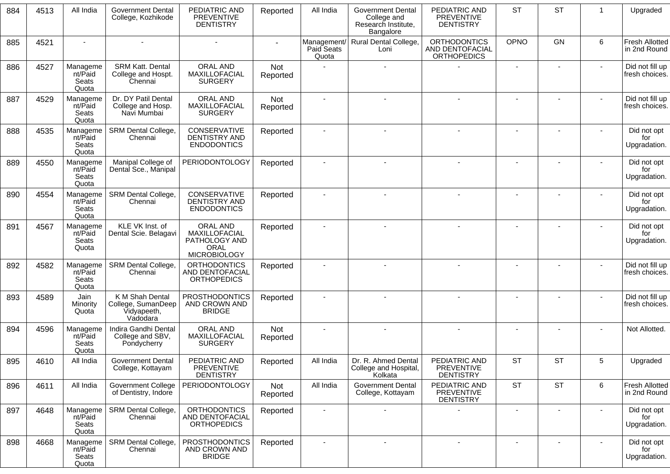| 884 | 4513 | All India                             | <b>Government Dental</b><br>College, Kozhikode                   | PEDIATRIC AND<br><b>PREVENTIVE</b><br><b>DENTISTRY</b>                           | Reported        | All India           | <b>Government Dental</b><br>College and<br>Research Institute,<br>Bangalore | PEDIATRIC AND<br><b>PREVENTIVE</b><br><b>DENTISTRY</b>       | <b>ST</b>   | <b>ST</b>      | -1             | Upgraded                              |
|-----|------|---------------------------------------|------------------------------------------------------------------|----------------------------------------------------------------------------------|-----------------|---------------------|-----------------------------------------------------------------------------|--------------------------------------------------------------|-------------|----------------|----------------|---------------------------------------|
| 885 | 4521 |                                       |                                                                  |                                                                                  |                 | Paid Seats<br>Quota | Management/ Rural Dental College,<br>Loni                                   | <b>ORTHODONTICS</b><br>AND DENTOFACIAL<br><b>ORTHOPEDICS</b> | <b>OPNO</b> | <b>GN</b>      | 6              | <b>Fresh Allotted</b><br>in 2nd Round |
| 886 | 4527 | Manageme<br>nt/Paid<br>Seats<br>Quota | <b>SRM Katt. Dental</b><br>College and Hospt.<br>Chennai         | ORAL AND<br>MAXILLOFACIAL<br><b>SURGERY</b>                                      | Not<br>Reported |                     |                                                                             |                                                              |             |                |                | Did not fill up<br>fresh choices.     |
| 887 | 4529 | Manageme<br>nt/Paid<br>Seats<br>Quota | Dr. DY Patil Dental<br>College and Hosp.<br>Navi Mumbai          | ORAL AND<br>MAXILLOFACIAL<br><b>SURGERY</b>                                      | Not<br>Reported |                     |                                                                             |                                                              |             |                |                | Did not fill up<br>fresh choices.     |
| 888 | 4535 | Manageme<br>nt/Paid<br>Seats<br>Quota | SRM Dental College,<br>Chennai                                   | CONSERVATIVE<br><b>DENTISTRY AND</b><br><b>ENDODONTICS</b>                       | Reported        |                     |                                                                             |                                                              |             |                |                | Did not opt<br>for<br>Upgradation.    |
| 889 | 4550 | Manageme<br>nt/Paid<br>Seats<br>Quota | Manipal College of<br>Dental Sce., Manipal                       | <b>PERIODONTOLOGY</b>                                                            | Reported        |                     |                                                                             |                                                              |             |                |                | Did not opt<br>for<br>Upgradation.    |
| 890 | 4554 | Manageme<br>nt/Paid<br>Seats<br>Quota | SRM Dental College,<br>Chennai                                   | CONSERVATIVE<br><b>DENTISTRY AND</b><br><b>ENDODONTICS</b>                       | Reported        |                     |                                                                             |                                                              |             |                |                | Did not opt<br>for<br>Upgradation.    |
| 891 | 4567 | Manageme<br>nt/Paid<br>Seats<br>Quota | KLE VK Inst. of<br>Dental Scie. Belagavi                         | ORAL AND<br>MAXILLOFACIAL<br>PATHOLOGY AND<br><b>ORAL</b><br><b>MICROBIOLOGY</b> | Reported        |                     |                                                                             |                                                              |             |                |                | Did not opt<br>for<br>Upgradation.    |
| 892 | 4582 | Manageme<br>nt/Paid<br>Seats<br>Quota | SRM Dental College,<br>Chennai                                   | <b>ORTHODONTICS</b><br><b>AND DENTOFACIAL</b><br><b>ORTHOPEDICS</b>              | Reported        |                     |                                                                             |                                                              |             | $\overline{a}$ |                | Did not fill up<br>fresh choices.     |
| 893 | 4589 | Jain<br>Minority<br>Quota             | K M Shah Dental<br>College, SumanDeep<br>Vidyapeeth,<br>Vadodara | <b>PROSTHODONTICS</b><br>AND CROWN AND<br><b>BRIDGE</b>                          | Reported        |                     |                                                                             |                                                              |             |                |                | Did not fill up<br>fresh choices.     |
| 894 | 4596 | Manageme<br>nt/Paid<br>Seats<br>Quota | Indira Gandhi Dental<br>College and SBV,<br>Pondycherry          | ORAL AND<br>MAXILLOFACIAL<br><b>SURGERY</b>                                      | Not<br>Reported |                     |                                                                             |                                                              |             |                |                | Not Allotted.                         |
| 895 | 4610 | All India                             | Government Dental<br>College, Kottayam                           | PEDIATRIC AND<br><b>PREVENTIVE</b><br><b>DENTISTRY</b>                           | Reported        | All India           | Dr. R. Ahmed Dental<br>College and Hospital,<br>Kolkata                     | PEDIATRIC AND<br><b>PREVENTIVE</b><br><b>DENTISTRY</b>       | <b>ST</b>   | <b>ST</b>      | 5 <sup>5</sup> | Upgraded                              |
| 896 | 4611 | All India                             | Government College<br>of Dentistry, Indore                       | <b>PERIODONTOLOGY</b>                                                            | Not<br>Reported | All India           | <b>Government Dental</b><br>College, Kottayam                               | PEDIATRIC AND<br><b>PREVENTIVE</b><br><b>DENTISTRY</b>       | <b>ST</b>   | <b>ST</b>      | 6              | <b>Fresh Allotted</b><br>in 2nd Round |
| 897 | 4648 | Manageme<br>nt/Paid<br>Seats<br>Quota | SRM Dental College,<br>Chennai                                   | <b>ORTHODONTICS</b><br>AND DENTOFACIAL<br><b>ORTHOPEDICS</b>                     | Reported        |                     |                                                                             |                                                              |             |                |                | Did not opt<br>for<br>Upgradation.    |
| 898 | 4668 | Manageme<br>nt/Paid<br>Seats<br>Quota | SRM Dental College,<br>Chennai                                   | <b>PROSTHODONTICS</b><br>AND CROWN AND<br><b>BRIDGE</b>                          | Reported        | $\blacksquare$      | $\blacksquare$                                                              | $\blacksquare$                                               |             | $\blacksquare$ | $\blacksquare$ | Did not opt<br>for<br>Upgradation.    |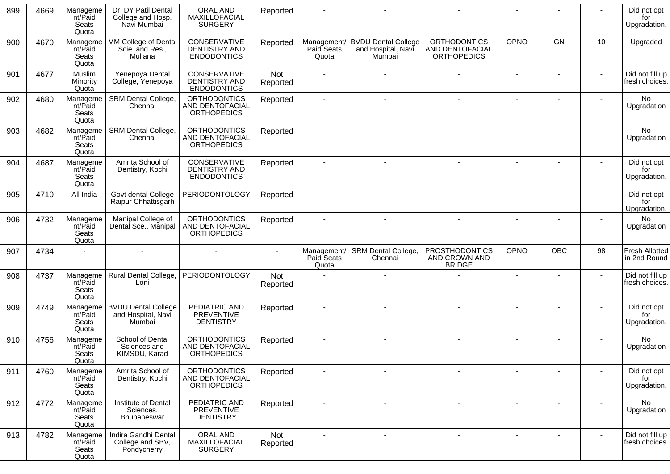| 899 | 4669 | Manageme<br>nt/Paid<br>Seats<br>Quota | Dr. DY Patil Dental<br>College and Hosp.<br>Navi Mumbai    | ORAL AND<br>MAXILLOFACIAL<br><b>SURGERY</b>                         | Reported        |                                    |                                                            |                                                              |                          |                          |                          | Did not opt<br>for<br>Upgradation.    |
|-----|------|---------------------------------------|------------------------------------------------------------|---------------------------------------------------------------------|-----------------|------------------------------------|------------------------------------------------------------|--------------------------------------------------------------|--------------------------|--------------------------|--------------------------|---------------------------------------|
| 900 | 4670 | Manageme<br>nt/Paid<br>Seats<br>Quota | MM College of Dental<br>Scie. and Res.,<br>Mullana         | CONSERVATIVE<br><b>DENTISTRY AND</b><br><b>ENDODONTICS</b>          | Reported        | Management/<br>Paid Seats<br>Quota | <b>BVDU Dental College</b><br>and Hospital, Navi<br>Mumbai | <b>ORTHODONTICS</b><br>AND DENTOFACIAL<br><b>ORTHOPEDICS</b> | OPNO                     | GN                       | 10                       | Upgraded                              |
| 901 | 4677 | Muslim<br>Minority<br>Quota           | Yenepoya Dental<br>College, Yenepoya                       | CONSERVATIVE<br><b>DENTISTRY AND</b><br><b>ENDODONTICS</b>          | Not<br>Reported |                                    |                                                            |                                                              | $\blacksquare$           |                          | $\blacksquare$           | Did not fill up<br>fresh choices.     |
| 902 | 4680 | Manageme<br>nt/Paid<br>Seats<br>Quota | SRM Dental College,<br>Chennai                             | <b>ORTHODONTICS</b><br>AND DENTOFACIAL<br><b>ORTHOPEDICS</b>        | Reported        |                                    |                                                            |                                                              |                          |                          |                          | No<br>Upgradation                     |
| 903 | 4682 | Manageme<br>nt/Paid<br>Seats<br>Quota | SRM Dental College,<br>Chennai                             | <b>ORTHODONTICS</b><br>AND DENTOFACIAL<br><b>ORTHOPEDICS</b>        | Reported        |                                    | $\sim$                                                     |                                                              |                          |                          |                          | No<br>Upgradation                     |
| 904 | 4687 | Manageme<br>nt/Paid<br>Seats<br>Quota | Amrita School of<br>Dentistry, Kochi                       | CONSERVATIVE<br>DENTISTRY AND<br><b>ENDODONTICS</b>                 | Reported        |                                    |                                                            |                                                              |                          |                          |                          | Did not opt<br>for<br>Upgradation.    |
| 905 | 4710 | All India                             | Govt dental College<br>Raipur Chhattisgarh                 | <b>PERIODONTOLOGY</b>                                               | Reported        |                                    |                                                            |                                                              |                          |                          |                          | Did not opt<br>for<br>Upgradation.    |
| 906 | 4732 | Manageme<br>nt/Paid<br>Seats<br>Quota | Manipal College of<br>Dental Sce., Manipal                 | <b>ORTHODONTICS</b><br><b>AND DENTOFACIAL</b><br><b>ORTHOPEDICS</b> | Reported        |                                    |                                                            |                                                              |                          |                          |                          | No<br>Upgradation                     |
| 907 | 4734 |                                       |                                                            |                                                                     |                 | Management/<br>Paid Seats<br>Quota | SRM Dental College,<br>Chennai                             | <b>PROSTHODONTICS</b><br>AND CROWN AND<br><b>BRIDGE</b>      | OPNO                     | <b>OBC</b>               | 98                       | <b>Fresh Allotted</b><br>in 2nd Round |
| 908 | 4737 | Manageme<br>nt/Paid<br>Seats<br>Quota | Rural Dental College,<br>Loni                              | PERIODONTOLOGY                                                      | Not<br>Reported |                                    |                                                            |                                                              |                          |                          |                          | Did not fill up<br>fresh choices.     |
| 909 | 4749 | Manageme<br>nt/Paid<br>Seats<br>Quota | <b>BVDU Dental College</b><br>and Hospital, Navi<br>Mumbai | PEDIATRIC AND<br><b>PREVENTIVE</b><br><b>DENTISTRY</b>              | Reported        |                                    |                                                            |                                                              |                          |                          |                          | Did not opt<br>for<br>Upgradation.    |
| 910 | 4756 | Manageme<br>nt/Paid<br>Seats<br>Quota | School of Dental<br>Sciences and<br>KIMSDU, Karad          | <b>ORTHODONTICS</b><br>AND DENTOFACIAL<br><b>ORTHOPEDICS</b>        | Reported        |                                    |                                                            |                                                              |                          |                          |                          | <b>No</b><br>Upgradation              |
| 911 | 4760 | Manageme<br>nt/Paid<br>Seats<br>Quota | Amrita School of<br>Dentistry, Kochi                       | <b>ORTHODONTICS</b><br>AND DENTOFACIAL<br><b>ORTHOPEDICS</b>        | Reported        |                                    |                                                            |                                                              |                          |                          |                          | Did not opt<br>for<br>Upgradation.    |
| 912 | 4772 | Manageme<br>nt/Paid<br>Seats<br>Quota | Institute of Dental<br>Sciences,<br>Bhubaneswar            | PEDIATRIC AND<br>PREVENTIVE<br><b>DENTISTRY</b>                     | Reported        | $\sim$                             | $\sim$                                                     | $\blacksquare$                                               |                          | $\blacksquare$           | $\overline{\phantom{a}}$ | No<br>Upgradation                     |
| 913 | 4782 | Manageme<br>nt/Paid<br>Seats<br>Quota | Indira Gandhi Dental<br>College and SBV,<br>Pondycherry    | ORAL AND<br>MAXILLOFACIAL<br><b>SURGERY</b>                         | Not<br>Reported |                                    | $\overline{\phantom{a}}$                                   |                                                              | $\overline{\phantom{a}}$ | $\overline{\phantom{a}}$ |                          | Did not fill up<br>fresh choices.     |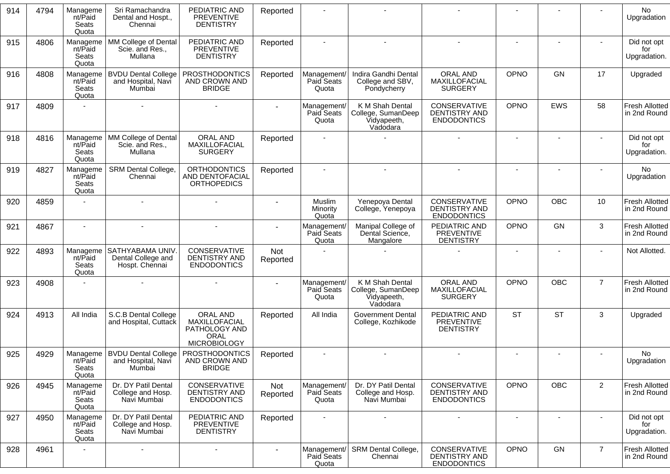| 914 | 4794 | Manageme<br>nt/Paid<br>Seats<br>Quota | Sri Ramachandra<br>Dental and Hospt.,<br>Chennai               | PEDIATRIC AND<br><b>PREVENTIVE</b><br><b>DENTISTRY</b>                    | Reported        |                                    |                                                                  |                                                                   |                          |                |                | No<br>Upgradation                     |
|-----|------|---------------------------------------|----------------------------------------------------------------|---------------------------------------------------------------------------|-----------------|------------------------------------|------------------------------------------------------------------|-------------------------------------------------------------------|--------------------------|----------------|----------------|---------------------------------------|
| 915 | 4806 | Manageme<br>nt/Paid<br>Seats<br>Quota | MM College of Dental<br>Scie. and Res.,<br>Mullana             | PEDIATRIC AND<br><b>PREVENTIVE</b><br><b>DENTISTRY</b>                    | Reported        |                                    |                                                                  |                                                                   |                          |                |                | Did not opt<br>for<br>Upgradation.    |
| 916 | 4808 | Manageme<br>nt/Paid<br>Seats<br>Quota | <b>BVDU Dental College</b><br>and Hospital, Navi<br>Mumbai     | <b>PROSTHODONTICS</b><br>AND CROWN AND<br><b>BRIDGE</b>                   | Reported        | Management/<br>Paid Seats<br>Quota | Indira Gandhi Dental<br>College and SBV,<br>Pondycherry          | ORAL AND<br>MAXILLOFACIAL<br><b>SURGERY</b>                       | OPNO                     | <b>GN</b>      | 17             | Upgraded                              |
| 917 | 4809 |                                       |                                                                |                                                                           |                 | Management/<br>Paid Seats<br>Quota | K M Shah Dental<br>College, SumanDeep<br>Vidyapeeth,<br>Vadodara | CONSERVATIVE<br><b>DENTISTRY AND</b><br><b>ENDODONTICS</b>        | OPNO                     | <b>EWS</b>     | 58             | <b>Fresh Allotted</b><br>in 2nd Round |
| 918 | 4816 | Manageme<br>nt/Paid<br>Seats<br>Quota | MM College of Dental<br>Scie. and Res.,<br>Mullana             | <b>ORAL AND</b><br>MAXILLOFACIAL<br><b>SURGERY</b>                        | Reported        |                                    |                                                                  |                                                                   |                          |                |                | Did not opt<br>for<br>Upgradation.    |
| 919 | 4827 | Manageme<br>nt/Paid<br>Seats<br>Quota | <b>SRM Dental College,</b><br>Chennai                          | <b>ORTHODONTICS</b><br>AND DENTOFACIAL<br><b>ORTHOPEDICS</b>              | Reported        |                                    |                                                                  | $\overline{a}$                                                    | $\sim$                   | $\blacksquare$ |                | No<br>Upgradation                     |
| 920 | 4859 |                                       |                                                                |                                                                           |                 | Muslim<br>Minority<br>Quota        | Yenepoya Dental<br>College, Yenepoya                             | CONSERVATIVE<br>DENTISTRY AND<br><b>ENDODONTICS</b>               | OPNO                     | OBC            | 10             | <b>Fresh Allotted</b><br>in 2nd Round |
| 921 | 4867 | $\sim$                                | $\blacksquare$                                                 | $\blacksquare$                                                            |                 | Management/<br>Paid Seats<br>Quota | Manipal College of<br>Dental Science,<br>Mangalore               | PEDIATRIC AND<br><b>PREVENTIVE</b><br><b>DENTISTRY</b>            | <b>OPNO</b>              | GN             | 3              | <b>Fresh Allotted</b><br>in 2nd Round |
| 922 | 4893 | Manageme<br>nt/Paid<br>Seats<br>Quota | <b>SATHYABAMA UNIV</b><br>Dental College and<br>Hospt. Chennai | CONSERVATIVE<br><b>DENTISTRY AND</b><br><b>ENDODONTICS</b>                | Not<br>Reported |                                    |                                                                  |                                                                   |                          |                |                | Not Allotted.                         |
| 923 | 4908 |                                       |                                                                |                                                                           |                 | Management/<br>Paid Seats<br>Quota | K M Shah Dental<br>College, SumanDeep<br>Vidyapeeth,<br>Vadodara | ORAL AND<br>MAXILLOFACIAL<br><b>SURGERY</b>                       | OPNO                     | OBC            | $\overline{7}$ | <b>Fresh Allotted</b><br>in 2nd Round |
| 924 | 4913 | All India                             | S.C.B Dental College<br>and Hospital, Cuttack                  | ORAL AND<br>MAXILLOFACIAL<br>PATHOLOGY AND<br>ORAL<br><b>MICROBIOLOGY</b> | Reported        | All India                          | <b>Government Dental</b><br>College, Kozhikode                   | PEDIATRIC AND<br>PREVENTIVE<br><b>DENTISTRY</b>                   | <b>ST</b>                | <b>ST</b>      | 3              | Upgraded                              |
| 925 | 4929 | nt/Paid<br>Seats<br>Quota             | Manageme   BVDU Dental College<br>and Hospital, Navi<br>Mumbai | <b>PROSTHODONTICS</b><br>AND CROWN AND<br><b>BRIDGE</b>                   | Reported        |                                    |                                                                  |                                                                   |                          |                |                | No<br>Upgradation                     |
| 926 | 4945 | Manageme<br>nt/Paid<br>Seats<br>Quota | Dr. DY Patil Dental<br>College and Hosp.<br>Navi Mumbai        | CONSERVATIVE<br>DENTISTRY AND<br><b>ENDODONTICS</b>                       | Not<br>Reported | Management/<br>Paid Seats<br>Quota | Dr. DY Patil Dental<br>College and Hosp.<br>Navi Mumbai          | <b>CONSERVATIVE</b><br><b>DENTISTRY AND</b><br><b>ENDODONTICS</b> | OPNO                     | OBC            | $\overline{2}$ | <b>Fresh Allotted</b><br>in 2nd Round |
| 927 | 4950 | Manageme<br>nt/Paid<br>Seats<br>Quota | Dr. DY Patil Dental<br>College and Hosp.<br>Navi Mumbai        | PEDIATRIC AND<br>PREVENTIVE<br><b>DENTISTRY</b>                           | Reported        |                                    | $\sim$                                                           | $\blacksquare$                                                    | $\overline{\phantom{a}}$ | $\blacksquare$ | $\sim$         | Did not opt<br>for<br>Upgradation.    |
| 928 | 4961 |                                       | $\overline{a}$                                                 | $\overline{\phantom{a}}$                                                  |                 | Management/<br>Paid Seats<br>Quota | <b>SRM Dental College,</b><br>Chennai                            | CONSERVATIVE<br>DENTISTRY AND<br><b>ENDODONTICS</b>               | OPNO                     | GN             | $\overline{7}$ | <b>Fresh Allotted</b><br>in 2nd Round |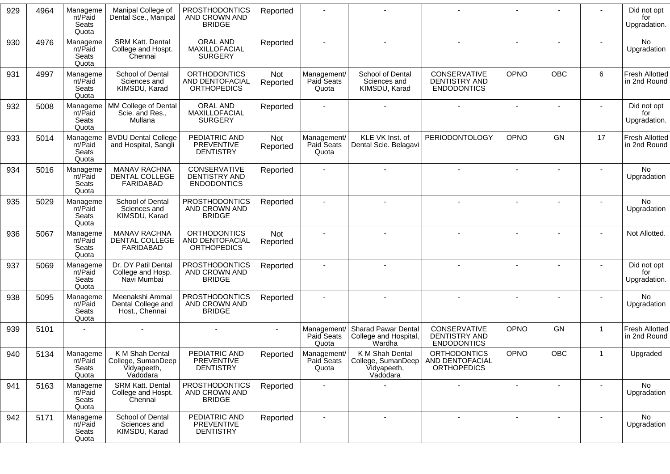| 929 | 4964 | Manageme<br>nt/Paid<br>Seats<br>Quota | Manipal College of<br>Dental Sce., Manipal                       | <b>PROSTHODONTICS</b><br>AND CROWN AND<br><b>BRIDGE</b>             | Reported        |                                    |                                                                  |                                                                   |             |                |              | Did not opt<br>for<br>Upgradation.    |
|-----|------|---------------------------------------|------------------------------------------------------------------|---------------------------------------------------------------------|-----------------|------------------------------------|------------------------------------------------------------------|-------------------------------------------------------------------|-------------|----------------|--------------|---------------------------------------|
| 930 | 4976 | Manageme<br>nt/Paid<br>Seats<br>Quota | <b>SRM Katt. Dental</b><br>College and Hospt.<br>Chennai         | ORAL AND<br>MAXILLOFACIAL<br><b>SURGERY</b>                         | Reported        |                                    |                                                                  |                                                                   |             |                |              | No.<br>Upgradation                    |
| 931 | 4997 | Manageme<br>nt/Paid<br>Seats<br>Quota | School of Dental<br>Sciences and<br>KIMSDU, Karad                | <b>ORTHODONTICS</b><br><b>AND DENTOFACIAL</b><br><b>ORTHOPEDICS</b> | Not<br>Reported | Management/<br>Paid Seats<br>Quota | School of Dental<br>Sciences and<br>KIMSDU, Karad                | <b>CONSERVATIVE</b><br><b>DENTISTRY AND</b><br><b>ENDODONTICS</b> | OPNO        | <b>OBC</b>     | 6            | <b>Fresh Allotted</b><br>in 2nd Round |
| 932 | 5008 | Manageme<br>nt/Paid<br>Seats<br>Quota | MM College of Dental<br>Scie. and Res.,<br>Mullana               | ORAL AND<br>MAXILLOFACIAL<br><b>SURGERY</b>                         | Reported        |                                    |                                                                  |                                                                   | $\sim$      |                |              | Did not opt<br>for<br>Upgradation.    |
| 933 | 5014 | Manageme<br>nt/Paid<br>Seats<br>Quota | <b>BVDU Dental College</b><br>and Hospital, Sangli               | PEDIATRIC AND<br>PREVENTIVE<br><b>DENTISTRY</b>                     | Not<br>Reported | Management/<br>Paid Seats<br>Quota | KLE VK Inst. of<br>Dental Scie. Belagavi                         | <b>PERIODONTOLOGY</b>                                             | <b>OPNO</b> | <b>GN</b>      | 17           | <b>Fresh Allotted</b><br>in 2nd Round |
| 934 | 5016 | Manageme<br>nt/Paid<br>Seats<br>Quota | <b>MANAV RACHNA</b><br>DENTAL COLLEGE<br>FARIDABAD               | CONSERVATIVE<br><b>DENTISTRY AND</b><br><b>ENDODONTICS</b>          | Reported        |                                    |                                                                  |                                                                   |             |                |              | No<br>Upgradation                     |
| 935 | 5029 | Manageme<br>nt/Paid<br>Seats<br>Quota | School of Dental<br>Sciences and<br>KIMSDU, Karad                | <b>PROSTHODONTICS</b><br>AND CROWN AND<br><b>BRIDGE</b>             | Reported        |                                    |                                                                  |                                                                   |             |                |              | No.<br>Upgradation                    |
| 936 | 5067 | Manageme<br>nt/Paid<br>Seats<br>Quota | MANAV RACHNA<br>DENTAL COLLEGE<br>FARIDABAD                      | <b>ORTHODONTICS</b><br><b>AND DENTOFACIAL</b><br><b>ORTHOPEDICS</b> | Not<br>Reported |                                    |                                                                  |                                                                   |             |                |              | Not Allotted.                         |
| 937 | 5069 | Manageme<br>nt/Paid<br>Seats<br>Quota | Dr. DY Patil Dental<br>College and Hosp.<br>Navi Mumbai          | <b>PROSTHODONTICS</b><br>AND CROWN AND<br><b>BRIDGE</b>             | Reported        |                                    |                                                                  |                                                                   |             | $\blacksquare$ |              | Did not opt<br>for<br>Upgradation.    |
| 938 | 5095 | Manageme<br>nt/Paid<br>Seats<br>Quota | Meenakshi Ammal<br>Dental College and<br>Host., Chennai          | <b>PROSTHODONTICS</b><br>AND CROWN AND<br><b>BRIDGE</b>             | Reported        |                                    |                                                                  |                                                                   |             |                |              | No.<br>Upgradation                    |
| 939 | 5101 |                                       |                                                                  |                                                                     |                 | Management/<br>Paid Seats<br>Quota | <b>Sharad Pawar Dental</b><br>College and Hospital,<br>Wardha    | <b>CONSERVATIVE</b><br>DENTISTRY AND<br><b>ENDODONTICS</b>        | OPNO        | <b>GN</b>      | $\mathbf 1$  | <b>Fresh Allotted</b><br>in 2nd Round |
| 940 | 5134 | Manageme<br>nt/Paid<br>Seats<br>Quota | K M Shah Dental<br>College, SumanDeep<br>Vidyapeeth,<br>Vadodara | PEDIATRIC AND<br>PREVENTIVE<br><b>DENTISTRY</b>                     | Reported        | Management/<br>Paid Seats<br>Quota | K M Shah Dental<br>College, SumanDeep<br>Vidyapeeth,<br>Vadodara | <b>ORTHODONTICS</b><br>AND DENTOFACIAL<br><b>ORTHOPEDICS</b>      | OPNO        | OBC            | $\mathbf{1}$ | Upgraded                              |
| 941 | 5163 | Manageme<br>nt/Paid<br>Seats<br>Quota | <b>SRM Katt. Dental</b><br>College and Hospt.<br>Chennai         | <b>PROSTHODONTICS</b><br>AND CROWN AND<br><b>BRIDGE</b>             | Reported        |                                    |                                                                  |                                                                   |             |                |              | No.<br>Upgradation                    |
| 942 | 5171 | Manageme<br>nt/Paid<br>Seats<br>Quota | School of Dental<br>Sciences and<br>KIMSDU, Karad                | PEDIATRIC AND<br>PREVENTIVE<br><b>DENTISTRY</b>                     | Reported        | $\sim$                             | $\blacksquare$                                                   |                                                                   |             |                |              | No<br>Upgradation                     |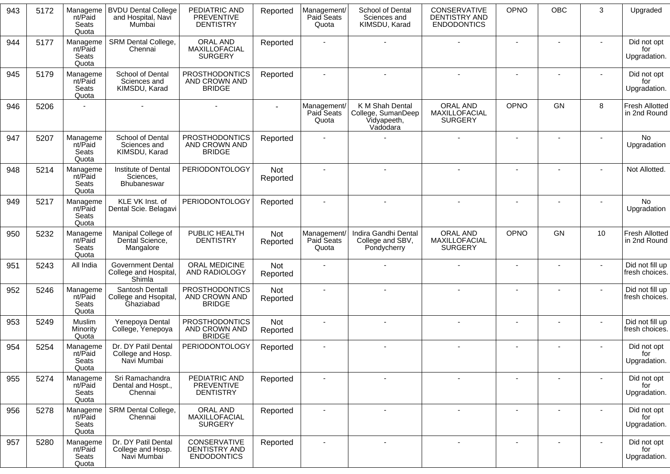| 943 | 5172 | Manageme<br>nt/Paid<br>Seats<br>Quota        | <b>BVDU Dental College</b><br>and Hospital, Navi<br>Mumbai  | PEDIATRIC AND<br><b>PREVENTIVE</b><br><b>DENTISTRY</b>     | Reported               | Management/<br>Paid Seats<br>Quota | School of Dental<br>Sciences and<br>KIMSDU, Karad                | CONSERVATIVE<br>DENTISTRY AND<br><b>ENDODONTICS</b> | OPNO                     | OBC            | 3              | Upgraded                              |
|-----|------|----------------------------------------------|-------------------------------------------------------------|------------------------------------------------------------|------------------------|------------------------------------|------------------------------------------------------------------|-----------------------------------------------------|--------------------------|----------------|----------------|---------------------------------------|
| 944 | 5177 | Manageme<br>nt/Paid<br>Seats<br>Quota        | SRM Dental College,<br>Chennai                              | ORAL AND<br>MAXILLOFACIAL<br><b>SURGERY</b>                | Reported               |                                    |                                                                  |                                                     |                          |                |                | Did not opt<br>for<br>Upgradation.    |
| 945 | 5179 | Manageme<br>nt/Paid<br>Seats<br>Quota        | School of Dental<br>Sciences and<br>KIMSDU, Karad           | <b>PROSTHODONTICS</b><br>AND CROWN AND<br><b>BRIDGE</b>    | Reported               |                                    |                                                                  |                                                     | $\sim$                   |                |                | Did not opt<br>for<br>Upgradation.    |
| 946 | 5206 |                                              |                                                             |                                                            |                        | Management/<br>Paid Seats<br>Quota | K M Shah Dental<br>College, SumanDeep<br>Vidyapeeth,<br>Vadodara | ORAL AND<br>MAXILLOFACIAL<br><b>SURGERY</b>         | <b>OPNO</b>              | <b>GN</b>      | 8              | <b>Fresh Allotted</b><br>in 2nd Round |
| 947 | 5207 | Manageme<br>nt/Paid<br>Seats<br>Quota        | School of Dental<br>Sciences and<br>KIMSDU, Karad           | <b>PROSTHODONTICS</b><br>AND CROWN AND<br><b>BRIDGE</b>    | Reported               |                                    |                                                                  |                                                     |                          |                |                | No<br>Upgradation                     |
| 948 | 5214 | Manageme<br>nt/Paid<br><b>Seats</b><br>Quota | Institute of Dental<br>Sciences,<br>Bhubaneswar             | <b>PERIODONTOLOGY</b>                                      | Not<br>Reported        |                                    |                                                                  |                                                     |                          |                |                | Not Allotted.                         |
| 949 | 5217 | Manageme<br>nt/Paid<br>Seats<br>Quota        | KLE VK Inst. of<br>Dental Scie. Belagavi                    | <b>PERIODONTOLOGY</b>                                      | Reported               |                                    |                                                                  |                                                     | $\blacksquare$           |                |                | No<br>Upgradation                     |
| 950 | 5232 | Manageme<br>nt/Paid<br>Seats<br>Quota        | Manipal College of<br>Dental Science,<br>Mangalore          | PUBLIC HEALTH<br><b>DENTISTRY</b>                          | <b>Not</b><br>Reported | Management/<br>Paid Seats<br>Quota | Indira Gandhi Dental<br>College and SBV,<br>Pondycherry          | ORAL AND<br>MAXILLOFACIAL<br><b>SURGERY</b>         | <b>OPNO</b>              | <b>GN</b>      | 10             | <b>Fresh Allotted</b><br>in 2nd Round |
| 951 | 5243 | All India                                    | <b>Government Dental</b><br>College and Hospital,<br>Shimla | ORAL MEDICINE<br>AND RADIOLOGY                             | Not<br>Reported        |                                    |                                                                  |                                                     | $\sim$                   |                | $\overline{a}$ | Did not fill up<br>fresh choices.     |
| 952 | 5246 | Manageme<br>nt/Paid<br>Seats<br>Quota        | Santosh Dentall<br>College and Hsopital,<br>Ghaziabad       | <b>PROSTHODONTICS</b><br>AND CROWN AND<br><b>BRIDGE</b>    | Not<br>Reported        |                                    |                                                                  |                                                     |                          |                |                | Did not fill up<br>fresh choices.     |
| 953 | 5249 | Muslim<br>Minority<br>Quota                  | Yenepoya Dental<br>College, Yenepoya                        | <b>PROSTHODONTICS</b><br>AND CROWN AND<br><b>BRIDGE</b>    | Not<br>Reported        |                                    |                                                                  |                                                     | $\overline{\phantom{a}}$ |                |                | Did not fill up<br>fresh choices.     |
| 954 | 5254 | Manageme<br>nt/Paid<br>Seats<br>Quota        | Dr. DY Patil Dental<br>College and Hosp.<br>Navi Mumbai     | <b>PERIODONTOLOGY</b>                                      | Reported               |                                    |                                                                  |                                                     |                          |                |                | Did not opt<br>for<br>Upgradation.    |
| 955 | 5274 | Manageme<br>nt/Paid<br>Seats<br>Quota        | Sri Ramachandra<br>Dental and Hospt.,<br>Chennai            | PEDIATRIC AND<br><b>PREVENTIVE</b><br><b>DENTISTRY</b>     | Reported               |                                    |                                                                  | $\overline{a}$                                      | $\blacksquare$           |                |                | Did not opt<br>for<br>Upgradation.    |
| 956 | 5278 | Manageme<br>nt/Paid<br>Seats<br>Quota        | SRM Dental College,<br>Chennai                              | ORAL AND<br>MAXILLOFACIAL<br><b>SURGERY</b>                | Reported               |                                    |                                                                  |                                                     |                          |                |                | Did not opt<br>tor<br>Upgradation.    |
| 957 | 5280 | Manageme<br>nt/Paid<br>Seats<br>Quota        | Dr. DY Patil Dental<br>College and Hosp.<br>Navi Mumbai     | CONSERVATIVE<br><b>DENTISTRY AND</b><br><b>ENDODONTICS</b> | Reported               | $\blacksquare$                     | $\sim$                                                           | $\sim$                                              | $\blacksquare$           | $\blacksquare$ |                | Did not opt<br>for<br>Upgradation.    |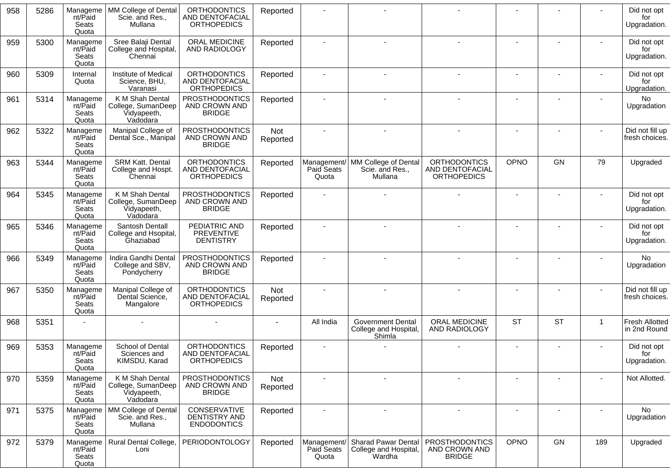| 958 | 5286 | Manageme<br>nt/Paid<br>Seats<br>Quota | MM College of Dental<br>Scie. and Res.,<br>Mullana               | <b>ORTHODONTICS</b><br>AND DENTOFACIAL<br><b>ORTHOPEDICS</b> | Reported        |                                    |                                                               |                                                              |           |           |                | Did not opt<br>for<br>Upgradation.    |
|-----|------|---------------------------------------|------------------------------------------------------------------|--------------------------------------------------------------|-----------------|------------------------------------|---------------------------------------------------------------|--------------------------------------------------------------|-----------|-----------|----------------|---------------------------------------|
| 959 | 5300 | Manageme<br>nt/Paid<br>Seats<br>Quota | Sree Balaji Dental<br>College and Hospital,<br>Chennai           | ORAL MEDICINE<br>AND RADIOLOGY                               | Reported        |                                    |                                                               |                                                              |           |           |                | Did not opt<br>for<br>Upgradation.    |
| 960 | 5309 | Internal<br>Quota                     | Institute of Medical<br>Science, BHU,<br>Varanasi                | <b>ORTHODONTICS</b><br>AND DENTOFACIAL<br><b>ORTHOPEDICS</b> | Reported        |                                    |                                                               |                                                              |           |           |                | Did not opt<br>for<br>Upgradation.    |
| 961 | 5314 | Manageme<br>nt/Paid<br>Seats<br>Quota | K M Shah Dental<br>College, SumanDeep<br>Vidyapeeth,<br>Vadodara | <b>PROSTHODONTICS</b><br>AND CROWN AND<br><b>BRIDGE</b>      | Reported        |                                    |                                                               |                                                              |           |           |                | <b>No</b><br>Upgradation              |
| 962 | 5322 | Manageme<br>nt/Paid<br>Seats<br>Quota | Manipal College of<br>Dental Sce., Manipal                       | <b>PROSTHODONTICS</b><br>AND CROWN AND<br><b>BRIDGE</b>      | Not<br>Reported |                                    |                                                               |                                                              |           |           |                | Did not fill up<br>fresh choices.     |
| 963 | 5344 | Manageme<br>nt/Paid<br>Seats<br>Quota | <b>SRM Katt. Dental</b><br>College and Hospt.<br>Chennai         | <b>ORTHODONTICS</b><br>AND DENTOFACIAL<br><b>ORTHOPEDICS</b> | Reported        | Management/<br>Paid Seats<br>Quota | MM College of Dental<br>Scie. and Res.,<br>Mullana            | <b>ORTHODONTICS</b><br>AND DENTOFACIAL<br><b>ORTHOPEDICS</b> | OPNO      | GN        | 79             | Upgraded                              |
| 964 | 5345 | Manageme<br>nt/Paid<br>Seats<br>Quota | K M Shah Dental<br>College, SumanDeep<br>Vidyapeeth,<br>Vadodara | <b>PROSTHODONTICS</b><br>AND CROWN AND<br><b>BRIDGE</b>      | Reported        |                                    |                                                               |                                                              |           |           |                | Did not opt<br>for<br>Upgradation.    |
| 965 | 5346 | Manageme<br>nt/Paid<br>Seats<br>Quota | Santosh Dentall<br>College and Hsopital,<br>Ghaziabad            | PEDIATRIC AND<br><b>PREVENTIVE</b><br><b>DENTISTRY</b>       | Reported        |                                    |                                                               |                                                              |           |           |                | Did not opt<br>for<br>Upgradation.    |
| 966 | 5349 | Manageme<br>nt/Paid<br>Seats<br>Quota | Indira Gandhi Dental<br>College and SBV,<br>Pondycherry          | <b>PROSTHODONTICS</b><br>AND CROWN AND<br><b>BRIDGE</b>      | Reported        |                                    |                                                               |                                                              |           |           |                | No<br>Upgradation                     |
| 967 | 5350 | Manageme<br>nt/Paid<br>Seats<br>Quota | Manipal College of<br>Dental Science,<br>Mangalore               | <b>ORTHODONTICS</b><br>AND DENTOFACIAL<br><b>ORTHOPEDICS</b> | Not<br>Reported |                                    |                                                               |                                                              |           |           |                | Did not fill up<br>fresh choices.     |
| 968 | 5351 |                                       |                                                                  |                                                              |                 | All India                          | <b>Government Dental</b><br>College and Hospital,<br>Shimla   | ORAL MEDICINE<br>AND RADIOLOGY                               | <b>ST</b> | <b>ST</b> | $\overline{1}$ | <b>Fresh Allotted</b><br>in 2nd Round |
| 969 | 5353 | Manageme<br>nt/Paid<br>Seats<br>Quota | School of Dental<br>Sciences and<br>KIMSDU, Karad                | <b>ORTHODONTICS</b><br>AND DENTOFACIAL<br><b>ORTHOPEDICS</b> | Reported        |                                    |                                                               |                                                              |           |           |                | Did not opt<br>for<br>Upgradation.    |
| 970 | 5359 | Manageme<br>nt/Paid<br>Seats<br>Quota | K M Shah Dental<br>College, SumanDeep<br>Vidyapeeth,<br>Vadodara | <b>PROSTHODONTICS</b><br>AND CROWN AND<br><b>BRIDGE</b>      | Not<br>Reported |                                    | $\blacksquare$                                                |                                                              |           |           |                | Not Allotted.                         |
| 971 | 5375 | Manageme<br>nt/Paid<br>Seats<br>Quota | MM College of Dental<br>Scie. and Res.,<br>Mullana               | CONSERVATIVE<br>DENTISTRY AND<br><b>ENDODONTICS</b>          | Reported        |                                    |                                                               |                                                              |           |           |                | No.<br>Upgradation                    |
| 972 | 5379 | Manageme<br>nt/Paid<br>Seats<br>Quota | Rural Dental College,<br>Loni                                    | PERIODONTOLOGY                                               | Reported        | Management/<br>Paid Seats<br>Quota | <b>Sharad Pawar Dental</b><br>College and Hospital,<br>Wardha | <b>PROSTHODONTICS</b><br>AND CROWN AND<br><b>BRIDGE</b>      | OPNO      | GN        | 189            | Upgraded                              |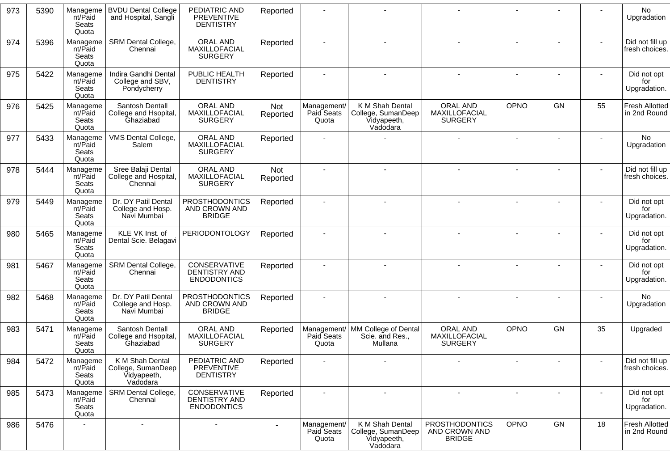| 973 | 5390 | Manageme<br>nt/Paid<br>Seats<br>Quota | <b>BVDU Dental College</b><br>and Hospital, Sangli               | PEDIATRIC AND<br><b>PREVENTIVE</b><br><b>DENTISTRY</b>     | Reported        |                                    |                                                                  |                                                         |      |    |        | No<br>Upgradation                     |
|-----|------|---------------------------------------|------------------------------------------------------------------|------------------------------------------------------------|-----------------|------------------------------------|------------------------------------------------------------------|---------------------------------------------------------|------|----|--------|---------------------------------------|
| 974 | 5396 | Manageme<br>nt/Paid<br>Seats<br>Quota | SRM Dental College,<br>Chennai                                   | ORAL AND<br>MAXILLOFACIAL<br><b>SURGERY</b>                | Reported        |                                    |                                                                  |                                                         |      |    |        | Did not fill up<br>fresh choices.     |
| 975 | 5422 | Manageme<br>nt/Paid<br>Seats<br>Quota | Indira Gandhi Dental<br>College and SBV,<br>Pondycherry          | PUBLIC HEALTH<br><b>DENTISTRY</b>                          | Reported        |                                    | $\blacksquare$                                                   |                                                         |      |    |        | Did not opt<br>for<br>Upgradation.    |
| 976 | 5425 | Manageme<br>nt/Paid<br>Seats<br>Quota | Santosh Dentall<br>College and Hsopital,<br>Ghaziabad            | ORAL AND<br>MAXILLOFACIAL<br><b>SURGERY</b>                | Not<br>Reported | Management/<br>Paid Seats<br>Quota | K M Shah Dental<br>College, SumanDeep<br>Vidyapeeth,<br>Vadodara | ORAL AND<br>MAXILLOFACIAL<br><b>SURGERY</b>             | OPNO | GN | 55     | <b>Fresh Allotted</b><br>in 2nd Round |
| 977 | 5433 | Manageme<br>nt/Paid<br>Seats<br>Quota | VMS Dental College,<br>Salem                                     | ORAL AND<br>MAXILLOFACIAL<br><b>SURGERY</b>                | Reported        |                                    |                                                                  |                                                         |      |    |        | No<br>Upgradation                     |
| 978 | 5444 | Manageme<br>nt/Paid<br>Seats<br>Quota | Sree Balaji Dental<br>College and Hospital,<br>Chennai           | ORAL AND<br>MAXILLOFACIAL<br><b>SURGERY</b>                | Not<br>Reported | $\sim$                             |                                                                  |                                                         |      |    | $\sim$ | Did not fill up<br>fresh choices.     |
| 979 | 5449 | Manageme<br>nt/Paid<br>Seats<br>Quota | Dr. DY Patil Dental<br>College and Hosp.<br>Navi Mumbai          | <b>PROSTHODONTICS</b><br>AND CROWN AND<br><b>BRIDGE</b>    | Reported        |                                    |                                                                  |                                                         |      |    |        | Did not opt<br>for<br>Upgradation.    |
| 980 | 5465 | Manageme<br>nt/Paid<br>Seats<br>Quota | KLE VK Inst. of<br>Dental Scie. Belagavi                         | <b>PERIODONTOLOGY</b>                                      | Reported        |                                    |                                                                  |                                                         |      |    |        | Did not opt<br>for<br>Upgradation.    |
| 981 | 5467 | Manageme<br>nt/Paid<br>Seats<br>Quota | SRM Dental College,<br>Chennai                                   | CONSERVATIVE<br><b>DENTISTRY AND</b><br><b>ENDODONTICS</b> | Reported        |                                    |                                                                  |                                                         |      |    |        | Did not opt<br>for<br>Upgradation.    |
| 982 | 5468 | Manageme<br>nt/Paid<br>Seats<br>Quota | Dr. DY Patil Dental<br>College and Hosp.<br>Navi Mumbai          | <b>PROSTHODONTICS</b><br>AND CROWN AND<br><b>BRIDGE</b>    | Reported        |                                    |                                                                  |                                                         |      |    |        | <b>No</b><br>Upgradation              |
| 983 | 5471 | Manageme<br>nt/Paid<br>Seats<br>Quota | Santosh Dentall<br>College and Hsopital,<br>Ghaziabad            | ORAL AND<br>MAXILLOFACIAL<br><b>SURGERY</b>                | Reported        | Management/<br>Paid Seats<br>Quota | MM College of Dental<br>Scie. and Res.,<br>Mullana               | ORAL AND<br>MAXILLOFACIAL<br><b>SURGERY</b>             | OPNO | GN | 35     | Upgraded                              |
| 984 | 5472 | Manageme<br>nt/Paid<br>Seats<br>Quota | K M Shah Dental<br>College, SumanDeep<br>Vidyapeeth,<br>Vadodara | PEDIATRIC AND<br><b>PREVENTIVE</b><br><b>DENTISTRY</b>     | Reported        |                                    |                                                                  |                                                         |      |    |        | Did not fill up<br>fresh choices.     |
| 985 | 5473 | Manageme<br>nt/Paid<br>Seats<br>Quota | SRM Dental College,<br>Chennai                                   | CONSERVATIVE<br><b>DENTISTRY AND</b><br><b>ENDODONTICS</b> | Reported        | $\overline{\phantom{a}}$           | $\blacksquare$                                                   | $\blacksquare$                                          |      |    |        | Did not opt<br>for<br>Upgradation.    |
| 986 | 5476 |                                       |                                                                  |                                                            |                 | Management/<br>Paid Seats<br>Quota | K M Shah Dental<br>College, SumanDeep<br>Vidyapeeth,<br>Vadodara | <b>PROSTHODONTICS</b><br>AND CROWN AND<br><b>BRIDGE</b> | OPNO | GN | 18     | Fresh Allotted<br>in 2nd Round        |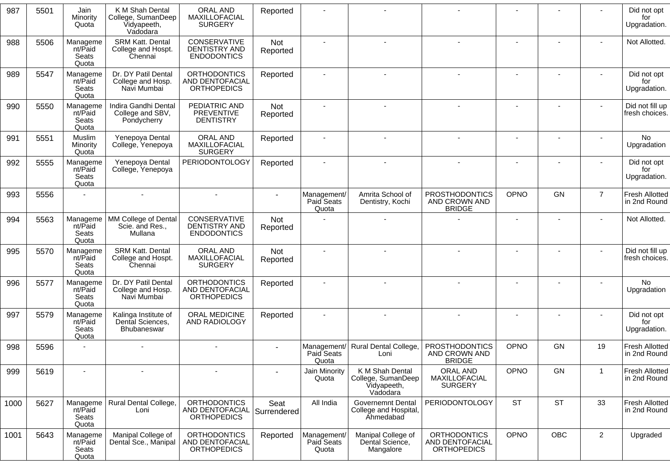| 987  | 5501 | Jain<br>Minority<br>Quota             | K M Shah Dental<br>College, SumanDeep<br>Vidyapeeth,<br>Vadodara | ORAL AND<br>MAXILLOFACIAL<br><b>SURGERY</b>                  | Reported            |                                    |                                                                  |                                                              |                |           |                | Did not opt<br>for<br>Upgradation.    |
|------|------|---------------------------------------|------------------------------------------------------------------|--------------------------------------------------------------|---------------------|------------------------------------|------------------------------------------------------------------|--------------------------------------------------------------|----------------|-----------|----------------|---------------------------------------|
| 988  | 5506 | Manageme<br>nt/Paid<br>Seats<br>Quota | SRM Katt. Dental<br>College and Hospt.<br>Chennai                | CONSERVATIVE<br><b>DENTISTRY AND</b><br><b>ENDODONTICS</b>   | Not<br>Reported     |                                    |                                                                  |                                                              |                |           |                | Not Allotted.                         |
| 989  | 5547 | Manageme<br>nt/Paid<br>Seats<br>Quota | Dr. DY Patil Dental<br>College and Hosp.<br>Navi Mumbai          | <b>ORTHODONTICS</b><br>AND DENTOFACIAL<br><b>ORTHOPEDICS</b> | Reported            |                                    |                                                                  |                                                              |                |           |                | Did not opt<br>for<br>Upgradation.    |
| 990  | 5550 | Manageme<br>nt/Paid<br>Seats<br>Quota | Indira Gandhi Dental<br>College and SBV,<br>Pondycherry          | PEDIATRIC AND<br><b>PREVENTIVE</b><br><b>DENTISTRY</b>       | Not<br>Reported     |                                    |                                                                  |                                                              |                |           |                | Did not fill up<br>fresh choices.     |
| 991  | 5551 | Muslim<br>Minority<br>Quota           | Yenepoya Dental<br>College, Yenepoya                             | ORAL AND<br>MAXILLOFACIAL<br><b>SURGERY</b>                  | Reported            |                                    |                                                                  |                                                              |                |           |                | No<br>Upgradation                     |
| 992  | 5555 | Manageme<br>nt/Paid<br>Seats<br>Quota | Yenepoya Dental<br>College, Yenepoya                             | <b>PERIODONTOLOGY</b>                                        | Reported            |                                    |                                                                  |                                                              | $\blacksquare$ |           |                | Did not opt<br>for<br>Upgradation.    |
| 993  | 5556 |                                       |                                                                  |                                                              |                     | Management/<br>Paid Seats<br>Quota | Amrita School of<br>Dentistry, Kochi                             | <b>PROSTHODONTICS</b><br>AND CROWN AND<br><b>BRIDGE</b>      | OPNO           | <b>GN</b> | $\overline{7}$ | <b>Fresh Allotted</b><br>in 2nd Round |
| 994  | 5563 | Manageme<br>nt/Paid<br>Seats<br>Quota | MM College of Dental<br>Scie. and Res.,<br>Mullana               | CONSERVATIVE<br><b>DENTISTRY AND</b><br><b>ENDODONTICS</b>   | Not<br>Reported     |                                    |                                                                  |                                                              |                |           |                | Not Allotted.                         |
| 995  | 5570 | Manageme<br>nt/Paid<br>Seats<br>Quota | SRM Katt. Dental<br>College and Hospt.<br>Chennai                | ORAL AND<br>MAXILLOFACIAL<br><b>SURGERY</b>                  | Not<br>Reported     |                                    |                                                                  |                                                              |                |           | $\blacksquare$ | Did not fill up<br>fresh choices.     |
| 996  | 5577 | Manageme<br>nt/Paid<br>Seats<br>Quota | Dr. DY Patil Dental<br>College and Hosp.<br>Navi Mumbai          | <b>ORTHODONTICS</b><br>AND DENTOFACIAL<br><b>ORTHOPEDICS</b> | Reported            |                                    |                                                                  |                                                              |                |           |                | <b>No</b><br>Upgradation              |
| 997  | 5579 | Manageme<br>nt/Paid<br>Seats<br>Quota | Kalinga Institute of<br>Dental Sciences,<br>Bhubaneswar          | ORAL MEDICINE<br>AND RADIOLOGY                               | Reported            |                                    |                                                                  |                                                              |                |           |                | Did not opt<br>for<br>Upgradation.    |
| 998  | 5596 |                                       |                                                                  |                                                              |                     | Paid Seats<br>Quota                | Management/ Rural Dental College,<br>Loni                        | <b>PROSTHODONTICS</b><br>AND CROWN AND<br><b>BRIDGE</b>      | OPNO           | <b>GN</b> | 19             | <b>Fresh Allotted</b><br>in 2nd Round |
| 999  | 5619 |                                       |                                                                  |                                                              |                     | Jain Minority<br>Quota             | K M Shah Dental<br>College, SumanDeep<br>Vidyapeeth,<br>Vadodara | ORAL AND<br>MAXILLOFACIAL<br><b>SURGERY</b>                  | OPNO           | GN        | $\overline{1}$ | <b>Fresh Allotted</b><br>in 2nd Round |
| 1000 | 5627 | Manageme<br>nt/Paid<br>Seats<br>Quota | Rural Dental College,<br>Loni                                    | <b>ORTHODONTICS</b><br>AND DENTOFACIAL<br>ORTHOPEDICS        | Seat<br>Surrendered | All India                          | Governemnt Dental<br>College and Hospital,<br>Ahmedabad          | PERIODONTOLOGY                                               | <b>ST</b>      | <b>ST</b> | 33             | Fresh Allotted<br>in 2nd Round        |
| 1001 | 5643 | Manageme<br>nt/Paid<br>Seats<br>Quota | Manipal College of<br>Dental Sce., Manipal                       | <b>ORTHODONTICS</b><br>AND DENTOFACIAL<br><b>ORTHOPEDICS</b> | Reported            | Management/<br>Paid Seats<br>Quota | Manipal College of<br>Dental Science,<br>Mangalore               | <b>ORTHODONTICS</b><br>AND DENTOFACIAL<br><b>ORTHOPEDICS</b> | OPNO           | OBC       | $\overline{2}$ | Upgraded                              |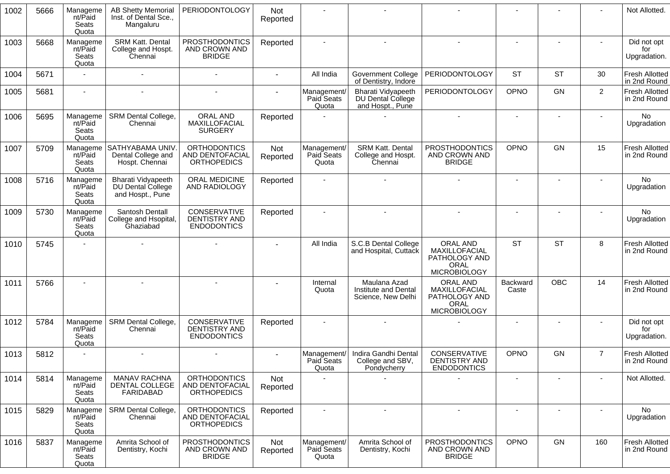| 1002 | 5666 | Manageme<br>nt/Paid<br>Seats<br>Quota | <b>AB Shetty Memorial</b><br>Inst. of Dental Sce.,<br>Mangaluru    | <b>PERIODONTOLOGY</b>                                        | Not<br>Reported |                                    |                                                                     |                                                                                  |                          |            |                | Not Allotted.                         |
|------|------|---------------------------------------|--------------------------------------------------------------------|--------------------------------------------------------------|-----------------|------------------------------------|---------------------------------------------------------------------|----------------------------------------------------------------------------------|--------------------------|------------|----------------|---------------------------------------|
| 1003 | 5668 | Manageme<br>nt/Paid<br>Seats<br>Quota | SRM Katt. Dental<br>College and Hospt.<br>Chennai                  | <b>PROSTHODONTICS</b><br>AND CROWN AND<br><b>BRIDGE</b>      | Reported        |                                    |                                                                     |                                                                                  |                          |            |                | Did not opt<br>for<br>Upgradation.    |
| 1004 | 5671 |                                       |                                                                    |                                                              | $\sim$          | All India                          | <b>Government College</b><br>of Dentistry, Indore                   | PERIODONTOLOGY                                                                   | <b>ST</b>                | <b>ST</b>  | 30             | <b>Fresh Allotted</b><br>in 2nd Round |
| 1005 | 5681 |                                       |                                                                    |                                                              |                 | Management/<br>Paid Seats<br>Quota | Bharati Vidyapeeth<br>DU Dental College<br>and Hospt., Pune         | PERIODONTOLOGY                                                                   | OPNO                     | <b>GN</b>  | $\overline{2}$ | Fresh Allotted<br>in 2nd Round        |
| 1006 | 5695 | Manageme<br>nt/Paid<br>Seats<br>Quota | SRM Dental College,<br>Chennai                                     | ORAL AND<br>MAXILLOFACIAL<br><b>SURGERY</b>                  | Reported        |                                    |                                                                     |                                                                                  | $\blacksquare$           |            |                | No<br>Upgradation                     |
| 1007 | 5709 | Manageme<br>nt/Paid<br>Seats<br>Quota | SATHYABAMA UNIV.<br>Dental College and<br>Hospt. Chennai           | <b>ORTHODONTICS</b><br>AND DENTOFACIAL<br><b>ORTHOPEDICS</b> | Not<br>Reported | Management/<br>Paid Seats<br>Quota | SRM Katt. Dental<br>College and Hospt.<br>Chennai                   | <b>PROSTHODONTICS</b><br>AND CROWN AND<br><b>BRIDGE</b>                          | OPNO                     | GN         | 15             | Fresh Allotted<br>in 2nd Round        |
| 1008 | 5716 | Manageme<br>nt/Paid<br>Seats<br>Quota | <b>Bharati Vidyapeeth</b><br>DU Dental College<br>and Hospt., Pune | ORAL MEDICINE<br>AND RADIOLOGY                               | Reported        |                                    |                                                                     |                                                                                  | $\sim$                   |            |                | No<br>Upgradation                     |
| 1009 | 5730 | Manageme<br>nt/Paid<br>Seats<br>Quota | Santosh Dentall<br>College and Hsopital,<br>Ghaziabad              | CONSERVATIVE<br><b>DENTISTRY AND</b><br><b>ENDODONTICS</b>   | Reported        |                                    |                                                                     |                                                                                  |                          |            |                | No.<br>Upgradation                    |
| 1010 | 5745 |                                       |                                                                    |                                                              |                 | All India                          | S.C.B Dental College<br>and Hospital, Cuttack                       | ORAL AND<br>MAXILLOFACIAL<br>PATHOLOGY AND<br>ORAL<br><b>MICROBIOLOGY</b>        | <b>ST</b>                | <b>ST</b>  | 8              | <b>Fresh Allotted</b><br>in 2nd Round |
| 1011 | 5766 |                                       |                                                                    |                                                              |                 | Internal<br>Quota                  | Maulana Azad<br>Institute and Dental<br>Science, New Delhi          | ORAL AND<br>MAXILLOFACIAL<br>PATHOLOGY AND<br><b>ORAL</b><br><b>MICROBIOLOGY</b> | Backward<br>Caste        | <b>OBC</b> | 14             | Fresh Allotted<br>in 2nd Round        |
| 1012 | 5784 | Manageme<br>nt/Paid<br>Seats<br>Quota | SRM Dental College,<br>Chennai                                     | CONSERVATIVE<br><b>DENTISTRY AND</b><br><b>ENDODONTICS</b>   | Reported        |                                    |                                                                     |                                                                                  | $\overline{\phantom{a}}$ |            |                | Did not opt<br>for<br>Upgradation.    |
| 1013 | 5812 |                                       |                                                                    |                                                              |                 | Paid Seats<br>Quota                | Management/ Indira Gandhi Dental<br>College and SBV,<br>Pondycherry | CONSERVATIVE<br>DENTISTRY AND<br><b>ENDODONTICS</b>                              | OPNO                     | GN         | $\overline{7}$ | <b>Fresh Allotted</b><br>in 2nd Round |
| 1014 | 5814 | Manageme<br>nt/Paid<br>Seats<br>Quota | <b>MANAV RACHNA</b><br>DENTAL COLLEGE<br>FARIDABAD                 | <b>ORTHODONTICS</b><br>AND DENTOFACIAL<br><b>ORTHOPEDICS</b> | Not<br>Reported |                                    |                                                                     |                                                                                  | $\blacksquare$           |            |                | Not Allotted.                         |
| 1015 | 5829 | Manageme<br>nt/Paid<br>Seats<br>Quota | SRM Dental College,<br>Chennai                                     | <b>ORTHODONTICS</b><br>AND DENTOFACIAL<br><b>ORTHOPEDICS</b> | Reported        |                                    |                                                                     |                                                                                  |                          |            |                | No.<br>Upgradation                    |
| 1016 | 5837 | Manageme<br>nt/Paid<br>Seats<br>Quota | Amrita School of<br>Dentistry, Kochi                               | <b>PROSTHODONTICS</b><br>AND CROWN AND<br><b>BRIDGE</b>      | Not<br>Reported | Management/<br>Paid Seats<br>Quota | Amrita School of<br>Dentistry, Kochi                                | <b>PROSTHODONTICS</b><br>AND CROWN AND<br><b>BRIDGE</b>                          | OPNO                     | GN         | 160            | <b>Fresh Allotted</b><br>in 2nd Round |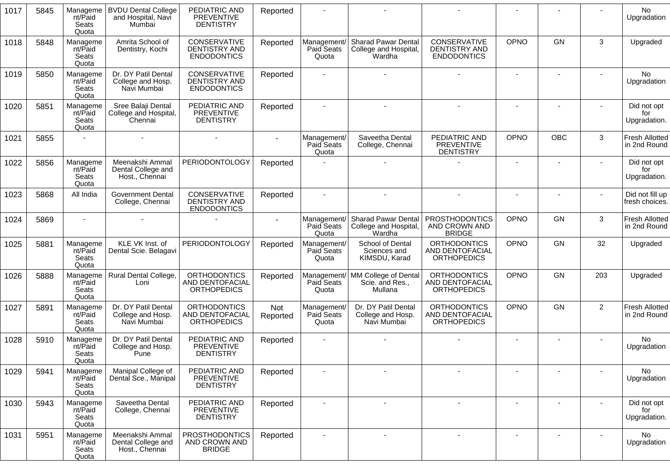| 1017 | 5845 | Manageme<br>nt/Paid<br>Seats<br>Quota | <b>BVDU Dental College</b><br>and Hospital, Navi<br>Mumbai | PEDIATRIC AND<br><b>PREVENTIVE</b><br><b>DENTISTRY</b>              | Reported               |                                    |                                                                |                                                              |                          |           |                | No<br>Upgradation                     |
|------|------|---------------------------------------|------------------------------------------------------------|---------------------------------------------------------------------|------------------------|------------------------------------|----------------------------------------------------------------|--------------------------------------------------------------|--------------------------|-----------|----------------|---------------------------------------|
| 1018 | 5848 | Manageme<br>nt/Paid<br>Seats<br>Quota | Amrita School of<br>Dentistry, Kochi                       | CONSERVATIVE<br><b>DENTISTRY AND</b><br><b>ENDODONTICS</b>          | Reported               | Management<br>Paid Seats<br>Quota  | <b>Sharad Pawar Dental</b><br>College and Hospital,<br>Wardha  | CONSERVATIVE<br>DENTISTRY AND<br><b>ENDODONTICS</b>          | OPNO                     | GN        | 3              | Upgraded                              |
| 1019 | 5850 | Manageme<br>nt/Paid<br>Seats<br>Quota | Dr. DY Patil Dental<br>College and Hosp.<br>Navi Mumbai    | CONSERVATIVE<br><b>DENTISTRY AND</b><br><b>ENDODONTICS</b>          | Reported               |                                    |                                                                |                                                              | $\sim$                   |           |                | No<br>Upgradation                     |
| 1020 | 5851 | Manageme<br>nt/Paid<br>Seats<br>Quota | Sree Balaji Dental<br>College and Hospital,<br>Chennai     | PEDIATRIC AND<br>PREVENTIVE<br><b>DENTISTRY</b>                     | Reported               |                                    |                                                                |                                                              | $\blacksquare$           |           |                | Did not opt<br>for<br>Upgradation.    |
| 1021 | 5855 |                                       |                                                            |                                                                     |                        | Management/<br>Paid Seats<br>Quota | Saveetha Dental<br>College, Chennai                            | PEDIATRIC AND<br><b>PREVENTIVE</b><br><b>DENTISTRY</b>       | OPNO                     | OBC       | 3              | Fresh Allotted<br>in 2nd Round        |
| 1022 | 5856 | Manageme<br>nt/Paid<br>Seats<br>Quota | Meenakshi Ammal<br>Dental College and<br>Host., Chennai    | <b>PERIODONTOLOGY</b>                                               | Reported               |                                    |                                                                |                                                              | $\blacksquare$           |           |                | Did not opt<br>for<br>Upgradation.    |
| 1023 | 5868 | All India                             | <b>Government Dental</b><br>College, Chennai               | CONSERVATIVE<br><b>DENTISTRY AND</b><br><b>ENDODONTICS</b>          | Reported               |                                    |                                                                |                                                              |                          |           |                | Did not fill up<br>fresh choices.     |
| 1024 | 5869 |                                       |                                                            |                                                                     |                        | Management<br>Paid Seats<br>Quota  | <b>Sharad Pawar Dental</b><br>College and Hospital,<br>Wardha  | <b>PROSTHODONTICS</b><br>AND CROWN AND<br><b>BRIDGE</b>      | OPNO                     | GN        | 3              | Fresh Allotted<br>in 2nd Round        |
| 1025 | 5881 | Manageme<br>nt/Paid<br>Seats<br>Quota | KLE VK Inst. of<br>Dental Scie. Belagavi                   | <b>PERIODONTOLOGY</b>                                               | Reported               | Management/<br>Paid Seats<br>Quota | School of Dental<br>Sciences and<br>KIMSDU, Karad              | <b>ORTHODONTICS</b><br>AND DENTOFACIAL<br><b>ORTHOPEDICS</b> | <b>OPNO</b>              | GN        | 32             | Upgraded                              |
| 1026 | 5888 | Manageme<br>nt/Paid<br>Seats<br>Quota | Rural Dental College,<br>Loni                              | <b>ORTHODONTICS</b><br>AND DENTOFACIAL<br><b>ORTHOPEDICS</b>        | Reported               | Paid Seats<br>Quota                | Management/ MM College of Dental<br>Scie. and Res.,<br>Mullana | <b>ORTHODONTICS</b><br>AND DENTOFACIAL<br><b>ORTHOPEDICS</b> | OPNO                     | <b>GN</b> | 203            | Upgraded                              |
| 1027 | 5891 | Manageme<br>nt/Paid<br>Seats<br>Quota | Dr. DY Patil Dental<br>College and Hosp.<br>Navi Mumbai    | <b>ORTHODONTICS</b><br><b>AND DENTOFACIAL</b><br><b>ORTHOPEDICS</b> | <b>Not</b><br>Reported | Management/<br>Paid Seats<br>Quota | Dr. DY Patil Dental<br>College and Hosp.<br>Navi Mumbai        | <b>ORTHODONTICS</b><br>AND DENTOFACIAL<br><b>ORTHOPEDICS</b> | OPNO                     | GN        | $\overline{2}$ | <b>Fresh Allotted</b><br>in 2nd Round |
| 1028 | 5910 | Manageme<br>nt/Paid<br>Seats<br>Quota | Dr. DY Patil Dental<br>College and Hosp.<br>Pune           | PEDIATRIC AND<br><b>PREVENTIVE</b><br><b>DENTISTRY</b>              | Reported               |                                    |                                                                |                                                              | $\blacksquare$           |           |                | No.<br>Upgradation                    |
| 1029 | 5941 | Manageme<br>nt/Paid<br>Seats<br>Quota | Manipal College of<br>Dental Sce., Manipal                 | PEDIATRIC AND<br><b>PREVENTIVE</b><br><b>DENTISTRY</b>              | Reported               |                                    |                                                                |                                                              |                          |           |                | No<br>Upgradation                     |
| 1030 | 5943 | Manageme<br>nt/Paid<br>Seats<br>Quota | Saveetha Dental<br>College, Chennai                        | PEDIATRIC AND<br><b>PREVENTIVE</b><br><b>DENTISTRY</b>              | Reported               |                                    |                                                                |                                                              |                          |           |                | Did not opt<br>for<br>Upgradation.    |
| 1031 | 5951 | Manageme<br>nt/Paid<br>Seats<br>Quota | Meenakshi Ammal<br>Dental College and<br>Host., Chennai    | <b>PROSTHODONTICS</b><br>AND CROWN AND<br><b>BRIDGE</b>             | Reported               |                                    | $\sim$                                                         | $\overline{\phantom{a}}$                                     | $\overline{\phantom{a}}$ |           |                | No<br>Upgradation                     |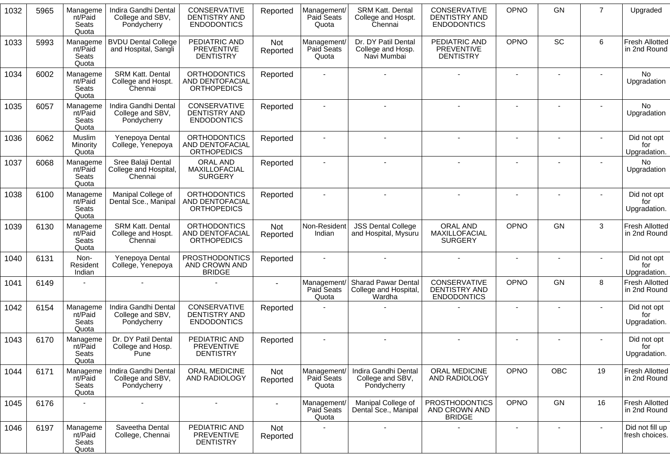| 1032 | 5965 | Manageme<br>nt/Paid<br>Seats<br>Quota | Indira Gandhi Dental<br>College and SBV,<br>Pondycherry  | CONSERVATIVE<br><b>DENTISTRY AND</b><br><b>ENDODONTICS</b>   | Reported        | Management/<br><b>Paid Seats</b><br>Quota | SRM Katt. Dental<br>College and Hospt.<br>Chennai             | <b>CONSERVATIVE</b><br><b>DENTISTRY AND</b><br><b>ENDODONTICS</b> | OPNO                     | <b>GN</b> | $\overline{7}$ | Upgraded                              |
|------|------|---------------------------------------|----------------------------------------------------------|--------------------------------------------------------------|-----------------|-------------------------------------------|---------------------------------------------------------------|-------------------------------------------------------------------|--------------------------|-----------|----------------|---------------------------------------|
| 1033 | 5993 | Manageme<br>nt/Paid<br>Seats<br>Quota | <b>BVDU Dental College</b><br>and Hospital, Sangli       | PEDIATRIC AND<br>PREVENTIVE<br><b>DENTISTRY</b>              | Not<br>Reported | Management/<br>Paid Seats<br>Quota        | Dr. DY Patil Dental<br>College and Hosp.<br>Navi Mumbai       | PEDIATRIC AND<br><b>PREVENTIVE</b><br><b>DENTISTRY</b>            | <b>OPNO</b>              | SC        | 6              | <b>Fresh Allotted</b><br>in 2nd Round |
| 1034 | 6002 | Manageme<br>nt/Paid<br>Seats<br>Quota | <b>SRM Katt. Dental</b><br>College and Hospt.<br>Chennai | <b>ORTHODONTICS</b><br>AND DENTOFACIAL<br><b>ORTHOPEDICS</b> | Reported        |                                           |                                                               |                                                                   |                          |           |                | No<br>Upgradation                     |
| 1035 | 6057 | Manageme<br>nt/Paid<br>Seats<br>Quota | Indira Gandhi Dental<br>College and SBV,<br>Pondycherry  | <b>CONSERVATIVE</b><br>DENTISTRY AND<br><b>ENDODONTICS</b>   | Reported        |                                           |                                                               |                                                                   |                          |           |                | <b>No</b><br>Upgradation              |
| 1036 | 6062 | Muslim<br>Minority<br>Quota           | Yenepoya Dental<br>College, Yenepoya                     | <b>ORTHODONTICS</b><br>AND DENTOFACIAL<br><b>ORTHOPEDICS</b> | Reported        |                                           |                                                               |                                                                   |                          |           |                | Did not opt<br>for<br>Upgradation.    |
| 1037 | 6068 | Manageme<br>nt/Paid<br>Seats<br>Quota | Sree Balaji Dental<br>College and Hospital,<br>Chennai   | ORAL AND<br>MAXILLOFACIAL<br><b>SURGERY</b>                  | Reported        |                                           |                                                               |                                                                   | $\blacksquare$           |           |                | No<br>Upgradation                     |
| 1038 | 6100 | Manageme<br>nt/Paid<br>Seats<br>Quota | Manipal College of<br>Dental Sce., Manipal               | <b>ORTHODONTICS</b><br>AND DENTOFACIAL<br><b>ORTHOPEDICS</b> | Reported        |                                           |                                                               |                                                                   |                          |           |                | Did not opt<br>for<br>Upgradation.    |
| 1039 | 6130 | Manageme<br>nt/Paid<br>Seats<br>Quota | <b>SRM Katt. Dental</b><br>College and Hospt.<br>Chennai | <b>ORTHODONTICS</b><br>AND DENTOFACIAL<br><b>ORTHOPEDICS</b> | Not<br>Reported | Non-Resident<br>Indian                    | <b>JSS Dental College</b><br>and Hospital, Mysuru             | ORAL AND<br>MAXILLOFACIAL<br><b>SURGERY</b>                       | OPNO                     | <b>GN</b> | 3              | <b>Fresh Allotted</b><br>in 2nd Round |
| 1040 | 6131 | Non-<br>Resident<br>Indian            | Yenepoya Dental<br>College, Yenepoya                     | <b>PROSTHODONTICS</b><br>AND CROWN AND<br><b>BRIDGE</b>      | Reported        |                                           |                                                               |                                                                   | $\blacksquare$           |           |                | Did not opt<br>for<br>Upgradation.    |
| 1041 | 6149 |                                       |                                                          |                                                              |                 | Management<br>Paid Seats<br>Quota         | <b>Sharad Pawar Dental</b><br>College and Hospital,<br>Wardha | <b>CONSERVATIVE</b><br><b>DENTISTRY AND</b><br><b>ENDODONTICS</b> | OPNO                     | <b>GN</b> | 8              | <b>Fresh Allotted</b><br>in 2nd Round |
| 1042 | 6154 | Manageme<br>nt/Paid<br>Seats<br>Quota | Indira Gandhi Dental<br>College and SBV,<br>Pondycherry  | CONSERVATIVE<br><b>DENTISTRY AND</b><br><b>ENDODONTICS</b>   | Reported        |                                           |                                                               |                                                                   |                          |           |                | Did not opt<br>for<br>Upgradation.    |
| 1043 | 6170 | Manageme<br>nt/Paid<br>Seats<br>Quota | Dr. DY Patil Dental<br>College and Hosp.<br>Pune         | PEDIATRIC AND<br><b>PREVENTIVE</b><br><b>DENTISTRY</b>       | Reported        | $\sim$                                    | $\blacksquare$                                                |                                                                   | $\overline{\phantom{a}}$ |           |                | Did not opt<br>for<br>Upgradation.    |
| 1044 | 6171 | Manageme<br>nt/Paid<br>Seats<br>Quota | Indira Gandhi Dental<br>College and SBV,<br>Pondycherry  | ORAL MEDICINE<br>AND RADIOLOGY                               | Not<br>Reported | Management/<br>Paid Seats<br>Quota        | Indira Gandhi Dental<br>College and SBV,<br>Pondycherry       | ORAL MEDICINE<br>AND RADIOLOGY                                    | OPNO                     | OBC       | 19             | <b>Fresh Allotted</b><br>in 2nd Round |
| 1045 | 6176 |                                       |                                                          |                                                              | $\sim$          | Management/<br>Paid Seats<br>Quota        | Manipal College of<br>Dental Sce., Manipal                    | <b>PROSTHODONTICS</b><br>AND CROWN AND<br><b>BRIDGE</b>           | OPNO                     | GN        | 16             | <b>Fresh Allotted</b><br>in 2nd Round |
| 1046 | 6197 | Manageme<br>nt/Paid<br>Seats<br>Quota | Saveetha Dental<br>College, Chennai                      | PEDIATRIC AND<br>PREVENTIVE<br><b>DENTISTRY</b>              | Not<br>Reported |                                           |                                                               |                                                                   |                          |           | $\blacksquare$ | Did not fill up<br>fresh choices.     |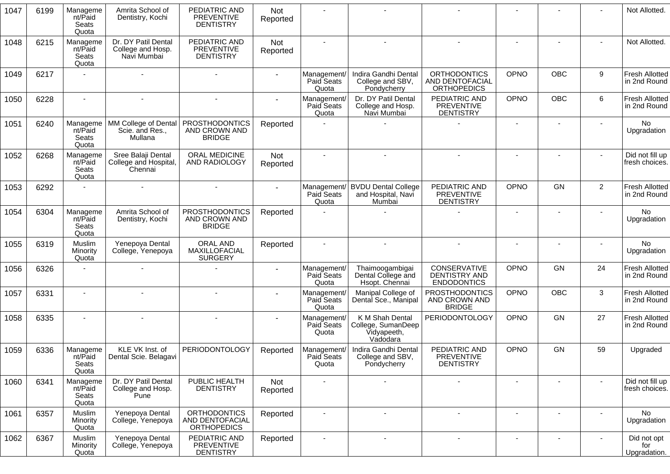| 1047 | 6199 | Manageme<br>nt/Paid<br>Seats<br>Quota | Amrita School of<br>Dentistry, Kochi                    | PEDIATRIC AND<br><b>PREVENTIVE</b><br><b>DENTISTRY</b>       | <b>Not</b><br>Reported |                                    |                                                                  |                                                              |                |                |                  | Not Allotted.                         |
|------|------|---------------------------------------|---------------------------------------------------------|--------------------------------------------------------------|------------------------|------------------------------------|------------------------------------------------------------------|--------------------------------------------------------------|----------------|----------------|------------------|---------------------------------------|
| 1048 | 6215 | Manageme<br>nt/Paid<br>Seats<br>Quota | Dr. DY Patil Dental<br>College and Hosp.<br>Navi Mumbai | PEDIATRIC AND<br><b>PREVENTIVE</b><br><b>DENTISTRY</b>       | <b>Not</b><br>Reported |                                    |                                                                  |                                                              |                |                |                  | Not Allotted.                         |
| 1049 | 6217 |                                       |                                                         |                                                              |                        | Management/<br>Paid Seats<br>Quota | Indira Gandhi Dental<br>College and SBV,<br>Pondycherry          | <b>ORTHODONTICS</b><br>AND DENTOFACIAL<br><b>ORTHOPEDICS</b> | OPNO           | <b>OBC</b>     | $\boldsymbol{9}$ | <b>Fresh Allotted</b><br>in 2nd Round |
| 1050 | 6228 |                                       |                                                         |                                                              |                        | Management/<br>Paid Seats<br>Quota | Dr. DY Patil Dental<br>College and Hosp.<br>Navi Mumbai          | PEDIATRIC AND<br><b>PREVENTIVE</b><br><b>DENTISTRY</b>       | <b>OPNO</b>    | <b>OBC</b>     | 6                | Fresh Allotted<br>in 2nd Round        |
| 1051 | 6240 | Manageme<br>nt/Paid<br>Seats<br>Quota | MM College of Dental<br>Scie. and Res.,<br>Mullana      | <b>PROSTHODONTICS</b><br>AND CROWN AND<br><b>BRIDGE</b>      | Reported               |                                    |                                                                  |                                                              |                |                |                  | No<br>Upgradation                     |
| 1052 | 6268 | Manageme<br>nt/Paid<br>Seats<br>Quota | Sree Balaji Dental<br>College and Hospital,<br>Chennai  | ORAL MEDICINE<br>AND RADIOLOGY                               | Not<br>Reported        |                                    |                                                                  |                                                              |                |                |                  | Did not fill up<br>fresh choices.     |
| 1053 | 6292 |                                       |                                                         |                                                              |                        | Management/<br>Paid Seats<br>Quota | <b>BVDU Dental College</b><br>and Hospital, Navi<br>Mumbai       | PEDIATRIC AND<br><b>PREVENTIVE</b><br><b>DENTISTRY</b>       | OPNO           | GN             | $\mathbf{2}$     | Fresh Allotted<br>in 2nd Round        |
| 1054 | 6304 | Manageme<br>nt/Paid<br>Seats<br>Quota | Amrita School of<br>Dentistry, Kochi                    | <b>PROSTHODONTICS</b><br>AND CROWN AND<br><b>BRIDGE</b>      | Reported               |                                    |                                                                  |                                                              | $\blacksquare$ |                |                  | No<br>Upgradation                     |
| 1055 | 6319 | Muslim<br>Minority<br>Quota           | Yenepoya Dental<br>College, Yenepoya                    | <b>ORAL AND</b><br>MAXILLOFACIAL<br><b>SURGERY</b>           | Reported               |                                    | $\sim$                                                           | $\blacksquare$                                               | $\overline{a}$ |                |                  | <b>No</b><br>Upgradation              |
| 1056 | 6326 |                                       |                                                         |                                                              |                        | Management/<br>Paid Seats<br>Quota | Thaimoogambigai<br>Dental College and<br>Hsopt. Chennai          | CONSERVATIVE<br><b>DENTISTRY AND</b><br><b>ENDODONTICS</b>   | <b>OPNO</b>    | GN             | 24               | Fresh Allotted<br>in 2nd Round        |
| 1057 | 6331 | $\sim$                                |                                                         |                                                              |                        | Management/<br>Paid Seats<br>Quota | Manipal College of<br>Dental Sce., Manipal                       | <b>PROSTHODONTICS</b><br>AND CROWN AND<br><b>BRIDGE</b>      | OPNO           | <b>OBC</b>     | 3                | <b>Fresh Allotted</b><br>in 2nd Round |
| 1058 | 6335 |                                       |                                                         |                                                              |                        | Management/<br>Paid Seats<br>Quota | K M Shah Dental<br>College, SumanDeep<br>Vidyapeeth,<br>Vadodara | PERIODONTOLOGY                                               | OPNO           | GN             | 27               | <b>Fresh Allotted</b><br>in 2nd Round |
| 1059 | 6336 | Manageme<br>nt/Paid<br>Seats<br>Quota | KLE VK Inst. of<br>Dental Scie. Belagavi                | <b>PERIODONTOLOGY</b>                                        | Reported               | Management/<br>Paid Seats<br>Quota | Indira Gandhi Dental<br>College and SBV,<br>Pondycherry          | PEDIATRIC AND<br><b>PREVENTIVE</b><br><b>DENTISTRY</b>       | OPNO           | GN             | 59               | Upgraded                              |
| 1060 | 6341 | Manageme<br>nt/Paid<br>Seats<br>Quota | Dr. DY Patil Dental<br>College and Hosp.<br>Pune        | PUBLIC HEALTH<br><b>DENTISTRY</b>                            | Not<br>Reported        |                                    | $\blacksquare$                                                   |                                                              | $\blacksquare$ | ٠              |                  | Did not fill up<br>fresh choices.     |
| 1061 | 6357 | Muslim<br>Minority<br>Quota           | Yenepoya Dental<br>College, Yenepoya                    | <b>ORTHODONTICS</b><br>AND DENTOFACIAL<br><b>ORTHOPEDICS</b> | Reported               |                                    | $\sim$                                                           | $\blacksquare$                                               | $\overline{a}$ | $\blacksquare$ | $\blacksquare$   | No<br>Upgradation                     |
| 1062 | 6367 | Muslim<br>Minority<br>Quota           | Yenepoya Dental<br>College, Yenepoya                    | PEDIATRIC AND<br>PREVENTIVE<br><b>DENTISTRY</b>              | Reported               |                                    | $\sim$                                                           | $\blacksquare$                                               | $\blacksquare$ | $\blacksquare$ |                  | Did not opt<br>for<br>Upgradation.    |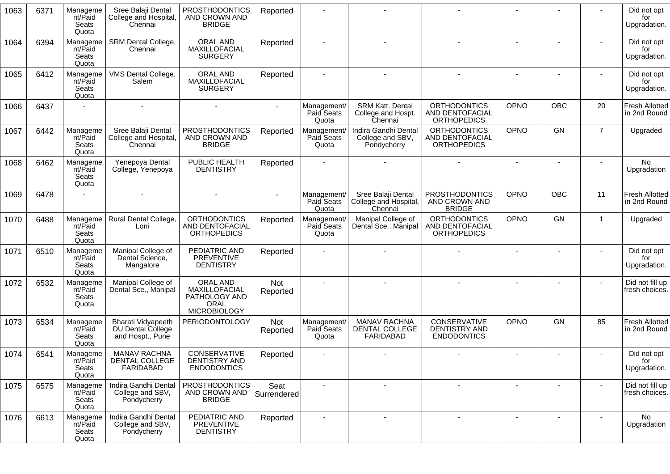| 1063 | 6371 | Manageme<br>nt/Paid<br>Seats<br>Quota | Sree Balaji Dental<br>College and Hospital,<br>Chennai             | <b>PROSTHODONTICS</b><br>AND CROWN AND<br><b>BRIDGE</b>                          | Reported               |                                    |                                                           |                                                                     |             |           |                | Did not opt<br>for<br>Upgradation.    |
|------|------|---------------------------------------|--------------------------------------------------------------------|----------------------------------------------------------------------------------|------------------------|------------------------------------|-----------------------------------------------------------|---------------------------------------------------------------------|-------------|-----------|----------------|---------------------------------------|
| 1064 | 6394 | Manageme<br>nt/Paid<br>Seats<br>Quota | SRM Dental College,<br>Chennai                                     | <b>ORAL AND</b><br>MAXILLOFACIAL<br><b>SURGERY</b>                               | Reported               |                                    |                                                           |                                                                     |             |           |                | Did not opt<br>for<br>Upgradation.    |
| 1065 | 6412 | Manageme<br>nt/Paid<br>Seats<br>Quota | VMS Dental College,<br>Salem                                       | ORAL AND<br>MAXILLOFACIAL<br><b>SURGERY</b>                                      | Reported               | $\sim$                             | $\mathbf{r}$                                              |                                                                     |             |           |                | Did not opt<br>for<br>Upgradation.    |
| 1066 | 6437 |                                       |                                                                    |                                                                                  |                        | Management/<br>Paid Seats<br>Quota | <b>SRM Katt. Dental</b><br>College and Hospt.<br>Chennai  | <b>ORTHODONTICS</b><br>AND DENTOFACIAL<br><b>ORTHOPEDICS</b>        | OPNO        | OBC       | 20             | <b>Fresh Allotted</b><br>in 2nd Round |
| 1067 | 6442 | Manageme<br>nt/Paid<br>Seats<br>Quota | Sree Balaji Dental<br>College and Hospital<br>Chennai              | <b>PROSTHODONTICS</b><br>AND CROWN AND<br><b>BRIDGE</b>                          | Reported               | Management/<br>Paid Seats<br>Quota | Indira Gandhi Dental<br>College and SBV,<br>Pondycherry   | <b>ORTHODONTICS</b><br><b>AND DENTOFACIAL</b><br><b>ORTHOPEDICS</b> | OPNO        | <b>GN</b> | $\overline{7}$ | Upgraded                              |
| 1068 | 6462 | Manageme<br>nt/Paid<br>Seats<br>Quota | Yenepoya Dental<br>College, Yenepoya                               | PUBLIC HEALTH<br><b>DENTISTRY</b>                                                | Reported               |                                    |                                                           |                                                                     |             |           |                | <b>No</b><br>Upgradation              |
| 1069 | 6478 |                                       |                                                                    |                                                                                  |                        | Management/<br>Paid Seats<br>Quota | Sree Balaji Dental<br>College and Hospital,<br>Chennai    | <b>PROSTHODONTICS</b><br>AND CROWN AND<br><b>BRIDGE</b>             | OPNO        | OBC       | 11             | <b>Fresh Allotted</b><br>in 2nd Round |
| 1070 | 6488 | Manageme<br>nt/Paid<br>Seats<br>Quota | Rural Dental College,<br>Loni                                      | <b>ORTHODONTICS</b><br>AND DENTOFACIAL<br><b>ORTHOPEDICS</b>                     | Reported               | Management/<br>Paid Seats<br>Quota | Manipal College of<br>Dental Sce., Manipal                | <b>ORTHODONTICS</b><br><b>AND DENTOFACIAL</b><br><b>ORTHOPEDICS</b> | OPNO        | GN        | $\mathbf{1}$   | Upgraded                              |
| 1071 | 6510 | Manageme<br>nt/Paid<br>Seats<br>Quota | Manipal College of<br>Dental Science,<br>Mangalore                 | PEDIATRIC AND<br><b>PREVENTIVE</b><br><b>DENTISTRY</b>                           | Reported               |                                    |                                                           |                                                                     |             |           |                | Did not opt<br>for<br>Upgradation.    |
| 1072 | 6532 | Manageme<br>nt/Paid<br>Seats<br>Quota | Manipal College of<br>Dental Sce., Manipal                         | ORAL AND<br>MAXILLOFACIAL<br>PATHOLOGY AND<br><b>ORAL</b><br><b>MICROBIOLOGY</b> | Not<br>Reported        | $\blacksquare$                     | $\blacksquare$                                            |                                                                     |             |           |                | Did not fill up<br>fresh choices.     |
| 1073 | 6534 | Manageme<br>nt/Paid<br>Seats<br>Quota | <b>Bharati Vidyapeeth</b><br>DU Dental College<br>and Hospt., Pune | PERIODONTOLOGY                                                                   | <b>Not</b><br>Reported | Management/<br>Paid Seats<br>Quota | <b>MANAV RACHNA</b><br>DENTAL COLLEGE<br><b>FARIDABAD</b> | CONSERVATIVE<br>DENTISTRY AND<br><b>ENDODONTICS</b>                 | <b>OPNO</b> | GN        | 85             | <b>Fresh Allotted</b><br>in 2nd Round |
| 1074 | 6541 | Manageme<br>nt/Paid<br>Seats<br>Quota | <b>MANAV RACHNA</b><br>DENTAL COLLEGE<br>FARIDABAD                 | CONSERVATIVE<br>DENTISTRY AND<br><b>ENDODONTICS</b>                              | Reported               |                                    |                                                           |                                                                     |             |           |                | Did not opt<br>for<br>Upgradation.    |
| 1075 | 6575 | Manageme<br>nt/Paid<br>Seats<br>Quota | Indira Gandhi Dental<br>College and SBV,<br>Pondycherry            | <b>PROSTHODONTICS</b><br>AND CROWN AND<br><b>BRIDGE</b>                          | Seat<br>Surrendered    | $\blacksquare$                     |                                                           |                                                                     |             |           |                | Did not fill up<br>fresh choices.     |
| 1076 | 6613 | Manageme<br>nt/Paid<br>Seats<br>Quota | Indira Gandhi Dental<br>College and SBV,<br>Pondycherry            | PEDIATRIC AND<br>PREVENTIVE<br><b>DENTISTRY</b>                                  | Reported               | $\overline{\phantom{a}}$           | $\blacksquare$                                            |                                                                     |             |           |                | <b>No</b><br>Upgradation              |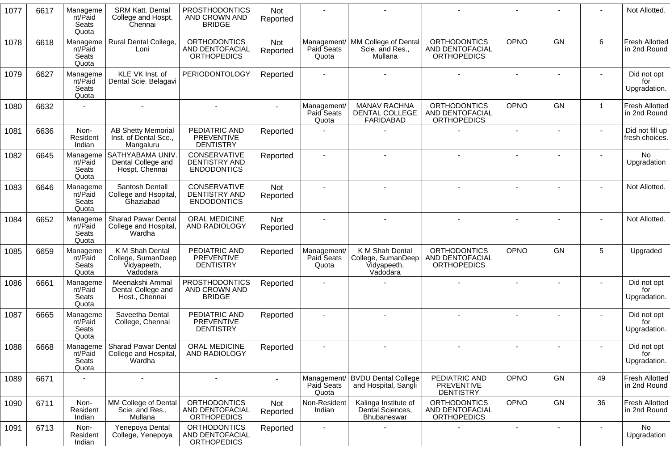| 1077 | 6617 | Manageme<br>nt/Paid<br>Seats<br>Quota | <b>SRM Katt. Dental</b><br>College and Hospt.<br>Chennai         | <b>PROSTHODONTICS</b><br>AND CROWN AND<br><b>BRIDGE</b>      | Not<br>Reported |                                    |                                                                  |                                                              |                |                              |                          | Not Allotted.                         |
|------|------|---------------------------------------|------------------------------------------------------------------|--------------------------------------------------------------|-----------------|------------------------------------|------------------------------------------------------------------|--------------------------------------------------------------|----------------|------------------------------|--------------------------|---------------------------------------|
| 1078 | 6618 | Manageme<br>nt/Paid<br>Seats<br>Quota | Rural Dental College,<br>Loni                                    | <b>ORTHODONTICS</b><br>AND DENTOFACIAL<br><b>ORTHOPEDICS</b> | Not<br>Reported | Paid Seats<br>Quota                | Management/ MM College of Dental<br>Scie. and Res.,<br>Mullana   | <b>ORTHODONTICS</b><br>AND DENTOFACIAL<br><b>ORTHOPEDICS</b> | <b>OPNO</b>    | <b>GN</b>                    | 6                        | <b>Fresh Allotted</b><br>in 2nd Round |
| 1079 | 6627 | Manageme<br>nt/Paid<br>Seats<br>Quota | KLE VK Inst. of<br>Dental Scie. Belagavi                         | <b>PERIODONTOLOGY</b>                                        | Reported        |                                    |                                                                  |                                                              | $\sim$         | $\overline{\phantom{a}}$     | $\blacksquare$           | Did not opt<br>for<br>Upgradation.    |
| 1080 | 6632 |                                       |                                                                  |                                                              |                 | Management/<br>Paid Seats<br>Quota | <b>MANAV RACHNA</b><br>DENTAL COLLEGE<br>FARIDABAD               | <b>ORTHODONTICS</b><br>AND DENTOFACIAL<br><b>ORTHOPEDICS</b> | <b>OPNO</b>    | GN                           | $\mathbf{1}$             | <b>Fresh Allotted</b><br>in 2nd Round |
| 1081 | 6636 | Non-<br>Resident<br>Indian            | <b>AB Shetty Memorial</b><br>Inst. of Dental Sce.,<br>Mangaluru  | PEDIATRIC AND<br>PREVENTIVE<br><b>DENTISTRY</b>              | Reported        |                                    |                                                                  |                                                              | $\blacksquare$ |                              |                          | Did not fill up<br>fresh choices.     |
| 1082 | 6645 | Manageme<br>nt/Paid<br>Seats<br>Quota | SATHYABAMA UNIV<br>Dental College and<br>Hospt. Chennai          | CONSERVATIVE<br>DENTISTRY AND<br><b>ENDODONTICS</b>          | Reported        |                                    |                                                                  |                                                              |                |                              |                          | <b>No</b><br>Upgradation              |
| 1083 | 6646 | Manageme<br>nt/Paid<br>Seats<br>Quota | Santosh Dentall<br>College and Hsopital,<br>Ghaziabad            | CONSERVATIVE<br><b>DENTISTRY AND</b><br><b>ENDODONTICS</b>   | Not<br>Reported |                                    |                                                                  |                                                              |                |                              |                          | Not Allotted.                         |
| 1084 | 6652 | Manageme<br>nt/Paid<br>Seats<br>Quota | <b>Sharad Pawar Dental</b><br>College and Hospital,<br>Wardha    | ORAL MEDICINE<br>AND RADIOLOGY                               | Not<br>Reported |                                    |                                                                  |                                                              |                |                              |                          | Not Allotted.                         |
| 1085 | 6659 | Manageme<br>nt/Paid<br>Seats<br>Quota | K M Shah Dental<br>College, SumanDeep<br>Vidyapeeth,<br>Vadodara | PEDIATRIC AND<br>PREVENTIVE<br><b>DENTISTRY</b>              | Reported        | Management/<br>Paid Seats<br>Quota | K M Shah Dental<br>College, SumanDeep<br>Vidyapeeth,<br>Vadodara | <b>ORTHODONTICS</b><br>AND DENTOFACIAL<br><b>ORTHOPEDICS</b> | OPNO           | <b>GN</b>                    | 5                        | Upgraded                              |
| 1086 | 6661 | Manageme<br>nt/Paid<br>Seats<br>Quota | Meenakshi Ammal<br>Dental College and<br>Host., Chennai          | <b>PROSTHODONTICS</b><br>AND CROWN AND<br><b>BRIDGE</b>      | Reported        |                                    |                                                                  |                                                              | $\blacksquare$ |                              |                          | Did not opt<br>for<br>Upgradation.    |
| 1087 | 6665 | Manageme<br>nt/Paid<br>Seats<br>Quota | Saveetha Dental<br>College, Chennai                              | PEDIATRIC AND<br>PREVENTIVE<br><b>DENTISTRY</b>              | Reported        |                                    |                                                                  |                                                              |                |                              |                          | Did not opt<br>for<br>Upgradation.    |
| 1088 | 6668 | Manageme<br>nt/Paid<br>Seats<br>Quota | <b>Sharad Pawar Dental</b><br>College and Hospital,<br>Wardha    | ORAL MEDICINE<br>AND RADIOLOGY                               | Reported        |                                    |                                                                  |                                                              |                |                              |                          | Did not opt<br>for<br>Upgradation.    |
| 1089 | 6671 |                                       | $\blacksquare$                                                   | $\mathbf{r}$                                                 |                 | Paid Seats<br>Quota                | Management/ BVDU Dental College<br>and Hospital, Sangli          | PEDIATRIC AND<br><b>PREVENTIVE</b><br><b>DENTISTRY</b>       | OPNO           | GN                           | 49                       | <b>Fresh Allotted</b><br>in 2nd Round |
| 1090 | 6711 | Non-<br>Resident<br>Indian            | MM College of Dental<br>Scie. and Res.,<br>Mullana               | <b>ORTHODONTICS</b><br>AND DENTOFACIAL<br><b>ORTHOPEDICS</b> | Not<br>Reported | Non-Resident<br>Indian             | Kalinga Institute of<br>Dental Sciences,<br>Bhubaneswar          | <b>ORTHODONTICS</b><br>AND DENTOFACIAL<br><b>ORTHOPEDICS</b> | OPNO           | GN                           | 36                       | <b>Fresh Allotted</b><br>in 2nd Round |
| 1091 | 6713 | Non-<br>Resident<br>Indian            | Yenepoya Dental<br>College, Yenepoya                             | <b>ORTHODONTICS</b><br>AND DENTOFACIAL<br><b>ORTHOPEDICS</b> | Reported        | $\overline{\phantom{a}}$           |                                                                  |                                                              | $\blacksquare$ | $\qquad \qquad \blacksquare$ | $\overline{\phantom{a}}$ | No<br>Upgradation                     |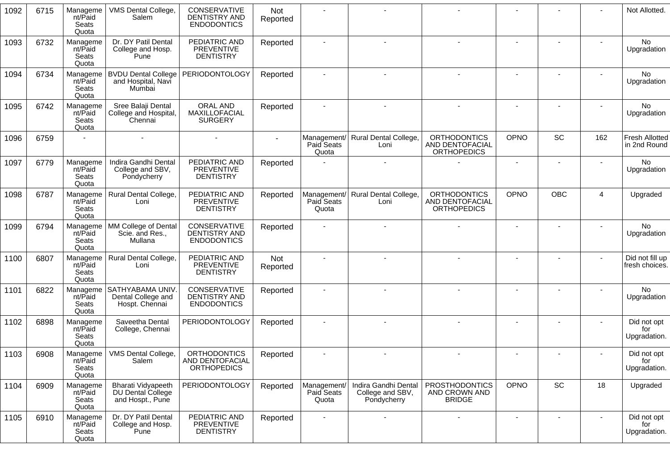| 1092 | 6715 | Manageme<br>nt/Paid<br>Seats<br>Quota | VMS Dental College,<br>Salem                                | CONSERVATIVE<br><b>DENTISTRY AND</b><br><b>ENDODONTICS</b>   | Not<br>Reported |                                    |                                                         |                                                              |                |                          |                | Not Allotted.                         |
|------|------|---------------------------------------|-------------------------------------------------------------|--------------------------------------------------------------|-----------------|------------------------------------|---------------------------------------------------------|--------------------------------------------------------------|----------------|--------------------------|----------------|---------------------------------------|
| 1093 | 6732 | Manageme<br>nt/Paid<br>Seats<br>Quota | Dr. DY Patil Dental<br>College and Hosp.<br>Pune            | PEDIATRIC AND<br>PREVENTIVE<br><b>DENTISTRY</b>              | Reported        |                                    |                                                         |                                                              |                |                          |                | No<br>Upgradation                     |
| 1094 | 6734 | Manageme<br>nt/Paid<br>Seats<br>Quota | <b>BVDU Dental College</b><br>and Hospital, Navi<br>Mumbai  | PERIODONTOLOGY                                               | Reported        |                                    |                                                         |                                                              |                |                          |                | <b>No</b><br>Upgradation              |
| 1095 | 6742 | Manageme<br>nt/Paid<br>Seats<br>Quota | Sree Balaji Dental<br>College and Hospital,<br>Chennai      | <b>ORAL AND</b><br>MAXILLOFACIAL<br><b>SURGERY</b>           | Reported        |                                    |                                                         |                                                              |                |                          |                | <b>No</b><br>Upgradation              |
| 1096 | 6759 |                                       |                                                             |                                                              |                 | Management/<br>Paid Seats<br>Quota | Rural Dental College,<br>Loni                           | <b>ORTHODONTICS</b><br>AND DENTOFACIAL<br><b>ORTHOPEDICS</b> | OPNO           | SC                       | 162            | <b>Fresh Allotted</b><br>in 2nd Round |
| 1097 | 6779 | Manageme<br>nt/Paid<br>Seats<br>Quota | Indira Gandhi Dental<br>College and SBV,<br>Pondycherry     | PEDIATRIC AND<br>PREVENTIVE<br><b>DENTISTRY</b>              | Reported        |                                    |                                                         |                                                              | $\blacksquare$ |                          |                | No<br>Upgradation                     |
| 1098 | 6787 | Manageme<br>nt/Paid<br>Seats<br>Quota | Rural Dental College,<br>Loni                               | PEDIATRIC AND<br><b>PREVENTIVE</b><br><b>DENTISTRY</b>       | Reported        | Paid Seats<br>Quota                | Management/ Rural Dental College,<br>Loni               | <b>ORTHODONTICS</b><br>AND DENTOFACIAL<br><b>ORTHOPEDICS</b> | <b>OPNO</b>    | <b>OBC</b>               | 4              | Upgraded                              |
| 1099 | 6794 | Manageme<br>nt/Paid<br>Seats<br>Quota | MM College of Dental<br>Scie. and Res.,<br>Mullana          | CONSERVATIVE<br>DENTISTRY AND<br><b>ENDODONTICS</b>          | Reported        |                                    |                                                         |                                                              |                |                          |                | No<br>Upgradation                     |
| 1100 | 6807 | Manageme<br>nt/Paid<br>Seats<br>Quota | Rural Dental College,<br>Loni                               | PEDIATRIC AND<br><b>PREVENTIVE</b><br><b>DENTISTRY</b>       | Not<br>Reported |                                    |                                                         |                                                              |                |                          |                | Did not fill up<br>fresh choices.     |
| 1101 | 6822 | Manageme<br>nt/Paid<br>Seats<br>Quota | SATHYABAMA UNIV<br>Dental College and<br>Hospt. Chennai     | CONSERVATIVE<br><b>DENTISTRY AND</b><br><b>ENDODONTICS</b>   | Reported        |                                    |                                                         |                                                              |                |                          |                | No.<br>Upgradation                    |
| 1102 | 6898 | Manageme<br>nt/Paid<br>Seats<br>Quota | Saveetha Dental<br>College, Chennai                         | <b>PERIODONTOLOGY</b>                                        | Reported        |                                    |                                                         |                                                              |                |                          |                | Did not opt<br>for<br>Upgradation.    |
| 1103 | 6908 | Manageme<br>nt/Paid<br>Seats<br>Quota | VMS Dental College,<br>Salem                                | <b>ORTHODONTICS</b><br>AND DENTOFACIAL<br><b>ORTHOPEDICS</b> | Reported        |                                    |                                                         |                                                              |                |                          |                | Did not opt<br>for<br>Upgradation.    |
| 1104 | 6909 | Manageme<br>nt/Paid<br>Seats<br>Quota | Bharati Vidyapeeth<br>DU Dental College<br>and Hospt., Pune | PERIODONTOLOGY                                               | Reported        | Management/<br>Paid Seats<br>Quota | Indira Gandhi Dental<br>College and SBV,<br>Pondycherry | <b>PROSTHODONTICS</b><br>AND CROWN AND<br><b>BRIDGE</b>      | OPNO           | SC                       | 18             | Upgraded                              |
| 1105 | 6910 | Manageme<br>nt/Paid<br>Seats<br>Quota | Dr. DY Patil Dental<br>College and Hosp.<br>Pune            | PEDIATRIC AND<br>PREVENTIVE<br><b>DENTISTRY</b>              | Reported        | $\overline{\phantom{a}}$           |                                                         |                                                              | $\blacksquare$ | $\overline{\phantom{a}}$ | $\blacksquare$ | Did not opt<br>for<br>Upgradation.    |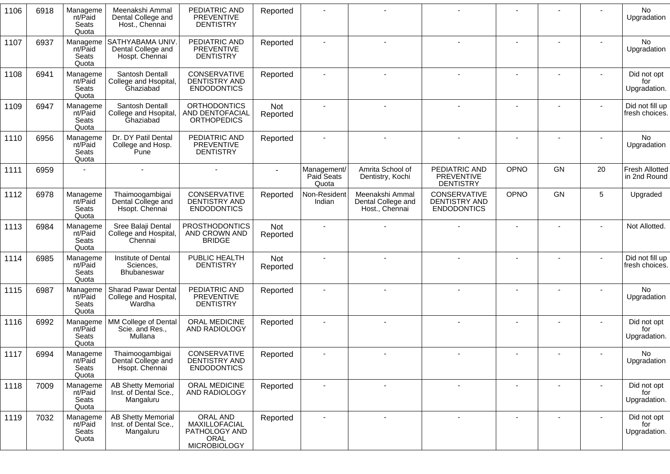| 6918 | Manageme<br>nt/Paid<br>Seats<br>Quota | Meenakshi Ammal<br>Dental College and<br>Host., Chennai         | PEDIATRIC AND<br><b>PREVENTIVE</b><br><b>DENTISTRY</b>                    | Reported        |                                    |                                                         |                                                                   |             |    |    | No<br>Upgradation                     |
|------|---------------------------------------|-----------------------------------------------------------------|---------------------------------------------------------------------------|-----------------|------------------------------------|---------------------------------------------------------|-------------------------------------------------------------------|-------------|----|----|---------------------------------------|
| 6937 | Manageme<br>nt/Paid<br>Seats<br>Quota | SATHYABAMA UNIV.<br>Dental College and<br>Hospt. Chennai        | PEDIATRIC AND<br><b>PREVENTIVE</b><br><b>DENTISTRY</b>                    | Reported        |                                    |                                                         |                                                                   |             |    |    | No<br>Upgradation                     |
| 6941 | Manageme<br>nt/Paid<br>Seats<br>Quota | Santosh Dentall<br>College and Hsopital,<br>Ghaziabad           | CONSERVATIVE<br>DENTISTRY AND<br><b>ENDODONTICS</b>                       | Reported        |                                    |                                                         |                                                                   |             |    |    | Did not opt<br>for<br>Upgradation.    |
| 6947 | Manageme<br>nt/Paid<br>Seats<br>Quota | Santosh Dentall<br>College and Hsopital,<br>Ghaziabad           | <b>ORTHODONTICS</b><br>AND DENTOFACIAL<br><b>ORTHOPEDICS</b>              | Not<br>Reported |                                    |                                                         |                                                                   |             |    |    | Did not fill up<br>fresh choices.     |
| 6956 | Manageme<br>nt/Paid<br>Seats<br>Quota | Dr. DY Patil Dental<br>College and Hosp.<br>Pune                | PEDIATRIC AND<br><b>PREVENTIVE</b><br><b>DENTISTRY</b>                    | Reported        |                                    |                                                         |                                                                   |             |    |    | No<br>Upgradation                     |
| 6959 |                                       |                                                                 |                                                                           |                 | Management/<br>Paid Seats<br>Quota | Amrita School of<br>Dentistry, Kochi                    | PEDIATRIC AND<br><b>PREVENTIVE</b><br><b>DENTISTRY</b>            | OPNO        | GN | 20 | <b>Fresh Allotted</b><br>in 2nd Round |
| 6978 | Manageme<br>nt/Paid<br>Seats<br>Quota | Thaimoogambigai<br>Dental College and<br>Hsopt. Chennai         | CONSERVATIVE<br>DENTISTRY AND<br><b>ENDODONTICS</b>                       | Reported        | Non-Resident<br>Indian             | Meenakshi Ammal<br>Dental College and<br>Host., Chennai | <b>CONSERVATIVE</b><br><b>DENTISTRY AND</b><br><b>ENDODONTICS</b> | <b>OPNO</b> | GN | 5  | Upgraded                              |
| 6984 | Manageme<br>nt/Paid<br>Seats<br>Quota | Sree Balaji Dental<br>College and Hospital<br>Chennai           | <b>PROSTHODONTICS</b><br>AND CROWN AND<br><b>BRIDGE</b>                   | Not<br>Reported |                                    |                                                         |                                                                   |             |    |    | Not Allotted.                         |
| 6985 | Manageme<br>nt/Paid<br>Seats<br>Quota | Institute of Dental<br>Sciences,<br><b>Bhubaneswar</b>          | PUBLIC HEALTH<br><b>DENTISTRY</b>                                         | Not<br>Reported |                                    |                                                         |                                                                   |             |    |    | Did not fill up<br>fresh choices.     |
| 6987 | Manageme<br>nt/Paid<br>Seats<br>Quota | Sharad Pawar Dental<br>College and Hospital,<br>Wardha          | PEDIATRIC AND<br><b>PREVENTIVE</b><br><b>DENTISTRY</b>                    | Reported        |                                    |                                                         |                                                                   |             |    |    | No<br>Upgradation                     |
| 6992 | Manageme<br>nt/Paid<br>Seats<br>Quota | MM College of Dental<br>Scie. and Res.,<br>Mullana              | ORAL MEDICINE<br>AND RADIOLOGY                                            | Reported        |                                    |                                                         |                                                                   |             |    |    | Did not opt<br>for<br>Upgradation.    |
| 6994 | Manageme<br>nt/Paid<br>Seats<br>Quota | Thaimoogambigai<br>Dental College and<br>Hsopt. Chennai         | CONSERVATIVE<br>DENTISTRY AND<br><b>ENDODONTICS</b>                       | Reported        |                                    |                                                         |                                                                   |             |    |    | No<br>Upgradation                     |
| 7009 | Manageme<br>nt/Paid<br>Seats<br>Quota | <b>AB Shetty Memorial</b><br>Inst. of Dental Sce.,<br>Mangaluru | ORAL MEDICINE<br>AND RADIOLOGY                                            | Reported        | $\blacksquare$                     |                                                         |                                                                   |             |    |    | Did not opt<br>for<br>Upgradation.    |
| 7032 | Manageme<br>nt/Paid<br>Seats<br>Quota | <b>AB Shetty Memorial</b><br>Inst. of Dental Sce.,<br>Mangaluru | ORAL AND<br>MAXILLOFACIAL<br>PATHOLOGY AND<br>ORAL<br><b>MICROBIOLOGY</b> | Reported        | $\blacksquare$                     | $\blacksquare$                                          |                                                                   |             |    |    | Did not opt<br>for<br>Upgradation.    |
|      |                                       |                                                                 |                                                                           |                 |                                    |                                                         |                                                                   |             |    |    |                                       |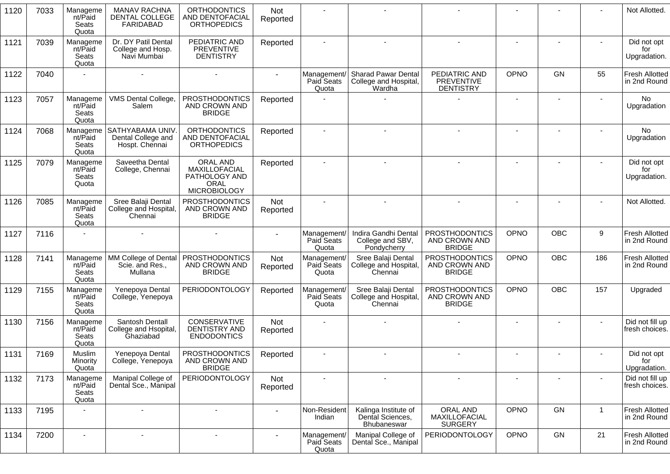| 1120 | 7033 | Manageme<br>nt/Paid<br>Seats<br>Quota | <b>MANAV RACHNA</b><br>DENTAL COLLEGE<br><b>FARIDABAD</b> | <b>ORTHODONTICS</b><br>AND DENTOFACIAL<br><b>ORTHOPEDICS</b>              | Not<br>Reported        |                                    |                                                               |                                                         |                          |            |              | Not Allotted.                         |
|------|------|---------------------------------------|-----------------------------------------------------------|---------------------------------------------------------------------------|------------------------|------------------------------------|---------------------------------------------------------------|---------------------------------------------------------|--------------------------|------------|--------------|---------------------------------------|
| 1121 | 7039 | Manageme<br>nt/Paid<br>Seats<br>Quota | Dr. DY Patil Dental<br>College and Hosp.<br>Navi Mumbai   | PEDIATRIC AND<br><b>PREVENTIVE</b><br><b>DENTISTRY</b>                    | Reported               |                                    |                                                               |                                                         |                          |            |              | Did not opt<br>for<br>Upgradation.    |
| 1122 | 7040 |                                       |                                                           |                                                                           |                        | Management/<br>Paid Seats<br>Quota | <b>Sharad Pawar Dental</b><br>College and Hospital,<br>Wardha | PEDIATRIC AND<br><b>PREVENTIVE</b><br><b>DENTISTRY</b>  | OPNO                     | GN         | 55           | Fresh Allotted<br>in 2nd Round        |
| 1123 | 7057 | Manageme<br>nt/Paid<br>Seats<br>Quota | VMS Dental College,<br>Salem                              | <b>PROSTHODONTICS</b><br>AND CROWN AND<br><b>BRIDGE</b>                   | Reported               |                                    |                                                               |                                                         |                          |            |              | No.<br>Upgradation                    |
| 1124 | 7068 | Manageme<br>nt/Paid<br>Seats<br>Quota | SATHYABAMA UNIV<br>Dental College and<br>Hospt. Chennai   | <b>ORTHODONTICS</b><br>AND DENTOFACIAL<br><b>ORTHOPEDICS</b>              | Reported               |                                    |                                                               |                                                         | $\overline{\phantom{a}}$ |            |              | No<br>Upgradation                     |
| 1125 | 7079 | Manageme<br>nt/Paid<br>Seats<br>Quota | Saveetha Dental<br>College, Chennai                       | ORAL AND<br>MAXILLOFACIAL<br>PATHOLOGY AND<br>ORAL<br><b>MICROBIOLOGY</b> | Reported               |                                    |                                                               |                                                         |                          |            |              | Did not opt<br>for<br>Upgradation.    |
| 1126 | 7085 | Manageme<br>nt/Paid<br>Seats<br>Quota | Sree Balaji Dental<br>College and Hospital,<br>Chennai    | <b>PROSTHODONTICS</b><br>AND CROWN AND<br><b>BRIDGE</b>                   | <b>Not</b><br>Reported |                                    |                                                               |                                                         | $\overline{\phantom{a}}$ |            |              | Not Allotted.                         |
| 1127 | 7116 |                                       |                                                           |                                                                           |                        | Management/<br>Paid Seats<br>Quota | Indira Gandhi Dental<br>College and SBV,<br>Pondycherry       | <b>PROSTHODONTICS</b><br>AND CROWN AND<br><b>BRIDGE</b> | OPNO                     | OBC        | 9            | <b>Fresh Allotted</b><br>in 2nd Round |
| 1128 | 7141 | Manageme<br>nt/Paid<br>Seats<br>Quota | MM College of Dental<br>Scie. and Res.,<br>Mullana        | <b>PROSTHODONTICS</b><br>AND CROWN AND<br><b>BRIDGE</b>                   | <b>Not</b><br>Reported | Management/<br>Paid Seats<br>Quota | Sree Balaji Dental<br>College and Hospital,<br>Chennai        | <b>PROSTHODONTICS</b><br>AND CROWN AND<br><b>BRIDGE</b> | OPNO                     | <b>OBC</b> | 186          | Fresh Allotted<br>in 2nd Round        |
| 1129 | 7155 | Manageme<br>nt/Paid<br>Seats<br>Quota | Yenepoya Dental<br>College, Yenepoya                      | <b>PERIODONTOLOGY</b>                                                     | Reported               | Management/<br>Paid Seats<br>Quota | Sree Balaji Dental<br>College and Hospital,<br>Chennai        | <b>PROSTHODONTICS</b><br>AND CROWN AND<br><b>BRIDGE</b> | <b>OPNO</b>              | <b>OBC</b> | 157          | Upgraded                              |
| 1130 | 7156 | Manageme<br>nt/Paid<br>Seats<br>Quota | Santosh Dentall<br>College and Hsopital,<br>Ghaziabad     | <b>CONSERVATIVE</b><br>DENTISTRY AND<br><b>ENDODONTICS</b>                | <b>Not</b><br>Reported |                                    |                                                               |                                                         |                          |            |              | Did not fill up<br>fresh choices.     |
| 1131 | 7169 | Muslim<br>Minority<br>Quota           | Yenepoya Dental<br>College, Yenepoya                      | <b>PROSTHODONTICS</b><br>AND CROWN AND<br><b>BRIDGE</b>                   | Reported               |                                    |                                                               |                                                         |                          |            |              | Did not opt<br>for<br>Upgradation.    |
| 1132 | 7173 | Manageme<br>nt/Paid<br>Seats<br>Quota | Manipal College of<br>Dental Sce., Manipal                | <b>PERIODONTOLOGY</b>                                                     | Not<br>Reported        |                                    |                                                               | $\overline{\phantom{a}}$                                | $\overline{\phantom{a}}$ |            |              | Did not fill up<br>fresh choices.     |
| 1133 | 7195 |                                       |                                                           | $\blacksquare$                                                            |                        | Non-Resident<br>Indian             | Kalinga Institute of<br>Dental Sciences,<br>Bhubaneswar       | ORAL AND<br>MAXILLOFACIAL<br><b>SURGERY</b>             | OPNO                     | GN         | $\mathbf{1}$ | <b>Fresh Allotted</b><br>in 2nd Round |
| 1134 | 7200 | $\overline{\phantom{a}}$              | $\blacksquare$                                            | $\overline{\phantom{a}}$                                                  |                        | Management/<br>Paid Seats<br>Quota | Manipal College of<br>Dental Sce., Manipal                    | PERIODONTOLOGY                                          | OPNO                     | GN         | 21           | Fresh Allotted<br>in 2nd Round        |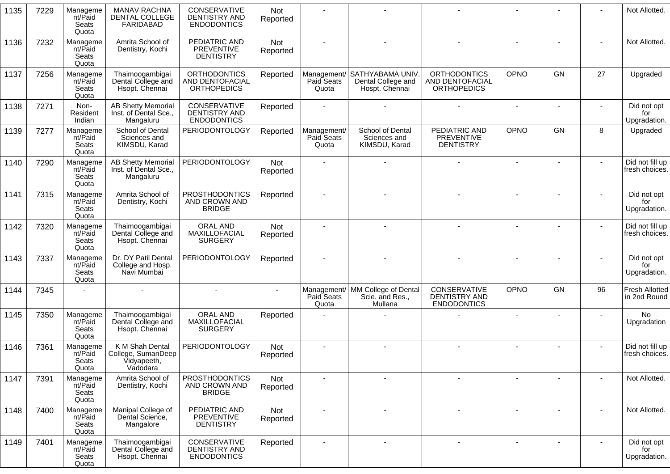| 1135 | 7229 | Manageme<br>nt/Paid<br>Seats<br>Quota | <b>MANAV RACHNA</b><br>DENTAL COLLEGE<br><b>FARIDABAD</b>        | CONSERVATIVE<br>DENTISTRY AND<br><b>ENDODONTICS</b>          | Not<br>Reported |                                    |                                                                      |                                                              |                |                |        | Not Allotted.                      |
|------|------|---------------------------------------|------------------------------------------------------------------|--------------------------------------------------------------|-----------------|------------------------------------|----------------------------------------------------------------------|--------------------------------------------------------------|----------------|----------------|--------|------------------------------------|
| 1136 | 7232 | Manageme<br>nt/Paid<br>Seats<br>Quota | Amrita School of<br>Dentistry, Kochi                             | PEDIATRIC AND<br><b>PREVENTIVE</b><br><b>DENTISTRY</b>       | Not<br>Reported |                                    |                                                                      |                                                              |                |                |        | Not Allotted.                      |
| 1137 | 7256 | Manageme<br>nt/Paid<br>Seats<br>Quota | Thaimoogambigai<br>Dental College and<br>Hsopt. Chennai          | <b>ORTHODONTICS</b><br>AND DENTOFACIAL<br><b>ORTHOPEDICS</b> | Reported        | Paid Seats<br>Quota                | Management/ SATHYABAMA UNIV.<br>Dental College and<br>Hospt. Chennai | <b>ORTHODONTICS</b><br>AND DENTOFACIAL<br><b>ORTHOPEDICS</b> | OPNO           | <b>GN</b>      | 27     | Upgraded                           |
| 1138 | 7271 | Non-<br>Resident<br>Indian            | <b>AB Shetty Memorial</b><br>Inst. of Dental Sce.,<br>Mangaluru  | CONSERVATIVE<br>DENTISTRY AND<br><b>ENDODONTICS</b>          | Reported        |                                    |                                                                      |                                                              | $\sim$         |                |        | Did not opt<br>for<br>Upgradation. |
| 1139 | 7277 | Manageme<br>nt/Paid<br>Seats<br>Quota | School of Dental<br>Sciences and<br>KIMSDU, Karad                | <b>PERIODONTOLOGY</b>                                        | Reported        | Management/<br>Paid Seats<br>Quota | School of Dental<br>Sciences and<br>KIMSDU, Karad                    | PEDIATRIC AND<br><b>PREVENTIVE</b><br><b>DENTISTRY</b>       | OPNO           | GN             | 8      | Upgraded                           |
| 1140 | 7290 | Manageme<br>nt/Paid<br>Seats<br>Quota | <b>AB Shetty Memorial</b><br>Inst. of Dental Sce.,<br>Mangaluru  | <b>PERIODONTOLOGY</b>                                        | Not<br>Reported |                                    |                                                                      |                                                              |                |                |        | Did not fill up<br>fresh choices.  |
| 1141 | 7315 | Manageme<br>nt/Paid<br>Seats<br>Quota | Amrita School of<br>Dentistry, Kochi                             | <b>PROSTHODONTICS</b><br>AND CROWN AND<br><b>BRIDGE</b>      | Reported        |                                    |                                                                      |                                                              |                |                |        | Did not opt<br>for<br>Upgradation. |
| 1142 | 7320 | Manageme<br>nt/Paid<br>Seats<br>Quota | Thaimoogambigai<br>Dental College and<br>Hsopt. Chennai          | <b>ORAL AND</b><br>MAXILLOFACIAL<br><b>SURGERY</b>           | Not<br>Reported |                                    |                                                                      |                                                              |                |                |        | Did not fill up<br>fresh choices.  |
| 1143 | 7337 | Manageme<br>nt/Paid<br>Seats<br>Quota | Dr. DY Patil Dental<br>College and Hosp.<br>Navi Mumbai          | <b>PERIODONTOLOGY</b>                                        | Reported        |                                    |                                                                      |                                                              |                |                |        | Did not opt<br>for<br>Upgradation. |
| 1144 | 7345 |                                       |                                                                  |                                                              |                 | Paid Seats<br>Quota                | Management/ MM College of Dental<br>Scie. and Res.,<br>Mullana       | CONSERVATIVE<br>DENTISTRY AND<br><b>ENDODONTICS</b>          | <b>OPNO</b>    | GN             | 96     | Fresh Allotted<br>in 2nd Round     |
| 1145 | 7350 | Manageme<br>nt/Paid<br>Seats<br>Quota | Thaimoogambigai<br>Dental College and<br>Hsopt. Chennai          | ORAL AND<br>MAXILLOFACIAL<br><b>SURGERY</b>                  | Reported        |                                    |                                                                      |                                                              |                |                |        | No<br>Upgradation                  |
| 1146 | 7361 | Manageme<br>nt/Paid<br>Seats<br>Quota | K M Shah Dental<br>College, SumanDeep<br>Vidyapeeth,<br>Vadodara | <b>PERIODONTOLOGY</b>                                        | Not<br>Reported |                                    |                                                                      |                                                              |                |                |        | Did not fill up<br>fresh choices.  |
| 1147 | 7391 | Manageme<br>nt/Paid<br>Seats<br>Quota | Amrita School of<br>Dentistry, Kochi                             | <b>PROSTHODONTICS</b><br>AND CROWN AND<br><b>BRIDGE</b>      | Not<br>Reported |                                    | $\sim$                                                               | $\blacksquare$                                               | $\blacksquare$ |                |        | Not Allotted.                      |
| 1148 | 7400 | Manageme<br>nt/Paid<br>Seats<br>Quota | Manipal College of<br>Dental Science,<br>Mangalore               | PEDIATRIC AND<br><b>PREVENTIVE</b><br><b>DENTISTRY</b>       | Not<br>Reported |                                    |                                                                      | $\overline{\phantom{a}}$                                     |                |                |        | Not Allotted.                      |
| 1149 | 7401 | Manageme<br>nt/Paid<br>Seats<br>Quota | Thaimoogambigai<br>Dental College and<br>Hsopt. Chennai          | CONSERVATIVE<br>DENTISTRY AND<br><b>ENDODONTICS</b>          | Reported        | $\blacksquare$                     | $\sim$                                                               | $\blacksquare$                                               | $\blacksquare$ | $\blacksquare$ | $\sim$ | Did not opt<br>for<br>Upgradation. |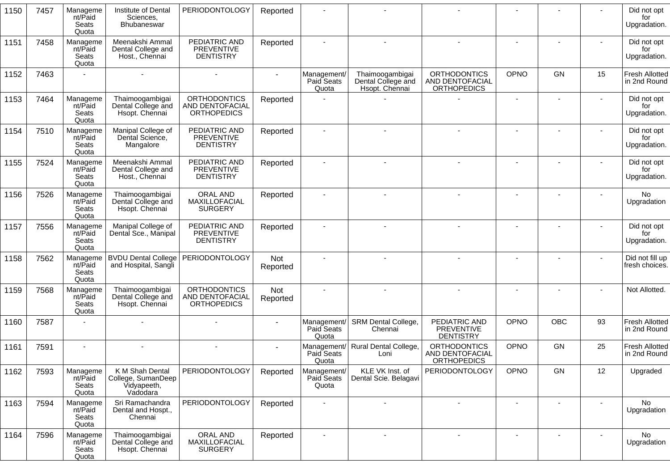| 1150 | 7457 | Manageme<br>nt/Paid<br>Seats<br>Quota | Institute of Dental<br>Sciences,<br>Bhubaneswar                  | <b>PERIODONTOLOGY</b>                                               | Reported        |                                    |                                                         |                                                              |             |                          |                          | Did not opt<br>for<br>Upgradation.    |
|------|------|---------------------------------------|------------------------------------------------------------------|---------------------------------------------------------------------|-----------------|------------------------------------|---------------------------------------------------------|--------------------------------------------------------------|-------------|--------------------------|--------------------------|---------------------------------------|
| 1151 | 7458 | Manageme<br>nt/Paid<br>Seats<br>Quota | Meenakshi Ammal<br>Dental College and<br>Host., Chennai          | PEDIATRIC AND<br><b>PREVENTIVE</b><br><b>DENTISTRY</b>              | Reported        |                                    |                                                         |                                                              |             |                          |                          | Did not opt<br>for<br>Upgradation.    |
| 1152 | 7463 |                                       |                                                                  |                                                                     |                 | Management/<br>Paid Seats<br>Quota | Thaimoogambigai<br>Dental College and<br>Hsopt. Chennai | <b>ORTHODONTICS</b><br>AND DENTOFACIAL<br><b>ORTHOPEDICS</b> | OPNO        | GN                       | 15                       | <b>Fresh Allotted</b><br>in 2nd Round |
| 1153 | 7464 | Manageme<br>nt/Paid<br>Seats<br>Quota | Thaimoogambigai<br>Dental College and<br>Hsopt. Chennai          | <b>ORTHODONTICS</b><br><b>AND DENTOFACIAL</b><br><b>ORTHOPEDICS</b> | Reported        |                                    |                                                         |                                                              |             |                          |                          | Did not opt<br>for<br>Upgradation.    |
| 1154 | 7510 | Manageme<br>nt/Paid<br>Seats<br>Quota | Manipal College of<br>Dental Science,<br>Mangalore               | PEDIATRIC AND<br><b>PREVENTIVE</b><br><b>DENTISTRY</b>              | Reported        |                                    |                                                         |                                                              |             |                          |                          | Did not opt<br>for<br>Upgradation.    |
| 1155 | 7524 | Manageme<br>nt/Paid<br>Seats<br>Quota | Meenakshi Ammal<br>Dental College and<br>Host., Chennai          | PEDIATRIC AND<br>PREVENTIVE<br><b>DENTISTRY</b>                     | Reported        |                                    |                                                         |                                                              |             |                          |                          | Did not opt<br>for<br>Upgradation.    |
| 1156 | 7526 | Manageme<br>nt/Paid<br>Seats<br>Quota | Thaimoogambigai<br>Dental College and<br>Hsopt. Chennai          | ORAL AND<br>MAXILLOFACIAL<br><b>SURGERY</b>                         | Reported        |                                    |                                                         |                                                              |             |                          |                          | No.<br>Upgradation                    |
| 1157 | 7556 | Manageme<br>nt/Paid<br>Seats<br>Quota | Manipal College of<br>Dental Sce., Manipal                       | PEDIATRIC AND<br>PREVENTIVE<br><b>DENTISTRY</b>                     | Reported        |                                    |                                                         |                                                              |             |                          |                          | Did not opt<br>for<br>Upgradation.    |
| 1158 | 7562 | Manageme<br>nt/Paid<br>Seats<br>Quota | <b>BVDU Dental College</b><br>and Hospital, Sangli               | <b>PERIODONTOLOGY</b>                                               | Not<br>Reported |                                    |                                                         |                                                              |             |                          |                          | Did not fill up<br>fresh choices.     |
| 1159 | 7568 | Manageme<br>nt/Paid<br>Seats<br>Quota | Thaimoogambigai<br>Dental College and<br>Hsopt. Chennai          | <b>ORTHODONTICS</b><br>AND DENTOFACIAL<br><b>ORTHOPEDICS</b>        | Not<br>Reported |                                    |                                                         |                                                              |             |                          |                          | Not Allotted.                         |
| 1160 | 7587 |                                       |                                                                  |                                                                     |                 | Management/<br>Paid Seats<br>Quota | SRM Dental College,<br>Chennai                          | PEDIATRIC AND<br><b>PREVENTIVE</b><br><b>DENTISTRY</b>       | OPNO        | OBC                      | 93                       | Fresh Allotted<br>in 2nd Round        |
| 1161 | 7591 |                                       |                                                                  |                                                                     |                 | Paid Seats<br>Quota                | Management/ Rural Dental College,<br>Loni               | <b>ORTHODONTICS</b><br>AND DENTOFACIAL<br><b>ORTHOPEDICS</b> | OPNO        | GN                       | 25                       | <b>Fresh Allotted</b><br>in 2nd Round |
| 1162 | 7593 | Manageme<br>nt/Paid<br>Seats<br>Quota | K M Shah Dental<br>College, SumanDeep<br>Vidyapeeth,<br>Vadodara | <b>PERIODONTOLOGY</b>                                               | Reported        | Management/<br>Paid Seats<br>Quota | KLE VK Inst. of<br>Dental Scie. Belagavi                | PERIODONTOLOGY                                               | <b>OPNO</b> | GN                       | 12                       | Upgraded                              |
| 1163 | 7594 | Manageme<br>nt/Paid<br>Seats<br>Quota | Sri Ramachandra<br>Dental and Hospt.,<br>Chennai                 | <b>PERIODONTOLOGY</b>                                               | Reported        |                                    |                                                         | $\overline{\phantom{a}}$                                     |             | $\overline{\phantom{a}}$ | $\overline{\phantom{a}}$ | No<br>Upgradation                     |
| 1164 | 7596 | Manageme<br>nt/Paid<br>Seats<br>Quota | Thaimoogambigai<br>Dental College and<br>Hsopt. Chennai          | ORAL AND<br>MAXILLOFACIAL<br><b>SURGERY</b>                         | Reported        |                                    |                                                         |                                                              |             |                          |                          | <b>No</b><br>Upgradation              |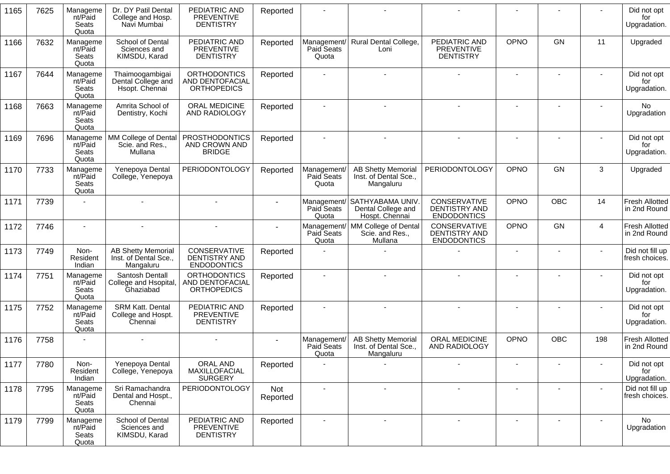| 1165 | 7625 | Manageme<br>nt/Paid<br>Seats<br>Quota | Dr. DY Patil Dental<br>College and Hosp.<br>Navi Mumbai         | PEDIATRIC AND<br><b>PREVENTIVE</b><br><b>DENTISTRY</b>       | Reported        |                                    |                                                                     |                                                                   |                          |                |                         | Did not opt<br>for<br>Upgradation.    |
|------|------|---------------------------------------|-----------------------------------------------------------------|--------------------------------------------------------------|-----------------|------------------------------------|---------------------------------------------------------------------|-------------------------------------------------------------------|--------------------------|----------------|-------------------------|---------------------------------------|
| 1166 | 7632 | Manageme<br>nt/Paid<br>Seats<br>Quota | School of Dental<br>Sciences and<br>KIMSDU, Karad               | PEDIATRIC AND<br>PREVENTIVE<br><b>DENTISTRY</b>              | Reported        | Paid Seats<br>Quota                | Management/ Rural Dental College,<br>Loni                           | PEDIATRIC AND<br>PREVENTIVE<br><b>DENTISTRY</b>                   | <b>OPNO</b>              | <b>GN</b>      | 11                      | Upgraded                              |
| 1167 | 7644 | Manageme<br>nt/Paid<br>Seats<br>Quota | Thaimoogambigai<br>Dental College and<br>Hsopt. Chennai         | <b>ORTHODONTICS</b><br>AND DENTOFACIAL<br><b>ORTHOPEDICS</b> | Reported        |                                    |                                                                     |                                                                   |                          | $\overline{a}$ |                         | Did not opt<br>for<br>Upgradation.    |
| 1168 | 7663 | Manageme<br>nt/Paid<br>Seats<br>Quota | Amrita School of<br>Dentistry, Kochi                            | ORAL MEDICINE<br>AND RADIOLOGY                               | Reported        |                                    |                                                                     |                                                                   |                          |                |                         | <b>No</b><br>Upgradation              |
| 1169 | 7696 | Manageme<br>nt/Paid<br>Seats<br>Quota | MM College of Dental<br>Scie. and Res.,<br>Mullana              | <b>PROSTHODONTICS</b><br>AND CROWN AND<br><b>BRIDGE</b>      | Reported        |                                    |                                                                     |                                                                   |                          |                |                         | Did not opt<br>for<br>Upgradation.    |
| 1170 | 7733 | Manageme<br>nt/Paid<br>Seats<br>Quota | Yenepoya Dental<br>College, Yenepoya                            | <b>PERIODONTOLOGY</b>                                        | Reported        | Management/<br>Paid Seats<br>Quota | <b>AB Shetty Memorial</b><br>Inst. of Dental Sce.,<br>Mangaluru     | <b>PERIODONTOLOGY</b>                                             | OPNO                     | <b>GN</b>      | 3                       | Upgraded                              |
| 1171 | 7739 |                                       |                                                                 |                                                              |                 | Paid Seats<br>Quota                | Management/ SATHYABAMA UNIV<br>Dental College and<br>Hospt. Chennai | CONSERVATIVE<br><b>DENTISTRY AND</b><br><b>ENDODONTICS</b>        | <b>OPNO</b>              | OBC            | 14                      | <b>Fresh Allotted</b><br>in 2nd Round |
| 1172 | 7746 | $\blacksquare$                        | $\blacksquare$                                                  |                                                              |                 | Management/<br>Paid Seats<br>Quota | MM College of Dental<br>Scie. and Res.,<br>Mullana                  | <b>CONSERVATIVE</b><br><b>DENTISTRY AND</b><br><b>ENDODONTICS</b> | <b>OPNO</b>              | <b>GN</b>      | $\overline{\mathbf{4}}$ | <b>Fresh Allotted</b><br>in 2nd Round |
| 1173 | 7749 | Non-<br>Resident<br>Indian            | <b>AB Shetty Memorial</b><br>Inst. of Dental Sce.,<br>Mangaluru | CONSERVATIVE<br><b>DENTISTRY AND</b><br><b>ENDODONTICS</b>   | Reported        |                                    |                                                                     |                                                                   |                          |                | $\blacksquare$          | Did not fill up<br>fresh choices.     |
| 1174 | 7751 | Manageme<br>nt/Paid<br>Seats<br>Quota | Santosh Dentall<br>College and Hsopital,<br>Ghaziabad           | <b>ORTHODONTICS</b><br>AND DENTOFACIAL<br><b>ORTHOPEDICS</b> | Reported        |                                    |                                                                     |                                                                   |                          |                |                         | Did not opt<br>for<br>Upgradation.    |
| 1175 | 7752 | Manageme<br>nt/Paid<br>Seats<br>Quota | <b>SRM Katt. Dental</b><br>College and Hospt.<br>Chennai        | PEDIATRIC AND<br>PREVENTIVE<br><b>DENTISTRY</b>              | Reported        |                                    |                                                                     |                                                                   |                          |                |                         | Did not opt<br>for<br>Upgradation.    |
| 1176 | 7758 |                                       |                                                                 |                                                              |                 | Management/<br>Paid Seats<br>Quota | <b>AB Shetty Memorial</b><br>Inst. of Dental Sce.,<br>Mangaluru     | ORAL MEDICINE<br>AND RADIOLOGY                                    | <b>OPNO</b>              | <b>OBC</b>     | 198                     | <b>Fresh Allotted</b><br>in 2nd Round |
| 1177 | 7780 | Non-<br>Resident<br>Indian            | Yenepoya Dental<br>College, Yenepoya                            | ORAL AND<br>MAXILLOFACIAL<br><b>SURGERY</b>                  | Reported        |                                    |                                                                     |                                                                   | $\overline{\phantom{a}}$ |                |                         | Did not opt<br>for<br>Upgradation.    |
| 1178 | 7795 | Manageme<br>nt/Paid<br>Seats<br>Quota | Sri Ramachandra<br>Dental and Hospt.,<br>Chennai                | <b>PERIODONTOLOGY</b>                                        | Not<br>Reported | $\blacksquare$                     | $\overline{\phantom{a}}$                                            | $\overline{\phantom{a}}$                                          |                          |                |                         | Did not fill up<br>fresh choices.     |
| 1179 | 7799 | Manageme<br>nt/Paid<br>Seats<br>Quota | School of Dental<br>Sciences and<br>KIMSDU, Karad               | PEDIATRIC AND<br><b>PREVENTIVE</b><br><b>DENTISTRY</b>       | Reported        |                                    | $\overline{\phantom{a}}$                                            |                                                                   |                          |                |                         | No<br>Upgradation                     |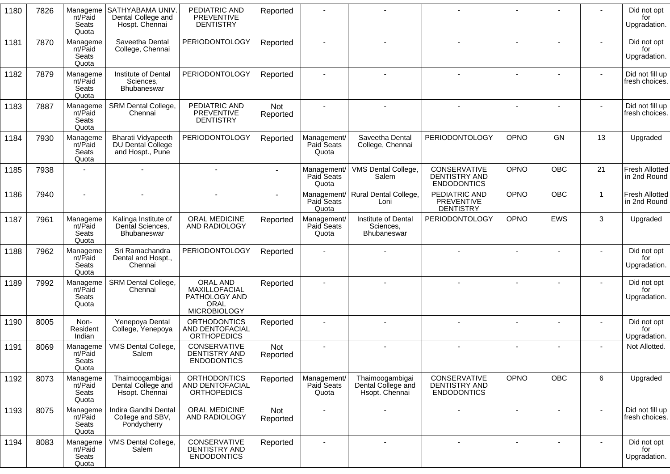| 1180 | 7826 | Manageme<br>nt/Paid<br>Seats<br>Quota | SATHYABAMA UNIV<br>Dental College and<br>Hospt. Chennai     | PEDIATRIC AND<br><b>PREVENTIVE</b><br><b>DENTISTRY</b>                    | Reported        |                                    |                                                         |                                                                   |                          |                |                | Did not opt<br>for<br>Upgradation.    |
|------|------|---------------------------------------|-------------------------------------------------------------|---------------------------------------------------------------------------|-----------------|------------------------------------|---------------------------------------------------------|-------------------------------------------------------------------|--------------------------|----------------|----------------|---------------------------------------|
| 1181 | 7870 | Manageme<br>nt/Paid<br>Seats<br>Quota | Saveetha Dental<br>College, Chennai                         | <b>PERIODONTOLOGY</b>                                                     | Reported        |                                    |                                                         |                                                                   |                          |                |                | Did not opt<br>for<br>Upgradation.    |
| 1182 | 7879 | Manageme<br>nt/Paid<br>Seats<br>Quota | Institute of Dental<br>Sciences,<br>Bhubaneswar             | PERIODONTOLOGY                                                            | Reported        |                                    |                                                         |                                                                   |                          |                |                | Did not fill up<br>fresh choices.     |
| 1183 | 7887 | Manageme<br>nt/Paid<br>Seats<br>Quota | SRM Dental College,<br>Chennai                              | PEDIATRIC AND<br><b>PREVENTIVE</b><br><b>DENTISTRY</b>                    | Not<br>Reported |                                    |                                                         |                                                                   |                          |                |                | Did not fill up<br>fresh choices.     |
| 1184 | 7930 | Manageme<br>nt/Paid<br>Seats<br>Quota | Bharati Vidyapeeth<br>DU Dental College<br>and Hospt., Pune | <b>PERIODONTOLOGY</b>                                                     | Reported        | Management/<br>Paid Seats<br>Quota | Saveetha Dental<br>College, Chennai                     | PERIODONTOLOGY                                                    | OPNO                     | <b>GN</b>      | 13             | Upgraded                              |
| 1185 | 7938 |                                       |                                                             |                                                                           |                 | Management/<br>Paid Seats<br>Quota | VMS Dental College,<br>Salem                            | <b>CONSERVATIVE</b><br><b>DENTISTRY AND</b><br><b>ENDODONTICS</b> | OPNO                     | <b>OBC</b>     | 21             | <b>Fresh Allotted</b><br>in 2nd Round |
| 1186 | 7940 |                                       |                                                             |                                                                           |                 | Paid Seats<br>Quota                | Management/ Rural Dental College,<br>Loni               | PEDIATRIC AND<br><b>PREVENTIVE</b><br><b>DENTISTRY</b>            | OPNO                     | <b>OBC</b>     | $\overline{1}$ | <b>Fresh Allotted</b><br>in 2nd Round |
| 1187 | 7961 | Manageme<br>nt/Paid<br>Seats<br>Quota | Kalinga Institute of<br>Dental Sciences,<br>Bhubaneswar     | ORAL MEDICINE<br>AND RADIOLOGY                                            | Reported        | Management/<br>Paid Seats<br>Quota | Institute of Dental<br>Sciences,<br><b>Bhubaneswar</b>  | PERIODONTOLOGY                                                    | OPNO                     | EWS            | 3              | Upgraded                              |
| 1188 | 7962 | Manageme<br>nt/Paid<br>Seats<br>Quota | Sri Ramachandra<br>Dental and Hospt.,<br>Chennai            | <b>PERIODONTOLOGY</b>                                                     | Reported        |                                    |                                                         |                                                                   |                          |                |                | Did not opt<br>for<br>Upgradation.    |
| 1189 | 7992 | Manageme<br>nt/Paid<br>Seats<br>Quota | SRM Dental College,<br>Chennai                              | ORAL AND<br>MAXILLOFACIAL<br>PATHOLOGY AND<br>ORAL<br><b>MICROBIOLOGY</b> | Reported        |                                    |                                                         |                                                                   |                          |                |                | Did not opt<br>for<br>Upgradation.    |
| 1190 | 8005 | Non-<br>Resident<br>Indian            | Yenepoya Dental<br>College, Yenepoya                        | <b>ORTHODONTICS</b><br>AND DENTOFACIAL<br><b>ORTHOPEDICS</b>              | Reported        |                                    |                                                         |                                                                   | $\overline{\phantom{a}}$ |                |                | Did not opt<br>for<br>Upgradation.    |
| 1191 | 8069 | Manageme<br>nt/Paid<br>Seats<br>Quota | VMS Dental College,<br>Salem                                | CONSERVATIVE<br>DENTISTRY AND<br><b>ENDODONTICS</b>                       | Not<br>Reported |                                    |                                                         |                                                                   |                          |                |                | Not Allotted.                         |
| 1192 | 8073 | Manageme<br>nt/Paid<br>Seats<br>Quota | Thaimoogambigai<br>Dental College and<br>Hsopt. Chennai     | <b>ORTHODONTICS</b><br>AND DENTOFACIAL<br><b>ORTHOPEDICS</b>              | Reported        | Management/<br>Paid Seats<br>Quota | Thaimoogambigai<br>Dental College and<br>Hsopt. Chennai | CONSERVATIVE<br>DENTISTRY AND<br><b>ENDODONTICS</b>               | OPNO                     | OBC            | $6\phantom{1}$ | Upgraded                              |
| 1193 | 8075 | Manageme<br>nt/Paid<br>Seats<br>Quota | Indira Gandhi Dental<br>College and SBV,<br>Pondycherry     | ORAL MEDICINE<br>AND RADIOLOGY                                            | Not<br>Reported |                                    |                                                         |                                                                   |                          |                | $\blacksquare$ | Did not fill up<br>fresh choices.     |
| 1194 | 8083 | Manageme<br>nt/Paid<br>Seats<br>Quota | VMS Dental College,<br>Salem                                | CONSERVATIVE<br>DENTISTRY AND<br><b>ENDODONTICS</b>                       | Reported        | $\overline{\phantom{a}}$           | $\sim$                                                  | $\blacksquare$                                                    |                          | $\blacksquare$ | $\blacksquare$ | Did not opt<br>for<br>Upgradation.    |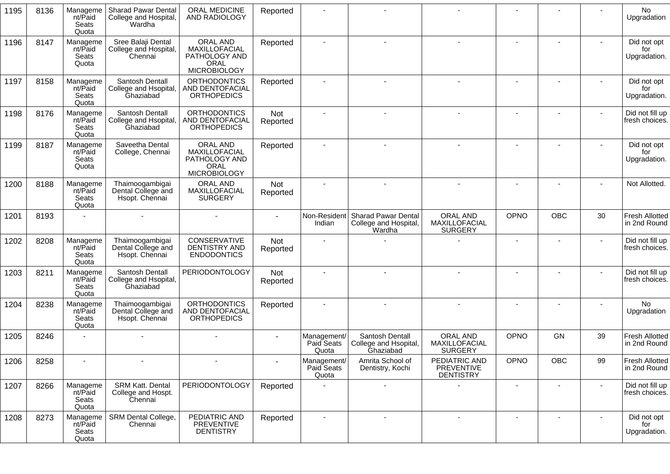| 1195 | 8136 | Manageme<br>nt/Paid<br>Seats<br>Quota | <b>Sharad Pawar Dental</b><br>College and Hospital,<br>Wardha | ORAL MEDICINE<br>AND RADIOLOGY                                                   | Reported               |                                    |                                                               |                                                        |                |     |    | No<br>Upgradation                     |
|------|------|---------------------------------------|---------------------------------------------------------------|----------------------------------------------------------------------------------|------------------------|------------------------------------|---------------------------------------------------------------|--------------------------------------------------------|----------------|-----|----|---------------------------------------|
| 1196 | 8147 | Manageme<br>nt/Paid<br>Seats<br>Quota | Sree Balaji Dental<br>College and Hospital,<br>Chennai        | ORAL AND<br>MAXILLOFACIAL<br>PATHOLOGY AND<br><b>ORAL</b><br><b>MICROBIOLOGY</b> | Reported               |                                    |                                                               |                                                        |                |     |    | Did not opt<br>for<br>Upgradation.    |
| 1197 | 8158 | Manageme<br>nt/Paid<br>Seats<br>Quota | Santosh Dentall<br>College and Hsopital,<br>Ghaziabad         | <b>ORTHODONTICS</b><br>AND DENTOFACIAL<br><b>ORTHOPEDICS</b>                     | Reported               |                                    |                                                               |                                                        |                |     |    | Did not opt<br>for<br>Upgradation.    |
| 1198 | 8176 | Manageme<br>nt/Paid<br>Seats<br>Quota | Santosh Dentall<br>College and Hsopital<br>Ghaziabad          | <b>ORTHODONTICS</b><br>AND DENTOFACIAL<br><b>ORTHOPEDICS</b>                     | Not<br>Reported        |                                    |                                                               |                                                        |                |     |    | Did not fill up<br>fresh choices.     |
| 1199 | 8187 | Manageme<br>nt/Paid<br>Seats<br>Quota | Saveetha Dental<br>College, Chennai                           | ORAL AND<br>MAXILLOFACIAL<br>PATHOLOGY AND<br><b>ORAL</b><br><b>MICROBIOLOGY</b> | Reported               | $\blacksquare$                     |                                                               |                                                        | $\blacksquare$ |     |    | Did not opt<br>for<br>Upgradation.    |
| 1200 | 8188 | Manageme<br>nt/Paid<br>Seats<br>Quota | Thaimoogambigai<br>Dental College and<br>Hsopt. Chennai       | <b>ORAL AND</b><br>MAXILLOFACIAL<br><b>SURGERY</b>                               | Not<br>Reported        |                                    |                                                               |                                                        |                |     |    | Not Allotted.                         |
| 1201 | 8193 |                                       |                                                               |                                                                                  |                        | Non-Resident<br>Indian             | <b>Sharad Pawar Dental</b><br>College and Hospital,<br>Wardha | <b>ORAL AND</b><br>MAXILLOFACIAL<br><b>SURGERY</b>     | OPNO           | OBC | 30 | <b>Fresh Allotted</b><br>in 2nd Round |
| 1202 | 8208 | Manageme<br>nt/Paid<br>Seats<br>Quota | Thaimoogambigai<br>Dental College and<br>Hsopt. Chennai       | CONSERVATIVE<br>DENTISTRY AND<br><b>ENDODONTICS</b>                              | <b>Not</b><br>Reported |                                    |                                                               |                                                        |                |     |    | Did not fill up<br>fresh choices.     |
| 1203 | 8211 | Manageme<br>nt/Paid<br>Seats<br>Quota | Santosh Dentall<br>College and Hsopital,<br>Ghaziabad         | <b>PERIODONTOLOGY</b>                                                            | Not<br>Reported        |                                    |                                                               |                                                        |                |     |    | Did not fill up<br>fresh choices.     |
| 1204 | 8238 | Manageme<br>nt/Paid<br>Seats<br>Quota | Thaimoogambigai<br>Dental College and<br>Hsopt. Chennai       | <b>ORTHODONTICS</b><br>AND DENTOFACIAL<br><b>ORTHOPEDICS</b>                     | Reported               |                                    |                                                               |                                                        |                |     |    | No<br>Upgradation                     |
| 1205 | 8246 |                                       |                                                               |                                                                                  |                        | Management/<br>Paid Seats<br>Quota | Santosh Dentall<br>College and Hsopital,<br>Ghaziabad         | <b>ORAL AND</b><br>MAXILLOFACIAL<br><b>SURGERY</b>     | <b>OPNO</b>    | GN  | 39 | <b>Fresh Allotted</b><br>in 2nd Round |
| 1206 | 8258 |                                       |                                                               |                                                                                  |                        | Management/<br>Paid Seats<br>Quota | Amrita School of<br>Dentistry, Kochi                          | PEDIATRIC AND<br><b>PREVENTIVE</b><br><b>DENTISTRY</b> | OPNO           | OBC | 99 | <b>Fresh Allotted</b><br>in 2nd Round |
| 1207 | 8266 | Manageme<br>nt/Paid<br>Seats<br>Quota | SRM Katt. Dental<br>College and Hospt.<br>Chennai             | PERIODONTOLOGY                                                                   | Reported               |                                    |                                                               |                                                        |                |     |    | Did not fill up<br>fresh choices.     |
| 1208 | 8273 | Manageme<br>nt/Paid<br>Seats<br>Quota | SRM Dental College,<br>Chennai                                | PEDIATRIC AND<br>PREVENTIVE<br><b>DENTISTRY</b>                                  | Reported               | $\sim$                             | $\blacksquare$                                                |                                                        |                |     |    | Did not opt<br>for<br>Upgradation.    |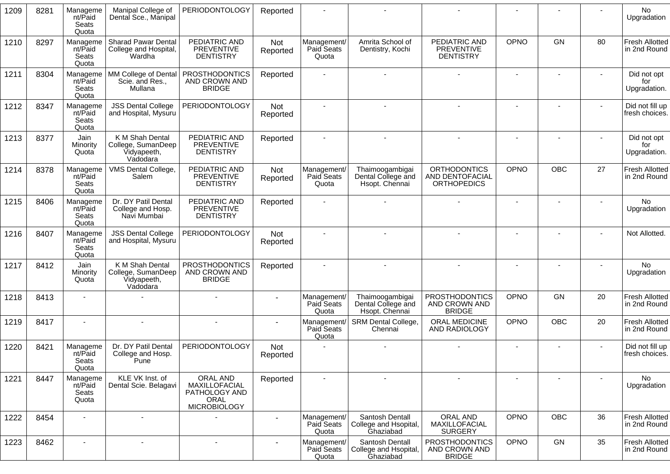| 1209 | 8281 | Manageme<br>nt/Paid<br>Seats<br>Quota | Manipal College of<br>Dental Sce., Manipal                       | <b>PERIODONTOLOGY</b>                                                            | Reported               |                                    |                                                         |                                                              |                |                |                          | No<br>Upgradation                     |
|------|------|---------------------------------------|------------------------------------------------------------------|----------------------------------------------------------------------------------|------------------------|------------------------------------|---------------------------------------------------------|--------------------------------------------------------------|----------------|----------------|--------------------------|---------------------------------------|
| 1210 | 8297 | Manageme<br>nt/Paid<br>Seats<br>Quota | <b>Sharad Pawar Dental</b><br>College and Hospital,<br>Wardha    | PEDIATRIC AND<br>PREVENTIVE<br><b>DENTISTRY</b>                                  | Not<br>Reported        | Management/<br>Paid Seats<br>Quota | Amrita School of<br>Dentistry, Kochi                    | PEDIATRIC AND<br><b>PREVENTIVE</b><br><b>DENTISTRY</b>       | OPNO           | GN             | 80                       | <b>Fresh Allotted</b><br>in 2nd Round |
| 1211 | 8304 | Manageme<br>nt/Paid<br>Seats<br>Quota | MM College of Dental<br>Scie. and Res.,<br>Mullana               | <b>PROSTHODONTICS</b><br>AND CROWN AND<br><b>BRIDGE</b>                          | Reported               |                                    |                                                         |                                                              |                |                |                          | Did not opt<br>for<br>Upgradation.    |
| 1212 | 8347 | Manageme<br>nt/Paid<br>Seats<br>Quota | <b>JSS Dental College</b><br>and Hospital, Mysuru                | <b>PERIODONTOLOGY</b>                                                            | <b>Not</b><br>Reported |                                    |                                                         |                                                              | ٠              |                |                          | Did not fill up<br>fresh choices.     |
| 1213 | 8377 | Jain<br>Minority<br>Quota             | K M Shah Dental<br>College, SumanDeep<br>Vidyapeeth,<br>Vadodara | PEDIATRIC AND<br>PREVENTIVE<br><b>DENTISTRY</b>                                  | Reported               |                                    |                                                         |                                                              |                |                |                          | Did not opt<br>for<br>Upgradation.    |
| 1214 | 8378 | Manageme<br>nt/Paid<br>Seats<br>Quota | VMS Dental College,<br>Salem                                     | PEDIATRIC AND<br>PREVENTIVE<br><b>DENTISTRY</b>                                  | Not<br>Reported        | Management/<br>Paid Seats<br>Quota | Thaimoogambigai<br>Dental College and<br>Hsopt. Chennai | <b>ORTHODONTICS</b><br>AND DENTOFACIAL<br><b>ORTHOPEDICS</b> | OPNO           | <b>OBC</b>     | 27                       | <b>Fresh Allotted</b><br>in 2nd Round |
| 1215 | 8406 | Manageme<br>nt/Paid<br>Seats<br>Quota | Dr. DY Patil Dental<br>College and Hosp.<br>Navi Mumbai          | PEDIATRIC AND<br>PREVENTIVE<br><b>DENTISTRY</b>                                  | Reported               |                                    |                                                         |                                                              | $\blacksquare$ |                |                          | <b>No</b><br>Upgradation              |
| 1216 | 8407 | Manageme<br>nt/Paid<br>Seats<br>Quota | <b>JSS Dental College</b><br>and Hospital, Mysuru                | <b>PERIODONTOLOGY</b>                                                            | Not<br>Reported        |                                    |                                                         |                                                              |                |                |                          | Not Allotted.                         |
| 1217 | 8412 | Jain<br>Minority<br>Quota             | K M Shah Dental<br>College, SumanDeep<br>Vidyapeeth,<br>Vadodara | <b>PROSTHODONTICS</b><br>AND CROWN AND<br><b>BRIDGE</b>                          | Reported               |                                    |                                                         |                                                              |                |                |                          | <b>No</b><br>Upgradation              |
| 1218 | 8413 |                                       |                                                                  |                                                                                  |                        | Management/<br>Paid Seats<br>Quota | Thaimoogambigai<br>Dental College and<br>Hsopt. Chennai | <b>PROSTHODONTICS</b><br>AND CROWN AND<br><b>BRIDGE</b>      | OPNO           | GN             | 20                       | Fresh Allotted<br>in 2nd Round        |
| 1219 | 8417 |                                       |                                                                  |                                                                                  |                        | Management<br>Paid Seats<br>Quota  | SRM Dental College,<br>Chennai                          | ORAL MEDICINE<br>AND RADIOLOGY                               | OPNO           | <b>OBC</b>     | 20                       | <b>Fresh Allotted</b><br>in 2nd Round |
| 1220 | 8421 | Manageme<br>nt/Paid<br>Seats<br>Quota | Dr. DY Patil Dental<br>College and Hosp.<br>Pune                 | <b>PERIODONTOLOGY</b>                                                            | <b>Not</b><br>Reported |                                    |                                                         |                                                              |                |                |                          | Did not fill up<br>fresh choices.     |
| 1221 | 8447 | Manageme<br>nt/Paid<br>Seats<br>Quota | KLE VK Inst. of<br>Dental Scie. Belagavi                         | ORAL AND<br>MAXILLOFACIAL<br>PATHOLOGY AND<br><b>ORAL</b><br><b>MICROBIOLOGY</b> | Reported               | $\blacksquare$                     | $\sim$                                                  | $\blacksquare$                                               | $\blacksquare$ | $\blacksquare$ | $\overline{\phantom{0}}$ | <b>No</b><br>Upgradation              |
| 1222 | 8454 | $\sim$                                | $\blacksquare$                                                   |                                                                                  |                        | Management/<br>Paid Seats<br>Quota | Santosh Dentall<br>College and Hsopital,<br>Ghaziabad   | ORAL AND<br>MAXILLOFACIAL<br><b>SURGERY</b>                  | OPNO           | OBC            | 36                       | <b>Fresh Allotted</b><br>in 2nd Round |
| 1223 | 8462 | $\blacksquare$                        | $\blacksquare$                                                   | $\overline{\phantom{a}}$                                                         |                        | Management/<br>Paid Seats<br>Quota | Santosh Dentall<br>College and Hsopital,<br>Ghaziabad   | <b>PROSTHODONTICS</b><br>AND CROWN AND<br><b>BRIDGE</b>      | OPNO           | GN             | 35                       | <b>Fresh Allotted</b><br>in 2nd Round |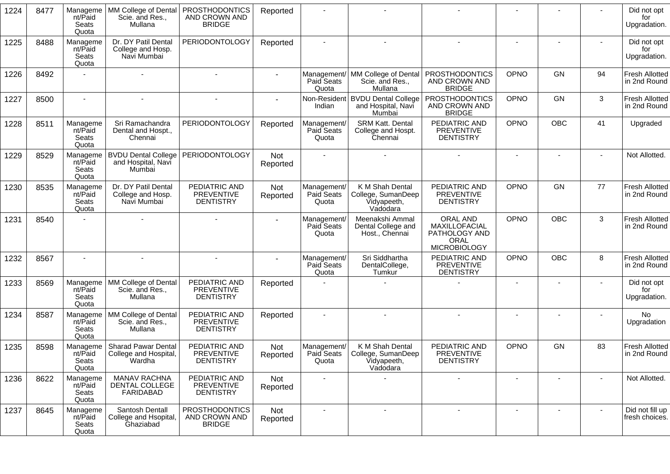| 1224 | 8477 | Manageme<br>nt/Paid<br>Seats<br>Quota | MM College of Dental<br>Scie. and Res.,<br>Mullana            | <b>PROSTHODONTICS</b><br>AND CROWN AND<br><b>BRIDGE</b> | Reported               |                                    |                                                                    |                                                                           |                          |            |    | Did not opt<br>for<br>Upgradation.    |
|------|------|---------------------------------------|---------------------------------------------------------------|---------------------------------------------------------|------------------------|------------------------------------|--------------------------------------------------------------------|---------------------------------------------------------------------------|--------------------------|------------|----|---------------------------------------|
| 1225 | 8488 | Manageme<br>nt/Paid<br>Seats<br>Quota | Dr. DY Patil Dental<br>College and Hosp.<br>Navi Mumbai       | <b>PERIODONTOLOGY</b>                                   | Reported               |                                    |                                                                    |                                                                           |                          |            |    | Did not opt<br>for<br>Upgradation.    |
| 1226 | 8492 |                                       |                                                               |                                                         |                        | Paid Seats<br>Quota                | Management/ MM College of Dental<br>Scie. and Res.,<br>Mullana     | PROSTHODONTICS<br>AND CROWN AND<br><b>BRIDGE</b>                          | OPNO                     | GN         | 94 | <b>Fresh Allotted</b><br>in 2nd Round |
| 1227 | 8500 | $\sim$                                |                                                               |                                                         |                        | Indian                             | Non-Resident   BVDU Dental College<br>and Hospital, Navi<br>Mumbai | <b>PROSTHODONTICS</b><br>AND CROWN AND<br><b>BRIDGE</b>                   | OPNO                     | GN         | 3  | <b>Fresh Allotted</b><br>in 2nd Round |
| 1228 | 8511 | Manageme<br>nt/Paid<br>Seats<br>Quota | Sri Ramachandra<br>Dental and Hospt.,<br>Chennai              | PERIODONTOLOGY                                          | Reported               | Management/<br>Paid Seats<br>Quota | SRM Katt. Dental<br>College and Hospt.<br>Chennai                  | PEDIATRIC AND<br><b>PREVENTIVE</b><br><b>DENTISTRY</b>                    | OPNO                     | <b>OBC</b> | 41 | Upgraded                              |
| 1229 | 8529 | Manageme<br>nt/Paid<br>Seats<br>Quota | <b>BVDU Dental College</b><br>and Hospital, Navi<br>Mumbai    | PERIODONTOLOGY                                          | Not<br>Reported        |                                    |                                                                    |                                                                           |                          |            |    | Not Allotted.                         |
| 1230 | 8535 | Manageme<br>nt/Paid<br>Seats<br>Quota | Dr. DY Patil Dental<br>College and Hosp.<br>Navi Mumbai       | PEDIATRIC AND<br><b>PREVENTIVE</b><br><b>DENTISTRY</b>  | Not<br>Reported        | Management/<br>Paid Seats<br>Quota | K M Shah Dental<br>College, SumanDeep<br>Vidyapeeth,<br>Vadodara   | PEDIATRIC AND<br><b>PREVENTIVE</b><br><b>DENTISTRY</b>                    | OPNO                     | GN         | 77 | Fresh Allotted<br>in 2nd Round        |
| 1231 | 8540 |                                       |                                                               |                                                         |                        | Management/<br>Paid Seats<br>Quota | Meenakshi Ammal<br>Dental College and<br>Host., Chennai            | ORAL AND<br>MAXILLOFACIAL<br>PATHOLOGY AND<br>ORAL<br><b>MICROBIOLOGY</b> | OPNO                     | <b>OBC</b> | 3  | <b>Fresh Allotted</b><br>in 2nd Round |
| 1232 | 8567 |                                       |                                                               |                                                         |                        | Management/<br>Paid Seats<br>Quota | Sri Siddhartha<br>DentalCollege,<br>Tumkur                         | PEDIATRIC AND<br><b>PREVENTIVE</b><br><b>DENTISTRY</b>                    | OPNO                     | OBC        | 8  | <b>Fresh Allotted</b><br>in 2nd Round |
| 1233 | 8569 | Manageme<br>nt/Paid<br>Seats<br>Quota | MM College of Dental<br>Scie. and Res.,<br>Mullana            | PEDIATRIC AND<br><b>PREVENTIVE</b><br><b>DENTISTRY</b>  | Reported               |                                    |                                                                    |                                                                           |                          |            |    | Did not opt<br>for<br>Upgradation.    |
| 1234 | 8587 | Manageme<br>nt/Paid<br>Seats<br>Quota | MM College of Dental<br>Scie. and Res.,<br>Mullana            | PEDIATRIC AND<br><b>PREVENTIVE</b><br><b>DENTISTRY</b>  | Reported               |                                    |                                                                    |                                                                           |                          |            |    | No.<br>Upgradation                    |
| 1235 | 8598 | Manageme<br>nt/Paid<br>Seats<br>Quota | <b>Sharad Pawar Dental</b><br>College and Hospital,<br>Wardha | PEDIATRIC AND<br><b>PREVENTIVE</b><br><b>DENTISTRY</b>  | <b>Not</b><br>Reported | Management/<br>Paid Seats<br>Quota | K M Shah Dental<br>College, SumanDeep<br>Vidyapeeth,<br>Vadodara   | PEDIATRIC AND<br><b>PREVENTIVE</b><br><b>DENTISTRY</b>                    | OPNO                     | GN         | 83 | Fresh Allotted<br>in 2nd Round        |
| 1236 | 8622 | Manageme<br>nt/Paid<br>Seats<br>Quota | <b>MANAV RACHNA</b><br>DENTAL COLLEGE<br>FARIDABAD            | PEDIATRIC AND<br>PREVENTIVE<br><b>DENTISTRY</b>         | Not<br>Reported        | $\overline{\phantom{a}}$           |                                                                    |                                                                           | $\overline{\phantom{a}}$ |            |    | Not Allotted.                         |
| 1237 | 8645 | Manageme<br>nt/Paid<br>Seats<br>Quota | Santosh Dentall<br>College and Hsopital,<br>Ghaziabad         | <b>PROSTHODONTICS</b><br>AND CROWN AND<br><b>BRIDGE</b> | Not<br>Reported        |                                    |                                                                    | $\overline{a}$                                                            |                          |            |    | Did not fill up<br>fresh choices.     |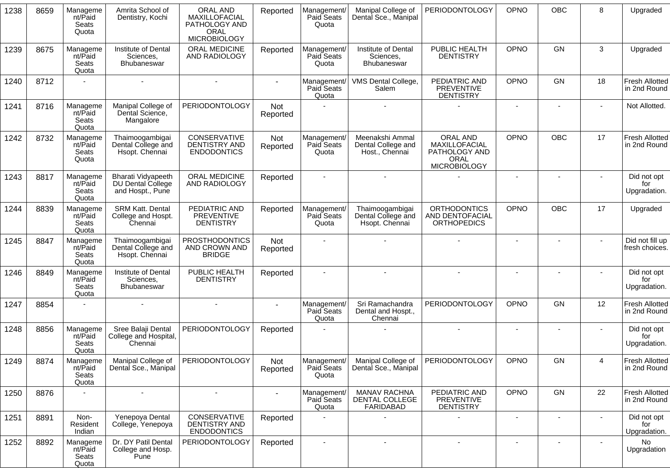| 1238 | 8659 | Manageme<br>nt/Paid<br>Seats<br>Quota | Amrita School of<br>Dentistry, Kochi                        | ORAL AND<br>MAXILLOFACIAL<br>PATHOLOGY AND<br>ORAL<br><b>MICROBIOLOGY</b> | Reported        | Management/<br>Paid Seats<br>Quota | Manipal College of<br>Dental Sce., Manipal              | <b>PERIODONTOLOGY</b>                                                     | OPNO                     | OBC                      | 8              | Upgraded                              |
|------|------|---------------------------------------|-------------------------------------------------------------|---------------------------------------------------------------------------|-----------------|------------------------------------|---------------------------------------------------------|---------------------------------------------------------------------------|--------------------------|--------------------------|----------------|---------------------------------------|
| 1239 | 8675 | Manageme<br>nt/Paid<br>Seats<br>Quota | Institute of Dental<br>Sciences,<br><b>Bhubaneswar</b>      | ORAL MEDICINE<br>AND RADIOLOGY                                            | Reported        | Management/<br>Paid Seats<br>Quota | Institute of Dental<br>Sciences,<br>Bhubaneswar         | PUBLIC HEALTH<br><b>DENTISTRY</b>                                         | OPNO                     | GN                       | 3              | Upgraded                              |
| 1240 | 8712 |                                       |                                                             |                                                                           |                 | Management/<br>Paid Seats<br>Quota | VMS Dental College,<br>Salem                            | PEDIATRIC AND<br><b>PREVENTIVE</b><br><b>DENTISTRY</b>                    | OPNO                     | GN                       | 18             | Fresh Allotted<br>in 2nd Round        |
| 1241 | 8716 | Manageme<br>nt/Paid<br>Seats<br>Quota | Manipal College of<br>Dental Science,<br>Mangalore          | <b>PERIODONTOLOGY</b>                                                     | Not<br>Reported |                                    |                                                         |                                                                           | $\blacksquare$           |                          |                | Not Allotted.                         |
| 1242 | 8732 | Manageme<br>nt/Paid<br>Seats<br>Quota | Thaimoogambigai<br>Dental College and<br>Hsopt. Chennai     | <b>CONSERVATIVE</b><br><b>DENTISTRY AND</b><br><b>ENDODONTICS</b>         | Not<br>Reported | Management/<br>Paid Seats<br>Quota | Meenakshi Ammal<br>Dental College and<br>Host., Chennai | ORAL AND<br>MAXILLOFACIAL<br>PATHOLOGY AND<br>ORAL<br><b>MICROBIOLOGY</b> | OPNO                     | <b>OBC</b>               | 17             | <b>Fresh Allotted</b><br>in 2nd Round |
| 1243 | 8817 | Manageme<br>nt/Paid<br>Seats<br>Quota | Bharati Vidyapeeth<br>DU Dental College<br>and Hospt., Pune | ORAL MEDICINE<br>AND RADIOLOGY                                            | Reported        |                                    |                                                         |                                                                           |                          |                          |                | Did not opt<br>for<br>Upgradation.    |
| 1244 | 8839 | Manageme<br>nt/Paid<br>Seats<br>Quota | <b>SRM Katt. Dental</b><br>College and Hospt.<br>Chennai    | PEDIATRIC AND<br>PREVENTIVE<br><b>DENTISTRY</b>                           | Reported        | Management/<br>Paid Seats<br>Quota | Thaimoogambigai<br>Dental College and<br>Hsopt. Chennai | <b>ORTHODONTICS</b><br>AND DENTOFACIAL<br><b>ORTHOPEDICS</b>              | OPNO                     | <b>OBC</b>               | 17             | Upgraded                              |
| 1245 | 8847 | Manageme<br>nt/Paid<br>Seats<br>Quota | Thaimoogambigai<br>Dental College and<br>Hsopt. Chennai     | <b>PROSTHODONTICS</b><br>AND CROWN AND<br><b>BRIDGE</b>                   | Not<br>Reported |                                    |                                                         |                                                                           | $\sim$                   |                          |                | Did not fill up<br>fresh choices.     |
| 1246 | 8849 | Manageme<br>nt/Paid<br>Seats<br>Quota | Institute of Dental<br>Sciences,<br>Bhubaneswar             | PUBLIC HEALTH<br><b>DENTISTRY</b>                                         | Reported        |                                    |                                                         |                                                                           |                          |                          |                | Did not opt<br>for<br>Upgradation.    |
| 1247 | 8854 |                                       |                                                             |                                                                           |                 | Management/<br>Paid Seats<br>Quota | Sri Ramachandra<br>Dental and Hospt.,<br>Chennai        | PERIODONTOLOGY                                                            | OPNO                     | <b>GN</b>                | 12             | <b>Fresh Allotted</b><br>in 2nd Round |
| 1248 | 8856 | Manageme<br>nt/Paid<br>Seats<br>Quota | Sree Balaji Dental<br>College and Hospital,<br>Chennai      | PERIODONTOLOGY                                                            | Reported        |                                    |                                                         |                                                                           |                          |                          |                | Did not opt<br>for<br>Upgradation.    |
| 1249 | 8874 | Manageme<br>nt/Paid<br>Seats<br>Quota | Manipal College of<br>Dental Sce., Manipal                  | PERIODONTOLOGY                                                            | Not<br>Reported | Management/<br>Paid Seats<br>Quota | Manipal College of<br>Dental Sce., Manipal              | PERIODONTOLOGY                                                            | OPNO                     | GN                       | $\overline{4}$ | <b>Fresh Allotted</b><br>in 2nd Round |
| 1250 | 8876 | $\blacksquare$                        | $\blacksquare$                                              | $\blacksquare$                                                            |                 | Management/<br>Paid Seats<br>Quota | <b>MANAV RACHNA</b><br>DENTAL COLLEGE<br>FARIDABAD      | PEDIATRIC AND<br><b>PREVENTIVE</b><br><b>DENTISTRY</b>                    | OPNO                     | GN                       | 22             | Fresh Allotted<br>in 2nd Round        |
| 1251 | 8891 | Non-<br>Resident<br>Indian            | Yenepoya Dental<br>College, Yenepoya                        | <b>CONSERVATIVE</b><br>DENTISTRY AND<br><b>ENDODONTICS</b>                | Reported        |                                    |                                                         |                                                                           | $\overline{\phantom{a}}$ | $\overline{\phantom{a}}$ | ٠              | Did not opt<br>for<br>Upgradation.    |
| 1252 | 8892 | Manageme<br>nt/Paid<br>Seats<br>Quota | Dr. DY Patil Dental<br>College and Hosp.<br>Pune            | <b>PERIODONTOLOGY</b>                                                     | Reported        | $\blacksquare$                     | $\blacksquare$                                          | $\blacksquare$                                                            |                          | $\overline{\phantom{a}}$ |                | No.<br>Upgradation                    |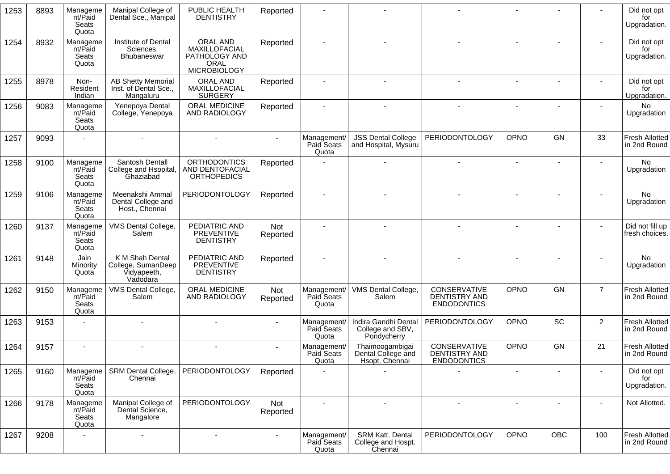| 1253 | 8893 | Manageme<br>nt/Paid<br>Seats<br>Quota | Manipal College of<br>Dental Sce., Manipal                       | PUBLIC HEALTH<br><b>DENTISTRY</b>                                         | Reported               |                                    |                                                          |                                                            |                              |           |                          | Did not opt<br>for<br>Upgradation.    |
|------|------|---------------------------------------|------------------------------------------------------------------|---------------------------------------------------------------------------|------------------------|------------------------------------|----------------------------------------------------------|------------------------------------------------------------|------------------------------|-----------|--------------------------|---------------------------------------|
| 1254 | 8932 | Manageme<br>nt/Paid<br>Seats<br>Quota | Institute of Dental<br>Sciences,<br>Bhubaneswar                  | ORAL AND<br>MAXILLOFACIAL<br>PATHOLOGY AND<br>ORAL<br><b>MICROBIOLOGY</b> | Reported               |                                    |                                                          |                                                            |                              |           |                          | Did not opt<br>for<br>Upgradation.    |
| 1255 | 8978 | Non-<br>Resident<br>Indian            | <b>AB Shetty Memorial</b><br>Inst. of Dental Sce.,<br>Mangaluru  | ORAL AND<br>MAXILLOFACIAL<br><b>SURGERY</b>                               | Reported               |                                    |                                                          |                                                            |                              |           |                          | Did not opt<br>for<br>Upgradation.    |
| 1256 | 9083 | Manageme<br>nt/Paid<br>Seats<br>Quota | Yenepoya Dental<br>College, Yenepoya                             | <b>ORAL MEDICINE</b><br>AND RADIOLOGY                                     | Reported               |                                    |                                                          |                                                            | $\qquad \qquad \blacksquare$ |           |                          | <b>No</b><br>Upgradation              |
| 1257 | 9093 |                                       |                                                                  |                                                                           |                        | Management/<br>Paid Seats<br>Quota | <b>JSS Dental College</b><br>and Hospital, Mysuru        | <b>PERIODONTOLOGY</b>                                      | OPNO                         | GN        | 33                       | <b>Fresh Allotted</b><br>in 2nd Round |
| 1258 | 9100 | Manageme<br>nt/Paid<br>Seats<br>Quota | Santosh Dentall<br>College and Hsopital,<br>Ghaziabad            | <b>ORTHODONTICS</b><br>AND DENTOFACIAL<br><b>ORTHOPEDICS</b>              | Reported               |                                    |                                                          |                                                            |                              |           |                          | No<br>Upgradation                     |
| 1259 | 9106 | Manageme<br>nt/Paid<br>Seats<br>Quota | Meenakshi Ammal<br>Dental College and<br>Host., Chennai          | PERIODONTOLOGY                                                            | Reported               |                                    |                                                          |                                                            |                              |           |                          | No<br>Upgradation                     |
| 1260 | 9137 | Manageme<br>nt/Paid<br>Seats<br>Quota | VMS Dental College,<br>Salem                                     | PEDIATRIC AND<br>PREVENTIVE<br><b>DENTISTRY</b>                           | <b>Not</b><br>Reported |                                    |                                                          |                                                            |                              |           |                          | Did not fill up<br>fresh choices.     |
| 1261 | 9148 | Jain<br>Minority<br>Quota             | K M Shah Dental<br>College, SumanDeep<br>Vidyapeeth,<br>Vadodara | PEDIATRIC AND<br><b>PREVENTIVE</b><br><b>DENTISTRY</b>                    | Reported               |                                    |                                                          |                                                            |                              |           |                          | <b>No</b><br>Upgradation              |
| 1262 | 9150 | Manageme<br>nt/Paid<br>Seats<br>Quota | VMS Dental College,<br>Salem                                     | ORAL MEDICINE<br>AND RADIOLOGY                                            | Not<br>Reported        | Management/<br>Paid Seats<br>Quota | VMS Dental College,<br>Salem                             | CONSERVATIVE<br><b>DENTISTRY AND</b><br><b>ENDODONTICS</b> | OPNO                         | <b>GN</b> | $\overline{7}$           | <b>Fresh Allotted</b><br>in 2nd Round |
| 1263 | 9153 |                                       |                                                                  |                                                                           |                        | Management/<br>Paid Seats<br>Quota | Indira Gandhi Dental<br>College and SBV,<br>Pondycherry  | PERIODONTOLOGY                                             | OPNO                         | <b>SC</b> | $\overline{2}$           | <b>Fresh Allotted</b><br>in 2nd Round |
| 1264 | 9157 |                                       |                                                                  |                                                                           |                        | Management/<br>Paid Seats<br>Quota | Thaimoogambigai<br>Dental College and<br>Hsopt. Chennai  | CONSERVATIVE<br><b>DENTISTRY AND</b><br><b>ENDODONTICS</b> | OPNO                         | GN        | 21                       | <b>Fresh Allotted</b><br>in 2nd Round |
| 1265 | 9160 | Manageme<br>nt/Paid<br>Seats<br>Quota | SRM Dental College,<br>Chennai                                   | PERIODONTOLOGY                                                            | Reported               |                                    |                                                          |                                                            |                              |           |                          | Did not opt<br>for<br>Upgradation.    |
| 1266 | 9178 | Manageme<br>nt/Paid<br>Seats<br>Quota | Manipal College of<br>Dental Science,<br>Mangalore               | <b>PERIODONTOLOGY</b>                                                     | Not<br>Reported        |                                    | $\overline{\phantom{a}}$                                 |                                                            |                              |           | $\overline{\phantom{a}}$ | Not Allotted.                         |
| 1267 | 9208 |                                       | $\blacksquare$                                                   | $\blacksquare$                                                            |                        | Management/<br>Paid Seats<br>Quota | <b>SRM Katt. Dental</b><br>College and Hospt.<br>Chennai | PERIODONTOLOGY                                             | OPNO                         | OBC       | 100                      | <b>Fresh Allotted</b><br>in 2nd Round |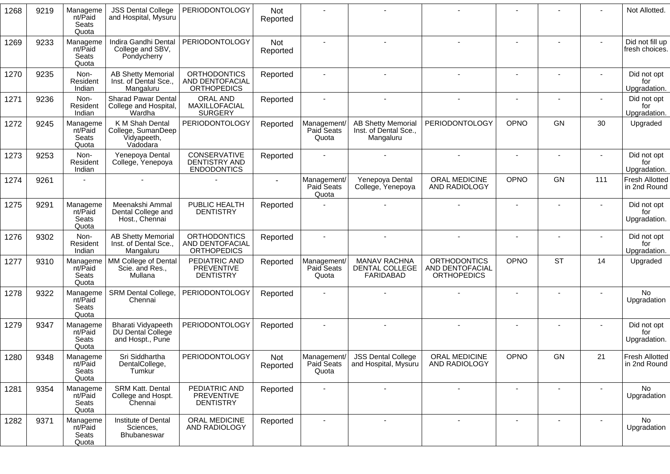| 1268 | 9219 | Manageme<br>nt/Paid<br>Seats<br>Quota | <b>JSS Dental College</b><br>and Hospital, Mysuru                  | <b>PERIODONTOLOGY</b>                                        | <b>Not</b><br>Reported |                                    |                                                                 |                                                                     |                |                |     | Not Allotted.                         |
|------|------|---------------------------------------|--------------------------------------------------------------------|--------------------------------------------------------------|------------------------|------------------------------------|-----------------------------------------------------------------|---------------------------------------------------------------------|----------------|----------------|-----|---------------------------------------|
| 1269 | 9233 | Manageme<br>nt/Paid<br>Seats<br>Quota | Indira Gandhi Dental<br>College and SBV,<br>Pondycherry            | PERIODONTOLOGY                                               | Not<br>Reported        |                                    |                                                                 |                                                                     |                |                |     | Did not fill up<br>fresh choices.     |
| 1270 | 9235 | Non-<br>Resident<br>Indian            | <b>AB Shetty Memorial</b><br>Inst. of Dental Sce.,<br>Mangaluru    | <b>ORTHODONTICS</b><br>AND DENTOFACIAL<br><b>ORTHOPEDICS</b> | Reported               |                                    |                                                                 |                                                                     |                | $\blacksquare$ |     | Did not opt<br>for<br>Upgradation.    |
| 1271 | 9236 | Non-<br>Resident<br>Indian            | <b>Sharad Pawar Dental</b><br>College and Hospital,<br>Wardha      | ORAL AND<br>MAXILLOFACIAL<br><b>SURGERY</b>                  | Reported               |                                    |                                                                 |                                                                     |                |                |     | Did not opt<br>for<br>Upgradation.    |
| 1272 | 9245 | Manageme<br>nt/Paid<br>Seats<br>Quota | K M Shah Dental<br>College, SumanDeep<br>Vidyapeeth,<br>Vadodara   | PERIODONTOLOGY                                               | Reported               | Management/<br>Paid Seats<br>Quota | <b>AB Shetty Memorial</b><br>Inst. of Dental Sce.,<br>Mangaluru | PERIODONTOLOGY                                                      | OPNO           | GN             | 30  | Upgraded                              |
| 1273 | 9253 | Non-<br>Resident<br>Indian            | Yenepoya Dental<br>College, Yenepoya                               | CONSERVATIVE<br>DENTISTRY AND<br><b>ENDODONTICS</b>          | Reported               |                                    |                                                                 |                                                                     | $\blacksquare$ |                |     | Did not opt<br>for<br>Upgradation.    |
| 1274 | 9261 |                                       |                                                                    |                                                              |                        | Management/<br>Paid Seats<br>Quota | Yenepoya Dental<br>College, Yenepoya                            | ORAL MEDICINE<br>AND RADIOLOGY                                      | OPNO           | GN             | 111 | <b>Fresh Allotted</b><br>in 2nd Round |
| 1275 | 9291 | Manageme<br>nt/Paid<br>Seats<br>Quota | Meenakshi Ammal<br>Dental College and<br>Host., Chennai            | PUBLIC HEALTH<br><b>DENTISTRY</b>                            | Reported               |                                    |                                                                 |                                                                     |                |                |     | Did not opt<br>for<br>Upgradation.    |
| 1276 | 9302 | Non-<br>Resident<br>Indian            | <b>AB Shetty Memorial</b><br>Inst. of Dental Sce.,<br>Mangaluru    | <b>ORTHODONTICS</b><br>AND DENTOFACIAL<br><b>ORTHOPEDICS</b> | Reported               |                                    | $\overline{a}$                                                  | $\sim$                                                              | $\blacksquare$ | $\sim$         |     | Did not opt<br>for<br>Upgradation.    |
| 1277 | 9310 | Manageme<br>nt/Paid<br>Seats<br>Quota | MM College of Dental<br>Scie. and Res.,<br>Mullana                 | PEDIATRIC AND<br><b>PREVENTIVE</b><br><b>DENTISTRY</b>       | Reported               | Management/<br>Paid Seats<br>Quota | <b>MANAV RACHNA</b><br>DENTAL COLLEGE<br><b>FARIDABAD</b>       | <b>ORTHODONTICS</b><br><b>AND DENTOFACIAL</b><br><b>ORTHOPEDICS</b> | OPNO           | <b>ST</b>      | 14  | Upgraded                              |
| 1278 | 9322 | Manageme<br>nt/Paid<br>Seats<br>Quota | SRM Dental College,<br>Chennai                                     | PERIODONTOLOGY                                               | Reported               |                                    |                                                                 |                                                                     |                |                |     | <b>No</b><br>Upgradation              |
| 1279 | 9347 | Manageme<br>nt/Paid<br>Seats<br>Quota | Bharati Vidyapeeth<br><b>DU Dental College</b><br>and Hospt., Pune | <b>PERIODONTOLOGY</b>                                        | Reported               |                                    |                                                                 |                                                                     |                |                |     | Did not opt<br>for<br>Upgradation.    |
| 1280 | 9348 | Manageme<br>nt/Paid<br>Seats<br>Quota | Sri Siddhartha<br>DentalCollege,<br>Tumkur                         | <b>PERIODONTOLOGY</b>                                        | <b>Not</b><br>Reported | Management/<br>Paid Seats<br>Quota | <b>JSS Dental College</b><br>and Hospital, Mysuru               | <b>ORAL MEDICINE</b><br>AND RADIOLOGY                               | OPNO           | GN             | 21  | <b>Fresh Allotted</b><br>in 2nd Round |
| 1281 | 9354 | Manageme<br>nt/Paid<br>Seats<br>Quota | <b>SRM Katt. Dental</b><br>College and Hospt.<br>Chennai           | PEDIATRIC AND<br>PREVENTIVE<br><b>DENTISTRY</b>              | Reported               |                                    | $\sim$                                                          |                                                                     | $\blacksquare$ |                |     | No.<br>Upgradation                    |
| 1282 | 9371 | Manageme<br>nt/Paid<br>Seats<br>Quota | Institute of Dental<br>Sciences,<br>Bhubaneswar                    | ORAL MEDICINE<br>AND RADIOLOGY                               | Reported               |                                    | $\sim$                                                          | $\blacksquare$                                                      |                | $\blacksquare$ |     | No<br>Upgradation                     |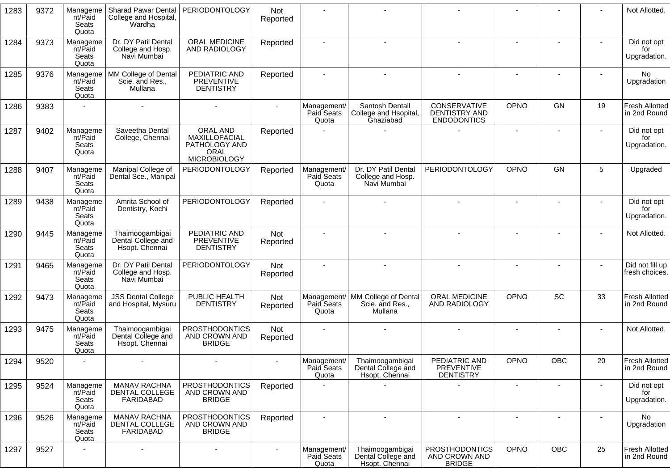| 1283 | 9372 | Manageme<br>nt/Paid<br>Seats<br>Quota | Sharad Pawar Dental<br>College and Hospital,<br>Wardha  | <b>PERIODONTOLOGY</b>                                                     | <b>Not</b><br>Reported |                                    |                                                                |                                                         |                |           |    | Not Allotted.                         |
|------|------|---------------------------------------|---------------------------------------------------------|---------------------------------------------------------------------------|------------------------|------------------------------------|----------------------------------------------------------------|---------------------------------------------------------|----------------|-----------|----|---------------------------------------|
| 1284 | 9373 | Manageme<br>nt/Paid<br>Seats<br>Quota | Dr. DY Patil Dental<br>College and Hosp.<br>Navi Mumbai | ORAL MEDICINE<br>AND RADIOLOGY                                            | Reported               |                                    |                                                                |                                                         |                |           |    | Did not opt<br>for<br>Upgradation.    |
| 1285 | 9376 | Manageme<br>nt/Paid<br>Seats<br>Quota | MM College of Dental<br>Scie. and Res.,<br>Mullana      | PEDIATRIC AND<br>PREVENTIVE<br><b>DENTISTRY</b>                           | Reported               |                                    |                                                                |                                                         | $\blacksquare$ |           |    | No.<br>Upgradation                    |
| 1286 | 9383 |                                       |                                                         |                                                                           |                        | Management/<br>Paid Seats<br>Quota | Santosh Dentall<br>College and Hsopital,<br>Ghaziabad          | CONSERVATIVE<br>DENTISTRY AND<br><b>ENDODONTICS</b>     | OPNO           | GN        | 19 | <b>Fresh Allotted</b><br>in 2nd Round |
| 1287 | 9402 | Manageme<br>nt/Paid<br>Seats<br>Quota | Saveetha Dental<br>College, Chennai                     | ORAL AND<br>MAXILLOFACIAL<br>PATHOLOGY AND<br>ORAL<br><b>MICROBIOLOGY</b> | Reported               |                                    |                                                                |                                                         | $\blacksquare$ |           |    | Did not opt<br>for<br>Upgradation.    |
| 1288 | 9407 | Manageme<br>nt/Paid<br>Seats<br>Quota | Manipal College of<br>Dental Sce., Manipal              | <b>PERIODONTOLOGY</b>                                                     | Reported               | Management/<br>Paid Seats<br>Quota | Dr. DY Patil Dental<br>College and Hosp.<br>Navi Mumbai        | PERIODONTOLOGY                                          | OPNO           | <b>GN</b> | 5  | Upgraded                              |
| 1289 | 9438 | Manageme<br>nt/Paid<br>Seats<br>Quota | Amrita School of<br>Dentistry, Kochi                    | <b>PERIODONTOLOGY</b>                                                     | Reported               |                                    |                                                                |                                                         | $\blacksquare$ |           |    | Did not opt<br>for<br>Upgradation.    |
| 1290 | 9445 | Manageme<br>nt/Paid<br>Seats<br>Quota | Thaimoogambigai<br>Dental College and<br>Hsopt. Chennai | PEDIATRIC AND<br>PREVENTIVE<br><b>DENTISTRY</b>                           | <b>Not</b><br>Reported |                                    |                                                                |                                                         |                |           |    | Not Allotted.                         |
| 1291 | 9465 | Manageme<br>nt/Paid<br>Seats<br>Quota | Dr. DY Patil Dental<br>College and Hosp.<br>Navi Mumbai | <b>PERIODONTOLOGY</b>                                                     | Not<br>Reported        |                                    |                                                                |                                                         | $\blacksquare$ |           |    | Did not fill up<br>fresh choices.     |
| 1292 | 9473 | Manageme<br>nt/Paid<br>Seats<br>Quota | <b>JSS Dental College</b><br>and Hospital, Mysuru       | PUBLIC HEALTH<br><b>DENTISTRY</b>                                         | Not<br>Reported        | Paid Seats<br>Quota                | Management/ MM College of Dental<br>Scie. and Res.,<br>Mullana | ORAL MEDICINE<br>AND RADIOLOGY                          | OPNO           | SC        | 33 | <b>Fresh Allotted</b><br>in 2nd Round |
| 1293 | 9475 | Manageme<br>nt/Paid<br>Seats<br>Quota | Thaimoogambigai<br>Dental College and<br>Hsopt. Chennai | <b>PROSTHODONTICS</b><br>AND CROWN AND<br><b>BRIDGE</b>                   | Not<br>Reported        |                                    |                                                                |                                                         |                |           |    | Not Allotted.                         |
| 1294 | 9520 |                                       |                                                         |                                                                           |                        | Management/<br>Paid Seats<br>Quota | Thaimoogambigai<br>Dental College and<br>Hsopt. Chennai        | PEDIATRIC AND<br><b>PREVENTIVE</b><br><b>DENTISTRY</b>  | OPNO           | OBC       | 20 | Fresh Allotted<br>in 2nd Round        |
| 1295 | 9524 | Manageme<br>nt/Paid<br>Seats<br>Quota | <b>MANAV RACHNA</b><br>DENTAL COLLEGE<br>FARIDABAD      | <b>PROSTHODONTICS</b><br>AND CROWN AND<br><b>BRIDGE</b>                   | Reported               |                                    |                                                                |                                                         |                |           |    | Did not opt<br>for<br>Upgradation.    |
| 1296 | 9526 | Manageme<br>nt/Paid<br>Seats<br>Quota | <b>MANAV RACHNA</b><br>DENTAL COLLEGE<br>FARIDABAD      | <b>PROSTHODONTICS</b><br>AND CROWN AND<br><b>BRIDGE</b>                   | Reported               | $\blacksquare$                     | $\sim$                                                         | $\blacksquare$                                          | $\blacksquare$ |           |    | No<br>Upgradation                     |
| 1297 | 9527 |                                       |                                                         | $\overline{\phantom{a}}$                                                  |                        | Management/<br>Paid Seats<br>Quota | Thaimoogambigai<br>Dental College and<br>Hsopt. Chennai        | <b>PROSTHODONTICS</b><br>AND CROWN AND<br><b>BRIDGE</b> | <b>OPNO</b>    | OBC       | 25 | Fresh Allotted<br>in 2nd Round        |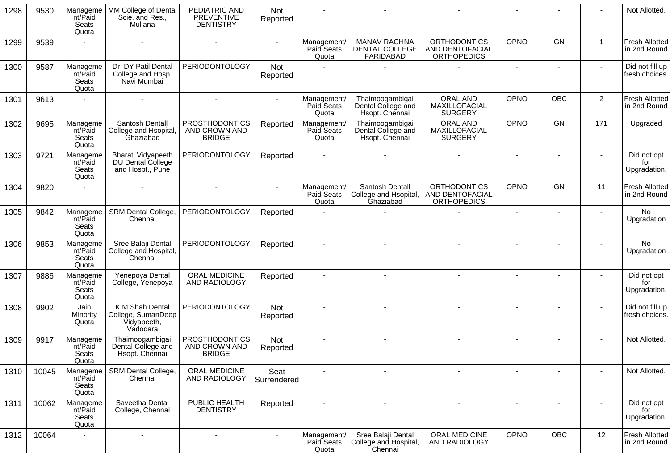| 1298 | 9530  | Manageme<br>nt/Paid<br>Seats<br>Quota | MM College of Dental<br>Scie. and Res.,<br>Mullana                 | PEDIATRIC AND<br><b>PREVENTIVE</b><br><b>DENTISTRY</b>  | <b>Not</b><br>Reported |                                    |                                                         |                                                              |                |            |                | Not Allotted.                         |
|------|-------|---------------------------------------|--------------------------------------------------------------------|---------------------------------------------------------|------------------------|------------------------------------|---------------------------------------------------------|--------------------------------------------------------------|----------------|------------|----------------|---------------------------------------|
| 1299 | 9539  |                                       |                                                                    |                                                         |                        | Management/<br>Paid Seats<br>Quota | <b>MANAV RACHNA</b><br>DENTAL COLLEGE<br>FARIDABAD      | <b>ORTHODONTICS</b><br>AND DENTOFACIAL<br><b>ORTHOPEDICS</b> | OPNO           | GN         | $\overline{1}$ | <b>Fresh Allotted</b><br>in 2nd Round |
| 1300 | 9587  | Manageme<br>nt/Paid<br>Seats<br>Quota | Dr. DY Patil Dental<br>College and Hosp.<br>Navi Mumbai            | <b>PERIODONTOLOGY</b>                                   | Not<br>Reported        |                                    |                                                         |                                                              |                |            |                | Did not fill up<br>fresh choices.     |
| 1301 | 9613  |                                       |                                                                    |                                                         |                        | Management/<br>Paid Seats<br>Quota | Thaimoogambigai<br>Dental College and<br>Hsopt. Chennai | ORAL AND<br>MAXILLOFACIAL<br><b>SURGERY</b>                  | <b>OPNO</b>    | <b>OBC</b> | $\overline{2}$ | <b>Fresh Allotted</b><br>in 2nd Round |
| 1302 | 9695  | Manageme<br>nt/Paid<br>Seats<br>Quota | Santosh Dentall<br>College and Hsopital,<br>Ghaziabad              | PROSTHODONTICS<br>AND CROWN AND<br><b>BRIDGE</b>        | Reported               | Management/<br>Paid Seats<br>Quota | Thaimoogambigai<br>Dental College and<br>Hsopt. Chennai | ORAL AND<br>MAXILLOFACIAL<br><b>SURGERY</b>                  | OPNO           | <b>GN</b>  | 171            | Upgraded                              |
| 1303 | 9721  | Manageme<br>nt/Paid<br>Seats<br>Quota | <b>Bharati Vidyapeeth</b><br>DU Dental College<br>and Hospt., Pune | <b>PERIODONTOLOGY</b>                                   | Reported               |                                    |                                                         |                                                              |                |            |                | Did not opt<br>for<br>Upgradation.    |
| 1304 | 9820  |                                       |                                                                    |                                                         |                        | Management/<br>Paid Seats<br>Quota | Santosh Dentall<br>College and Hsopital,<br>Ghaziabad   | <b>ORTHODONTICS</b><br>AND DENTOFACIAL<br><b>ORTHOPEDICS</b> | OPNO           | GN         | 11             | <b>Fresh Allotted</b><br>in 2nd Round |
| 1305 | 9842  | Manageme<br>nt/Paid<br>Seats<br>Quota | SRM Dental College,<br>Chennai                                     | <b>PERIODONTOLOGY</b>                                   | Reported               |                                    |                                                         |                                                              | $\blacksquare$ |            |                | <b>No</b><br>Upgradation              |
| 1306 | 9853  | Manageme<br>nt/Paid<br>Seats<br>Quota | Sree Balaji Dental<br>College and Hospital,<br>Chennai             | PERIODONTOLOGY                                          | Reported               |                                    |                                                         |                                                              |                |            |                | <b>No</b><br>Upgradation              |
| 1307 | 9886  | Manageme<br>nt/Paid<br>Seats<br>Quota | Yenepoya Dental<br>College, Yenepoya                               | ORAL MEDICINE<br>AND RADIOLOGY                          | Reported               |                                    |                                                         |                                                              |                |            |                | Did not opt<br>for<br>Upgradation.    |
| 1308 | 9902  | Jain<br>Minority<br>Quota             | K M Shah Dental<br>College, SumanDeep<br>Vidyapeeth,<br>Vadodara   | <b>PERIODONTOLOGY</b>                                   | Not<br>Reported        |                                    |                                                         |                                                              |                |            |                | Did not fill up<br>fresh choices.     |
| 1309 | 9917  | Manageme<br>nt/Paid<br>Seats<br>Quota | Thaimoogambigai<br>Dental College and<br>Hsopt. Chennai            | <b>PROSTHODONTICS</b><br>AND CROWN AND<br><b>BRIDGE</b> | Not<br>Reported        |                                    |                                                         |                                                              |                |            |                | Not Allotted.                         |
| 1310 | 10045 | Manageme<br>nt/Paid<br>Seats<br>Quota | <b>SRM Dental College,</b><br>Chennai                              | ORAL MEDICINE<br>AND RADIOLOGY                          | Seat<br>Surrendered    |                                    |                                                         |                                                              |                |            |                | Not Allotted.                         |
| 1311 | 10062 | Manageme<br>nt/Paid<br>Seats<br>Quota | Saveetha Dental<br>College, Chennai                                | PUBLIC HEALTH<br><b>DENTISTRY</b>                       | Reported               | $\overline{\phantom{a}}$           | ÷,                                                      |                                                              |                |            |                | Did not opt<br>for<br>Upgradation.    |
| 1312 | 10064 |                                       |                                                                    | $\sim$                                                  |                        | Management/<br>Paid Seats<br>Quota | Sree Balaji Dental<br>College and Hospital,<br>Chennai  | ORAL MEDICINE<br>AND RADIOLOGY                               | OPNO           | OBC        | 12             | Fresh Allotted<br>in 2nd Round        |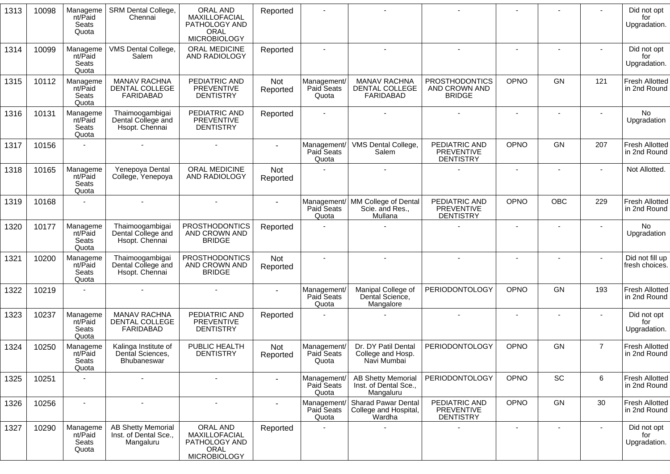| 1313 | 10098 | Manageme<br>nt/Paid<br>Seats<br>Quota | SRM Dental College,<br>Chennai                                  | <b>ORAL AND</b><br>MAXILLOFACIAL<br>PATHOLOGY AND<br>ORAL<br><b>MICROBIOLOGY</b> | Reported               |                                    |                                                                 |                                                         |                              |                          |                | Did not opt<br>for<br>Upgradation.    |
|------|-------|---------------------------------------|-----------------------------------------------------------------|----------------------------------------------------------------------------------|------------------------|------------------------------------|-----------------------------------------------------------------|---------------------------------------------------------|------------------------------|--------------------------|----------------|---------------------------------------|
| 1314 | 10099 | Manageme<br>nt/Paid<br>Seats<br>Quota | VMS Dental College,<br>Salem                                    | ORAL MEDICINE<br>AND RADIOLOGY                                                   | Reported               | $\blacksquare$                     | $\sim$                                                          |                                                         |                              |                          |                | Did not opt<br>for<br>Upgradation.    |
| 1315 | 10112 | Manageme<br>nt/Paid<br>Seats<br>Quota | <b>MANAV RACHNA</b><br>DENTAL COLLEGE<br><b>FARIDABAD</b>       | PEDIATRIC AND<br><b>PREVENTIVE</b><br><b>DENTISTRY</b>                           | <b>Not</b><br>Reported | Management/<br>Paid Seats<br>Quota | <b>MANAV RACHNA</b><br>DENTAL COLLEGE<br>FARIDABAD              | <b>PROSTHODONTICS</b><br>AND CROWN AND<br><b>BRIDGE</b> | OPNO                         | GN                       | 121            | <b>Fresh Allotted</b><br>in 2nd Round |
| 1316 | 10131 | Manageme<br>nt/Paid<br>Seats<br>Quota | Thaimoogambigai<br>Dental College and<br>Hsopt. Chennai         | PEDIATRIC AND<br>PREVENTIVE<br><b>DENTISTRY</b>                                  | Reported               |                                    |                                                                 |                                                         | $\overline{\phantom{a}}$     |                          |                | <b>No</b><br>Upgradation              |
| 1317 | 10156 |                                       |                                                                 |                                                                                  |                        | Management/<br>Paid Seats<br>Quota | VMS Dental College,<br>Salem                                    | PEDIATRIC AND<br><b>PREVENTIVE</b><br><b>DENTISTRY</b>  | OPNO                         | GN                       | 207            | <b>Fresh Allotted</b><br>in 2nd Round |
| 1318 | 10165 | Manageme<br>nt/Paid<br>Seats<br>Quota | Yenepoya Dental<br>College, Yenepoya                            | ORAL MEDICINE<br><b>AND RADIOLOGY</b>                                            | Not<br>Reported        |                                    |                                                                 |                                                         | $\qquad \qquad \blacksquare$ |                          |                | Not Allotted.                         |
| 1319 | 10168 |                                       |                                                                 |                                                                                  |                        | Paid Seats<br>Quota                | Management/ MM College of Dental<br>Scie. and Res.,<br>Mullana  | PEDIATRIC AND<br><b>PREVENTIVE</b><br><b>DENTISTRY</b>  | OPNO                         | <b>OBC</b>               | 229            | <b>Fresh Allotted</b><br>in 2nd Round |
| 1320 | 10177 | Manageme<br>nt/Paid<br>Seats<br>Quota | Thaimoogambigai<br>Dental College and<br>Hsopt. Chennai         | <b>PROSTHODONTICS</b><br>AND CROWN AND<br><b>BRIDGE</b>                          | Reported               |                                    |                                                                 |                                                         |                              |                          |                | No<br>Upgradation                     |
| 1321 | 10200 | Manageme<br>nt/Paid<br>Seats<br>Quota | Thaimoogambigai<br>Dental College and<br>Hsopt. Chennai         | <b>PROSTHODONTICS</b><br>AND CROWN AND<br><b>BRIDGE</b>                          | Not<br>Reported        |                                    |                                                                 |                                                         |                              |                          |                | Did not fill up<br>fresh choices.     |
| 1322 | 10219 |                                       |                                                                 |                                                                                  |                        | Management/<br>Paid Seats<br>Quota | Manipal College of<br>Dental Science,<br>Mangalore              | PERIODONTOLOGY                                          | OPNO                         | GN                       | 193            | <b>Fresh Allotted</b><br>in 2nd Round |
| 1323 | 10237 | Manageme<br>nt/Paid<br>Seats<br>Quota | <b>MANAV RACHNA</b><br><b>DENTAL COLLEGE</b><br>FARIDABAD       | PEDIATRIC AND<br>PREVENTIVE<br><b>DENTISTRY</b>                                  | Reported               |                                    |                                                                 |                                                         |                              |                          |                | Did not opt<br>for<br>Upgradation.    |
| 1324 | 10250 | Manageme<br>nt/Paid<br>Seats<br>Quota | Kalinga Institute of<br>Dental Sciences,<br>Bhubaneswar         | PUBLIC HEALTH<br><b>DENTISTRY</b>                                                | <b>Not</b><br>Reported | Management/<br>Paid Seats<br>Quota | Dr. DY Patil Dental<br>College and Hosp.<br>Navi Mumbai         | PERIODONTOLOGY                                          | OPNO                         | GN                       | $\overline{7}$ | <b>Fresh Allotted</b><br>in 2nd Round |
| 1325 | 10251 |                                       | $\overline{\phantom{a}}$                                        |                                                                                  |                        | Management/<br>Paid Seats<br>Quota | <b>AB Shetty Memorial</b><br>Inst. of Dental Sce.,<br>Mangaluru | <b>PERIODONTOLOGY</b>                                   | OPNO                         | SC                       | 6              | <b>Fresh Allotted</b><br>in 2nd Round |
| 1326 | 10256 | $\sim$                                | $\blacksquare$                                                  | $\blacksquare$                                                                   |                        | Management<br>Paid Seats<br>Quota  | <b>Sharad Pawar Dental</b><br>College and Hospital,<br>Wardha   | PEDIATRIC AND<br><b>PREVENTIVE</b><br><b>DENTISTRY</b>  | OPNO                         | GN                       | 30             | <b>Fresh Allotted</b><br>in 2nd Round |
| 1327 | 10290 | Manageme<br>nt/Paid<br>Seats<br>Quota | <b>AB Shetty Memorial</b><br>Inst. of Dental Sce.,<br>Mangaluru | ORAL AND<br>MAXILLOFACIAL<br>PATHOLOGY AND<br>ORAL<br><b>MICROBIOLOGY</b>        | Reported               |                                    |                                                                 |                                                         | $\qquad \qquad \blacksquare$ | $\overline{\phantom{a}}$ | $\blacksquare$ | Did not opt<br>for<br>Upgradation.    |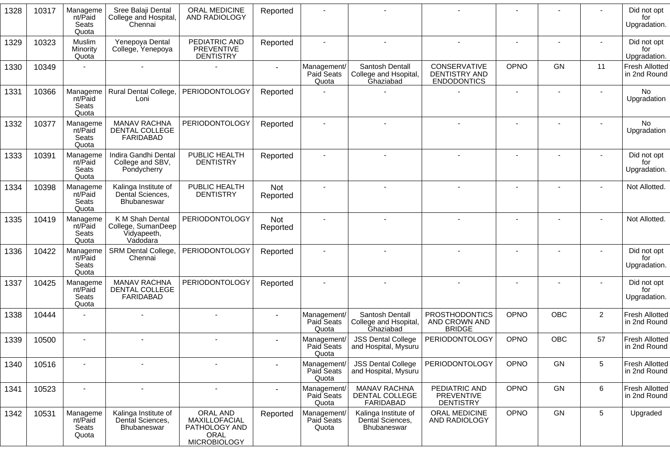| 1328 | 10317 | Manageme<br>nt/Paid<br>Seats<br>Quota | Sree Balaji Dental<br>College and Hospital,<br>Chennai           | <b>ORAL MEDICINE</b><br>AND RADIOLOGY                                            | Reported        |                                    |                                                           |                                                         |                          |            |                | Did not opt<br>for<br>Upgradation.    |
|------|-------|---------------------------------------|------------------------------------------------------------------|----------------------------------------------------------------------------------|-----------------|------------------------------------|-----------------------------------------------------------|---------------------------------------------------------|--------------------------|------------|----------------|---------------------------------------|
| 1329 | 10323 | Muslim<br>Minority<br>Quota           | Yenepoya Dental<br>College, Yenepoya                             | PEDIATRIC AND<br><b>PREVENTIVE</b><br><b>DENTISTRY</b>                           | Reported        |                                    |                                                           |                                                         |                          |            |                | Did not opt<br>for<br>Upgradation.    |
| 1330 | 10349 |                                       |                                                                  |                                                                                  |                 | Management/<br>Paid Seats<br>Quota | Santosh Dentall<br>College and Hsopital,<br>Ghaziabad     | CONSERVATIVE<br>DENTISTRY AND<br><b>ENDODONTICS</b>     | OPNO                     | <b>GN</b>  | 11             | <b>Fresh Allotted</b><br>in 2nd Round |
| 1331 | 10366 | Manageme<br>nt/Paid<br>Seats<br>Quota | <b>Rural Dental College,</b><br>Loni                             | <b>PERIODONTOLOGY</b>                                                            | Reported        |                                    |                                                           |                                                         | $\blacksquare$           |            |                | No<br>Upgradation                     |
| 1332 | 10377 | Manageme<br>nt/Paid<br>Seats<br>Quota | MANAV RACHNA<br>DENTAL COLLEGE<br>FARIDABAD                      | <b>PERIODONTOLOGY</b>                                                            | Reported        |                                    |                                                           |                                                         |                          |            |                | No<br>Upgradation                     |
| 1333 | 10391 | Manageme<br>nt/Paid<br>Seats<br>Quota | Indira Gandhi Dental<br>College and SBV,<br>Pondycherry          | PUBLIC HEALTH<br><b>DENTISTRY</b>                                                | Reported        |                                    |                                                           |                                                         |                          |            |                | Did not opt<br>for<br>Upgradation.    |
| 1334 | 10398 | Manageme<br>nt/Paid<br>Seats<br>Quota | Kalinga Institute of<br>Dental Sciences,<br>Bhubaneswar          | PUBLIC HEALTH<br><b>DENTISTRY</b>                                                | Not<br>Reported |                                    |                                                           |                                                         |                          |            |                | Not Allotted.                         |
| 1335 | 10419 | Manageme<br>nt/Paid<br>Seats<br>Quota | K M Shah Dental<br>College, SumanDeep<br>Vidyapeeth,<br>Vadodara | <b>PERIODONTOLOGY</b>                                                            | Not<br>Reported |                                    |                                                           |                                                         |                          |            |                | Not Allotted.                         |
| 1336 | 10422 | Manageme<br>nt/Paid<br>Seats<br>Quota | SRM Dental College,<br>Chennai                                   | <b>PERIODONTOLOGY</b>                                                            | Reported        |                                    |                                                           |                                                         |                          |            |                | Did not opt<br>for<br>Upgradation.    |
| 1337 | 10425 | Manageme<br>nt/Paid<br>Seats<br>Quota | <b>MANAV RACHNA</b><br>DENTAL COLLEGE<br>FARIDABAD               | <b>PERIODONTOLOGY</b>                                                            | Reported        |                                    |                                                           |                                                         | $\overline{\phantom{a}}$ |            |                | Did not opt<br>for<br>Upgradation.    |
| 1338 | 10444 |                                       |                                                                  |                                                                                  |                 | Management/<br>Paid Seats<br>Quota | Santosh Dentall<br>College and Hsopital,<br>Ghaziabad     | <b>PROSTHODONTICS</b><br>AND CROWN AND<br><b>BRIDGE</b> | OPNO                     | OBC        | $\overline{2}$ | <b>Fresh Allotted</b><br>in 2nd Round |
| 1339 | 10500 |                                       |                                                                  |                                                                                  |                 | Management<br>Paid Seats<br>Quota  | <b>JSS Dental College</b><br>and Hospital, Mysuru         | <b>PERIODONTOLOGY</b>                                   | <b>OPNO</b>              | <b>OBC</b> | 57             | Fresh Allotted<br>in 2nd Round        |
| 1340 | 10516 | $\overline{\phantom{a}}$              |                                                                  |                                                                                  |                 | Management/<br>Paid Seats<br>Quota | <b>JSS Dental College</b><br>and Hospital, Mysuru         | PERIODONTOLOGY                                          | OPNO                     | GN         | 5              | Fresh Allotted<br>in 2nd Round        |
| 1341 | 10523 | $\blacksquare$                        | $\blacksquare$                                                   | $\blacksquare$                                                                   |                 | Management/<br>Paid Seats<br>Quota | <b>MANAV RACHNA</b><br><b>DENTAL COLLEGE</b><br>FARIDABAD | PEDIATRIC AND<br><b>PREVENTIVE</b><br><b>DENTISTRY</b>  | OPNO                     | GN         | 6              | <b>Fresh Allotted</b><br>in 2nd Round |
| 1342 | 10531 | Manageme<br>nt/Paid<br>Seats<br>Quota | Kalinga Institute of<br>Dental Sciences,<br>Bhubaneswar          | ORAL AND<br>MAXILLOFACIAL<br>PATHOLOGY AND<br><b>ORAL</b><br><b>MICROBIOLOGY</b> | Reported        | Management/<br>Paid Seats<br>Quota | Kalinga Institute of<br>Dental Sciences,<br>Bhubaneswar   | ORAL MEDICINE<br>AND RADIOLOGY                          | OPNO                     | GN         | 5              | Upgraded                              |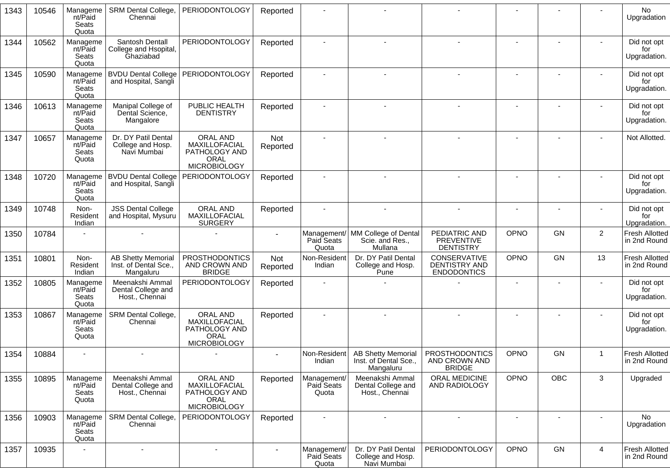| 1343 | 10546 | Manageme<br>nt/Paid<br>Seats<br>Quota | <b>SRM Dental College,</b><br>Chennai                           | <b>PERIODONTOLOGY</b>                                                            | Reported               |                                    |                                                                 |                                                         |                          |           |                | <b>No</b><br>Upgradation              |
|------|-------|---------------------------------------|-----------------------------------------------------------------|----------------------------------------------------------------------------------|------------------------|------------------------------------|-----------------------------------------------------------------|---------------------------------------------------------|--------------------------|-----------|----------------|---------------------------------------|
| 1344 | 10562 | Manageme<br>nt/Paid<br>Seats<br>Quota | Santosh Dentall<br>College and Hsopital,<br>Ghaziabad           | <b>PERIODONTOLOGY</b>                                                            | Reported               |                                    |                                                                 |                                                         |                          |           |                | Did not opt<br>for<br>Upgradation.    |
| 1345 | 10590 | Manageme<br>nt/Paid<br>Seats<br>Quota | <b>BVDU Dental College</b><br>and Hospital, Sangli              | PERIODONTOLOGY                                                                   | Reported               |                                    |                                                                 |                                                         |                          |           |                | Did not opt<br>for<br>Upgradation.    |
| 1346 | 10613 | Manageme<br>nt/Paid<br>Seats<br>Quota | Manipal College of<br>Dental Science,<br>Mangalore              | PUBLIC HEALTH<br><b>DENTISTRY</b>                                                | Reported               |                                    |                                                                 |                                                         |                          |           |                | Did not opt<br>for<br>Upgradation.    |
| 1347 | 10657 | Manageme<br>nt/Paid<br>Seats<br>Quota | Dr. DY Patil Dental<br>College and Hosp.<br>Navi Mumbai         | ORAL AND<br>MAXILLOFACIAL<br>PATHOLOGY AND<br>ORAL<br><b>MICROBIOLOGY</b>        | Not<br>Reported        |                                    |                                                                 |                                                         |                          |           |                | Not Allotted.                         |
| 1348 | 10720 | Manageme<br>nt/Paid<br>Seats<br>Quota | <b>BVDU Dental College</b><br>and Hospital, Sangli              | <b>PERIODONTOLOGY</b>                                                            | Reported               |                                    |                                                                 |                                                         |                          |           |                | Did not opt<br>for<br>Upgradation.    |
| 1349 | 10748 | Non-<br>Resident<br>Indian            | <b>JSS Dental College</b><br>and Hospital, Mysuru               | ORAL AND<br>MAXILLOFACIAL<br><b>SURGERY</b>                                      | Reported               |                                    |                                                                 |                                                         |                          |           |                | Did not opt<br>for<br>Upgradation.    |
| 1350 | 10784 |                                       |                                                                 |                                                                                  |                        | Paid Seats<br>Quota                | Management/ MM College of Dental<br>Scie. and Res.,<br>Mullana  | PEDIATRIC AND<br>PREVENTIVE<br><b>DENTISTRY</b>         | <b>OPNO</b>              | GN        | $\overline{c}$ | <b>Fresh Allotted</b><br>in 2nd Round |
| 1351 | 10801 | Non-<br>Resident<br>Indian            | <b>AB Shetty Memorial</b><br>Inst. of Dental Sce.,<br>Mangaluru | <b>PROSTHODONTICS</b><br>AND CROWN AND<br><b>BRIDGE</b>                          | <b>Not</b><br>Reported | Non-Resident<br>Indian             | Dr. DY Patil Dental<br>College and Hosp.<br>Pune                | CONSERVATIVE<br>DENTISTRY AND<br><b>ENDODONTICS</b>     | <b>OPNO</b>              | <b>GN</b> | 13             | <b>Fresh Allotted</b><br>in 2nd Round |
| 1352 | 10805 | Manageme<br>nt/Paid<br>Seats<br>Quota | Meenakshi Ammal<br>Dental College and<br>Host., Chennai         | <b>PERIODONTOLOGY</b>                                                            | Reported               |                                    |                                                                 |                                                         | $\blacksquare$           |           |                | Did not opt<br>for<br>Upgradation.    |
| 1353 | 10867 | Manageme<br>nt/Paid<br>Seats<br>Quota | SRM Dental College,<br>Chennai                                  | ORAL AND<br>MAXILLOFACIAL<br>PATHOLOGY AND<br>ORAL<br><b>MICROBIOLOGY</b>        | Reported               |                                    |                                                                 |                                                         |                          |           |                | Did not opt<br>for<br>Upgradation.    |
| 1354 | 10884 |                                       |                                                                 |                                                                                  |                        | Non-Resident<br>Indian             | <b>AB Shetty Memorial</b><br>Inst. of Dental Sce.,<br>Mangaluru | <b>PROSTHODONTICS</b><br>AND CROWN AND<br><b>BRIDGE</b> | <b>OPNO</b>              | <b>GN</b> | $\mathbf 1$    | <b>Fresh Allotted</b><br>in 2nd Round |
| 1355 | 10895 | Manageme<br>nt/Paid<br>Seats<br>Quota | Meenakshi Ammal<br>Dental College and<br>Host., Chennai         | ORAL AND<br>MAXILLOFACIAL<br>PATHOLOGY AND<br><b>ORAL</b><br><b>MICROBIOLOGY</b> | Reported               | Management/<br>Paid Seats<br>Quota | Meenakshi Ammal<br>Dental College and<br>Host., Chennai         | ORAL MEDICINE<br>AND RADIOLOGY                          | OPNO                     | OBC       | 3              | Upgraded                              |
| 1356 | 10903 | Manageme<br>nt/Paid<br>Seats<br>Quota | SRM Dental College,<br>Chennai                                  | <b>PERIODONTOLOGY</b>                                                            | Reported               | $\blacksquare$                     | $\sim$                                                          |                                                         | $\overline{\phantom{a}}$ |           |                | No.<br>Upgradation                    |
| 1357 | 10935 |                                       |                                                                 | $\blacksquare$                                                                   |                        | Management/<br>Paid Seats<br>Quota | Dr. DY Patil Dental<br>College and Hosp.<br>Navi Mumbai         | PERIODONTOLOGY                                          | <b>OPNO</b>              | GN        | $\overline{4}$ | <b>Fresh Allotted</b><br>in 2nd Round |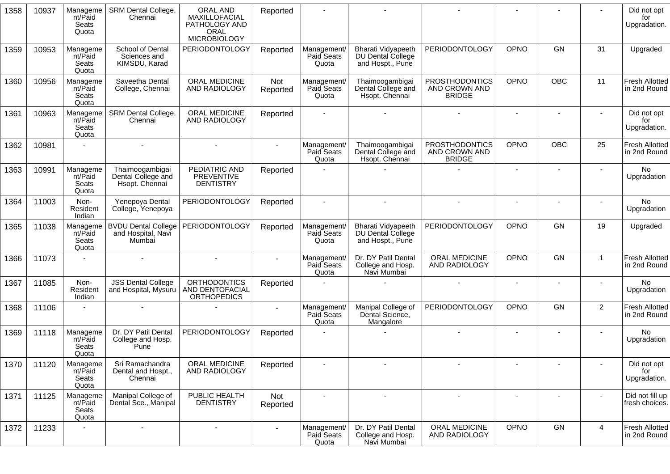| 1358 | 10937 | Manageme<br>nt/Paid<br>Seats<br>Quota | SRM Dental College,<br>Chennai                             | <b>ORAL AND</b><br>MAXILLOFACIAL<br>PATHOLOGY AND<br><b>ORAL</b><br><b>MICROBIOLOGY</b> | Reported        |                                    |                                                                    |                                                         | $\blacksquare$           |                          |                          | Did not opt<br>for<br>Upgradation.    |
|------|-------|---------------------------------------|------------------------------------------------------------|-----------------------------------------------------------------------------------------|-----------------|------------------------------------|--------------------------------------------------------------------|---------------------------------------------------------|--------------------------|--------------------------|--------------------------|---------------------------------------|
| 1359 | 10953 | Manageme<br>nt/Paid<br>Seats<br>Quota | School of Dental<br>Sciences and<br>KIMSDU, Karad          | PERIODONTOLOGY                                                                          | Reported        | Management/<br>Paid Seats<br>Quota | <b>Bharati Vidyapeeth</b><br>DU Dental College<br>and Hospt., Pune | PERIODONTOLOGY                                          | OPNO                     | GN                       | 31                       | Upgraded                              |
| 1360 | 10956 | Manageme<br>nt/Paid<br>Seats<br>Quota | Saveetha Dental<br>College, Chennai                        | ORAL MEDICINE<br>AND RADIOLOGY                                                          | Not<br>Reported | Management/<br>Paid Seats<br>Quota | Thaimoogambigai<br>Dental College and<br>Hsopt. Chennai            | <b>PROSTHODONTICS</b><br>AND CROWN AND<br><b>BRIDGE</b> | <b>OPNO</b>              | OBC                      | 11                       | <b>Fresh Allotted</b><br>in 2nd Round |
| 1361 | 10963 | Manageme<br>nt/Paid<br>Seats<br>Quota | SRM Dental College,<br>Chennai                             | ORAL MEDICINE<br>AND RADIOLOGY                                                          | Reported        |                                    |                                                                    |                                                         | $\sim$                   |                          |                          | Did not opt<br>for<br>Upgradation.    |
| 1362 | 10981 | $\sim$                                | $\blacksquare$                                             |                                                                                         | $\sim$          | Management/<br>Paid Seats<br>Quota | Thaimoogambigai<br>Dental College and<br>Hsopt. Chennai            | <b>PROSTHODONTICS</b><br>AND CROWN AND<br><b>BRIDGE</b> | <b>OPNO</b>              | <b>OBC</b>               | 25                       | <b>Fresh Allotted</b><br>in 2nd Round |
| 1363 | 10991 | Manageme<br>nt/Paid<br>Seats<br>Quota | Thaimoogambigai<br>Dental College and<br>Hsopt. Chennai    | PEDIATRIC AND<br>PREVENTIVE<br><b>DENTISTRY</b>                                         | Reported        |                                    |                                                                    |                                                         | $\blacksquare$           |                          | $\blacksquare$           | <b>No</b><br>Upgradation              |
| 1364 | 11003 | Non-<br>Resident<br>Indian            | Yenepoya Dental<br>College, Yenepoya                       | PERIODONTOLOGY                                                                          | Reported        | $\sim$                             | $\sim$                                                             | $\blacksquare$                                          | $\blacksquare$           | $\blacksquare$           | $\blacksquare$           | <b>No</b><br>Upgradation              |
| 1365 | 11038 | Manageme<br>nt/Paid<br>Seats<br>Quota | <b>BVDU Dental College</b><br>and Hospital, Navi<br>Mumbai | PERIODONTOLOGY                                                                          | Reported        | Management/<br>Paid Seats<br>Quota | Bharati Vidyapeeth<br>DU Dental College<br>and Hospt., Pune        | <b>PERIODONTOLOGY</b>                                   | OPNO                     | GN                       | 19                       | Upgraded                              |
| 1366 | 11073 |                                       | $\sim$                                                     |                                                                                         |                 | Management/<br>Paid Seats<br>Quota | Dr. DY Patil Dental<br>College and Hosp.<br>Navi Mumbai            | ORAL MEDICINE<br>AND RADIOLOGY                          | <b>OPNO</b>              | <b>GN</b>                | $\mathbf{1}$             | <b>Fresh Allotted</b><br>in 2nd Round |
| 1367 | 11085 | Non-<br>Resident<br>Indian            | <b>JSS Dental College</b><br>and Hospital, Mysuru          | <b>ORTHODONTICS</b><br><b>AND DENTOFACIAL</b><br><b>ORTHOPEDICS</b>                     | Reported        |                                    |                                                                    | $\blacksquare$                                          | $\overline{\phantom{a}}$ | $\blacksquare$           | $\blacksquare$           | No<br>Upgradation                     |
| 1368 | 11106 |                                       |                                                            |                                                                                         | $\blacksquare$  | Management/<br>Paid Seats<br>Quota | Manipal College of<br>Dental Science,<br>Mangalore                 | <b>PERIODONTOLOGY</b>                                   | OPNO                     | <b>GN</b>                | 2                        | <b>Fresh Allotted</b><br>in 2nd Round |
| 1369 | 11118 | Manageme<br>nt/Paid<br>Seats<br>Quota | Dr. DY Patil Dental<br>College and Hosp.<br>Pune           | PERIODONTOLOGY                                                                          | Reported        |                                    |                                                                    |                                                         | $\blacksquare$           |                          |                          | No<br>Upgradation                     |
| 1370 | 11120 | Manageme<br>nt/Paid<br>Seats<br>Quota | Sri Ramachandra<br>Dental and Hospt.,<br>Chennai           | ORAL MEDICINE<br>AND RADIOLOGY                                                          | Reported        |                                    |                                                                    | $\overline{\phantom{a}}$                                |                          | $\overline{\phantom{a}}$ | $\overline{\phantom{a}}$ | Did not opt<br>for<br>Upgradation.    |
| 1371 | 11125 | Manageme<br>nt/Paid<br>Seats<br>Quota | Manipal College of<br>Dental Sce., Manipal                 | PUBLIC HEALTH<br><b>DENTISTRY</b>                                                       | Not<br>Reported |                                    |                                                                    |                                                         |                          |                          |                          | Did not fill up<br>fresh choices.     |
| 1372 | 11233 |                                       |                                                            |                                                                                         |                 | Management/<br>Paid Seats<br>Quota | Dr. DY Patil Dental<br>College and Hosp.<br>Navi Mumbai            | ORAL MEDICINE<br>AND RADIOLOGY                          | OPNO                     | GN                       | $\overline{4}$           | <b>Fresh Allotted</b><br>in 2nd Round |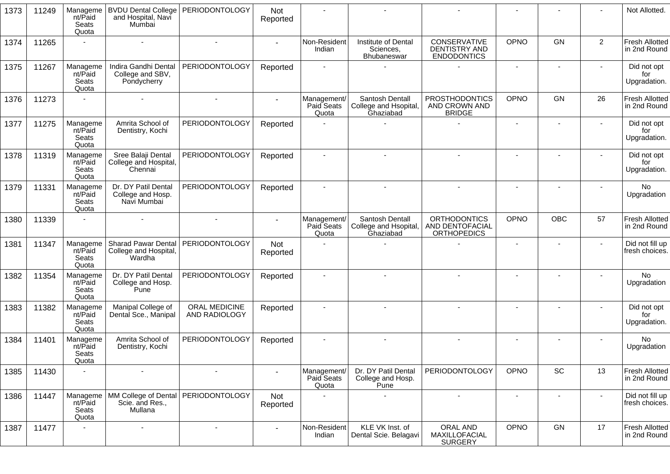| 1373 | 11249 | Manageme<br>nt/Paid<br>Seats<br>Quota | <b>BVDU Dental College</b><br>and Hospital, Navi<br>Mumbai    | <b>PERIODONTOLOGY</b>                 | Not<br>Reported |                                    |                                                       |                                                              |                |                              |                | Not Allotted.                         |
|------|-------|---------------------------------------|---------------------------------------------------------------|---------------------------------------|-----------------|------------------------------------|-------------------------------------------------------|--------------------------------------------------------------|----------------|------------------------------|----------------|---------------------------------------|
| 1374 | 11265 |                                       |                                                               |                                       |                 | Non-Resident<br>Indian             | Institute of Dental<br>Sciences,<br>Bhubaneswar       | CONSERVATIVE<br><b>DENTISTRY AND</b><br><b>ENDODONTICS</b>   | OPNO           | <b>GN</b>                    | $\overline{2}$ | <b>Fresh Allotted</b><br>in 2nd Round |
| 1375 | 11267 | Manageme<br>nt/Paid<br>Seats<br>Quota | Indira Gandhi Dental<br>College and SBV,<br>Pondycherry       | <b>PERIODONTOLOGY</b>                 | Reported        |                                    |                                                       |                                                              |                |                              |                | Did not opt<br>for<br>Upgradation.    |
| 1376 | 11273 |                                       |                                                               |                                       |                 | Management/<br>Paid Seats<br>Quota | Santosh Dentall<br>College and Hsopital,<br>Ghaziabad | <b>PROSTHODONTICS</b><br>AND CROWN AND<br><b>BRIDGE</b>      | OPNO           | GN                           | 26             | Fresh Allotted<br>in 2nd Round        |
| 1377 | 11275 | Manageme<br>nt/Paid<br>Seats<br>Quota | Amrita School of<br>Dentistry, Kochi                          | <b>PERIODONTOLOGY</b>                 | Reported        |                                    |                                                       |                                                              | $\blacksquare$ |                              |                | Did not opt<br>for<br>Upgradation.    |
| 1378 | 11319 | Manageme<br>nt/Paid<br>Seats<br>Quota | Sree Balaji Dental<br>College and Hospital,<br>Chennai        | PERIODONTOLOGY                        | Reported        |                                    |                                                       |                                                              |                |                              |                | Did not opt<br>for<br>Upgradation.    |
| 1379 | 11331 | Manageme<br>nt/Paid<br>Seats<br>Quota | Dr. DY Patil Dental<br>College and Hosp.<br>Navi Mumbai       | PERIODONTOLOGY                        | Reported        |                                    |                                                       |                                                              |                |                              |                | <b>No</b><br>Upgradation              |
| 1380 | 11339 |                                       |                                                               |                                       |                 | Management/<br>Paid Seats<br>Quota | Santosh Dentall<br>College and Hsopital,<br>Ghaziabad | <b>ORTHODONTICS</b><br>AND DENTOFACIAL<br><b>ORTHOPEDICS</b> | OPNO           | <b>OBC</b>                   | 57             | <b>Fresh Allotted</b><br>in 2nd Round |
| 1381 | 11347 | Manageme<br>nt/Paid<br>Seats<br>Quota | <b>Sharad Pawar Dental</b><br>College and Hospital,<br>Wardha | PERIODONTOLOGY                        | Not<br>Reported |                                    |                                                       |                                                              |                |                              |                | Did not fill up<br>fresh choices.     |
| 1382 | 11354 | Manageme<br>nt/Paid<br>Seats<br>Quota | Dr. DY Patil Dental<br>College and Hosp.<br>Pune              | PERIODONTOLOGY                        | Reported        |                                    |                                                       |                                                              |                |                              |                | No<br>Upgradation                     |
| 1383 | 11382 | Manageme<br>nt/Paid<br>Seats<br>Quota | Manipal College of<br>Dental Sce., Manipal                    | ORAL MEDICINE<br>AND RADIOLOGY        | Reported        |                                    |                                                       |                                                              |                |                              |                | Did not opt<br>for<br>Upgradation.    |
| 1384 | 11401 | Manageme<br>nt/Paid<br>Seats<br>Quota | Amrita School of<br>Dentistry, Kochi                          | <b>PERIODONTOLOGY</b>                 | Reported        |                                    |                                                       |                                                              |                |                              |                | No<br>Upgradation                     |
| 1385 | 11430 | ÷                                     |                                                               |                                       |                 | Management/<br>Paid Seats<br>Quota | Dr. DY Patil Dental<br>College and Hosp.<br>Pune      | <b>PERIODONTOLOGY</b>                                        | OPNO           | $\operatorname{\textsf{SC}}$ | 13             | <b>Fresh Allotted</b><br>in 2nd Round |
| 1386 | 11447 | Manageme<br>nt/Paid<br>Seats<br>Quota | Scie. and Res.,<br>Mullana                                    | MM College of Dental   PERIODONTOLOGY | Not<br>Reported |                                    |                                                       | $\overline{\phantom{a}}$                                     | $\blacksquare$ | $\overline{\phantom{a}}$     |                | Did not fill up<br>fresh choices.     |
| 1387 | 11477 |                                       | $\overline{\phantom{a}}$                                      | $\blacksquare$                        | $\sim$          | Non-Resident<br>Indian             | KLE VK Inst. of<br>Dental Scie. Belagavi              | ORAL AND<br>MAXILLOFACIAL<br><b>SURGERY</b>                  | OPNO           | GN                           | 17             | <b>Fresh Allotted</b><br>in 2nd Round |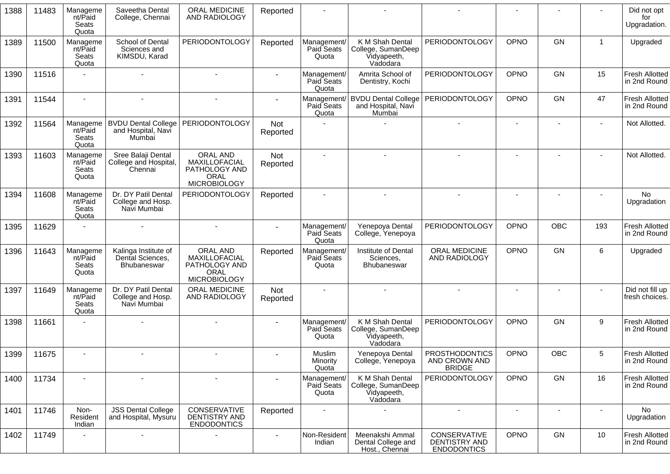| 1388 | 11483 | Manageme<br>nt/Paid<br>Seats<br>Quota | Saveetha Dental<br>College, Chennai                        | ORAL MEDICINE<br>AND RADIOLOGY                                                   | Reported        |                                    |                                                                  |                                                         |      |                          |                  | Did not opt<br>for<br>Upgradation.    |
|------|-------|---------------------------------------|------------------------------------------------------------|----------------------------------------------------------------------------------|-----------------|------------------------------------|------------------------------------------------------------------|---------------------------------------------------------|------|--------------------------|------------------|---------------------------------------|
| 1389 | 11500 | Manageme<br>nt/Paid<br>Seats<br>Quota | School of Dental<br>Sciences and<br>KIMSDU, Karad          | <b>PERIODONTOLOGY</b>                                                            | Reported        | Management/<br>Paid Seats<br>Quota | K M Shah Dental<br>College, SumanDeep<br>Vidyapeeth,<br>Vadodara | PERIODONTOLOGY                                          | OPNO | <b>GN</b>                | -1               | Upgraded                              |
| 1390 | 11516 |                                       |                                                            |                                                                                  |                 | Management/<br>Paid Seats<br>Quota | Amrita School of<br>Dentistry, Kochi                             | PERIODONTOLOGY                                          | OPNO | GN                       | 15               | Fresh Allotted<br>in 2nd Round        |
| 1391 | 11544 |                                       |                                                            |                                                                                  |                 | Management/<br>Paid Seats<br>Quota | <b>BVDU Dental College</b><br>and Hospital, Navi<br>Mumbai       | PERIODONTOLOGY                                          | OPNO | GN                       | 47               | Fresh Allotted<br>in 2nd Round        |
| 1392 | 11564 | Manageme<br>nt/Paid<br>Seats<br>Quota | <b>BVDU Dental College</b><br>and Hospital, Navi<br>Mumbai | <b>PERIODONTOLOGY</b>                                                            | Not<br>Reported |                                    |                                                                  |                                                         |      |                          |                  | Not Allotted.                         |
| 1393 | 11603 | Manageme<br>nt/Paid<br>Seats<br>Quota | Sree Balaji Dental<br>College and Hospital,<br>Chennai     | ORAL AND<br>MAXILLOFACIAL<br>PATHOLOGY AND<br><b>ORAL</b><br><b>MICROBIOLOGY</b> | Not<br>Reported |                                    |                                                                  |                                                         |      |                          |                  | Not Allotted.                         |
| 1394 | 11608 | Manageme<br>nt/Paid<br>Seats<br>Quota | Dr. DY Patil Dental<br>College and Hosp.<br>Navi Mumbai    | PERIODONTOLOGY                                                                   | Reported        |                                    |                                                                  |                                                         |      |                          |                  | No<br>Upgradation                     |
| 1395 | 11629 |                                       |                                                            | $\sim$                                                                           |                 | Management/<br>Paid Seats<br>Quota | Yenepoya Dental<br>College, Yenepoya                             | PERIODONTOLOGY                                          | OPNO | <b>OBC</b>               | 193              | <b>Fresh Allotted</b><br>in 2nd Round |
| 1396 | 11643 | Manageme<br>nt/Paid<br>Seats<br>Quota | Kalinga Institute of<br>Dental Sciences,<br>Bhubaneswar    | ORAL AND<br>MAXILLOFACIAL<br>PATHOLOGY AND<br><b>ORAL</b><br><b>MICROBIOLOGY</b> | Reported        | Management/<br>Paid Seats<br>Quota | Institute of Dental<br>Sciences,<br><b>Bhubaneswar</b>           | ORAL MEDICINE<br>AND RADIOLOGY                          | OPNO | GN                       | 6                | Upgraded                              |
| 1397 | 11649 | Manageme<br>nt/Paid<br>Seats<br>Quota | Dr. DY Patil Dental<br>College and Hosp.<br>Navi Mumbai    | <b>ORAL MEDICINE</b><br>AND RADIOLOGY                                            | Not<br>Reported |                                    |                                                                  |                                                         |      |                          |                  | Did not fill up<br>fresh choices.     |
| 1398 | 11661 |                                       |                                                            |                                                                                  |                 | Management/<br>Paid Seats<br>Quota | K M Shah Dental<br>College, SumanDeep<br>Vidyapeeth,<br>Vadodara | PERIODONTOLOGY                                          | OPNO | GN                       | $\boldsymbol{9}$ | <b>Fresh Allotted</b><br>in 2nd Round |
| 1399 | 11675 |                                       |                                                            |                                                                                  |                 | Muslim<br>Minority<br>Quota        | Yenepoya Dental<br>College, Yenepoya                             | <b>PROSTHODONTICS</b><br>AND CROWN AND<br><b>BRIDGE</b> | OPNO | OBC                      | 5                | <b>Fresh Allotted</b><br>in 2nd Round |
| 1400 | 11734 | $\blacksquare$                        | $\blacksquare$                                             | $\overline{\phantom{a}}$                                                         |                 | Management/<br>Paid Seats<br>Quota | K M Shah Dental<br>College, SumanDeep<br>Vidyapeeth,<br>Vadodara | PERIODONTOLOGY                                          | OPNO | GN                       | 16               | <b>Fresh Allotted</b><br>in 2nd Round |
| 1401 | 11746 | Non-<br>Resident<br>Indian            | <b>JSS Dental College</b><br>and Hospital, Mysuru          | CONSERVATIVE<br>DENTISTRY AND<br><b>ENDODONTICS</b>                              | Reported        |                                    |                                                                  | $\blacksquare$                                          |      | $\overline{\phantom{a}}$ | $\blacksquare$   | No<br>Upgradation                     |
| 1402 | 11749 | ÷                                     | $\overline{\phantom{a}}$                                   | $\blacksquare$                                                                   |                 | Non-Resident<br>Indian             | Meenakshi Ammal<br>Dental College and<br>Host., Chennai          | CONSERVATIVE<br>DENTISTRY AND<br><b>ENDODONTICS</b>     | OPNO | GN                       | 10               | <b>Fresh Allotted</b><br>in 2nd Round |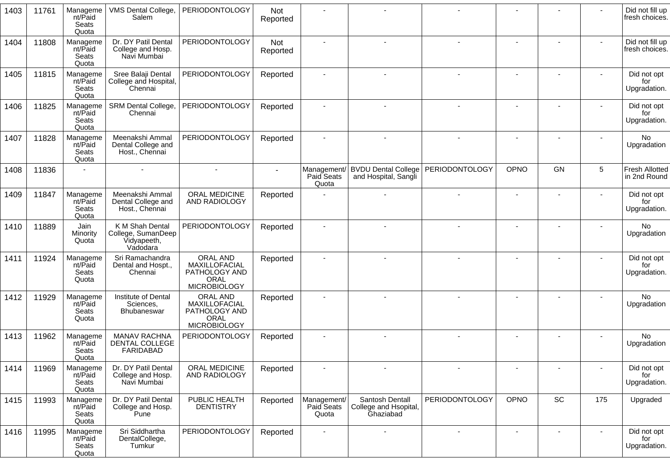| 1403 | 11761 | Manageme<br>nt/Paid<br><b>Seats</b><br>Quota | VMS Dental College,<br>Salem                                     | PERIODONTOLOGY                                                                   | Not<br>Reported |                                    |                                                              |                       |      |                |                          | Did not fill up<br>fresh choices.     |
|------|-------|----------------------------------------------|------------------------------------------------------------------|----------------------------------------------------------------------------------|-----------------|------------------------------------|--------------------------------------------------------------|-----------------------|------|----------------|--------------------------|---------------------------------------|
| 1404 | 11808 | Manageme<br>nt/Paid<br>Seats<br>Quota        | Dr. DY Patil Dental<br>College and Hosp.<br>Navi Mumbai          | <b>PERIODONTOLOGY</b>                                                            | Not<br>Reported |                                    |                                                              |                       |      |                |                          | Did not fill up<br>fresh choices.     |
| 1405 | 11815 | Manageme<br>nt/Paid<br>Seats<br>Quota        | Sree Balaji Dental<br>College and Hospital,<br>Chennai           | <b>PERIODONTOLOGY</b>                                                            | Reported        |                                    |                                                              |                       |      |                |                          | Did not opt<br>for<br>Upgradation.    |
| 1406 | 11825 | Manageme<br>nt/Paid<br>Seats<br>Quota        | SRM Dental College,<br>Chennai                                   | PERIODONTOLOGY                                                                   | Reported        |                                    |                                                              |                       |      |                |                          | Did not opt<br>for<br>Upgradation.    |
| 1407 | 11828 | Manageme<br>nt/Paid<br>Seats<br>Quota        | Meenakshi Ammal<br>Dental College and<br>Host., Chennai          | <b>PERIODONTOLOGY</b>                                                            | Reported        |                                    |                                                              |                       |      |                |                          | No<br>Upgradation                     |
| 1408 | 11836 |                                              |                                                                  | $\sim$                                                                           |                 | Management/<br>Paid Seats<br>Quota | BVDU Dental College   PERIODONTOLOGY<br>and Hospital, Sangli |                       | OPNO | <b>GN</b>      | 5                        | <b>Fresh Allotted</b><br>in 2nd Round |
| 1409 | 11847 | Manageme<br>nt/Paid<br>Seats<br>Quota        | Meenakshi Ammal<br>Dental College and<br>Host., Chennai          | ORAL MEDICINE<br>AND RADIOLOGY                                                   | Reported        |                                    |                                                              |                       |      |                |                          | Did not opt<br>for<br>Upgradation.    |
| 1410 | 11889 | Jain<br>Minority<br>Quota                    | K M Shah Dental<br>College, SumanDeep<br>Vidyapeeth,<br>Vadodara | <b>PERIODONTOLOGY</b>                                                            | Reported        |                                    |                                                              |                       |      |                |                          | <b>No</b><br>Upgradation              |
| 1411 | 11924 | Manageme<br>nt/Paid<br>Seats<br>Quota        | Sri Ramachandra<br>Dental and Hospt.,<br>Chennai                 | ORAL AND<br>MAXILLOFACIAL<br>PATHOLOGY AND<br><b>ORAL</b><br><b>MICROBIOLOGY</b> | Reported        |                                    |                                                              |                       |      |                |                          | Did not opt<br>for<br>Upgradation.    |
| 1412 | 11929 | Manageme<br>nt/Paid<br>Seats<br>Quota        | Institute of Dental<br>Sciences,<br>Bhubaneswar                  | ORAL AND<br>MAXILLOFACIAL<br>PATHOLOGY AND<br><b>ORAL</b><br><b>MICROBIOLOGY</b> | Reported        |                                    |                                                              |                       |      |                |                          | No<br>Upgradation                     |
| 1413 | 11962 | Manageme<br>nt/Paid<br>Seats<br>Quota        | <b>MANAV RACHNA</b><br>DENTAL COLLEGE<br><b>FARIDABAD</b>        | <b>PERIODONTOLOGY</b>                                                            | Reported        |                                    |                                                              |                       |      |                |                          | No<br>Upgradation                     |
| 1414 | 11969 | Manageme<br>nt/Paid<br>Seats<br>Quota        | Dr. DY Patil Dental<br>College and Hosp.<br>Navi Mumbai          | ORAL MEDICINE<br>AND RADIOLOGY                                                   | Reported        |                                    | $\overline{\phantom{a}}$                                     |                       |      | $\overline{a}$ | $\overline{\phantom{a}}$ | Did not opt<br>for<br>Upgradation.    |
| 1415 | 11993 | Manageme<br>nt/Paid<br>Seats<br>Quota        | Dr. DY Patil Dental<br>College and Hosp.<br>Pune                 | PUBLIC HEALTH<br><b>DENTISTRY</b>                                                | Reported        | Management/<br>Paid Seats<br>Quota | Santosh Dentall<br>College and Hsopital,<br>Ghaziabad        | <b>PERIODONTOLOGY</b> | OPNO | SC             | 175                      | Upgraded                              |
| 1416 | 11995 | Manageme<br>nt/Paid<br>Seats<br>Quota        | Sri Siddhartha<br>DentalCollege,<br>Tumkur                       | <b>PERIODONTOLOGY</b>                                                            | Reported        | $\overline{\phantom{a}}$           | $\overline{\phantom{a}}$                                     |                       |      | $\overline{a}$ | $\blacksquare$           | Did not opt<br>for<br>Upgradation.    |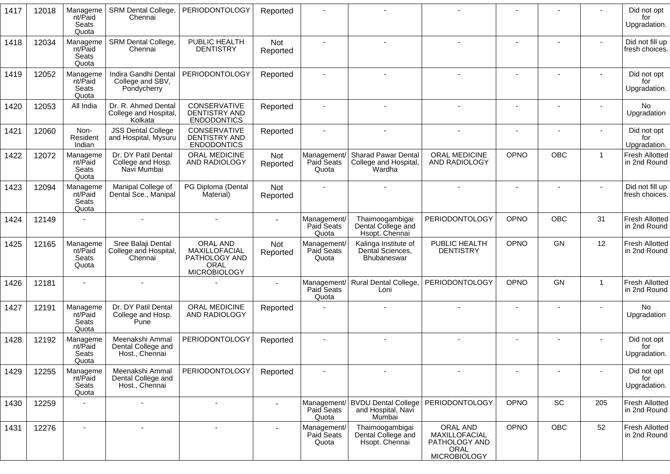| 1417 | 12018 | Manageme<br>nt/Paid<br>Seats<br>Quota        | SRM Dental College,<br>Chennai                          | PERIODONTOLOGY                                                            | Reported        |                                    |                                                               |                                                                    |                |            |                | Did not opt<br>for<br>Upgradation.    |
|------|-------|----------------------------------------------|---------------------------------------------------------|---------------------------------------------------------------------------|-----------------|------------------------------------|---------------------------------------------------------------|--------------------------------------------------------------------|----------------|------------|----------------|---------------------------------------|
| 1418 | 12034 | Manageme<br>nt/Paid<br>Seats<br>Quota        | <b>SRM Dental College,</b><br>Chennai                   | PUBLIC HEALTH<br><b>DENTISTRY</b>                                         | Not<br>Reported |                                    |                                                               |                                                                    |                |            |                | Did not fill up<br>fresh choices.     |
| 1419 | 12052 | Manageme<br>nt/Paid<br>Seats<br>Quota        | Indira Gandhi Dental<br>College and SBV,<br>Pondycherry | <b>PERIODONTOLOGY</b>                                                     | Reported        |                                    |                                                               |                                                                    |                |            |                | Did not opt<br>for<br>Upgradation.    |
| 1420 | 12053 | All India                                    | Dr. R. Ahmed Dental<br>College and Hospital,<br>Kolkata | CONSERVATIVE<br>DENTISTRY AND<br><b>ENDODONTICS</b>                       | Reported        |                                    | $\sim$                                                        | ۰                                                                  | $\blacksquare$ |            |                | <b>No</b><br>Upgradation              |
| 1421 | 12060 | Non-<br>Resident<br>Indian                   | <b>JSS Dental College</b><br>and Hospital, Mysuru       | CONSERVATIVE<br>DENTISTRY AND<br><b>ENDODONTICS</b>                       | Reported        |                                    | $\tilde{\phantom{a}}$                                         |                                                                    |                |            |                | Did not opt<br>for<br>Upgradation.    |
| 1422 | 12072 | Manageme<br>nt/Paid<br>Seats<br>Quota        | Dr. DY Patil Dental<br>College and Hosp.<br>Navi Mumbai | ORAL MEDICINE<br>AND RADIOLOGY                                            | Not<br>Reported | Management/<br>Paid Seats<br>Quota | <b>Sharad Pawar Dental</b><br>College and Hospital,<br>Wardha | ORAL MEDICINE<br>AND RADIOLOGY                                     | <b>OPNO</b>    | <b>OBC</b> | $\mathbf{1}$   | <b>Fresh Allotted</b><br>in 2nd Round |
| 1423 | 12094 | Manageme<br>nt/Paid<br><b>Seats</b><br>Quota | Manipal College of<br>Dental Sce., Manipal              | PG Diploma (Dental<br>Material)                                           | Not<br>Reported |                                    |                                                               |                                                                    | $\blacksquare$ |            |                | Did not fill up<br>fresh choices.     |
| 1424 | 12149 |                                              |                                                         |                                                                           |                 | Management/<br>Paid Seats<br>Quota | Thaimoogambigai<br>Dental College and<br>Hsopt. Chennai       | <b>PERIODONTOLOGY</b>                                              | OPNO           | <b>OBC</b> | 31             | <b>Fresh Allotted</b><br>in 2nd Round |
| 1425 | 12165 | Manageme<br>nt/Paid<br>Seats<br>Quota        | Sree Balaji Dental<br>College and Hospital,<br>Chennai  | ORAL AND<br>MAXILLOFACIAL<br>PATHOLOGY AND<br>ORAL<br><b>MICROBIOLOGY</b> | Not<br>Reported | Management/<br>Paid Seats<br>Quota | Kalinga Institute of<br>Dental Sciences,<br>Bhubaneswar       | PUBLIC HEALTH<br><b>DENTISTRY</b>                                  | <b>OPNO</b>    | GN         | 12             | <b>Fresh Allotted</b><br>in 2nd Round |
| 1426 | 12181 |                                              |                                                         |                                                                           |                 | Management/<br>Paid Seats<br>Quota | Rural Dental College,<br>Loni                                 | <b>PERIODONTOLOGY</b>                                              | <b>OPNO</b>    | <b>GN</b>  | $\overline{1}$ | <b>Fresh Allotted</b><br>in 2nd Round |
| 1427 | 12191 | Manageme<br>nt/Paid<br><b>Seats</b><br>Quota | Dr. DY Patil Dental<br>College and Hosp.<br>Pune        | ORAL MEDICINE<br>AND RADIOLOGY                                            | Reported        |                                    |                                                               |                                                                    |                |            |                | <b>No</b><br>Upgradation              |
| 1428 | 12192 | Manageme<br>nt/Paid<br>Seats<br>Quota        | Meenakshi Ammal<br>Dental College and<br>Host., Chennai | <b>PERIODONTOLOGY</b>                                                     | Reported        |                                    |                                                               |                                                                    |                |            |                | Did not opt<br>for<br>Upgradation.    |
| 1429 | 12255 | Manageme<br>nt/Paid<br>Seats<br>Quota        | Meenakshi Ammal<br>Dental College and<br>Host., Chennai | <b>PERIODONTOLOGY</b>                                                     | Reported        |                                    |                                                               |                                                                    |                |            |                | Did not opt<br>for<br>Upgradation.    |
| 1430 | 12259 |                                              |                                                         |                                                                           |                 | Management/<br>Paid Seats<br>Quota | <b>BVDU Dental College</b><br>and Hospital, Navi<br>Mumbai    | PERIODONTOLOGY                                                     | OPNO           | SC         | 205            | Fresh Allotted<br>in 2nd Round        |
| 1431 | 12276 |                                              |                                                         |                                                                           |                 | Management/<br>Paid Seats<br>Quota | Thaimoogambigai<br>Dental College and<br>Hsopt. Chennai       | ORAL AND<br>MAXILLOFACIAL<br>PATHOLOGY AND<br>ORAL<br>MICROBIOLOGY | OPNO           | OBC        | 52             | <b>Fresh Allotted</b><br>in 2nd Round |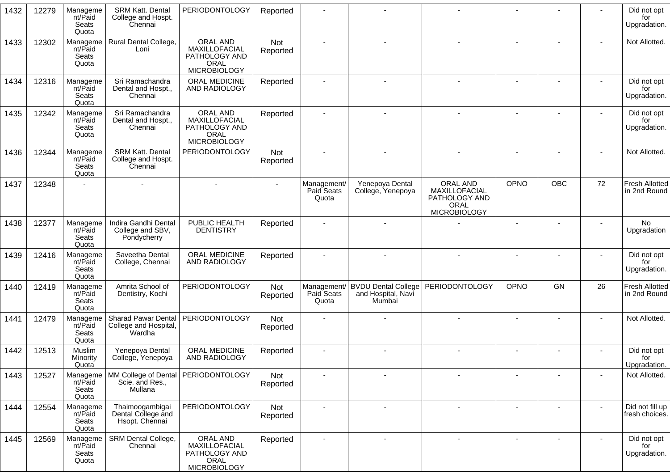| 1432 | 12279 | Manageme<br>nt/Paid<br>Seats<br>Quota | <b>SRM Katt. Dental</b><br>College and Hospt.<br>Chennai | PERIODONTOLOGY                                                            | Reported        |                                    |                                                                 |                                                                           |                |                          |                | Did not opt<br>for<br>Upgradation.    |
|------|-------|---------------------------------------|----------------------------------------------------------|---------------------------------------------------------------------------|-----------------|------------------------------------|-----------------------------------------------------------------|---------------------------------------------------------------------------|----------------|--------------------------|----------------|---------------------------------------|
| 1433 | 12302 | Manageme<br>nt/Paid<br>Seats<br>Quota | Rural Dental College,<br>Loni                            | ORAL AND<br>MAXILLOFACIAL<br>PATHOLOGY AND<br>ORAL<br><b>MICROBIOLOGY</b> | Not<br>Reported |                                    |                                                                 |                                                                           |                |                          |                | Not Allotted.                         |
| 1434 | 12316 | Manageme<br>nt/Paid<br>Seats<br>Quota | Sri Ramachandra<br>Dental and Hospt.,<br>Chennai         | ORAL MEDICINE<br>AND RADIOLOGY                                            | Reported        |                                    |                                                                 |                                                                           |                |                          |                | Did not opt<br>for<br>Upgradation.    |
| 1435 | 12342 | Manageme<br>nt/Paid<br>Seats<br>Quota | Sri Ramachandra<br>Dental and Hospt.,<br>Chennai         | ORAL AND<br>MAXILLOFACIAL<br>PATHOLOGY AND<br>ORAL<br><b>MICROBIOLOGY</b> | Reported        |                                    |                                                                 |                                                                           |                |                          |                | Did not opt<br>for<br>Upgradation.    |
| 1436 | 12344 | Manageme<br>nt/Paid<br>Seats<br>Quota | SRM Katt. Dental<br>College and Hospt.<br>Chennai        | <b>PERIODONTOLOGY</b>                                                     | Not<br>Reported |                                    |                                                                 |                                                                           |                | $\overline{\phantom{a}}$ |                | Not Allotted.                         |
| 1437 | 12348 |                                       |                                                          |                                                                           |                 | Management/<br>Paid Seats<br>Quota | Yenepoya Dental<br>College, Yenepoya                            | ORAL AND<br>MAXILLOFACIAL<br>PATHOLOGY AND<br>ORAL<br><b>MICROBIOLOGY</b> | <b>OPNO</b>    | OBC                      | 72             | <b>Fresh Allotted</b><br>in 2nd Round |
| 1438 | 12377 | Manageme<br>nt/Paid<br>Seats<br>Quota | Indira Gandhi Dental<br>College and SBV,<br>Pondycherry  | PUBLIC HEALTH<br><b>DENTISTRY</b>                                         | Reported        |                                    |                                                                 |                                                                           |                |                          |                | No<br>Upgradation                     |
| 1439 | 12416 | Manageme<br>nt/Paid<br>Seats<br>Quota | Saveetha Dental<br>College, Chennai                      | ORAL MEDICINE<br>AND RADIOLOGY                                            | Reported        |                                    |                                                                 |                                                                           |                |                          |                | Did not opt<br>for<br>Upgradation.    |
| 1440 | 12419 | Manageme<br>nt/Paid<br>Seats<br>Quota | Amrita School of<br>Dentistry, Kochi                     | <b>PERIODONTOLOGY</b>                                                     | Not<br>Reported | Paid Seats<br>Quota                | Management/ BVDU Dental College<br>and Hospital, Navi<br>Mumbai | PERIODONTOLOGY                                                            | <b>OPNO</b>    | GN                       | 26             | <b>Fresh Allotted</b><br>in 2nd Round |
| 1441 | 12479 | Manageme<br>nt/Paid<br>Seats<br>Quota | Sharad Pawar Dental<br>College and Hospital,<br>Wardha   | <b>PERIODONTOLOGY</b>                                                     | Not<br>Reported |                                    |                                                                 |                                                                           |                |                          |                | Not Allotted.                         |
| 1442 | 12513 | Muslim<br>Minority<br>Quota           | Yenepoya Dental<br>College, Yenepoya                     | ORAL MEDICINE<br>AND RADIOLOGY                                            | Reported        |                                    |                                                                 |                                                                           |                |                          |                | Did not opt<br>for<br>Upgradation.    |
| 1443 | 12527 | Manageme<br>nt/Paid<br>Seats<br>Quota | Scie. and Res.,<br>Mullana                               | MM College of Dental   PERIODONTOLOGY                                     | Not<br>Reported |                                    |                                                                 |                                                                           |                |                          |                | Not Allotted.                         |
| 1444 | 12554 | Manageme<br>nt/Paid<br>Seats<br>Quota | Thaimoogambigai<br>Dental College and<br>Hsopt. Chennai  | <b>PERIODONTOLOGY</b>                                                     | Not<br>Reported |                                    |                                                                 |                                                                           |                |                          |                | Did not fill up<br>fresh choices.     |
| 1445 | 12569 | Manageme<br>nt/Paid<br>Seats<br>Quota | SRM Dental College,<br>Chennai                           | ORAL AND<br>MAXILLOFACIAL<br>PATHOLOGY AND<br>ORAL<br><b>MICROBIOLOGY</b> | Reported        | $\sim$                             | $\blacksquare$                                                  | $\overline{\phantom{a}}$                                                  | $\blacksquare$ | $\blacksquare$           | $\blacksquare$ | Did not opt<br>for<br>Upgradation.    |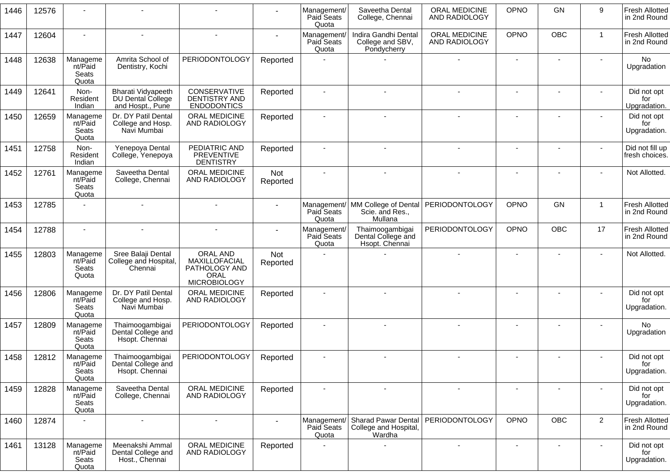| 1446 | 12576 |                                       |                                                             |                                                                           |                 | Management/<br>Paid Seats<br>Quota | Saveetha Dental<br>College, Chennai                                               | ORAL MEDICINE<br>AND RADIOLOGY | OPNO                     | GN                       | 9              | <b>Fresh Allotted</b><br>in 2nd Round |
|------|-------|---------------------------------------|-------------------------------------------------------------|---------------------------------------------------------------------------|-----------------|------------------------------------|-----------------------------------------------------------------------------------|--------------------------------|--------------------------|--------------------------|----------------|---------------------------------------|
| 1447 | 12604 |                                       |                                                             |                                                                           |                 | Management/<br>Paid Seats<br>Quota | Indira Gandhi Dental<br>College and SBV,<br>Pondycherry                           | ORAL MEDICINE<br>AND RADIOLOGY | OPNO                     | OBC                      | $\mathbf{1}$   | Fresh Allotted<br>in 2nd Round        |
| 1448 | 12638 | Manageme<br>nt/Paid<br>Seats<br>Quota | Amrita School of<br>Dentistry, Kochi                        | <b>PERIODONTOLOGY</b>                                                     | Reported        |                                    |                                                                                   |                                | $\sim$                   |                          |                | No<br>Upgradation                     |
| 1449 | 12641 | Non-<br>Resident<br>Indian            | Bharati Vidyapeeth<br>DU Dental College<br>and Hospt., Pune | CONSERVATIVE<br><b>DENTISTRY AND</b><br><b>ENDODONTICS</b>                | Reported        |                                    |                                                                                   |                                |                          |                          |                | Did not opt<br>for<br>Upgradation.    |
| 1450 | 12659 | Manageme<br>nt/Paid<br>Seats<br>Quota | Dr. DY Patil Dental<br>College and Hosp.<br>Navi Mumbai     | ORAL MEDICINE<br>AND RADIOLOGY                                            | Reported        |                                    |                                                                                   |                                |                          |                          |                | Did not opt<br>for<br>Upgradation.    |
| 1451 | 12758 | Non-<br>Resident<br>Indian            | Yenepoya Dental<br>College, Yenepoya                        | PEDIATRIC AND<br><b>PREVENTIVE</b><br><b>DENTISTRY</b>                    | Reported        |                                    |                                                                                   |                                |                          |                          |                | Did not fill up<br>fresh choices.     |
| 1452 | 12761 | Manageme<br>nt/Paid<br>Seats<br>Quota | Saveetha Dental<br>College, Chennai                         | ORAL MEDICINE<br>AND RADIOLOGY                                            | Not<br>Reported |                                    |                                                                                   |                                |                          |                          |                | Not Allotted.                         |
| 1453 | 12785 |                                       |                                                             |                                                                           |                 | Paid Seats<br>Quota                | Management/   MM College of Dental   PERIODONTOLOGY<br>Scie. and Res.,<br>Mullana |                                | OPNO                     | <b>GN</b>                | $\mathbf{1}$   | <b>Fresh Allotted</b><br>in 2nd Round |
| 1454 | 12788 |                                       |                                                             |                                                                           |                 | Management/<br>Paid Seats<br>Quota | Thaimoogambigai<br>Dental College and<br>Hsopt. Chennai                           | PERIODONTOLOGY                 | OPNO                     | <b>OBC</b>               | 17             | <b>Fresh Allotted</b><br>in 2nd Round |
| 1455 | 12803 | Manageme<br>nt/Paid<br>Seats<br>Quota | Sree Balaji Dental<br>College and Hospital,<br>Chennai      | ORAL AND<br>MAXILLOFACIAL<br>PATHOLOGY AND<br>ORAL<br><b>MICROBIOLOGY</b> | Not<br>Reported |                                    |                                                                                   |                                |                          |                          |                | Not Allotted.                         |
| 1456 | 12806 | Manageme<br>nt/Paid<br>Seats<br>Quota | Dr. DY Patil Dental<br>College and Hosp.<br>Navi Mumbai     | ORAL MEDICINE<br>AND RADIOLOGY                                            | Reported        |                                    |                                                                                   |                                |                          |                          |                | Did not opt<br>for<br>Upgradation.    |
| 1457 | 12809 | Manageme<br>nt/Paid<br>Seats<br>Quota | Thaimoogambigai<br>Dental College and<br>Hsopt. Chennai     | <b>PERIODONTOLOGY</b>                                                     | Reported        |                                    |                                                                                   |                                |                          |                          |                | No<br>Upgradation                     |
| 1458 | 12812 | Manageme<br>nt/Paid<br>Seats<br>Quota | Thaimoogambigai<br>Dental College and<br>Hsopt. Chennai     | <b>PERIODONTOLOGY</b>                                                     | Reported        |                                    |                                                                                   |                                |                          |                          |                | Did not opt<br>tor<br>Upgradation.    |
| 1459 | 12828 | Manageme<br>nt/Paid<br>Seats<br>Quota | Saveetha Dental<br>College, Chennai                         | ORAL MEDICINE<br>AND RADIOLOGY                                            | Reported        |                                    |                                                                                   | $\overline{\phantom{a}}$       | $\overline{\phantom{a}}$ | $\overline{\phantom{a}}$ |                | Did not opt<br>for<br>Upgradation.    |
| 1460 | 12874 |                                       |                                                             |                                                                           |                 | Management/<br>Paid Seats<br>Quota | <b>Sharad Pawar Dental</b><br>College and Hospital,<br>Wardha                     | PERIODONTOLOGY                 | OPNO                     | <b>OBC</b>               | $\overline{2}$ | <b>Fresh Allotted</b><br>in 2nd Round |
| 1461 | 13128 | Manageme<br>nt/Paid<br>Seats<br>Quota | Meenakshi Ammal<br>Dental College and<br>Host., Chennai     | ORAL MEDICINE<br>AND RADIOLOGY                                            | Reported        |                                    |                                                                                   |                                |                          | $\blacksquare$           |                | Did not opt<br>for<br>Upgradation.    |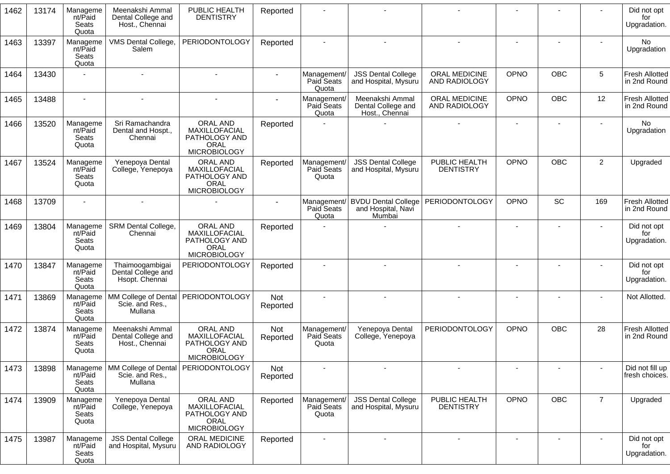| 1462 | 13174 | Manageme<br>nt/Paid<br>Seats<br>Quota | Meenakshi Ammal<br>Dental College and<br>Host., Chennai | PUBLIC HEALTH<br><b>DENTISTRY</b>                                                       | Reported        |                                    |                                                            |                                   |                              |                |                 | Did not opt<br>for<br>Upgradation.    |
|------|-------|---------------------------------------|---------------------------------------------------------|-----------------------------------------------------------------------------------------|-----------------|------------------------------------|------------------------------------------------------------|-----------------------------------|------------------------------|----------------|-----------------|---------------------------------------|
| 1463 | 13397 | Manageme<br>nt/Paid<br>Seats<br>Quota | VMS Dental College,<br>Salem                            | PERIODONTOLOGY                                                                          | Reported        |                                    |                                                            |                                   |                              |                |                 | <b>No</b><br>Upgradation              |
| 1464 | 13430 |                                       |                                                         |                                                                                         | $\sim$          | Management/<br>Paid Seats<br>Quota | <b>JSS Dental College</b><br>and Hospital, Mysuru          | ORAL MEDICINE<br>AND RADIOLOGY    | OPNO                         | <b>OBC</b>     | $5\phantom{.0}$ | <b>Fresh Allotted</b><br>in 2nd Round |
| 1465 | 13488 |                                       |                                                         |                                                                                         |                 | Management/<br>Paid Seats<br>Quota | Meenakshi Ammal<br>Dental College and<br>Host., Chennai    | ORAL MEDICINE<br>AND RADIOLOGY    | OPNO                         | <b>OBC</b>     | 12              | <b>Fresh Allotted</b><br>in 2nd Round |
| 1466 | 13520 | Manageme<br>nt/Paid<br>Seats<br>Quota | Sri Ramachandra<br>Dental and Hospt.,<br>Chennai        | ORAL AND<br>MAXILLOFACIAL<br>PATHOLOGY AND<br>ORAL<br><b>MICROBIOLOGY</b>               | Reported        |                                    |                                                            |                                   | $\overline{\phantom{a}}$     |                |                 | No<br>Upgradation                     |
| 1467 | 13524 | Manageme<br>nt/Paid<br>Seats<br>Quota | Yenepoya Dental<br>College, Yenepoya                    | <b>ORAL AND</b><br>MAXILLOFACIAL<br>PATHOLOGY AND<br><b>ORAL</b><br><b>MICROBIOLOGY</b> | Reported        | Management/<br>Paid Seats<br>Quota | <b>JSS Dental College</b><br>and Hospital, Mysuru          | PUBLIC HEALTH<br><b>DENTISTRY</b> | OPNO                         | <b>OBC</b>     | $\overline{2}$  | Upgraded                              |
| 1468 | 13709 |                                       |                                                         |                                                                                         |                 | Management/<br>Paid Seats<br>Quota | <b>BVDU Dental College</b><br>and Hospital, Navi<br>Mumbai | PERIODONTOLOGY                    | OPNO                         | SC             | 169             | <b>Fresh Allotted</b><br>in 2nd Round |
| 1469 | 13804 | Manageme<br>nt/Paid<br>Seats<br>Quota | SRM Dental College,<br>Chennai                          | ORAL AND<br>MAXILLOFACIAL<br>PATHOLOGY AND<br>ORAL<br><b>MICROBIOLOGY</b>               | Reported        |                                    |                                                            | $\overline{\phantom{a}}$          | $\blacksquare$               | $\blacksquare$ |                 | Did not opt<br>for<br>Upgradation.    |
| 1470 | 13847 | Manageme<br>nt/Paid<br>Seats<br>Quota | Thaimoogambigai<br>Dental College and<br>Hsopt. Chennai | <b>PERIODONTOLOGY</b>                                                                   | Reported        |                                    |                                                            |                                   |                              |                |                 | Did not opt<br>for<br>Upgradation.    |
| 1471 | 13869 | Manageme<br>nt/Paid<br>Seats<br>Quota | MM College of Dental<br>Scie. and Res.,<br>Mullana      | <b>PERIODONTOLOGY</b>                                                                   | Not<br>Reported |                                    |                                                            |                                   | $\qquad \qquad \blacksquare$ |                |                 | Not Allotted.                         |
| 1472 | 13874 | Manageme<br>nt/Paid<br>Seats<br>Quota | Meenakshi Ammal<br>Dental College and<br>Host., Chennai | ORAL AND<br>MAXILLOFACIAL<br>PATHOLOGY AND<br><b>ORAL</b><br><b>MICROBIOLOGY</b>        | Not<br>Reported | Management/<br>Paid Seats<br>Quota | Yenepoya Dental<br>College, Yenepoya                       | <b>PERIODONTOLOGY</b>             | OPNO                         | OBC            | 28              | <b>Fresh Allotted</b><br>in 2nd Round |
| 1473 | 13898 | Manageme<br>nt/Paid<br>Seats<br>Quota | Scie. and Res.,<br>Mullana                              | MM College of Dental   PERIODONTOLOGY                                                   | Not<br>Reported |                                    |                                                            |                                   |                              |                |                 | Did not fill up<br>fresh choices.     |
| 1474 | 13909 | Manageme<br>nt/Paid<br>Seats<br>Quota | Yenepoya Dental<br>College, Yenepoya                    | ORAL AND<br>MAXILLOFACIAL<br>PATHOLOGY AND<br><b>ORAL</b><br><b>MICROBIOLOGY</b>        | Reported        | Management/<br>Paid Seats<br>Quota | <b>JSS Dental College</b><br>and Hospital, Mysuru          | PUBLIC HEALTH<br><b>DENTISTRY</b> | <b>OPNO</b>                  | OBC            | $\overline{7}$  | Upgraded                              |
| 1475 | 13987 | Manageme<br>nt/Paid<br>Seats<br>Quota | <b>JSS Dental College</b><br>and Hospital, Mysuru       | ORAL MEDICINE<br>AND RADIOLOGY                                                          | Reported        |                                    |                                                            |                                   |                              |                |                 | Did not opt<br>for<br>Upgradation.    |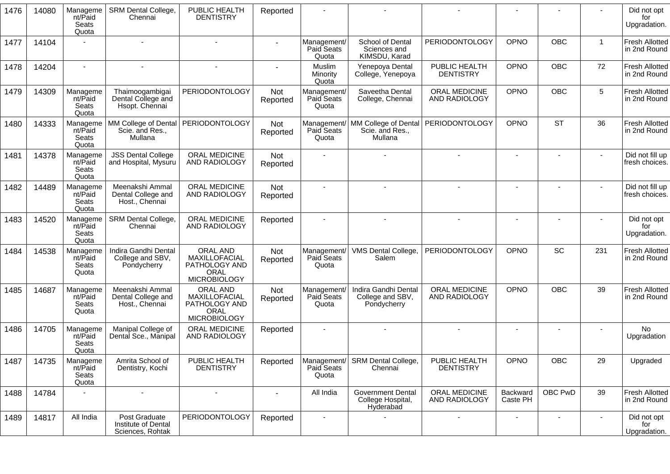| 1476 | 14080 | Manageme<br>nt/Paid<br>Seats<br>Quota | <b>SRM Dental College,</b><br>Chennai                    | PUBLIC HEALTH<br><b>DENTISTRY</b>                                                | Reported        |                                    |                                                            |                                       |                          |                          |                          | Did not opt<br>for<br>Upgradation.    |
|------|-------|---------------------------------------|----------------------------------------------------------|----------------------------------------------------------------------------------|-----------------|------------------------------------|------------------------------------------------------------|---------------------------------------|--------------------------|--------------------------|--------------------------|---------------------------------------|
| 1477 | 14104 |                                       |                                                          |                                                                                  |                 | Management/<br>Paid Seats<br>Quota | School of Dental<br>Sciences and<br>KIMSDU, Karad          | PERIODONTOLOGY                        | <b>OPNO</b>              | <b>OBC</b>               | $\mathbf{1}$             | <b>Fresh Allotted</b><br>in 2nd Round |
| 1478 | 14204 | $\blacksquare$                        |                                                          |                                                                                  |                 | Muslim<br>Minority<br>Quota        | Yenepoya Dental<br>College, Yenepoya                       | PUBLIC HEALTH<br><b>DENTISTRY</b>     | OPNO                     | <b>OBC</b>               | 72                       | <b>Fresh Allotted</b><br>in 2nd Round |
| 1479 | 14309 | Manageme<br>nt/Paid<br>Seats<br>Quota | Thaimoogambigai<br>Dental College and<br>Hsopt. Chennai  | <b>PERIODONTOLOGY</b>                                                            | Not<br>Reported | Management/<br>Paid Seats<br>Quota | Saveetha Dental<br>College, Chennai                        | <b>ORAL MEDICINE</b><br>AND RADIOLOGY | OPNO                     | <b>OBC</b>               | 5                        | <b>Fresh Allotted</b><br>in 2nd Round |
| 1480 | 14333 | Manageme<br>nt/Paid<br>Seats<br>Quota | MM College of Dental<br>Scie. and Res.,<br>Mullana       | <b>PERIODONTOLOGY</b>                                                            | Not<br>Reported | Management/<br>Paid Seats<br>Quota | MM College of Dental<br>Scie. and Res.,<br>Mullana         | PERIODONTOLOGY                        | OPNO                     | <b>ST</b>                | 36                       | <b>Fresh Allotted</b><br>in 2nd Round |
| 1481 | 14378 | Manageme<br>nt/Paid<br>Seats<br>Quota | <b>JSS Dental College</b><br>and Hospital, Mysuru        | ORAL MEDICINE<br>AND RADIOLOGY                                                   | Not<br>Reported |                                    |                                                            |                                       |                          |                          |                          | Did not fill up<br>fresh choices.     |
| 1482 | 14489 | Manageme<br>nt/Paid<br>Seats<br>Quota | Meenakshi Ammal<br>Dental College and<br>Host., Chennai  | ORAL MEDICINE<br>AND RADIOLOGY                                                   | Not<br>Reported |                                    |                                                            |                                       |                          |                          |                          | Did not fill up<br>fresh choices.     |
| 1483 | 14520 | Manageme<br>nt/Paid<br>Seats<br>Quota | SRM Dental College,<br>Chennai                           | ORAL MEDICINE<br><b>AND RADIOLOGY</b>                                            | Reported        |                                    |                                                            |                                       |                          |                          |                          | Did not opt<br>for<br>Upgradation.    |
| 1484 | 14538 | Manageme<br>nt/Paid<br>Seats<br>Quota | Indira Gandhi Dental<br>College and SBV,<br>Pondycherry  | ORAL AND<br>MAXILLOFACIAL<br>PATHOLOGY AND<br>ORAL<br><b>MICROBIOLOGY</b>        | Not<br>Reported | Management/<br>Paid Seats<br>Quota | VMS Dental College,<br>Salem                               | <b>PERIODONTOLOGY</b>                 | <b>OPNO</b>              | SC                       | 231                      | <b>Fresh Allotted</b><br>in 2nd Round |
| 1485 | 14687 | Manageme<br>nt/Paid<br>Seats<br>Quota | Meenakshi Ammal<br>Dental College and<br>Host., Chennai  | ORAL AND<br>MAXILLOFACIAL<br>PATHOLOGY AND<br><b>ORAL</b><br><b>MICROBIOLOGY</b> | Not<br>Reported | Management/<br>Paid Seats<br>Quota | Indira Gandhi Dental<br>College and SBV,<br>Pondycherry    | <b>ORAL MEDICINE</b><br>AND RADIOLOGY | <b>OPNO</b>              | <b>OBC</b>               | 39                       | <b>Fresh Allotted</b><br>in 2nd Round |
| 1486 | 14705 | Manageme<br>nt/Paid<br>Seats<br>Quota | Manipal College of<br>Dental Sce., Manipal               | ORAL MEDICINE<br>AND RADIOLOGY                                                   | Reported        |                                    |                                                            |                                       |                          |                          |                          | No<br>Upgradation                     |
| 1487 | 14735 | Manageme<br>nt/Paid<br>Seats<br>Quota | Amrita School of<br>Dentistry, Kochi                     | PUBLIC HEALTH<br><b>DENTISTRY</b>                                                |                 | Paid Seats<br>Quota                | Reported   Management/ SRM Dental College,<br>Chennai      | PUBLIC HEALTH<br><b>DENTISTRY</b>     | OPNO                     | OBC                      | 29                       | Upgraded                              |
| 1488 | 14784 | $\blacksquare$                        | $\overline{\phantom{a}}$                                 | $\blacksquare$                                                                   |                 | All India                          | <b>Government Dental</b><br>College Hospital,<br>Hyderabad | ORAL MEDICINE<br>AND RADIOLOGY        | Backward<br>Caste PH     | OBC PwD                  | 39                       | <b>Fresh Allotted</b><br>in 2nd Round |
| 1489 | 14817 | All India                             | Post Graduate<br>Institute of Dental<br>Sciences, Rohtak | <b>PERIODONTOLOGY</b>                                                            | Reported        | $\blacksquare$                     |                                                            | $\blacksquare$                        | $\overline{\phantom{a}}$ | $\overline{\phantom{a}}$ | $\overline{\phantom{a}}$ | Did not opt<br>for<br>Upgradation.    |